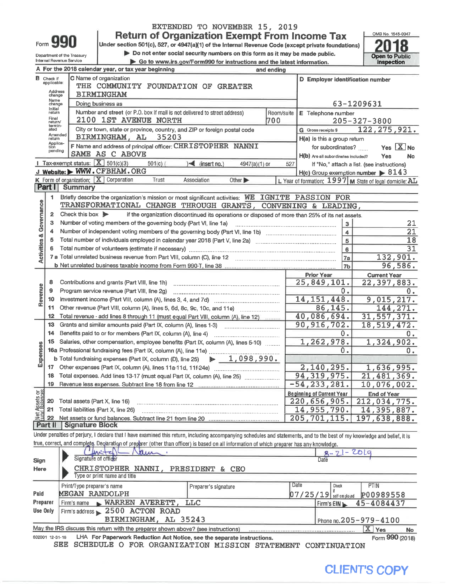|                                                                                                    |                                                                                   |                                                    |                                                                                                                                                                            | <b>Return of Organization Exempt From Income Tax</b>                                            |            |                                  |                                     | OMB No. 1545-0047                                       |                       |  |  |
|----------------------------------------------------------------------------------------------------|-----------------------------------------------------------------------------------|----------------------------------------------------|----------------------------------------------------------------------------------------------------------------------------------------------------------------------------|-------------------------------------------------------------------------------------------------|------------|----------------------------------|-------------------------------------|---------------------------------------------------------|-----------------------|--|--|
|                                                                                                    | Form 99                                                                           |                                                    | Under section 501(c), 527, or 4947(a)(1) of the Internal Revenue Code (except private foundations)                                                                         |                                                                                                 |            |                                  |                                     |                                                         |                       |  |  |
|                                                                                                    |                                                                                   | Department of the Treasury                         |                                                                                                                                                                            | Do not enter social security numbers on this form as it may be made public.                     |            |                                  |                                     | <b>Open to Public</b>                                   |                       |  |  |
| Internal Revenue Service<br>Go to www.irs.gov/Form990 for instructions and the latest information. |                                                                                   |                                                    |                                                                                                                                                                            |                                                                                                 |            |                                  |                                     |                                                         |                       |  |  |
|                                                                                                    |                                                                                   |                                                    | A For the 2018 calendar year, or tax year beginning                                                                                                                        |                                                                                                 | and ending |                                  |                                     |                                                         |                       |  |  |
|                                                                                                    | <b>B</b> Check if<br>applicable:                                                  |                                                    | C Name of organization                                                                                                                                                     |                                                                                                 |            |                                  |                                     | D Employer identification number                        |                       |  |  |
|                                                                                                    | THE COMMUNITY FOUNDATION OF GREATER<br>Address                                    |                                                    |                                                                                                                                                                            |                                                                                                 |            |                                  |                                     |                                                         |                       |  |  |
|                                                                                                    | change<br>Name                                                                    |                                                    | <b>BIRMINGHAM</b>                                                                                                                                                          |                                                                                                 |            |                                  |                                     |                                                         |                       |  |  |
|                                                                                                    | change<br>Initial                                                                 |                                                    | Doing business as                                                                                                                                                          |                                                                                                 |            |                                  |                                     | 63-1209631                                              |                       |  |  |
|                                                                                                    | return                                                                            |                                                    | Number and street (or P.O. box if mail is not delivered to street address)                                                                                                 |                                                                                                 | Room/suite |                                  | E Telephone number                  |                                                         |                       |  |  |
|                                                                                                    | Final<br>2100 1ST AVENUE NORTH<br>700<br>$205 - 327 - 3800$<br>return/<br>termin- |                                                    |                                                                                                                                                                            |                                                                                                 |            |                                  |                                     |                                                         |                       |  |  |
|                                                                                                    | ated<br>Amended                                                                   |                                                    | City or town, state or province, country, and ZIP or foreign postal code                                                                                                   |                                                                                                 |            | G Gross receipts \$              |                                     | 122, 275, 921.                                          |                       |  |  |
|                                                                                                    | return<br>Applica-                                                                |                                                    | BIRMINGHAM, AL<br>35203                                                                                                                                                    |                                                                                                 |            |                                  | H(a) Is this a group return         |                                                         |                       |  |  |
|                                                                                                    | tion<br>pending                                                                   |                                                    | F Name and address of principal officer: CHRISTOPHER NANNI                                                                                                                 |                                                                                                 |            |                                  | for subordinates?                   | <b>Yes</b>                                              | $\boxed{\text{X}}$ No |  |  |
|                                                                                                    |                                                                                   |                                                    | SAME AS C ABOVE                                                                                                                                                            |                                                                                                 |            |                                  | H(b) Are all subordinates included? | Yes                                                     | No                    |  |  |
|                                                                                                    |                                                                                   |                                                    | <b>I</b> Tax-exempt status: $X$ 501(c)(3)<br>$501(c)$ (<br>J Website: WWW.CFBHAM.ORG                                                                                       | $\sqrt{\frac{2}{1}}$ (insert no.)<br>4947(a)(1) or                                              | 527        |                                  |                                     | If "No," attach a list. (see instructions)              |                       |  |  |
|                                                                                                    |                                                                                   |                                                    | K Form of organization: $X$ Corporation<br>Trust                                                                                                                           |                                                                                                 |            |                                  |                                     | $H(c)$ Group exemption number $\triangleright$ 8143     |                       |  |  |
|                                                                                                    | Part I                                                                            | <b>Summary</b>                                     |                                                                                                                                                                            | Association<br>Other $\blacktriangleright$                                                      |            |                                  |                                     | L Year of formation: 1997 M State of legal domicile: AL |                       |  |  |
|                                                                                                    | 1.                                                                                |                                                    | Briefly describe the organization's mission or most significant activities: WE IGNITE PASSION FOR                                                                          |                                                                                                 |            |                                  |                                     |                                                         |                       |  |  |
|                                                                                                    |                                                                                   |                                                    | TRANSFORMATIONAL CHANGE THROUGH GRANTS, CONVENING & LEADING,                                                                                                               |                                                                                                 |            |                                  |                                     |                                                         |                       |  |  |
| Governance                                                                                         | 2                                                                                 | Check this box $\triangleright$                    |                                                                                                                                                                            | if the organization discontinued its operations or disposed of more than 25% of its net assets. |            |                                  |                                     |                                                         |                       |  |  |
|                                                                                                    | з                                                                                 |                                                    | Number of voting members of the governing body (Part VI, line 1a)                                                                                                          |                                                                                                 |            |                                  |                                     |                                                         |                       |  |  |
|                                                                                                    |                                                                                   |                                                    |                                                                                                                                                                            |                                                                                                 |            |                                  | 3<br>$\overline{\mathbf{4}}$        |                                                         | 21<br>$\overline{21}$ |  |  |
|                                                                                                    | 5                                                                                 |                                                    |                                                                                                                                                                            |                                                                                                 |            |                                  | 5                                   |                                                         | 18                    |  |  |
|                                                                                                    |                                                                                   |                                                    |                                                                                                                                                                            |                                                                                                 |            |                                  | 6                                   |                                                         | $\overline{31}$       |  |  |
| <b>Activities &amp;</b>                                                                            |                                                                                   |                                                    |                                                                                                                                                                            |                                                                                                 |            |                                  | <b>7a</b>                           |                                                         | 132,901.              |  |  |
|                                                                                                    |                                                                                   |                                                    |                                                                                                                                                                            |                                                                                                 |            |                                  | 7 <sub>b</sub>                      |                                                         | 96,586.               |  |  |
|                                                                                                    |                                                                                   |                                                    |                                                                                                                                                                            |                                                                                                 |            | <b>Prior Year</b>                |                                     | <b>Current Year</b>                                     |                       |  |  |
|                                                                                                    | 8                                                                                 |                                                    | Contributions and grants (Part VIII, line 1h)                                                                                                                              |                                                                                                 |            | 25,849,101.                      |                                     | 22,397,883.                                             |                       |  |  |
| Revenue                                                                                            | 9                                                                                 | 0.<br>Program service revenue (Part VIII, line 2g) |                                                                                                                                                                            |                                                                                                 |            |                                  |                                     |                                                         |                       |  |  |
|                                                                                                    | 10                                                                                |                                                    |                                                                                                                                                                            |                                                                                                 |            | 14, 151, 448.                    |                                     | 9,015,217.                                              | $\overline{0}$ .      |  |  |
|                                                                                                    | 11                                                                                |                                                    | Other revenue (Part VIII, column (A), lines 5, 6d, 8c, 9c, 10c, and 11e)                                                                                                   |                                                                                                 |            |                                  | 86,145.                             |                                                         | 144, 271.             |  |  |
|                                                                                                    | $12 \,$                                                                           |                                                    | Total revenue - add lines 8 through 11 (must equal Part VIII, column (A), line 12)                                                                                         |                                                                                                 |            | 40,086,694.                      |                                     | 31, 557, 371.                                           |                       |  |  |
|                                                                                                    | 13                                                                                |                                                    | Grants and similar amounts paid (Part IX, column (A), lines 1-3)                                                                                                           |                                                                                                 |            | 90, 916, 702.                    |                                     | 18,519,472.                                             |                       |  |  |
|                                                                                                    | 14                                                                                |                                                    | Benefits paid to or for members (Part IX, column (A), line 4)                                                                                                              |                                                                                                 |            |                                  | 0.                                  |                                                         | $\overline{0}$ .      |  |  |
|                                                                                                    | 15                                                                                |                                                    | Salaries, other compensation, employee benefits (Part IX, column (A), lines 5-10)                                                                                          |                                                                                                 |            |                                  | 1,262,978.                          | 1,324,902.                                              |                       |  |  |
| penses                                                                                             |                                                                                   |                                                    |                                                                                                                                                                            |                                                                                                 |            |                                  | 0.                                  |                                                         | О.                    |  |  |
|                                                                                                    |                                                                                   |                                                    | <b>b</b> Total fundraising expenses (Part IX, column (D), line 25)                                                                                                         | 1,098,990.<br>$\mathbf{r}$                                                                      |            |                                  |                                     |                                                         |                       |  |  |
| ய்                                                                                                 | 17                                                                                |                                                    |                                                                                                                                                                            |                                                                                                 |            |                                  | 2,140,295.                          | 1,636,995.                                              |                       |  |  |
|                                                                                                    | 18                                                                                |                                                    | Total expenses. Add lines 13-17 (must equal Part IX, column (A), line 25)                                                                                                  |                                                                                                 |            | 94, 319, 975.                    |                                     | 21,481,369.                                             |                       |  |  |
|                                                                                                    | 19                                                                                |                                                    |                                                                                                                                                                            |                                                                                                 |            | $-54, 233, 281.$                 |                                     | 10,076,002.                                             |                       |  |  |
| Assets or<br>d.Balances                                                                            |                                                                                   |                                                    |                                                                                                                                                                            |                                                                                                 |            | <b>Beginning of Current Year</b> |                                     | <b>End of Year</b>                                      |                       |  |  |
|                                                                                                    | 20                                                                                |                                                    | Total assets (Part X, line 16)                                                                                                                                             |                                                                                                 |            | 220,656,905.                     |                                     | 212,034,775.                                            |                       |  |  |
|                                                                                                    | 14,955,790.<br>21<br>Total liabilities (Part X, line 26)<br>Net.                  |                                                    |                                                                                                                                                                            |                                                                                                 |            |                                  |                                     |                                                         | 14,395,887.           |  |  |
| 205, 701, 115.<br>22                                                                               |                                                                                   |                                                    |                                                                                                                                                                            |                                                                                                 |            |                                  |                                     |                                                         | 197,638,888.          |  |  |
|                                                                                                    | Part II                                                                           | <b>Signature Block</b>                             |                                                                                                                                                                            |                                                                                                 |            |                                  |                                     |                                                         |                       |  |  |
|                                                                                                    |                                                                                   |                                                    | Under penalties of perjury, I declare that I have examined this return, including accompanying schedules and statements, and to the best of my knowledge and belief, it is |                                                                                                 |            |                                  |                                     |                                                         |                       |  |  |
|                                                                                                    |                                                                                   |                                                    | true, correct, and complete. Declaration of preparer (other than officer) is based on all information of which preparer has any knowledge.                                 |                                                                                                 |            |                                  |                                     |                                                         |                       |  |  |
|                                                                                                    |                                                                                   |                                                    | kur<br>Signature of officer                                                                                                                                                |                                                                                                 |            |                                  | $R - ZI - 2019$                     |                                                         |                       |  |  |
| Sign                                                                                               |                                                                                   |                                                    |                                                                                                                                                                            |                                                                                                 |            |                                  | Date                                |                                                         |                       |  |  |
| Here                                                                                               |                                                                                   |                                                    | <b>CHRISTOPHER NANNI,</b><br>Type or print name and title                                                                                                                  | PRESIDENT & CEO                                                                                 |            |                                  |                                     |                                                         |                       |  |  |
|                                                                                                    |                                                                                   |                                                    |                                                                                                                                                                            |                                                                                                 |            | Date                             |                                     |                                                         |                       |  |  |
| Paid                                                                                               |                                                                                   | Print/Type preparer's name                         | <b>MEGAN RANDOLPH</b>                                                                                                                                                      | Preparer's signature                                                                            |            |                                  | Check                               | PTIN                                                    |                       |  |  |
| Preparer                                                                                           |                                                                                   |                                                    |                                                                                                                                                                            | <b>LLC</b>                                                                                      |            |                                  | $07/25/19$ self-employed            | P00989558                                               |                       |  |  |
| Use Only                                                                                           |                                                                                   | Firm's name                                        | WARREN AVERETT,<br>Firm's address 2500 ACTON ROAD                                                                                                                          |                                                                                                 |            |                                  | Firm's EIN                          | 45-4084437                                              |                       |  |  |
|                                                                                                    |                                                                                   |                                                    | BIRMINGHAM, AL 35243                                                                                                                                                       |                                                                                                 |            |                                  |                                     |                                                         |                       |  |  |
|                                                                                                    |                                                                                   |                                                    |                                                                                                                                                                            |                                                                                                 |            |                                  |                                     | Phone no. 205-979-4100                                  |                       |  |  |
|                                                                                                    |                                                                                   |                                                    | May the IRS discuss this return with the preparer shown above? (see instructions)                                                                                          |                                                                                                 |            |                                  |                                     | X Yes                                                   | No                    |  |  |

EXTENDED TO NOVEMBER 15, 2019

832001 12-31-18 LHA For Paperwork Reduction Act Notice, see the separate instructions. SEE SCHEDULE O FOR ORGANIZATION MISSION STATEMENT CONTINUATION



Form 990 (2018)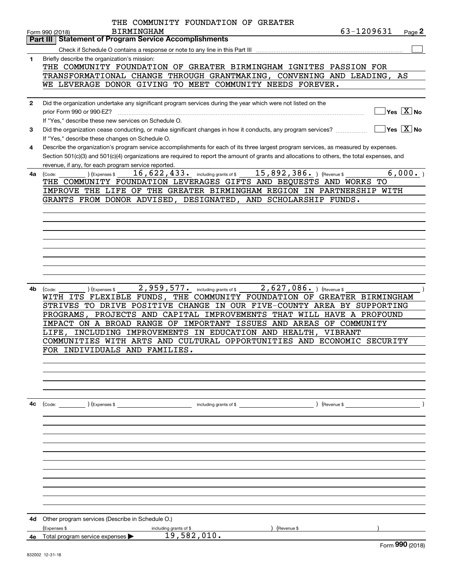|              | THE COMMUNITY FOUNDATION OF GREATER                                                                                                                                                         |
|--------------|---------------------------------------------------------------------------------------------------------------------------------------------------------------------------------------------|
|              | 63-1209631<br><b>BIRMINGHAM</b><br>Page 2<br>Form 990 (2018)<br><b>Statement of Program Service Accomplishments</b><br>Part III                                                             |
|              |                                                                                                                                                                                             |
| 1            | Briefly describe the organization's mission:                                                                                                                                                |
|              | THE COMMUNITY FOUNDATION OF GREATER BIRMINGHAM IGNITES PASSION FOR                                                                                                                          |
|              | TRANSFORMATIONAL CHANGE THROUGH GRANTMAKING, CONVENING AND LEADING,<br>AS                                                                                                                   |
|              | WE LEVERAGE DONOR GIVING TO MEET COMMUNITY NEEDS FOREVER.                                                                                                                                   |
|              |                                                                                                                                                                                             |
| $\mathbf{2}$ | Did the organization undertake any significant program services during the year which were not listed on the<br>$Yes \top X$ No                                                             |
|              | prior Form 990 or 990-EZ?                                                                                                                                                                   |
| 3            | If "Yes," describe these new services on Schedule O.<br>$ Yes  \times  No $<br>Did the organization cease conducting, or make significant changes in how it conducts, any program services? |
|              | If "Yes," describe these changes on Schedule O.                                                                                                                                             |
| 4            | Describe the organization's program service accomplishments for each of its three largest program services, as measured by expenses.                                                        |
|              | Section 501(c)(3) and 501(c)(4) organizations are required to report the amount of grants and allocations to others, the total expenses, and                                                |
|              | revenue, if any, for each program service reported.                                                                                                                                         |
| 4a           | $\overline{15,892,386}$ . ) (Revenue \$<br>6,000.<br>$16,622,433$ $\cdot$ including grants of \$<br>(Expenses \$<br>(Code:                                                                  |
|              | THE COMMUNITY FOUNDATION LEVERAGES GIFTS AND BEQUESTS AND WORKS TO                                                                                                                          |
|              | IMPROVE THE LIFE OF THE GREATER BIRMINGHAM REGION IN PARTNERSHIP WITH                                                                                                                       |
|              | GRANTS FROM DONOR ADVISED, DESIGNATED, AND SCHOLARSHIP FUNDS.                                                                                                                               |
|              |                                                                                                                                                                                             |
|              |                                                                                                                                                                                             |
|              |                                                                                                                                                                                             |
|              |                                                                                                                                                                                             |
|              |                                                                                                                                                                                             |
|              |                                                                                                                                                                                             |
|              |                                                                                                                                                                                             |
|              |                                                                                                                                                                                             |
| 4b           | 2,959,577.<br>2,627,086. ) (Revenue \$<br>(Expenses \$<br>including grants of \$<br>(Code:                                                                                                  |
|              | WITH ITS FLEXIBLE FUNDS,<br>THE COMMUNITY FOUNDATION OF GREATER BIRMINGHAM                                                                                                                  |
|              | STRIVES TO DRIVE POSITIVE CHANGE IN OUR FIVE-COUNTY AREA BY SUPPORTING<br>PROJECTS AND CAPITAL IMPROVEMENTS THAT WILL HAVE A PROFOUND<br>PROGRAMS,                                          |
|              | IMPORTANT ISSUES AND AREAS OF COMMUNITY<br>IMPACT ON A BROAD RANGE OF                                                                                                                       |
|              | INCLUDING IMPROVEMENTS IN EDUCATION AND HEALTH,<br>VIBRANT<br>LIFE,                                                                                                                         |
|              | COMMUNITIES WITH ARTS AND CULTURAL OPPORTUNITIES AND ECONOMIC SECURITY                                                                                                                      |
|              | FOR INDIVIDUALS AND FAMILIES.                                                                                                                                                               |
|              |                                                                                                                                                                                             |
|              |                                                                                                                                                                                             |
|              |                                                                                                                                                                                             |
|              |                                                                                                                                                                                             |
|              |                                                                                                                                                                                             |
| 4с           | $\left($ Revenue \$ $\right)$<br>$\left(\text{Code:}\right)$ $\left(\text{Expenses $}\right)$<br>including grants of \$                                                                     |
|              |                                                                                                                                                                                             |
|              |                                                                                                                                                                                             |
|              |                                                                                                                                                                                             |
|              |                                                                                                                                                                                             |
|              |                                                                                                                                                                                             |
|              |                                                                                                                                                                                             |
|              |                                                                                                                                                                                             |
|              |                                                                                                                                                                                             |
|              |                                                                                                                                                                                             |
|              |                                                                                                                                                                                             |
|              | <b>4d</b> Other program services (Describe in Schedule O.)                                                                                                                                  |
|              | (Expenses \$<br>including grants of \$<br>(Revenue \$                                                                                                                                       |
|              | 19,582,010.<br>4e Total program service expenses                                                                                                                                            |
|              | QQQ                                                                                                                                                                                         |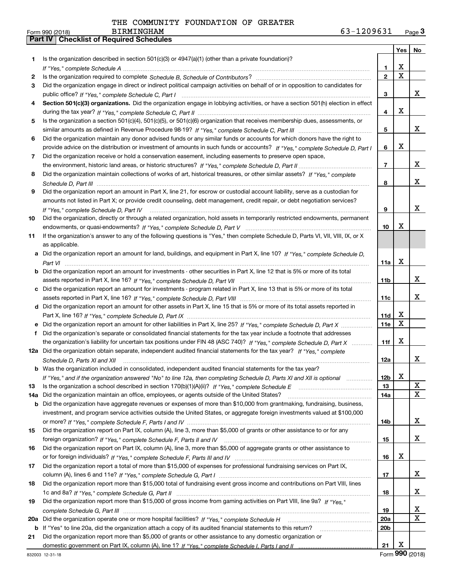|     |                                                                                                                                      |                 | Yes                     | No                           |
|-----|--------------------------------------------------------------------------------------------------------------------------------------|-----------------|-------------------------|------------------------------|
| 1   | Is the organization described in section $501(c)(3)$ or $4947(a)(1)$ (other than a private foundation)?                              |                 |                         |                              |
|     |                                                                                                                                      | 1               | х                       |                              |
| 2   |                                                                                                                                      | $\mathbf{2}$    | $\overline{\mathtt{x}}$ |                              |
| 3   | Did the organization engage in direct or indirect political campaign activities on behalf of or in opposition to candidates for      |                 |                         |                              |
|     |                                                                                                                                      | 3               |                         | x                            |
| 4   | Section 501(c)(3) organizations. Did the organization engage in lobbying activities, or have a section 501(h) election in effect     |                 |                         |                              |
|     |                                                                                                                                      | 4               | x                       |                              |
| 5   | Is the organization a section 501(c)(4), 501(c)(5), or 501(c)(6) organization that receives membership dues, assessments, or         |                 |                         |                              |
|     |                                                                                                                                      | 5               |                         | x                            |
| 6   | Did the organization maintain any donor advised funds or any similar funds or accounts for which donors have the right to            |                 |                         |                              |
|     | provide advice on the distribution or investment of amounts in such funds or accounts? If "Yes," complete Schedule D, Part I         | 6               | х                       |                              |
| 7   | Did the organization receive or hold a conservation easement, including easements to preserve open space,                            |                 |                         |                              |
|     |                                                                                                                                      | $\overline{7}$  |                         | x                            |
| 8   | Did the organization maintain collections of works of art, historical treasures, or other similar assets? If "Yes," complete         |                 |                         |                              |
|     |                                                                                                                                      | 8               |                         | x                            |
| 9   | Did the organization report an amount in Part X, line 21, for escrow or custodial account liability, serve as a custodian for        |                 |                         |                              |
|     | amounts not listed in Part X; or provide credit counseling, debt management, credit repair, or debt negotiation services?            |                 |                         |                              |
|     | If "Yes," complete Schedule D, Part IV                                                                                               | 9               |                         | x                            |
| 10  | Did the organization, directly or through a related organization, hold assets in temporarily restricted endowments, permanent        |                 |                         |                              |
|     |                                                                                                                                      | 10              | x                       |                              |
| 11  | If the organization's answer to any of the following questions is "Yes," then complete Schedule D, Parts VI, VIII, VIII, IX, or X    |                 |                         |                              |
|     | as applicable.                                                                                                                       |                 |                         |                              |
|     | a Did the organization report an amount for land, buildings, and equipment in Part X, line 10? If "Yes," complete Schedule D,        |                 |                         |                              |
|     |                                                                                                                                      | 11a             | X                       |                              |
|     | <b>b</b> Did the organization report an amount for investments - other securities in Part X, line 12 that is 5% or more of its total |                 |                         |                              |
|     |                                                                                                                                      | 11b             |                         | x                            |
| c   | Did the organization report an amount for investments - program related in Part X, line 13 that is 5% or more of its total           |                 |                         |                              |
|     |                                                                                                                                      | 11c             |                         | x                            |
|     | d Did the organization report an amount for other assets in Part X, line 15 that is 5% or more of its total assets reported in       |                 |                         |                              |
|     |                                                                                                                                      | 11d             | х                       |                              |
|     | e Did the organization report an amount for other liabilities in Part X, line 25? If "Yes," complete Schedule D, Part X              | 11e             | $\overline{\mathbf{x}}$ |                              |
| f   | Did the organization's separate or consolidated financial statements for the tax year include a footnote that addresses              |                 |                         |                              |
|     | the organization's liability for uncertain tax positions under FIN 48 (ASC 740)? If "Yes," complete Schedule D, Part X               | 11f             | X                       |                              |
|     | 12a Did the organization obtain separate, independent audited financial statements for the tax year? If "Yes," complete              |                 |                         |                              |
|     | Schedule D, Parts XI and XII                                                                                                         | 12a             |                         | x                            |
|     | <b>b</b> Was the organization included in consolidated, independent audited financial statements for the tax year?                   |                 |                         |                              |
|     | If "Yes," and if the organization answered "No" to line 12a, then completing Schedule D, Parts XI and XII is optional                | 12b             | X                       |                              |
| 13  |                                                                                                                                      | 13              |                         | X<br>$\overline{\mathbf{x}}$ |
| 14a | Did the organization maintain an office, employees, or agents outside of the United States?                                          | 14a             |                         |                              |
| b   | Did the organization have aggregate revenues or expenses of more than \$10,000 from grantmaking, fundraising, business,              |                 |                         |                              |
|     | investment, and program service activities outside the United States, or aggregate foreign investments valued at \$100,000           | 14b             |                         | x                            |
| 15  | Did the organization report on Part IX, column (A), line 3, more than \$5,000 of grants or other assistance to or for any            |                 |                         |                              |
|     |                                                                                                                                      | 15              |                         | x                            |
| 16  | Did the organization report on Part IX, column (A), line 3, more than \$5,000 of aggregate grants or other assistance to             |                 |                         |                              |
|     |                                                                                                                                      | 16              | x                       |                              |
| 17  | Did the organization report a total of more than \$15,000 of expenses for professional fundraising services on Part IX,              |                 |                         |                              |
|     |                                                                                                                                      | 17              |                         | x                            |
| 18  | Did the organization report more than \$15,000 total of fundraising event gross income and contributions on Part VIII, lines         |                 |                         |                              |
|     |                                                                                                                                      | 18              |                         | x                            |
| 19  | Did the organization report more than \$15,000 of gross income from gaming activities on Part VIII, line 9a? If "Yes."               |                 |                         |                              |
|     |                                                                                                                                      | 19              |                         | X                            |
| 20a |                                                                                                                                      | <b>20a</b>      |                         | $\mathbf x$                  |
| b   | If "Yes" to line 20a, did the organization attach a copy of its audited financial statements to this return?                         | 20 <sub>b</sub> |                         |                              |
| 21  | Did the organization report more than \$5,000 of grants or other assistance to any domestic organization or                          |                 |                         |                              |
|     |                                                                                                                                      | 21              | X                       |                              |
|     |                                                                                                                                      |                 |                         |                              |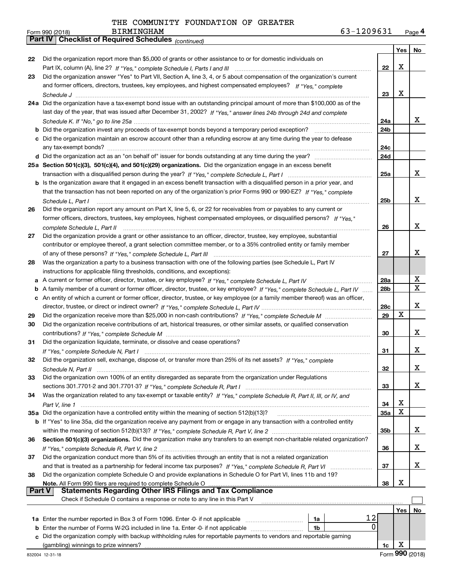| Form 990 (2018) | <b>BIRMINGHAM</b>                                     | 63-1209631 | Page 4 |
|-----------------|-------------------------------------------------------|------------|--------|
|                 | Part IV   Checklist of Required Schedules (continued) |            |        |

|               | Parl IV  <br>Crieckist of Required Scriedules (continued)                                                                                                                                                              |                 |     |    |
|---------------|------------------------------------------------------------------------------------------------------------------------------------------------------------------------------------------------------------------------|-----------------|-----|----|
|               |                                                                                                                                                                                                                        |                 | Yes | No |
| 22            | Did the organization report more than \$5,000 of grants or other assistance to or for domestic individuals on                                                                                                          |                 |     |    |
|               |                                                                                                                                                                                                                        | 22              | X   |    |
| 23            | Did the organization answer "Yes" to Part VII, Section A, line 3, 4, or 5 about compensation of the organization's current                                                                                             |                 |     |    |
|               | and former officers, directors, trustees, key employees, and highest compensated employees? If "Yes," complete                                                                                                         |                 | X   |    |
|               |                                                                                                                                                                                                                        | 23              |     |    |
|               | 24a Did the organization have a tax-exempt bond issue with an outstanding principal amount of more than \$100,000 as of the                                                                                            |                 |     |    |
|               | last day of the year, that was issued after December 31, 2002? If "Yes," answer lines 24b through 24d and complete                                                                                                     | 24a             |     | x  |
|               |                                                                                                                                                                                                                        | 24b             |     |    |
|               | c Did the organization maintain an escrow account other than a refunding escrow at any time during the year to defease                                                                                                 |                 |     |    |
|               |                                                                                                                                                                                                                        | 24c             |     |    |
|               |                                                                                                                                                                                                                        | 24d             |     |    |
|               | 25a Section 501(c)(3), 501(c)(4), and 501(c)(29) organizations. Did the organization engage in an excess benefit                                                                                                       |                 |     |    |
|               |                                                                                                                                                                                                                        | 25a             |     | x  |
|               | b Is the organization aware that it engaged in an excess benefit transaction with a disqualified person in a prior year, and                                                                                           |                 |     |    |
|               | that the transaction has not been reported on any of the organization's prior Forms 990 or 990-EZ? If "Yes," complete                                                                                                  |                 |     |    |
|               | Schedule L, Part I                                                                                                                                                                                                     | 25b             |     | x  |
| 26            | Did the organization report any amount on Part X, line 5, 6, or 22 for receivables from or payables to any current or                                                                                                  |                 |     |    |
|               | former officers, directors, trustees, key employees, highest compensated employees, or disqualified persons? If "Yes."                                                                                                 |                 |     |    |
|               |                                                                                                                                                                                                                        | 26              |     | x  |
| 27            | Did the organization provide a grant or other assistance to an officer, director, trustee, key employee, substantial                                                                                                   |                 |     |    |
|               | contributor or employee thereof, a grant selection committee member, or to a 35% controlled entity or family member                                                                                                    |                 |     |    |
|               |                                                                                                                                                                                                                        | 27              |     | x  |
| 28            | Was the organization a party to a business transaction with one of the following parties (see Schedule L, Part IV                                                                                                      |                 |     |    |
|               | instructions for applicable filing thresholds, conditions, and exceptions):                                                                                                                                            |                 |     |    |
|               | a A current or former officer, director, trustee, or key employee? If "Yes," complete Schedule L, Part IV                                                                                                              | 28a             |     | х  |
|               | b A family member of a current or former officer, director, trustee, or key employee? If "Yes," complete Schedule L, Part IV                                                                                           | 28 <sub>b</sub> |     | X  |
|               | c An entity of which a current or former officer, director, trustee, or key employee (or a family member thereof) was an officer,                                                                                      |                 |     |    |
|               |                                                                                                                                                                                                                        | 28c             |     | X  |
| 29            |                                                                                                                                                                                                                        | 29              | X   |    |
| 30            | Did the organization receive contributions of art, historical treasures, or other similar assets, or qualified conservation                                                                                            |                 |     | x  |
|               |                                                                                                                                                                                                                        | 30              |     |    |
| 31            | Did the organization liquidate, terminate, or dissolve and cease operations?                                                                                                                                           | 31              |     | x  |
| 32            | Did the organization sell, exchange, dispose of, or transfer more than 25% of its net assets? If "Yes," complete                                                                                                       |                 |     |    |
|               |                                                                                                                                                                                                                        | 32              |     | X  |
| 33            | Schedule N. Part II<br>Did the organization own 100% of an entity disregarded as separate from the organization under Regulations                                                                                      |                 |     |    |
|               |                                                                                                                                                                                                                        | 33              |     | x  |
| 34            | Was the organization related to any tax-exempt or taxable entity? If "Yes," complete Schedule R, Part II, III, or IV, and                                                                                              |                 |     |    |
|               |                                                                                                                                                                                                                        | 34              | X   |    |
|               | 35a Did the organization have a controlled entity within the meaning of section 512(b)(13)?                                                                                                                            | 35a             | x   |    |
|               | <b>b</b> If "Yes" to line 35a, did the organization receive any payment from or engage in any transaction with a controlled entity                                                                                     |                 |     |    |
|               |                                                                                                                                                                                                                        | 35b             |     | x  |
| 36            | Section 501(c)(3) organizations. Did the organization make any transfers to an exempt non-charitable related organization?                                                                                             |                 |     |    |
|               |                                                                                                                                                                                                                        | 36              |     | x  |
| 37            | Did the organization conduct more than 5% of its activities through an entity that is not a related organization                                                                                                       |                 |     |    |
|               | and that is treated as a partnership for federal income tax purposes? If "Yes," complete Schedule R, Part VI                                                                                                           | 37              |     | x  |
| 38            | Did the organization complete Schedule O and provide explanations in Schedule O for Part VI, lines 11b and 19?                                                                                                         |                 |     |    |
|               | Note. All Form 990 filers are required to complete Schedule O                                                                                                                                                          | 38              | X   |    |
| <b>Part V</b> | <b>Statements Regarding Other IRS Filings and Tax Compliance</b>                                                                                                                                                       |                 |     |    |
|               | Check if Schedule O contains a response or note to any line in this Part V                                                                                                                                             |                 |     |    |
|               |                                                                                                                                                                                                                        |                 | Yes | No |
|               | 12<br>1a<br>0                                                                                                                                                                                                          |                 |     |    |
|               | <b>b</b> Enter the number of Forms W-2G included in line 1a. Enter -0- if not applicable<br>1b<br>c Did the organization comply with backup withholding rules for reportable payments to vendors and reportable gaming |                 |     |    |
|               | (gambling) winnings to prize winners?                                                                                                                                                                                  | 1c              | х   |    |
|               |                                                                                                                                                                                                                        |                 |     |    |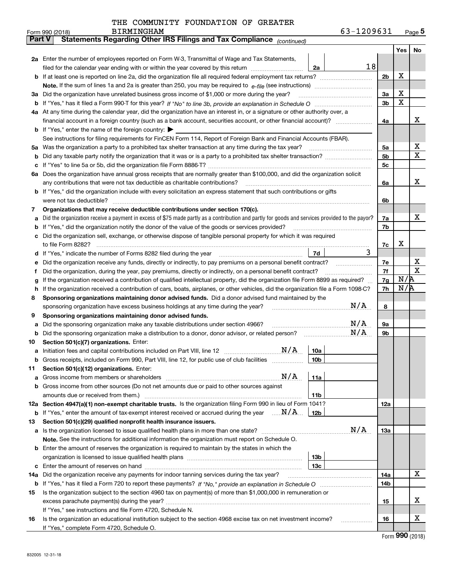| THE COMMUNITY FOUNDATION OF GREATER |  |  |  |  |  |
|-------------------------------------|--|--|--|--|--|
|-------------------------------------|--|--|--|--|--|

|               | <b>BIRMINGHAM</b><br>Form 990 (2018)                                                                                                                                                                                                             |                 | 63-1209631 |                |     | Page $5$    |
|---------------|--------------------------------------------------------------------------------------------------------------------------------------------------------------------------------------------------------------------------------------------------|-----------------|------------|----------------|-----|-------------|
| <b>Part V</b> | Statements Regarding Other IRS Filings and Tax Compliance (continued)                                                                                                                                                                            |                 |            |                |     |             |
|               |                                                                                                                                                                                                                                                  |                 |            |                | Yes | No          |
|               | 2a Enter the number of employees reported on Form W-3, Transmittal of Wage and Tax Statements,                                                                                                                                                   |                 |            |                |     |             |
|               | filed for the calendar year ending with or within the year covered by this return <i>manumumumum</i>                                                                                                                                             | 2a              | 18         |                |     |             |
|               |                                                                                                                                                                                                                                                  |                 |            | 2 <sub>b</sub> | х   |             |
|               |                                                                                                                                                                                                                                                  |                 |            |                |     |             |
| За            | Did the organization have unrelated business gross income of \$1,000 or more during the year?                                                                                                                                                    |                 |            | 3a             | X   |             |
|               |                                                                                                                                                                                                                                                  |                 |            | 3 <sub>b</sub> | X   |             |
|               | 4a At any time during the calendar year, did the organization have an interest in, or a signature or other authority over, a                                                                                                                     |                 |            |                |     |             |
|               |                                                                                                                                                                                                                                                  |                 |            | 4a             |     | х           |
|               | <b>b</b> If "Yes," enter the name of the foreign country:                                                                                                                                                                                        |                 |            |                |     |             |
|               | See instructions for filing requirements for FinCEN Form 114, Report of Foreign Bank and Financial Accounts (FBAR).                                                                                                                              |                 |            |                |     |             |
| 5a            | Was the organization a party to a prohibited tax shelter transaction at any time during the tax year?                                                                                                                                            |                 |            | 5a             |     | х           |
| b             |                                                                                                                                                                                                                                                  |                 |            | 5 <sub>b</sub> |     | X           |
| c             |                                                                                                                                                                                                                                                  |                 |            | 5c             |     |             |
|               | 6a Does the organization have annual gross receipts that are normally greater than \$100,000, and did the organization solicit                                                                                                                   |                 |            |                |     |             |
|               | any contributions that were not tax deductible as charitable contributions?                                                                                                                                                                      |                 |            | 6a             |     | x           |
|               | <b>b</b> If "Yes," did the organization include with every solicitation an express statement that such contributions or gifts                                                                                                                    |                 |            |                |     |             |
|               | were not tax deductible?                                                                                                                                                                                                                         |                 |            | 6b             |     |             |
| 7             | Organizations that may receive deductible contributions under section 170(c).                                                                                                                                                                    |                 |            |                |     |             |
| a             | Did the organization receive a payment in excess of \$75 made partly as a contribution and partly for goods and services provided to the payor?                                                                                                  |                 |            | 7a             |     | х           |
| b             | If "Yes," did the organization notify the donor of the value of the goods or services provided?                                                                                                                                                  |                 |            | 7b             |     |             |
|               | Did the organization sell, exchange, or otherwise dispose of tangible personal property for which it was required                                                                                                                                |                 |            |                |     |             |
|               |                                                                                                                                                                                                                                                  |                 | 3          | 7c             | x   |             |
| d             |                                                                                                                                                                                                                                                  | 7d              |            |                |     | х           |
| е             | Did the organization receive any funds, directly or indirectly, to pay premiums on a personal benefit contract?                                                                                                                                  |                 |            | 7e<br>7f       |     | $\mathbf X$ |
| f             | Did the organization, during the year, pay premiums, directly or indirectly, on a personal benefit contract?<br>If the organization received a contribution of qualified intellectual property, did the organization file Form 8899 as required? |                 |            |                | N/R |             |
| g<br>h.       | If the organization received a contribution of cars, boats, airplanes, or other vehicles, did the organization file a Form 1098-C?                                                                                                               |                 |            | 7g<br>7h       | N/R |             |
| 8             | Sponsoring organizations maintaining donor advised funds. Did a donor advised fund maintained by the                                                                                                                                             |                 |            |                |     |             |
|               | sponsoring organization have excess business holdings at any time during the year?                                                                                                                                                               |                 | N/A        | 8              |     |             |
| 9             | Sponsoring organizations maintaining donor advised funds.                                                                                                                                                                                        |                 |            |                |     |             |
| a             | Did the sponsoring organization make any taxable distributions under section 4966?                                                                                                                                                               |                 | N/A        | 9а             |     |             |
| b             | Did the sponsoring organization make a distribution to a donor, donor advisor, or related person?                                                                                                                                                |                 | N/A        | 9b             |     |             |
| 10            | Section 501(c)(7) organizations. Enter:                                                                                                                                                                                                          |                 |            |                |     |             |
|               | N/A<br>a Initiation fees and capital contributions included on Part VIII, line 12 [111] [11] [12] [11] [12] [11] [11]                                                                                                                            | 10a             |            |                |     |             |
|               | Gross receipts, included on Form 990, Part VIII, line 12, for public use of club facilities                                                                                                                                                      | 10 <sub>b</sub> |            |                |     |             |
| 11            | Section 501(c)(12) organizations. Enter:                                                                                                                                                                                                         |                 |            |                |     |             |
| a             | N/A<br>Gross income from members or shareholders                                                                                                                                                                                                 | 11a             |            |                |     |             |
|               | b Gross income from other sources (Do not net amounts due or paid to other sources against                                                                                                                                                       |                 |            |                |     |             |
|               |                                                                                                                                                                                                                                                  | 11b             |            |                |     |             |
|               | 12a Section 4947(a)(1) non-exempt charitable trusts. Is the organization filing Form 990 in lieu of Form 1041?                                                                                                                                   |                 |            | <b>12a</b>     |     |             |
|               | <b>b</b> If "Yes," enter the amount of tax-exempt interest received or accrued during the year $\ldots \mathbf{N}/\mathbf{A}$                                                                                                                    | 12b             |            |                |     |             |
| 13            | Section 501(c)(29) qualified nonprofit health insurance issuers.                                                                                                                                                                                 |                 |            |                |     |             |
|               | a Is the organization licensed to issue qualified health plans in more than one state?                                                                                                                                                           |                 | N/A        | <b>13a</b>     |     |             |
|               | Note. See the instructions for additional information the organization must report on Schedule O.                                                                                                                                                |                 |            |                |     |             |
|               | <b>b</b> Enter the amount of reserves the organization is required to maintain by the states in which the                                                                                                                                        |                 |            |                |     |             |
|               |                                                                                                                                                                                                                                                  | 13 <sub>b</sub> |            |                |     |             |
|               |                                                                                                                                                                                                                                                  | 13 <sub>c</sub> |            |                |     |             |
| 14a           | Did the organization receive any payments for indoor tanning services during the tax year?                                                                                                                                                       |                 |            | 14a            |     | x           |
|               |                                                                                                                                                                                                                                                  |                 |            | 14b            |     |             |
| 15            | Is the organization subject to the section 4960 tax on payment(s) of more than \$1,000,000 in remuneration or                                                                                                                                    |                 |            |                |     |             |
|               |                                                                                                                                                                                                                                                  |                 |            | 15             |     | х           |
|               | If "Yes," see instructions and file Form 4720, Schedule N.                                                                                                                                                                                       |                 |            |                |     |             |
| 16            | Is the organization an educational institution subject to the section 4968 excise tax on net investment income?                                                                                                                                  |                 |            | 16             |     | х           |
|               | If "Yes," complete Form 4720, Schedule O.                                                                                                                                                                                                        |                 |            |                |     |             |

Form (2018) **990**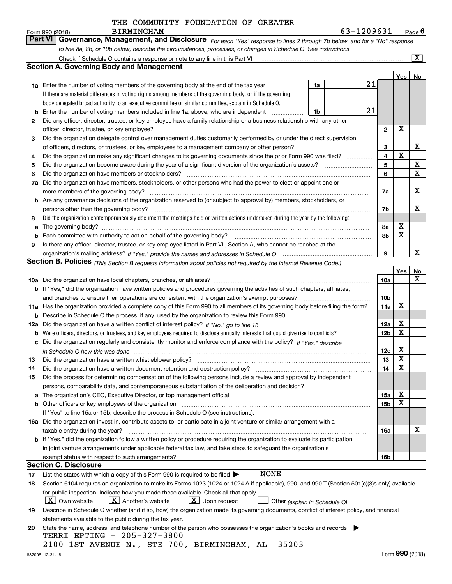|     | <b>BIRMINGHAM</b><br>Form 990 (2018)                                                                                                                                                                           |    | 63-1209631 |                 |                         | Page $6$                |
|-----|----------------------------------------------------------------------------------------------------------------------------------------------------------------------------------------------------------------|----|------------|-----------------|-------------------------|-------------------------|
|     | <b>Part VI</b><br>Governance, Management, and Disclosure For each "Yes" response to lines 2 through 7b below, and for a "No" response                                                                          |    |            |                 |                         |                         |
|     | to line 8a, 8b, or 10b below, describe the circumstances, processes, or changes in Schedule O. See instructions.                                                                                               |    |            |                 |                         |                         |
|     | Check if Schedule O contains a response or note to any line in this Part VI [11] [12] [2] [2] [2] [3] Check if Schedule O contains a response or note to any line in this Part VI                              |    |            |                 |                         | $\overline{\mathbf{X}}$ |
|     | <b>Section A. Governing Body and Management</b>                                                                                                                                                                |    |            |                 |                         |                         |
|     |                                                                                                                                                                                                                |    |            |                 | Yes                     | No                      |
|     | <b>1a</b> Enter the number of voting members of the governing body at the end of the tax year<br>.                                                                                                             | 1a | 21         |                 |                         |                         |
|     | If there are material differences in voting rights among members of the governing body, or if the governing                                                                                                    |    |            |                 |                         |                         |
|     | body delegated broad authority to an executive committee or similar committee, explain in Schedule O.                                                                                                          |    | 21         |                 |                         |                         |
|     | Enter the number of voting members included in line 1a, above, who are independent<br>Did any officer, director, trustee, or key employee have a family relationship or a business relationship with any other | 1b |            |                 |                         |                         |
| 2   | officer, director, trustee, or key employee?                                                                                                                                                                   |    |            | $\mathbf{2}$    | X                       |                         |
| 3   | Did the organization delegate control over management duties customarily performed by or under the direct supervision                                                                                          |    |            |                 |                         |                         |
|     |                                                                                                                                                                                                                |    |            | 3               |                         | X                       |
| 4   | Did the organization make any significant changes to its governing documents since the prior Form 990 was filed?                                                                                               |    |            | 4               | $\mathbf X$             |                         |
| 5   |                                                                                                                                                                                                                |    |            | 5               |                         | X                       |
| 6   | Did the organization have members or stockholders?                                                                                                                                                             |    |            | 6               |                         | X                       |
| 7a  | Did the organization have members, stockholders, or other persons who had the power to elect or appoint one or                                                                                                 |    |            |                 |                         |                         |
|     |                                                                                                                                                                                                                |    |            | 7a              |                         | X                       |
|     | <b>b</b> Are any governance decisions of the organization reserved to (or subject to approval by) members, stockholders, or                                                                                    |    |            |                 |                         |                         |
|     | persons other than the governing body?                                                                                                                                                                         |    |            | 7b              |                         | х                       |
| 8   | Did the organization contemporaneously document the meetings held or written actions undertaken during the year by the following:                                                                              |    |            |                 |                         |                         |
| а   |                                                                                                                                                                                                                |    |            | 8a              | х                       |                         |
|     |                                                                                                                                                                                                                |    |            | 8b              | X                       |                         |
| 9   | Is there any officer, director, trustee, or key employee listed in Part VII, Section A, who cannot be reached at the                                                                                           |    |            |                 |                         |                         |
|     |                                                                                                                                                                                                                |    |            | 9               |                         | X                       |
|     | Section B. Policies (This Section B requests information about policies not required by the Internal Revenue Code.)                                                                                            |    |            |                 |                         |                         |
|     |                                                                                                                                                                                                                |    |            | <b>10a</b>      | Yes                     | No<br>Х                 |
|     | b If "Yes," did the organization have written policies and procedures governing the activities of such chapters, affiliates,                                                                                   |    |            |                 |                         |                         |
|     | and branches to ensure their operations are consistent with the organization's exempt purposes?                                                                                                                |    |            | 10 <sub>b</sub> |                         |                         |
|     | 11a Has the organization provided a complete copy of this Form 990 to all members of its governing body before filing the form?                                                                                |    |            | 11a             | X                       |                         |
|     | <b>b</b> Describe in Schedule O the process, if any, used by the organization to review this Form 990.                                                                                                         |    |            |                 |                         |                         |
| 12a |                                                                                                                                                                                                                |    |            | 12a             | X                       |                         |
| b   |                                                                                                                                                                                                                |    |            | 12 <sub>b</sub> | X                       |                         |
| c   | Did the organization regularly and consistently monitor and enforce compliance with the policy? If "Yes," describe                                                                                             |    |            |                 |                         |                         |
|     |                                                                                                                                                                                                                |    |            | 12c             | X                       |                         |
| 13  | Did the organization have a written whistleblower policy?                                                                                                                                                      |    |            | 13              | $\overline{\textbf{X}}$ |                         |
| 14  | Did the organization have a written document retention and destruction policy?                                                                                                                                 |    |            | 14              | х                       |                         |
| 15  | Did the process for determining compensation of the following persons include a review and approval by independent                                                                                             |    |            |                 |                         |                         |
|     | persons, comparability data, and contemporaneous substantiation of the deliberation and decision?                                                                                                              |    |            |                 |                         |                         |
| а   | The organization's CEO, Executive Director, or top management official manufactured content of the organization's CEO, Executive Director, or top management official                                          |    |            | 15a             | х                       |                         |
|     | <b>b</b> Other officers or key employees of the organization                                                                                                                                                   |    |            | 15 <sub>b</sub> | X                       |                         |
|     | If "Yes" to line 15a or 15b, describe the process in Schedule O (see instructions).                                                                                                                            |    |            |                 |                         |                         |
|     | 16a Did the organization invest in, contribute assets to, or participate in a joint venture or similar arrangement with a                                                                                      |    |            |                 |                         | х                       |
|     | taxable entity during the year?<br>b If "Yes," did the organization follow a written policy or procedure requiring the organization to evaluate its participation                                              |    |            | 16a             |                         |                         |
|     | in joint venture arrangements under applicable federal tax law, and take steps to safeguard the organization's                                                                                                 |    |            |                 |                         |                         |
|     | exempt status with respect to such arrangements?                                                                                                                                                               |    |            | 16b             |                         |                         |
|     | <b>Section C. Disclosure</b>                                                                                                                                                                                   |    |            |                 |                         |                         |
| 17  | NONE<br>List the states with which a copy of this Form 990 is required to be filed $\blacktriangleright$                                                                                                       |    |            |                 |                         |                         |
| 18  | Section 6104 requires an organization to make its Forms 1023 (1024 or 1024 A if applicable), 990, and 990 T (Section 501(c)(3)s only) available                                                                |    |            |                 |                         |                         |
|     | for public inspection. Indicate how you made these available. Check all that apply.                                                                                                                            |    |            |                 |                         |                         |
|     | $\lfloor x \rfloor$ Own website<br>$X$ Another's website<br>$X$ Upon request<br>Other (explain in Schedule O)                                                                                                  |    |            |                 |                         |                         |
| 19  | Describe in Schedule O whether (and if so, how) the organization made its governing documents, conflict of interest policy, and financial                                                                      |    |            |                 |                         |                         |
|     | statements available to the public during the tax year.                                                                                                                                                        |    |            |                 |                         |                         |
| 20  | State the name, address, and telephone number of the person who possesses the organization's books and records                                                                                                 |    |            |                 |                         |                         |
|     | TERRI EPTING - 205-327-3800                                                                                                                                                                                    |    |            |                 |                         |                         |
|     | 35203<br>STE 700,<br>BIRMINGHAM,<br>AL<br>2100<br>1ST AVENUE N.,                                                                                                                                               |    |            |                 |                         |                         |
|     | 832006 12-31-18                                                                                                                                                                                                |    |            |                 | Form 990 (2018)         |                         |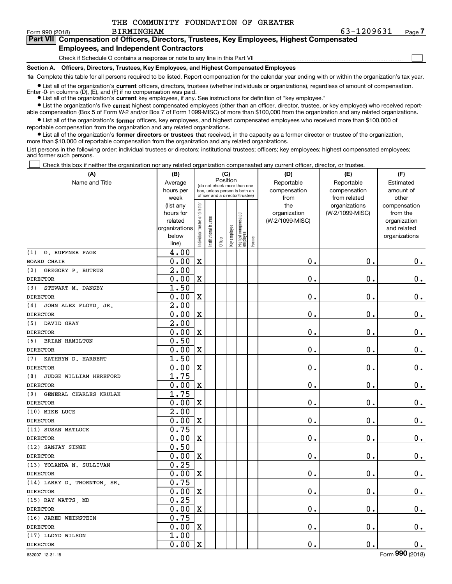$\mathcal{L}^{\text{max}}$ 

**7Part VII Compensation of Officers, Directors, Trustees, Key Employees, Highest Compensated Employees, and Independent Contractors**

Check if Schedule O contains a response or note to any line in this Part VII

**Section A. Officers, Directors, Trustees, Key Employees, and Highest Compensated Employees**

**1a**  Complete this table for all persons required to be listed. Report compensation for the calendar year ending with or within the organization's tax year. **•** List all of the organization's current officers, directors, trustees (whether individuals or organizations), regardless of amount of compensation.

Enter -0- in columns  $(D)$ ,  $(E)$ , and  $(F)$  if no compensation was paid.

● List all of the organization's **current** key employees, if any. See instructions for definition of "key employee."

**•** List the organization's five current highest compensated employees (other than an officer, director, trustee, or key employee) who received reportable compensation (Box 5 of Form W-2 and/or Box 7 of Form 1099-MISC) of more than \$100,000 from the organization and any related organizations.

 $\bullet$  List all of the organization's **former** officers, key employees, and highest compensated employees who received more than \$100,000 of reportable compensation from the organization and any related organizations.

**•** List all of the organization's former directors or trustees that received, in the capacity as a former director or trustee of the organization, more than \$10,000 of reportable compensation from the organization and any related organizations.

List persons in the following order: individual trustees or directors; institutional trustees; officers; key employees; highest compensated employees; and former such persons.

Check this box if neither the organization nor any related organization compensated any current officer, director, or trustee.  $\mathcal{L}^{\text{max}}$ 

| (A)                           | (B)                    |                               |                                                                  | (C)      |              |                                   |        | (D)             | (E)                              | (F)                      |
|-------------------------------|------------------------|-------------------------------|------------------------------------------------------------------|----------|--------------|-----------------------------------|--------|-----------------|----------------------------------|--------------------------|
| Name and Title                | Average                |                               | (do not check more than one                                      | Position |              |                                   |        | Reportable      | Reportable                       | Estimated                |
|                               | hours per              |                               | box, unless person is both an<br>officer and a director/trustee) |          |              |                                   |        | compensation    | compensation                     | amount of                |
|                               | week                   |                               |                                                                  |          |              |                                   |        | from<br>the     | from related                     | other                    |
|                               | (list any<br>hours for |                               |                                                                  |          |              |                                   |        | organization    | organizations<br>(W-2/1099-MISC) | compensation<br>from the |
|                               | related                |                               |                                                                  |          |              |                                   |        | (W-2/1099-MISC) |                                  | organization             |
|                               | organizations          |                               |                                                                  |          |              |                                   |        |                 |                                  | and related              |
|                               | below                  | ndividual trustee or director | Institutional trustee                                            |          | Key employee |                                   |        |                 |                                  | organizations            |
|                               | line)                  |                               |                                                                  | Officer  |              | Highest compensated<br>  employee | Former |                 |                                  |                          |
| G. RUFFNER PAGE<br>(1)        | 4.00                   |                               |                                                                  |          |              |                                   |        |                 |                                  |                          |
| <b>BOARD CHAIR</b>            | 0.00                   | $\mathbf X$                   |                                                                  |          |              |                                   |        | $\mathbf 0$ .   | $\mathbf 0$ .                    | $0_{.}$                  |
| (2)<br>GREGORY P. BUTRUS      | $\overline{2.00}$      |                               |                                                                  |          |              |                                   |        |                 |                                  |                          |
| <b>DIRECTOR</b>               | 0.00                   | $\mathbf X$                   |                                                                  |          |              |                                   |        | $\mathbf 0$ .   | $\mathbf 0$ .                    | $\mathbf 0$ .            |
| (3) STEWART M. DANSBY         | 1.50                   |                               |                                                                  |          |              |                                   |        |                 |                                  |                          |
| <b>DIRECTOR</b>               | 0.00                   | $\mathbf X$                   |                                                                  |          |              |                                   |        | $\mathbf 0$ .   | $\mathbf 0$ .                    | $\mathbf 0$ .            |
| JOHN ALEX FLOYD, JR.<br>(4)   | 2.00                   |                               |                                                                  |          |              |                                   |        |                 |                                  |                          |
| <b>DIRECTOR</b>               | 0.00                   | $\mathbf X$                   |                                                                  |          |              |                                   |        | $\mathbf 0$ .   | $\mathbf 0$ .                    | $\mathbf 0$ .            |
| (5) DAVID GRAY                | 2.00                   |                               |                                                                  |          |              |                                   |        |                 |                                  |                          |
| <b>DIRECTOR</b>               | 0.00                   | $\mathbf X$                   |                                                                  |          |              |                                   |        | $\mathbf 0$ .   | $\mathbf 0$ .                    | $\mathbf 0$ .            |
| (6) BRIAN HAMILTON            | 0.50                   |                               |                                                                  |          |              |                                   |        |                 |                                  |                          |
| <b>DIRECTOR</b>               | 0.00                   | $\mathbf x$                   |                                                                  |          |              |                                   |        | $\mathbf 0$ .   | $\mathbf 0$ .                    | $\mathbf 0$ .            |
| (7) KATHRYN D. HARBERT        | 1.50                   |                               |                                                                  |          |              |                                   |        |                 |                                  |                          |
| <b>DIRECTOR</b>               | 0.00                   | $\mathbf x$                   |                                                                  |          |              |                                   |        | $\mathbf 0$ .   | $\mathbf 0$ .                    | $\mathbf 0$ .            |
| JUDGE WILLIAM HEREFORD<br>(8) | 1.75                   |                               |                                                                  |          |              |                                   |        |                 |                                  |                          |
| <b>DIRECTOR</b>               | 0.00                   | $\mathbf X$                   |                                                                  |          |              |                                   |        | $\mathbf 0$ .   | 0.                               | $\mathbf 0$ .            |
| (9) GENERAL CHARLES KRULAK    | 1.75                   |                               |                                                                  |          |              |                                   |        |                 |                                  |                          |
| <b>DIRECTOR</b>               | 0.00                   | $\mathbf x$                   |                                                                  |          |              |                                   |        | $\mathbf 0$ .   | $\mathbf 0$ .                    | $\mathbf 0$ .            |
| (10) MIKE LUCE                | $\overline{2.00}$      |                               |                                                                  |          |              |                                   |        |                 |                                  |                          |
| <b>DIRECTOR</b>               | 0.00                   | $\mathbf X$                   |                                                                  |          |              |                                   |        | $\mathbf 0$ .   | $\mathbf 0$ .                    | $\mathbf 0$ .            |
| (11) SUSAN MATLOCK            | 0.75                   |                               |                                                                  |          |              |                                   |        |                 |                                  |                          |
| <b>DIRECTOR</b>               | 0.00                   | $\mathbf x$                   |                                                                  |          |              |                                   |        | $\mathbf 0$ .   | $\mathbf 0$ .                    | $0_{.}$                  |
| (12) SANJAY SINGH             | 0.50                   |                               |                                                                  |          |              |                                   |        |                 |                                  |                          |
| <b>DIRECTOR</b>               | 0.00                   | $\mathbf x$                   |                                                                  |          |              |                                   |        | 0.              | $\mathbf 0$ .                    | $0_{.}$                  |
| (13) YOLANDA N. SULLIVAN      | 0.25                   |                               |                                                                  |          |              |                                   |        |                 |                                  |                          |
| <b>DIRECTOR</b>               | 0.00                   | $\mathbf X$                   |                                                                  |          |              |                                   |        | $\mathbf 0$ .   | $\mathbf 0$ .                    | $\mathbf 0$ .            |
| (14) LARRY D. THORNTON, SR.   | 0.75                   |                               |                                                                  |          |              |                                   |        |                 |                                  |                          |
| <b>DIRECTOR</b>               | 0.00                   | $\mathbf X$                   |                                                                  |          |              |                                   |        | $\mathbf 0$ .   | $\mathbf 0$ .                    | $\mathbf 0$ .            |
| (15) RAY WATTS, MD            | 0.25                   |                               |                                                                  |          |              |                                   |        |                 |                                  |                          |
| <b>DIRECTOR</b>               | 0.00                   | $\mathbf X$                   |                                                                  |          |              |                                   |        | $\mathbf 0$ .   | $\mathbf{0}$ .                   | $\mathbf 0$ .            |
| (16) JARED WEINSTEIN          | 0.75                   |                               |                                                                  |          |              |                                   |        |                 |                                  |                          |
| <b>DIRECTOR</b>               | 0.00                   | $\mathbf x$                   |                                                                  |          |              |                                   |        | $\mathbf 0$ .   | $\mathbf 0$ .                    | 0.                       |
| (17) LLOYD WILSON             | 1.00                   |                               |                                                                  |          |              |                                   |        |                 |                                  |                          |
| <b>DIRECTOR</b>               | 0.00                   | $\mathbf X$                   |                                                                  |          |              |                                   |        | 0.              | 0.                               | $\mathbf 0$ .            |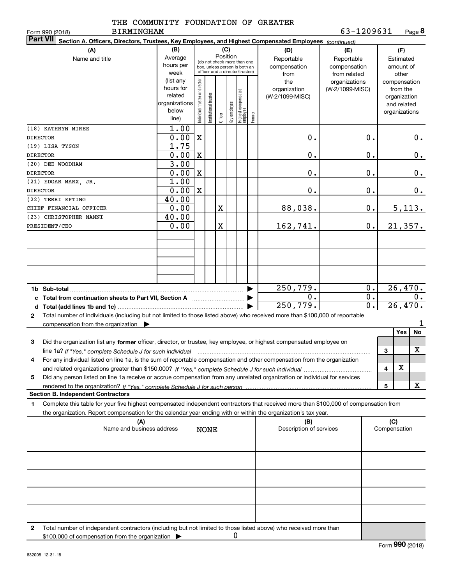|  |  |  | THE COMMUNITY FOUNDATION OF GREATER |  |  |
|--|--|--|-------------------------------------|--|--|
|--|--|--|-------------------------------------|--|--|

|   | Part VII  <br>Section A. Officers, Directors, Trustees, Key Employees, and Highest Compensated Employees (continued)                 |                      |                                                                                                 |                       |         |              |                                  |        |                         |                 |                  |              |               |                  |
|---|--------------------------------------------------------------------------------------------------------------------------------------|----------------------|-------------------------------------------------------------------------------------------------|-----------------------|---------|--------------|----------------------------------|--------|-------------------------|-----------------|------------------|--------------|---------------|------------------|
|   | (A)                                                                                                                                  | (B)                  |                                                                                                 |                       |         | (C)          |                                  |        | (D)                     | (E)             | (F)              |              |               |                  |
|   | Name and title                                                                                                                       | Average              |                                                                                                 |                       |         | Position     |                                  |        | Reportable              | Reportable      |                  |              | Estimated     |                  |
|   |                                                                                                                                      | hours per            | (do not check more than one<br>box, unless person is both an<br>officer and a director/trustee) |                       |         |              |                                  |        | compensation            | compensation    |                  |              | amount of     |                  |
|   |                                                                                                                                      | week                 |                                                                                                 |                       |         |              |                                  |        | from                    | from related    |                  |              | other         |                  |
|   |                                                                                                                                      | (list any            |                                                                                                 |                       |         |              |                                  |        | the                     | organizations   |                  |              | compensation  |                  |
|   |                                                                                                                                      | hours for<br>related |                                                                                                 |                       |         |              |                                  |        | organization            | (W-2/1099-MISC) |                  |              | from the      |                  |
|   |                                                                                                                                      | organizations        |                                                                                                 |                       |         |              |                                  |        | (W-2/1099-MISC)         |                 |                  |              | organization  |                  |
|   |                                                                                                                                      | below                |                                                                                                 |                       |         |              |                                  |        |                         |                 |                  |              | and related   |                  |
|   |                                                                                                                                      | line)                | Individual trustee or director                                                                  | Institutional trustee | Officer | Key employee | Highest compensated<br> employee | Former |                         |                 |                  |              | organizations |                  |
|   | (18) KATHRYN MIREE                                                                                                                   | 1.00                 |                                                                                                 |                       |         |              |                                  |        |                         |                 |                  |              |               |                  |
|   | <b>DIRECTOR</b>                                                                                                                      | 0.00                 | $\mathbf X$                                                                                     |                       |         |              |                                  |        | 0.                      |                 | 0.               |              |               | 0.               |
|   |                                                                                                                                      | 1.75                 |                                                                                                 |                       |         |              |                                  |        |                         |                 |                  |              |               |                  |
|   | (19) LISA TYSON                                                                                                                      |                      |                                                                                                 |                       |         |              |                                  |        |                         |                 |                  |              |               |                  |
|   | <b>DIRECTOR</b>                                                                                                                      | 0.00                 | $\mathbf X$                                                                                     |                       |         |              |                                  |        | 0.                      |                 | 0.               |              |               | 0.               |
|   | (20) DEE WOODHAM                                                                                                                     | 3.00                 |                                                                                                 |                       |         |              |                                  |        |                         |                 |                  |              |               |                  |
|   | <b>DIRECTOR</b>                                                                                                                      | 0.00                 | $\mathbf X$                                                                                     |                       |         |              |                                  |        | 0.                      |                 | 0.               |              |               | 0.               |
|   | (21) EDGAR MARX, JR.                                                                                                                 | 1.00                 |                                                                                                 |                       |         |              |                                  |        |                         |                 |                  |              |               |                  |
|   | <b>DIRECTOR</b>                                                                                                                      | 0.00                 | $\mathbf X$                                                                                     |                       |         |              |                                  |        | 0.                      |                 | 0.               |              |               | 0.               |
|   | (22) TERRI EPTING                                                                                                                    | 40.00                |                                                                                                 |                       |         |              |                                  |        |                         |                 |                  |              |               |                  |
|   | CHIEF FINANCIAL OFFICER                                                                                                              | 0.00                 |                                                                                                 |                       | X       |              |                                  |        | 88,038.                 |                 | 0.               |              | 5,113.        |                  |
|   | (23) CHRISTOPHER NANNI                                                                                                               | 40.00                |                                                                                                 |                       |         |              |                                  |        |                         |                 |                  |              |               |                  |
|   | PRESIDENT/CEO                                                                                                                        | 0.00                 |                                                                                                 |                       | X       |              |                                  |        | 162, 741.               |                 | 0.               |              | 21,357.       |                  |
|   |                                                                                                                                      |                      |                                                                                                 |                       |         |              |                                  |        |                         |                 |                  |              |               |                  |
|   |                                                                                                                                      |                      |                                                                                                 |                       |         |              |                                  |        |                         |                 |                  |              |               |                  |
|   |                                                                                                                                      |                      |                                                                                                 |                       |         |              |                                  |        |                         |                 |                  |              |               |                  |
|   |                                                                                                                                      |                      |                                                                                                 |                       |         |              |                                  |        |                         |                 |                  |              |               |                  |
|   |                                                                                                                                      |                      |                                                                                                 |                       |         |              |                                  |        |                         |                 |                  |              |               |                  |
|   |                                                                                                                                      |                      |                                                                                                 |                       |         |              |                                  |        |                         |                 |                  |              |               |                  |
|   | 1b Sub-total                                                                                                                         |                      |                                                                                                 |                       |         |              |                                  |        | 250,779.                |                 | 0.               |              | 26,470.       |                  |
|   | c Total from continuation sheets to Part VII, Section A manufactured in the Total from continuum                                     |                      |                                                                                                 |                       |         |              |                                  |        | 0.                      |                 | 0.               |              |               | $\overline{0}$ . |
|   |                                                                                                                                      |                      |                                                                                                 |                       |         |              |                                  |        | 250,779.                |                 | $\overline{0}$ . |              | 26,470.       |                  |
| 2 | Total number of individuals (including but not limited to those listed above) who received more than \$100,000 of reportable         |                      |                                                                                                 |                       |         |              |                                  |        |                         |                 |                  |              |               |                  |
|   | compensation from the organization $\blacktriangleright$                                                                             |                      |                                                                                                 |                       |         |              |                                  |        |                         |                 |                  |              |               |                  |
|   |                                                                                                                                      |                      |                                                                                                 |                       |         |              |                                  |        |                         |                 |                  |              | Yes           | No               |
|   |                                                                                                                                      |                      |                                                                                                 |                       |         |              |                                  |        |                         |                 |                  |              |               |                  |
| 3 | Did the organization list any former officer, director, or trustee, key employee, or highest compensated employee on                 |                      |                                                                                                 |                       |         |              |                                  |        |                         |                 |                  |              |               | X                |
|   | line 1a? If "Yes," complete Schedule J for such individual                                                                           |                      |                                                                                                 |                       |         |              |                                  |        |                         |                 |                  | 3            |               |                  |
| 4 | For any individual listed on line 1a, is the sum of reportable compensation and other compensation from the organization             |                      |                                                                                                 |                       |         |              |                                  |        |                         |                 |                  |              |               |                  |
|   |                                                                                                                                      |                      |                                                                                                 |                       |         |              |                                  |        |                         |                 |                  | 4            | X             |                  |
| 5 | Did any person listed on line 1a receive or accrue compensation from any unrelated organization or individual for services           |                      |                                                                                                 |                       |         |              |                                  |        |                         |                 |                  |              |               |                  |
|   |                                                                                                                                      |                      |                                                                                                 |                       |         |              |                                  |        |                         |                 |                  | 5            |               | X                |
|   | <b>Section B. Independent Contractors</b>                                                                                            |                      |                                                                                                 |                       |         |              |                                  |        |                         |                 |                  |              |               |                  |
| 1 | Complete this table for your five highest compensated independent contractors that received more than \$100,000 of compensation from |                      |                                                                                                 |                       |         |              |                                  |        |                         |                 |                  |              |               |                  |
|   | the organization. Report compensation for the calendar year ending with or within the organization's tax year.                       |                      |                                                                                                 |                       |         |              |                                  |        |                         |                 |                  |              |               |                  |
|   | (A)                                                                                                                                  |                      |                                                                                                 |                       |         |              |                                  |        | (B)                     |                 |                  | (C)          |               |                  |
|   | Name and business address                                                                                                            |                      |                                                                                                 | <b>NONE</b>           |         |              |                                  |        | Description of services |                 |                  | Compensation |               |                  |
|   |                                                                                                                                      |                      |                                                                                                 |                       |         |              |                                  |        |                         |                 |                  |              |               |                  |
|   |                                                                                                                                      |                      |                                                                                                 |                       |         |              |                                  |        |                         |                 |                  |              |               |                  |
|   |                                                                                                                                      |                      |                                                                                                 |                       |         |              |                                  |        |                         |                 |                  |              |               |                  |
|   |                                                                                                                                      |                      |                                                                                                 |                       |         |              |                                  |        |                         |                 |                  |              |               |                  |
|   |                                                                                                                                      |                      |                                                                                                 |                       |         |              |                                  |        |                         |                 |                  |              |               |                  |
|   |                                                                                                                                      |                      |                                                                                                 |                       |         |              |                                  |        |                         |                 |                  |              |               |                  |
|   |                                                                                                                                      |                      |                                                                                                 |                       |         |              |                                  |        |                         |                 |                  |              |               |                  |
|   |                                                                                                                                      |                      |                                                                                                 |                       |         |              |                                  |        |                         |                 |                  |              |               |                  |
|   |                                                                                                                                      |                      |                                                                                                 |                       |         |              |                                  |        |                         |                 |                  |              |               |                  |
|   |                                                                                                                                      |                      |                                                                                                 |                       |         |              |                                  |        |                         |                 |                  |              |               |                  |
| 2 | Total number of independent contractors (including but not limited to those listed above) who received more than                     |                      |                                                                                                 |                       |         |              |                                  |        |                         |                 |                  |              |               |                  |
|   | \$100,000 of compensation from the organization                                                                                      |                      |                                                                                                 |                       |         | 0            |                                  |        |                         |                 |                  |              |               |                  |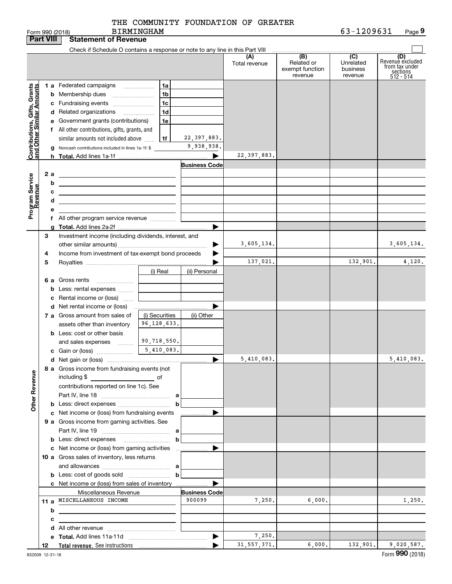BIRMINGHAM

|                                                           | <b>Part VIII</b> | <b>Statement of Revenue</b>                                                                                                                                                                                                          |                |                                |                      |                                                 |                                         |                                                                    |
|-----------------------------------------------------------|------------------|--------------------------------------------------------------------------------------------------------------------------------------------------------------------------------------------------------------------------------------|----------------|--------------------------------|----------------------|-------------------------------------------------|-----------------------------------------|--------------------------------------------------------------------|
|                                                           |                  | Check if Schedule O contains a response or note to any line in this Part VIII                                                                                                                                                        |                |                                |                      |                                                 |                                         |                                                                    |
|                                                           |                  |                                                                                                                                                                                                                                      |                |                                | (A)<br>Total revenue | (B)<br>Related or<br>exempt function<br>revenue | (C)<br>Unrelated<br>business<br>revenue | (D)<br>Revenue excluded<br>from tax under<br>sections<br>512 - 514 |
|                                                           |                  | 1 a Federated campaigns                                                                                                                                                                                                              | 1a             |                                |                      |                                                 |                                         |                                                                    |
|                                                           |                  | <b>b</b> Membership dues                                                                                                                                                                                                             | 1b             |                                |                      |                                                 |                                         |                                                                    |
| Contributions, Gifts, Grants<br>and Other Similar Amounts |                  | c Fundraising events                                                                                                                                                                                                                 | 1c             |                                |                      |                                                 |                                         |                                                                    |
|                                                           |                  | d Related organizations                                                                                                                                                                                                              | 1 <sub>d</sub> |                                |                      |                                                 |                                         |                                                                    |
|                                                           |                  | e Government grants (contributions)                                                                                                                                                                                                  | 1e             |                                |                      |                                                 |                                         |                                                                    |
|                                                           |                  | f All other contributions, gifts, grants, and                                                                                                                                                                                        |                |                                |                      |                                                 |                                         |                                                                    |
|                                                           |                  | similar amounts not included above                                                                                                                                                                                                   | 1f             | 22, 397, 883.                  |                      |                                                 |                                         |                                                                    |
|                                                           |                  | g Noncash contributions included in lines 1a-1f: \$                                                                                                                                                                                  |                | 9,938,938.                     |                      |                                                 |                                         |                                                                    |
|                                                           |                  |                                                                                                                                                                                                                                      |                | ▶                              | 22, 397, 883.        |                                                 |                                         |                                                                    |
|                                                           |                  |                                                                                                                                                                                                                                      |                | <b>Business Code</b>           |                      |                                                 |                                         |                                                                    |
|                                                           | 2a               | <u> 1989 - Johann Barn, mars ann an t-Amhain Aonaich an t-Aonaich an t-Aonaich ann an t-Aonaich ann an t-Aonaich</u>                                                                                                                 |                |                                |                      |                                                 |                                         |                                                                    |
|                                                           | b                | <u> 1980 - Johann Barbara, martin amerikan basar dan berasal dalam basar dalam basar dalam basar dalam basar dala</u>                                                                                                                |                |                                |                      |                                                 |                                         |                                                                    |
|                                                           | с                | <u>and the contract of the contract of the contract of the contract of the contract of the contract of the contract of the contract of the contract of the contract of the contract of the contract of the contract of the contr</u> |                |                                |                      |                                                 |                                         |                                                                    |
|                                                           | d                | <u> 1989 - Andrea Stadt Britain, amerikansk politiker (</u>                                                                                                                                                                          |                |                                |                      |                                                 |                                         |                                                                    |
| Program Service<br>Revenue                                | е                |                                                                                                                                                                                                                                      |                |                                |                      |                                                 |                                         |                                                                    |
|                                                           |                  | f All other program service revenue                                                                                                                                                                                                  |                |                                |                      |                                                 |                                         |                                                                    |
|                                                           |                  |                                                                                                                                                                                                                                      |                | ▶                              |                      |                                                 |                                         |                                                                    |
|                                                           | 3                | Investment income (including dividends, interest, and                                                                                                                                                                                |                |                                |                      |                                                 |                                         |                                                                    |
|                                                           |                  |                                                                                                                                                                                                                                      |                |                                | 3,605,134.           |                                                 |                                         | 3,605,134.                                                         |
|                                                           | 4                | Income from investment of tax-exempt bond proceeds                                                                                                                                                                                   |                |                                | 137,021.             |                                                 | 132,901.                                | 4,120.                                                             |
|                                                           | 5                |                                                                                                                                                                                                                                      |                |                                |                      |                                                 |                                         |                                                                    |
|                                                           |                  |                                                                                                                                                                                                                                      | (i) Real       | (ii) Personal                  |                      |                                                 |                                         |                                                                    |
|                                                           |                  | 6 a Gross rents<br><b>b</b> Less: rental expenses                                                                                                                                                                                    |                |                                |                      |                                                 |                                         |                                                                    |
|                                                           |                  | c Rental income or (loss)                                                                                                                                                                                                            |                |                                |                      |                                                 |                                         |                                                                    |
|                                                           |                  |                                                                                                                                                                                                                                      |                |                                |                      |                                                 |                                         |                                                                    |
|                                                           |                  | 7 a Gross amount from sales of                                                                                                                                                                                                       | (i) Securities | (ii) Other                     |                      |                                                 |                                         |                                                                    |
|                                                           |                  | assets other than inventory                                                                                                                                                                                                          | 96, 128, 633.  |                                |                      |                                                 |                                         |                                                                    |
|                                                           |                  | <b>b</b> Less: cost or other basis                                                                                                                                                                                                   |                |                                |                      |                                                 |                                         |                                                                    |
|                                                           |                  | and sales expenses                                                                                                                                                                                                                   | 90,718,550.    |                                |                      |                                                 |                                         |                                                                    |
|                                                           |                  |                                                                                                                                                                                                                                      |                |                                |                      |                                                 |                                         |                                                                    |
|                                                           |                  |                                                                                                                                                                                                                                      |                | ▶                              | 5,410,083.           |                                                 |                                         | 5,410,083.                                                         |
| <b>Other Revenue</b>                                      |                  | 8 a Gross income from fundraising events (not<br>including \$                                                                                                                                                                        |                |                                |                      |                                                 |                                         |                                                                    |
|                                                           |                  | contributions reported on line 1c). See                                                                                                                                                                                              |                |                                |                      |                                                 |                                         |                                                                    |
|                                                           |                  |                                                                                                                                                                                                                                      |                |                                |                      |                                                 |                                         |                                                                    |
|                                                           |                  |                                                                                                                                                                                                                                      | b              |                                |                      |                                                 |                                         |                                                                    |
|                                                           |                  | c Net income or (loss) from fundraising events                                                                                                                                                                                       |                | .                              |                      |                                                 |                                         |                                                                    |
|                                                           |                  | 9 a Gross income from gaming activities. See                                                                                                                                                                                         |                |                                |                      |                                                 |                                         |                                                                    |
|                                                           |                  |                                                                                                                                                                                                                                      |                |                                |                      |                                                 |                                         |                                                                    |
|                                                           |                  |                                                                                                                                                                                                                                      | b              |                                |                      |                                                 |                                         |                                                                    |
|                                                           |                  | c Net income or (loss) from gaming activities                                                                                                                                                                                        |                | .                              |                      |                                                 |                                         |                                                                    |
|                                                           |                  | 10 a Gross sales of inventory, less returns                                                                                                                                                                                          |                |                                |                      |                                                 |                                         |                                                                    |
|                                                           |                  |                                                                                                                                                                                                                                      |                |                                |                      |                                                 |                                         |                                                                    |
|                                                           |                  |                                                                                                                                                                                                                                      | b              |                                |                      |                                                 |                                         |                                                                    |
|                                                           |                  | c Net income or (loss) from sales of inventory                                                                                                                                                                                       |                |                                |                      |                                                 |                                         |                                                                    |
|                                                           |                  | Miscellaneous Revenue<br>11 a MISCELLANEOUS INCOME                                                                                                                                                                                   |                | <b>Business Code</b><br>900099 |                      |                                                 |                                         |                                                                    |
|                                                           |                  |                                                                                                                                                                                                                                      |                |                                | 7,250.               | 6,000.                                          |                                         | 1,250.                                                             |
|                                                           | b                |                                                                                                                                                                                                                                      |                |                                |                      |                                                 |                                         |                                                                    |
|                                                           | c                |                                                                                                                                                                                                                                      |                |                                |                      |                                                 |                                         |                                                                    |
|                                                           |                  |                                                                                                                                                                                                                                      |                |                                | 7,250.               |                                                 |                                         |                                                                    |
|                                                           | 12               |                                                                                                                                                                                                                                      |                | ▶                              | 31, 557, 371.        | 6,000.                                          | 132,901.                                | 9,020,587.                                                         |
|                                                           |                  |                                                                                                                                                                                                                                      |                |                                |                      |                                                 |                                         |                                                                    |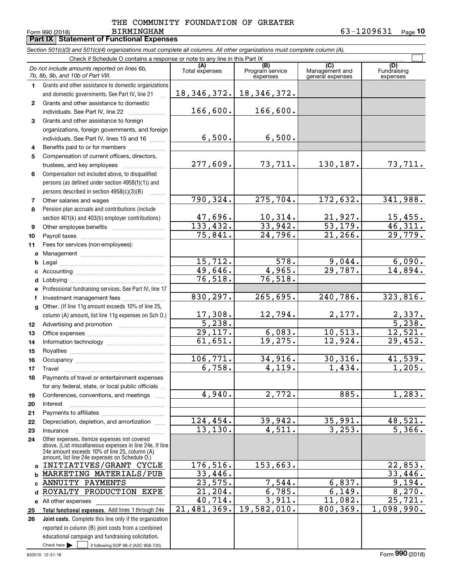#### $F$ orm 990 (2018) BIRMINGHAM BIRMINGHAM THE COMMUNITY FOUNDATION OF GREATER

73,711. 130,187. 73,711.

275,704. 172,632. 341,988.

10,314. 21,927. 15,455. 33,942. 53,179. 46,311. 24,796. 21,266. 29,779.

578. 9,044. 6,090. 4,965. 29,787. 14,894.

265,695. 240,786. 323,816.

12,794. 2,177. 2,337.

6,083. 10,513. 12,521. 19,275. 12,924. 29,452.

34,916. 30,316. 41,539. 4,119. 1,434. 1,205.

2,772. 885. 1,283.

39,942. 35,991. 48,521. 4,511. 3,253. 5,366.

153,663.

19,582,010. 800,369. 1,098,990.

7,544. 6,837. 9,194. 6,785. 6,149. 8,270. 3,911. 11,082. 25,721.

Fundraising expenses

 $\mathcal{L}^{\text{max}}$ 

**Part IX Statement of Functional Expenses**

| Section 501(c)(3) and 501(c)(4) organizations must complete all columns. All other organizations must complete column (A). |                |                                    |                                           |                                      |
|----------------------------------------------------------------------------------------------------------------------------|----------------|------------------------------------|-------------------------------------------|--------------------------------------|
| Check if Schedule O contains a response or note to any line in this Part IX                                                |                |                                    |                                           |                                      |
| Do not include amounts reported on lines 6b,<br>7b, 8b, 9b, and 10b of Part VIII.                                          | Total expenses | (B)<br>Program service<br>expenses | (C)<br>Management and<br>general expenses | ( <b>D</b> )<br>Fundraisi<br>expense |
| Grants and other assistance to domestic organizations<br>and domestic governments. See Part IV, line 21                    |                | $18, 346, 372.$ 18, 346, 372.      |                                           |                                      |
| Grants and other assistance to domestic<br>individuals. See Part IV, line 22                                               | 166,600.       | 166,600.                           |                                           |                                      |
| Grants and other assistance to foreion                                                                                     |                |                                    |                                           |                                      |

6,500.

6,500.

76,518.

277,609.

790,324.

47,696. 133,432. 75,841.

> 15,712. 49,646. 76,518.

17,308. 5,238. 29,117. 61,651.

830,297.

106,771. 6,758.

4,940.

124,454. 13,130.

176,516. 33,446. 23,575. 21,204. 40,714. 21,481,369.

- **3**Grants and other assistance to foreign organizations, foreign governments, and foreign individuals. See Part IV, lines 15 and 16  $\ldots$
- **456**Compensation not included above, to disqualified Benefits paid to or for members .................... Compensation of current officers, directors, trustees, and key employees ~~~~~~~~
- **7**persons (as defined under section 4958(f)(1)) and persons described in section 4958(c)(3)(B)  $\quad \ldots \ldots \ldots$ Other salaries and wages ~~~~~~~~~~
- **8**Pension plan accruals and contributions (include section 401(k) and 403(b) employer contributions)
- **91011**Other employee benefits ~~~~~~~~~~ Payroll taxes ~~~~~~~~~~~~~~~~ Fees for services (non-employees):
- **abc**Management ~~~~~~~~~~~~~~~~ Legal ~~~~~~~~~~~~~~~~~~~~
- **defg12**Professional fundraising services. See Part IV, line 17 Other. (If line 11g amount exceeds 10% of line 25, column (A) amount, list line 11g expenses on Sch O.) Accounting ~~~~~~~~~~~~~~~~~ Lobbying ~~~~~~~~~~~~~~~~~~ lnvestment management fees ....................... Advertising and promotion www.communication
- **1314151617181920**Office expenses ~~~~~~~~~~~~~~~Information technology ~~~~~~~~~~~ Royalties ~~~~~~~~~~~~~~~~~~ Occupancy ~~~~~~~~~~~~~~~~~ Travel ……………………………………………… Payments of travel or entertainment expenses for any federal, state, or local public officials ... Conferences, conventions, and meetings Interest ………………………………………………
- **21222324**Other expenses. Itemize expenses not covered above. (List miscellaneous expenses in line 24e. If line 24e amount exceeds 10% of line 25, column (A) amount, list line 24e expenses on Schedule O.) Payments to affiliates ~~~~~~~~~~~~ Depreciation, depletion, and amortization  $\,\,\ldots\,\,$ InsuranceINITIATIVES/GRANT CYCLE
- **Total functional expenses.**  Add lines 1 through 24e **abc**ANNUITY PAYMENTS **d** ROYALTY PRODUCTION EXPE **e** All other expenses **25**MARKETING MATERIALS/PUB

Check here  $\bullet$  if following SOP 98-2 (ASC 958-720) **Joint costs.** Complete this line only if the organization **26**reported in column (B) joint costs from a combined educational campaign and fundraising solicitation. Check here  $\blacktriangleright$ 

33,446.

5,238.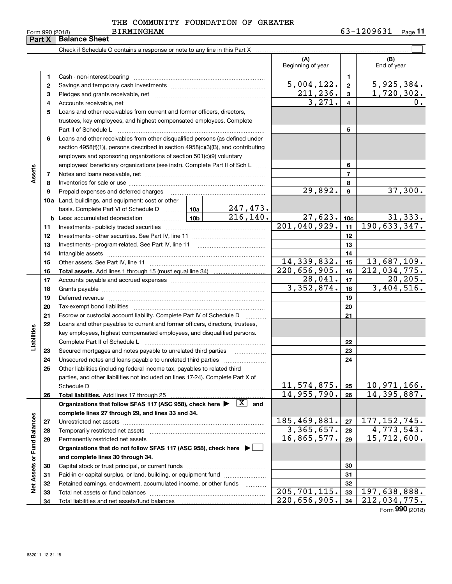**Part X Balance Sheet**

#### BIRMINGHAM THE COMMUNITY FOUNDATION OF GREATER

|                             |    | Check if Schedule O contains a response or note to any line in this Part X                                                                                                                                                    |             | .                           |                                   |                |                                   |
|-----------------------------|----|-------------------------------------------------------------------------------------------------------------------------------------------------------------------------------------------------------------------------------|-------------|-----------------------------|-----------------------------------|----------------|-----------------------------------|
|                             |    |                                                                                                                                                                                                                               |             |                             | (A)                               |                | (B)                               |
|                             |    |                                                                                                                                                                                                                               |             |                             | Beginning of year                 |                | End of year                       |
|                             | 1. |                                                                                                                                                                                                                               |             |                             |                                   | 1.             |                                   |
|                             | 2  |                                                                                                                                                                                                                               |             |                             | <u>5,004,122.</u>                 | $\mathbf{2}$   | 5,925,384.                        |
|                             | з  |                                                                                                                                                                                                                               |             |                             | 211,236.                          | $\mathbf{3}$   | $\overline{1,720}$ , 302.         |
|                             | 4  |                                                                                                                                                                                                                               |             |                             | 3,271.                            | 4              | 0.                                |
|                             | 5  | Loans and other receivables from current and former officers, directors,                                                                                                                                                      |             |                             |                                   |                |                                   |
|                             |    | trustees, key employees, and highest compensated employees. Complete                                                                                                                                                          |             |                             |                                   |                |                                   |
|                             |    | Part II of Schedule L                                                                                                                                                                                                         |             |                             |                                   | 5              |                                   |
|                             | 6  | Loans and other receivables from other disqualified persons (as defined under                                                                                                                                                 |             |                             |                                   |                |                                   |
|                             |    | section 4958(f)(1)), persons described in section 4958(c)(3)(B), and contributing                                                                                                                                             |             |                             |                                   |                |                                   |
|                             |    | employers and sponsoring organizations of section 501(c)(9) voluntary                                                                                                                                                         |             |                             |                                   |                |                                   |
|                             |    | employees' beneficiary organizations (see instr). Complete Part II of Sch L                                                                                                                                                   |             |                             |                                   | 6              |                                   |
| Assets                      | 7  |                                                                                                                                                                                                                               |             |                             |                                   | $\overline{7}$ |                                   |
|                             | 8  |                                                                                                                                                                                                                               |             |                             |                                   | 8              |                                   |
|                             | 9  |                                                                                                                                                                                                                               |             |                             | 29,892.                           | 9              | 37,300.                           |
|                             |    | <b>10a</b> Land, buildings, and equipment: cost or other                                                                                                                                                                      |             |                             |                                   |                |                                   |
|                             |    | basis. Complete Part VI of Schedule D  10a                                                                                                                                                                                    |             | $\frac{247,473.}{216,140.}$ |                                   |                |                                   |
|                             |    |                                                                                                                                                                                                                               |             |                             | 27,623.                           | 10c            | <u>31,333.</u>                    |
|                             | 11 |                                                                                                                                                                                                                               |             |                             | 201,040,929.                      | 11             | 190, 633, 347.                    |
|                             | 12 |                                                                                                                                                                                                                               |             |                             |                                   | 12             |                                   |
|                             | 13 |                                                                                                                                                                                                                               |             |                             |                                   | 13             |                                   |
|                             | 14 |                                                                                                                                                                                                                               |             | 14                          |                                   |                |                                   |
|                             | 15 |                                                                                                                                                                                                                               | 14,339,832. | 15                          | 13,687,109.                       |                |                                   |
|                             | 16 |                                                                                                                                                                                                                               |             |                             | 220, 656, 905.                    | 16             | $\overline{212,034,775}$ .        |
|                             | 17 |                                                                                                                                                                                                                               | 28,041.     | 17                          | 20, 205.                          |                |                                   |
|                             | 18 |                                                                                                                                                                                                                               |             |                             | 3,352,874.                        | 18             | 3,404,516.                        |
|                             | 19 | Deferred revenue manual contracts and contracts are all the manual contracts and contracts are all the contracts of the contracts of the contracts of the contracts of the contracts of the contracts of the contracts of the |             |                             |                                   | 19             |                                   |
|                             | 20 |                                                                                                                                                                                                                               |             |                             |                                   | 20             |                                   |
|                             | 21 | Escrow or custodial account liability. Complete Part IV of Schedule D                                                                                                                                                         |             |                             |                                   | 21             |                                   |
|                             | 22 | Loans and other payables to current and former officers, directors, trustees,                                                                                                                                                 |             |                             |                                   |                |                                   |
|                             |    | key employees, highest compensated employees, and disqualified persons.                                                                                                                                                       |             |                             |                                   |                |                                   |
| Liabilities                 |    |                                                                                                                                                                                                                               |             |                             |                                   | 22             |                                   |
|                             | 23 | Secured mortgages and notes payable to unrelated third parties                                                                                                                                                                |             |                             |                                   | 23             |                                   |
|                             | 24 |                                                                                                                                                                                                                               |             |                             |                                   | 24             |                                   |
|                             | 25 | Other liabilities (including federal income tax, payables to related third                                                                                                                                                    |             |                             |                                   |                |                                   |
|                             |    | parties, and other liabilities not included on lines 17-24). Complete Part X of                                                                                                                                               |             |                             |                                   |                |                                   |
|                             |    | Schedule D                                                                                                                                                                                                                    |             |                             | <u>11,574,875.</u><br>14,955,790. | 25<br>26       | <u>10,971,166.</u><br>14,395,887. |
|                             | 26 | Total liabilities. Add lines 17 through 25<br>Organizations that follow SFAS 117 (ASC 958), check here $\blacktriangleright \begin{array}{ c } \hline X & \text{and} \end{array}$                                             |             |                             |                                   |                |                                   |
|                             |    | complete lines 27 through 29, and lines 33 and 34.                                                                                                                                                                            |             |                             |                                   |                |                                   |
|                             | 27 | Unrestricted net assets                                                                                                                                                                                                       |             |                             | 185,469,881.                      | 27             | 177, 152, 745.                    |
|                             | 28 | Temporarily restricted net assets                                                                                                                                                                                             |             |                             | 3,365,657.                        | 28             | 4,773,543.                        |
|                             | 29 | Permanently restricted net assets                                                                                                                                                                                             |             |                             | 16,865,577.                       | 29             | $\overline{15,712,600}$ .         |
|                             |    | Organizations that do not follow SFAS 117 (ASC 958), check here ▶                                                                                                                                                             |             |                             |                                   |                |                                   |
|                             |    | and complete lines 30 through 34.                                                                                                                                                                                             |             |                             |                                   |                |                                   |
| Net Assets or Fund Balances | 30 |                                                                                                                                                                                                                               |             |                             |                                   | 30             |                                   |
|                             | 31 | Paid-in or capital surplus, or land, building, or equipment fund                                                                                                                                                              |             |                             |                                   | 31             |                                   |
|                             | 32 | Retained earnings, endowment, accumulated income, or other funds                                                                                                                                                              |             |                             |                                   | 32             |                                   |
|                             | 33 | Total net assets or fund balances                                                                                                                                                                                             |             |                             | 205, 701, 115.                    | 33             | 197,638,888.                      |
|                             | 34 | Total liabilities and net assets/fund balances                                                                                                                                                                                |             |                             | $\overline{220}$ , 656, 905.      | 34             | 212,034,775.                      |
|                             |    |                                                                                                                                                                                                                               |             |                             |                                   |                | <b>OOO</b>                        |

Form (2018) **990**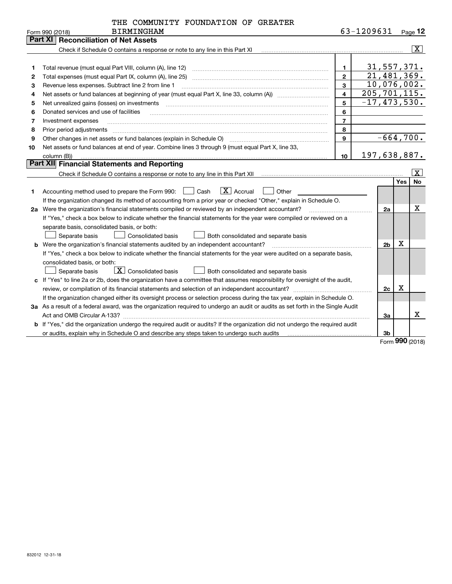| THE COMMUNITY FOUNDATION OF GREATER |  |  |
|-------------------------------------|--|--|
|                                     |  |  |

|    | <b>BIRMINGHAM</b><br>Form 990 (2018)                                                                                            |                         | 63-1209631 |                  |            | $Page$ <sup>12</sup>    |
|----|---------------------------------------------------------------------------------------------------------------------------------|-------------------------|------------|------------------|------------|-------------------------|
|    | <b>Reconciliation of Net Assets</b><br>Part XI                                                                                  |                         |            |                  |            |                         |
|    | Check if Schedule O contains a response or note to any line in this Part XI                                                     |                         |            |                  |            | $\overline{\mathbf{x}}$ |
|    |                                                                                                                                 |                         |            |                  |            |                         |
| 1  |                                                                                                                                 | $\mathbf{1}$            |            | 31,557,371.      |            |                         |
| 2  |                                                                                                                                 | $\overline{2}$          |            | 21,481,369.      |            |                         |
| з  | Revenue less expenses. Subtract line 2 from line 1                                                                              | 3                       |            | 10,076,002.      |            |                         |
| 4  |                                                                                                                                 | $\overline{\mathbf{4}}$ |            | 205, 701, 115.   |            |                         |
| 5  | Net unrealized gains (losses) on investments                                                                                    | 5                       |            | $-17, 473, 530.$ |            |                         |
| 6  | Donated services and use of facilities                                                                                          | 6                       |            |                  |            |                         |
| 7  | Investment expenses                                                                                                             | $\overline{7}$          |            |                  |            |                         |
| 8  | Prior period adjustments                                                                                                        | 8                       |            |                  |            |                         |
| 9  | Other changes in net assets or fund balances (explain in Schedule O)                                                            | 9                       |            | $-664,700.$      |            |                         |
| 10 | Net assets or fund balances at end of year. Combine lines 3 through 9 (must equal Part X, line 33,                              |                         |            |                  |            |                         |
|    | column (B))                                                                                                                     | 10                      |            | 197,638,887.     |            |                         |
|    | Part XII Financial Statements and Reporting                                                                                     |                         |            |                  |            |                         |
|    |                                                                                                                                 |                         |            |                  |            | $\overline{\mathbf{X}}$ |
|    |                                                                                                                                 |                         |            |                  | <b>Yes</b> | <b>No</b>               |
| 1  | $\overline{\mathbf{X}}$ Accrual<br>Accounting method used to prepare the Form 990: <u>[</u> Cash<br>Other                       |                         |            |                  |            |                         |
|    | If the organization changed its method of accounting from a prior year or checked "Other," explain in Schedule O.               |                         |            |                  |            |                         |
| 2a | Were the organization's financial statements compiled or reviewed by an independent accountant?                                 |                         |            | 2a               |            | х                       |
|    | If "Yes," check a box below to indicate whether the financial statements for the year were compiled or reviewed on a            |                         |            |                  |            |                         |
|    | separate basis, consolidated basis, or both:                                                                                    |                         |            |                  |            |                         |
|    | Both consolidated and separate basis<br>Separate basis<br>Consolidated basis                                                    |                         |            |                  |            |                         |
|    | <b>b</b> Were the organization's financial statements audited by an independent accountant?                                     |                         |            | 2 <sub>b</sub>   | X          |                         |
|    | If "Yes," check a box below to indicate whether the financial statements for the year were audited on a separate basis,         |                         |            |                  |            |                         |
|    | consolidated basis, or both:                                                                                                    |                         |            |                  |            |                         |
|    | X Consolidated basis<br>Both consolidated and separate basis<br>Separate basis                                                  |                         |            |                  |            |                         |
|    | c If "Yes" to line 2a or 2b, does the organization have a committee that assumes responsibility for oversight of the audit,     |                         |            |                  |            |                         |
|    |                                                                                                                                 |                         |            | 2c               | Х          |                         |
|    | If the organization changed either its oversight process or selection process during the tax year, explain in Schedule O.       |                         |            |                  |            |                         |
|    | 3a As a result of a federal award, was the organization required to undergo an audit or audits as set forth in the Single Audit |                         |            |                  |            |                         |
|    |                                                                                                                                 |                         |            | 3a               |            | x                       |
|    | b If "Yes," did the organization undergo the required audit or audits? If the organization did not undergo the required audit   |                         |            |                  |            |                         |
|    | or audits, explain why in Schedule O and describe any steps taken to undergo such audits                                        |                         |            | 3b               |            |                         |

Form (2018) **990**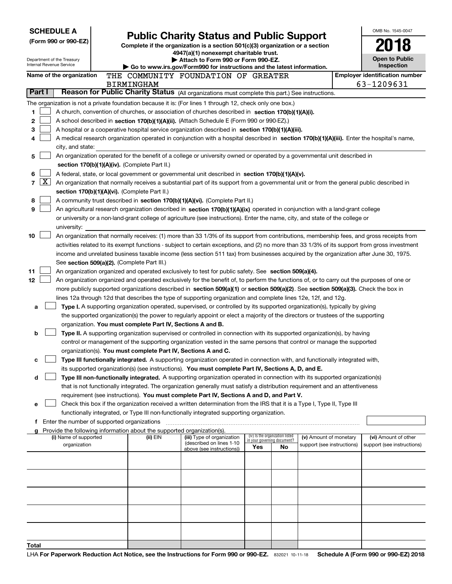| <b>SCHEDULE A</b>        |                                             |                                                                        | <b>Public Charity Status and Public Support</b>                                                                                                                                                                                                 |                             |                                 |                            | OMB No. 1545-0047                     |
|--------------------------|---------------------------------------------|------------------------------------------------------------------------|-------------------------------------------------------------------------------------------------------------------------------------------------------------------------------------------------------------------------------------------------|-----------------------------|---------------------------------|----------------------------|---------------------------------------|
|                          | (Form 990 or 990-EZ)                        |                                                                        | Complete if the organization is a section 501(c)(3) organization or a section                                                                                                                                                                   |                             |                                 |                            |                                       |
|                          |                                             |                                                                        | 4947(a)(1) nonexempt charitable trust.                                                                                                                                                                                                          |                             |                                 |                            |                                       |
| Internal Revenue Service | Department of the Treasury                  |                                                                        | Attach to Form 990 or Form 990-EZ.                                                                                                                                                                                                              |                             |                                 |                            | <b>Open to Public</b>                 |
|                          |                                             |                                                                        | Go to www.irs.gov/Form990 for instructions and the latest information.                                                                                                                                                                          |                             |                                 |                            | <b>Inspection</b>                     |
|                          | Name of the organization                    |                                                                        | THE COMMUNITY FOUNDATION OF GREATER                                                                                                                                                                                                             |                             |                                 |                            | <b>Employer identification number</b> |
| Part I                   |                                             | <b>BIRMINGHAM</b>                                                      | Reason for Public Charity Status (All organizations must complete this part.) See instructions.                                                                                                                                                 |                             |                                 |                            | 63-1209631                            |
|                          |                                             |                                                                        |                                                                                                                                                                                                                                                 |                             |                                 |                            |                                       |
|                          |                                             |                                                                        | The organization is not a private foundation because it is: (For lines 1 through 12, check only one box.)                                                                                                                                       |                             |                                 |                            |                                       |
| 1                        |                                             |                                                                        | A church, convention of churches, or association of churches described in section 170(b)(1)(A)(i).                                                                                                                                              |                             |                                 |                            |                                       |
| 2                        |                                             |                                                                        | A school described in section 170(b)(1)(A)(ii). (Attach Schedule E (Form 990 or 990-EZ).)                                                                                                                                                       |                             |                                 |                            |                                       |
| 3                        |                                             |                                                                        | A hospital or a cooperative hospital service organization described in section 170(b)(1)(A)(iii).<br>A medical research organization operated in conjunction with a hospital described in section 170(b)(1)(A)(iii). Enter the hospital's name, |                             |                                 |                            |                                       |
|                          | city, and state:                            |                                                                        |                                                                                                                                                                                                                                                 |                             |                                 |                            |                                       |
| 5                        |                                             |                                                                        | An organization operated for the benefit of a college or university owned or operated by a governmental unit described in                                                                                                                       |                             |                                 |                            |                                       |
|                          |                                             | section 170(b)(1)(A)(iv). (Complete Part II.)                          |                                                                                                                                                                                                                                                 |                             |                                 |                            |                                       |
| 6                        |                                             |                                                                        | A federal, state, or local government or governmental unit described in section 170(b)(1)(A)(v).                                                                                                                                                |                             |                                 |                            |                                       |
| $\mathbf{X}$<br>7        |                                             |                                                                        | An organization that normally receives a substantial part of its support from a governmental unit or from the general public described in                                                                                                       |                             |                                 |                            |                                       |
|                          |                                             | section 170(b)(1)(A)(vi). (Complete Part II.)                          |                                                                                                                                                                                                                                                 |                             |                                 |                            |                                       |
| 8                        |                                             |                                                                        | A community trust described in section 170(b)(1)(A)(vi). (Complete Part II.)                                                                                                                                                                    |                             |                                 |                            |                                       |
| 9                        |                                             |                                                                        | An agricultural research organization described in section 170(b)(1)(A)(ix) operated in conjunction with a land-grant college                                                                                                                   |                             |                                 |                            |                                       |
|                          |                                             |                                                                        | or university or a non-land-grant college of agriculture (see instructions). Enter the name, city, and state of the college or                                                                                                                  |                             |                                 |                            |                                       |
|                          | university:                                 |                                                                        |                                                                                                                                                                                                                                                 |                             |                                 |                            |                                       |
| 10                       |                                             |                                                                        | An organization that normally receives: (1) more than 33 1/3% of its support from contributions, membership fees, and gross receipts from                                                                                                       |                             |                                 |                            |                                       |
|                          |                                             |                                                                        | activities related to its exempt functions - subject to certain exceptions, and (2) no more than 33 1/3% of its support from gross investment                                                                                                   |                             |                                 |                            |                                       |
|                          |                                             | See section 509(a)(2). (Complete Part III.)                            | income and unrelated business taxable income (less section 511 tax) from businesses acquired by the organization after June 30, 1975.                                                                                                           |                             |                                 |                            |                                       |
| 11                       |                                             |                                                                        | An organization organized and operated exclusively to test for public safety. See section 509(a)(4).                                                                                                                                            |                             |                                 |                            |                                       |
| 12                       |                                             |                                                                        | An organization organized and operated exclusively for the benefit of, to perform the functions of, or to carry out the purposes of one or                                                                                                      |                             |                                 |                            |                                       |
|                          |                                             |                                                                        | more publicly supported organizations described in section 509(a)(1) or section 509(a)(2). See section 509(a)(3). Check the box in                                                                                                              |                             |                                 |                            |                                       |
|                          |                                             |                                                                        | lines 12a through 12d that describes the type of supporting organization and complete lines 12e, 12f, and 12g.                                                                                                                                  |                             |                                 |                            |                                       |
| а                        |                                             |                                                                        | Type I. A supporting organization operated, supervised, or controlled by its supported organization(s), typically by giving                                                                                                                     |                             |                                 |                            |                                       |
|                          |                                             |                                                                        | the supported organization(s) the power to regularly appoint or elect a majority of the directors or trustees of the supporting                                                                                                                 |                             |                                 |                            |                                       |
|                          |                                             | organization. You must complete Part IV, Sections A and B.             |                                                                                                                                                                                                                                                 |                             |                                 |                            |                                       |
| b                        |                                             |                                                                        | Type II. A supporting organization supervised or controlled in connection with its supported organization(s), by having                                                                                                                         |                             |                                 |                            |                                       |
|                          |                                             |                                                                        | control or management of the supporting organization vested in the same persons that control or manage the supported                                                                                                                            |                             |                                 |                            |                                       |
|                          |                                             | organization(s). You must complete Part IV, Sections A and C.          |                                                                                                                                                                                                                                                 |                             |                                 |                            |                                       |
| с                        |                                             |                                                                        | Type III functionally integrated. A supporting organization operated in connection with, and functionally integrated with,                                                                                                                      |                             |                                 |                            |                                       |
|                          |                                             |                                                                        | its supported organization(s) (see instructions). You must complete Part IV, Sections A, D, and E.                                                                                                                                              |                             |                                 |                            |                                       |
| d                        |                                             |                                                                        | Type III non-functionally integrated. A supporting organization operated in connection with its supported organization(s)                                                                                                                       |                             |                                 |                            |                                       |
|                          |                                             |                                                                        | that is not functionally integrated. The organization generally must satisfy a distribution requirement and an attentiveness<br>requirement (see instructions). You must complete Part IV, Sections A and D, and Part V.                        |                             |                                 |                            |                                       |
| е                        |                                             |                                                                        | Check this box if the organization received a written determination from the IRS that it is a Type I, Type II, Type III                                                                                                                         |                             |                                 |                            |                                       |
|                          |                                             |                                                                        | functionally integrated, or Type III non-functionally integrated supporting organization.                                                                                                                                                       |                             |                                 |                            |                                       |
| f.                       | Enter the number of supported organizations |                                                                        |                                                                                                                                                                                                                                                 |                             |                                 |                            |                                       |
|                          |                                             | Provide the following information about the supported organization(s). |                                                                                                                                                                                                                                                 |                             |                                 |                            |                                       |
|                          | (i) Name of supported                       | (ii) EIN                                                               | (iii) Type of organization<br>(described on lines 1-10                                                                                                                                                                                          | in your governing document? | (iv) Is the organization listed | (v) Amount of monetary     | (vi) Amount of other                  |
|                          | organization                                |                                                                        | above (see instructions))                                                                                                                                                                                                                       | Yes                         | No.                             | support (see instructions) | support (see instructions)            |
|                          |                                             |                                                                        |                                                                                                                                                                                                                                                 |                             |                                 |                            |                                       |
|                          |                                             |                                                                        |                                                                                                                                                                                                                                                 |                             |                                 |                            |                                       |
|                          |                                             |                                                                        |                                                                                                                                                                                                                                                 |                             |                                 |                            |                                       |
|                          |                                             |                                                                        |                                                                                                                                                                                                                                                 |                             |                                 |                            |                                       |
|                          |                                             |                                                                        |                                                                                                                                                                                                                                                 |                             |                                 |                            |                                       |
|                          |                                             |                                                                        |                                                                                                                                                                                                                                                 |                             |                                 |                            |                                       |
|                          |                                             |                                                                        |                                                                                                                                                                                                                                                 |                             |                                 |                            |                                       |
|                          |                                             |                                                                        |                                                                                                                                                                                                                                                 |                             |                                 |                            |                                       |
|                          |                                             |                                                                        |                                                                                                                                                                                                                                                 |                             |                                 |                            |                                       |
| Total                    |                                             |                                                                        |                                                                                                                                                                                                                                                 |                             |                                 |                            |                                       |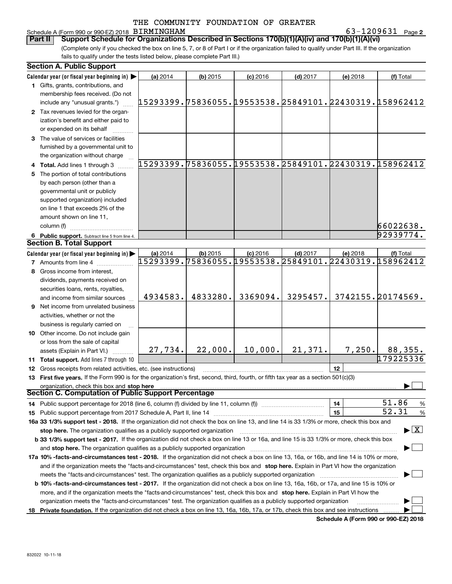#### Schedule A (Form 990 or 990-EZ) 2018 Page BIRMINGHAM 63-1209631

**2**

(Complete only if you checked the box on line 5, 7, or 8 of Part I or if the organization failed to qualify under Part III. If the organization fails to qualify under the tests listed below, please complete Part III.) **Part II** | Support Schedule for Organizations Described in Sections 170(b)(1)(A)(iv) and 170(b)(1)(A)(vi)

|    | <b>Section A. Public Support</b>                                                                                                               |                                                        |            |            |            |                                                        |                                          |
|----|------------------------------------------------------------------------------------------------------------------------------------------------|--------------------------------------------------------|------------|------------|------------|--------------------------------------------------------|------------------------------------------|
|    | Calendar year (or fiscal year beginning in)                                                                                                    | (a) 2014                                               | $(b)$ 2015 | $(c)$ 2016 | $(d)$ 2017 | (e) 2018                                               | (f) Total                                |
|    | 1 Gifts, grants, contributions, and                                                                                                            |                                                        |            |            |            |                                                        |                                          |
|    | membership fees received. (Do not                                                                                                              |                                                        |            |            |            |                                                        |                                          |
|    | include any "unusual grants.")                                                                                                                 | 15293399.75836055.19553538.25849101.22430319.158962412 |            |            |            |                                                        |                                          |
|    | 2 Tax revenues levied for the organ-                                                                                                           |                                                        |            |            |            |                                                        |                                          |
|    | ization's benefit and either paid to                                                                                                           |                                                        |            |            |            |                                                        |                                          |
|    | or expended on its behalf                                                                                                                      |                                                        |            |            |            |                                                        |                                          |
|    | 3 The value of services or facilities                                                                                                          |                                                        |            |            |            |                                                        |                                          |
|    | furnished by a governmental unit to                                                                                                            |                                                        |            |            |            |                                                        |                                          |
|    | the organization without charge                                                                                                                |                                                        |            |            |            |                                                        |                                          |
|    | 4 Total. Add lines 1 through 3                                                                                                                 | 15293399.75836055.19553538.25849101.22430319.158962412 |            |            |            |                                                        |                                          |
| 5. | The portion of total contributions                                                                                                             |                                                        |            |            |            |                                                        |                                          |
|    | by each person (other than a                                                                                                                   |                                                        |            |            |            |                                                        |                                          |
|    | governmental unit or publicly                                                                                                                  |                                                        |            |            |            |                                                        |                                          |
|    | supported organization) included                                                                                                               |                                                        |            |            |            |                                                        |                                          |
|    | on line 1 that exceeds 2% of the                                                                                                               |                                                        |            |            |            |                                                        |                                          |
|    | amount shown on line 11,                                                                                                                       |                                                        |            |            |            |                                                        |                                          |
|    | column (f)                                                                                                                                     |                                                        |            |            |            |                                                        | 66022638.                                |
|    | 6 Public support. Subtract line 5 from line 4.                                                                                                 |                                                        |            |            |            |                                                        | 92939774.                                |
|    | <b>Section B. Total Support</b>                                                                                                                |                                                        |            |            |            |                                                        |                                          |
|    | Calendar year (or fiscal year beginning in)                                                                                                    | (a) 2014                                               | $(b)$ 2015 | $(c)$ 2016 | $(d)$ 2017 | (e) 2018                                               | (f) Total                                |
|    | <b>7</b> Amounts from line 4                                                                                                                   |                                                        |            |            |            | 15293399.75836055.19553538.25849101.22430319.158962412 |                                          |
| 8  | Gross income from interest,                                                                                                                    |                                                        |            |            |            |                                                        |                                          |
|    | dividends, payments received on                                                                                                                |                                                        |            |            |            |                                                        |                                          |
|    | securities loans, rents, royalties,                                                                                                            |                                                        |            |            |            |                                                        |                                          |
|    | and income from similar sources                                                                                                                | 4934583.                                               | 4833280.   | 3369094.   | 3295457.   |                                                        | 3742155.20174569.                        |
|    | 9 Net income from unrelated business                                                                                                           |                                                        |            |            |            |                                                        |                                          |
|    |                                                                                                                                                |                                                        |            |            |            |                                                        |                                          |
|    | activities, whether or not the                                                                                                                 |                                                        |            |            |            |                                                        |                                          |
|    | business is regularly carried on                                                                                                               |                                                        |            |            |            |                                                        |                                          |
|    | 10 Other income. Do not include gain                                                                                                           |                                                        |            |            |            |                                                        |                                          |
|    | or loss from the sale of capital                                                                                                               | 27,734.                                                | 22,000.    | 10,000.    | 21,371.    | 7,250.                                                 | 88,355.                                  |
|    | assets (Explain in Part VI.)                                                                                                                   |                                                        |            |            |            |                                                        | 179225336                                |
|    | 11 Total support. Add lines 7 through 10                                                                                                       |                                                        |            |            |            |                                                        |                                          |
|    | <b>12</b> Gross receipts from related activities, etc. (see instructions)                                                                      |                                                        |            |            |            | 12                                                     |                                          |
|    | 13 First five years. If the Form 990 is for the organization's first, second, third, fourth, or fifth tax year as a section 501(c)(3)          |                                                        |            |            |            |                                                        |                                          |
|    | organization, check this box and stop here<br>Section C. Computation of Public Support Percentage                                              |                                                        |            |            |            |                                                        |                                          |
|    | 14 Public support percentage for 2018 (line 6, column (f) divided by line 11, column (f) <i>mummumumumum</i>                                   |                                                        |            |            |            | 14                                                     | 51.86<br>%                               |
|    |                                                                                                                                                |                                                        |            |            |            | 15                                                     | 52.31<br>%                               |
|    | 16a 33 1/3% support test - 2018. If the organization did not check the box on line 13, and line 14 is 33 1/3% or more, check this box and      |                                                        |            |            |            |                                                        |                                          |
|    | stop here. The organization qualifies as a publicly supported organization                                                                     |                                                        |            |            |            |                                                        | $\blacktriangleright$ $\boxed{\text{X}}$ |
|    | b 33 1/3% support test - 2017. If the organization did not check a box on line 13 or 16a, and line 15 is 33 1/3% or more, check this box       |                                                        |            |            |            |                                                        |                                          |
|    |                                                                                                                                                |                                                        |            |            |            |                                                        |                                          |
|    | and stop here. The organization qualifies as a publicly supported organization                                                                 |                                                        |            |            |            |                                                        |                                          |
|    | 17a 10% -facts-and-circumstances test - 2018. If the organization did not check a box on line 13, 16a, or 16b, and line 14 is 10% or more,     |                                                        |            |            |            |                                                        |                                          |
|    | and if the organization meets the "facts-and-circumstances" test, check this box and stop here. Explain in Part VI how the organization        |                                                        |            |            |            |                                                        |                                          |
|    |                                                                                                                                                |                                                        |            |            |            |                                                        |                                          |
|    | <b>b 10% -facts-and-circumstances test - 2017.</b> If the organization did not check a box on line 13, 16a, 16b, or 17a, and line 15 is 10% or |                                                        |            |            |            |                                                        |                                          |
|    | more, and if the organization meets the "facts-and-circumstances" test, check this box and stop here. Explain in Part VI how the               |                                                        |            |            |            |                                                        |                                          |
|    | organization meets the "facts-and-circumstances" test. The organization qualifies as a publicly supported organization                         |                                                        |            |            |            |                                                        |                                          |
|    | 18 Private foundation. If the organization did not check a box on line 13, 16a, 16b, 17a, or 17b, check this box and see instructions          |                                                        |            |            |            |                                                        |                                          |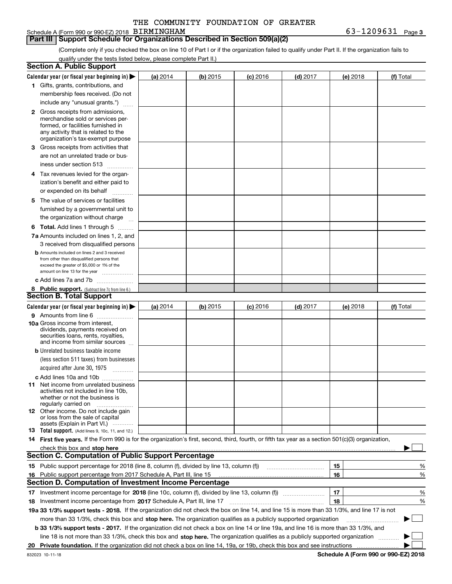#### Schedule A (Form 990 or 990-EZ) 2018 Page BIRMINGHAM 63-1209631

(Complete only if you checked the box on line 10 of Part I or if the organization failed to qualify under Part II. If the organization fails to qualify under the tests listed below, please complete Part II.)

| Calendar year (or fiscal year beginning in) $\blacktriangleright$<br>(a) 2014<br>(b) 2015<br>$(d)$ 2017<br>$(c)$ 2016<br>(e) 2018<br>1 Gifts, grants, contributions, and<br>membership fees received. (Do not<br>include any "unusual grants.")<br><b>2</b> Gross receipts from admissions,<br>merchandise sold or services per-<br>formed, or facilities furnished in<br>any activity that is related to the<br>organization's tax-exempt purpose<br>3 Gross receipts from activities that<br>are not an unrelated trade or bus-<br>iness under section 513<br>4 Tax revenues levied for the organ-<br>ization's benefit and either paid to<br>or expended on its behalf<br>.<br>5 The value of services or facilities<br>furnished by a governmental unit to<br>the organization without charge<br><b>6 Total.</b> Add lines 1 through 5<br>7a Amounts included on lines 1, 2, and<br>3 received from disqualified persons<br><b>b</b> Amounts included on lines 2 and 3 received<br>from other than disqualified persons that<br>exceed the greater of \$5,000 or 1% of the<br>amount on line 13 for the year<br>c Add lines 7a and 7b<br>8 Public support. (Subtract line 7c from line 6.)<br>Calendar year (or fiscal year beginning in)<br>(b) 2015<br>$(d)$ 2017<br>(a) 2014<br>$(c)$ 2016<br>(e) 2018<br>9 Amounts from line 6<br><b>10a</b> Gross income from interest,<br>dividends, payments received on<br>securities loans, rents, royalties, |             |
|------------------------------------------------------------------------------------------------------------------------------------------------------------------------------------------------------------------------------------------------------------------------------------------------------------------------------------------------------------------------------------------------------------------------------------------------------------------------------------------------------------------------------------------------------------------------------------------------------------------------------------------------------------------------------------------------------------------------------------------------------------------------------------------------------------------------------------------------------------------------------------------------------------------------------------------------------------------------------------------------------------------------------------------------------------------------------------------------------------------------------------------------------------------------------------------------------------------------------------------------------------------------------------------------------------------------------------------------------------------------------------------------------------------------------------------------------------|-------------|
|                                                                                                                                                                                                                                                                                                                                                                                                                                                                                                                                                                                                                                                                                                                                                                                                                                                                                                                                                                                                                                                                                                                                                                                                                                                                                                                                                                                                                                                            | (f) Total   |
|                                                                                                                                                                                                                                                                                                                                                                                                                                                                                                                                                                                                                                                                                                                                                                                                                                                                                                                                                                                                                                                                                                                                                                                                                                                                                                                                                                                                                                                            |             |
|                                                                                                                                                                                                                                                                                                                                                                                                                                                                                                                                                                                                                                                                                                                                                                                                                                                                                                                                                                                                                                                                                                                                                                                                                                                                                                                                                                                                                                                            |             |
|                                                                                                                                                                                                                                                                                                                                                                                                                                                                                                                                                                                                                                                                                                                                                                                                                                                                                                                                                                                                                                                                                                                                                                                                                                                                                                                                                                                                                                                            |             |
| <b>Section B. Total Support</b>                                                                                                                                                                                                                                                                                                                                                                                                                                                                                                                                                                                                                                                                                                                                                                                                                                                                                                                                                                                                                                                                                                                                                                                                                                                                                                                                                                                                                            |             |
|                                                                                                                                                                                                                                                                                                                                                                                                                                                                                                                                                                                                                                                                                                                                                                                                                                                                                                                                                                                                                                                                                                                                                                                                                                                                                                                                                                                                                                                            |             |
|                                                                                                                                                                                                                                                                                                                                                                                                                                                                                                                                                                                                                                                                                                                                                                                                                                                                                                                                                                                                                                                                                                                                                                                                                                                                                                                                                                                                                                                            |             |
|                                                                                                                                                                                                                                                                                                                                                                                                                                                                                                                                                                                                                                                                                                                                                                                                                                                                                                                                                                                                                                                                                                                                                                                                                                                                                                                                                                                                                                                            |             |
|                                                                                                                                                                                                                                                                                                                                                                                                                                                                                                                                                                                                                                                                                                                                                                                                                                                                                                                                                                                                                                                                                                                                                                                                                                                                                                                                                                                                                                                            |             |
|                                                                                                                                                                                                                                                                                                                                                                                                                                                                                                                                                                                                                                                                                                                                                                                                                                                                                                                                                                                                                                                                                                                                                                                                                                                                                                                                                                                                                                                            |             |
|                                                                                                                                                                                                                                                                                                                                                                                                                                                                                                                                                                                                                                                                                                                                                                                                                                                                                                                                                                                                                                                                                                                                                                                                                                                                                                                                                                                                                                                            |             |
|                                                                                                                                                                                                                                                                                                                                                                                                                                                                                                                                                                                                                                                                                                                                                                                                                                                                                                                                                                                                                                                                                                                                                                                                                                                                                                                                                                                                                                                            |             |
|                                                                                                                                                                                                                                                                                                                                                                                                                                                                                                                                                                                                                                                                                                                                                                                                                                                                                                                                                                                                                                                                                                                                                                                                                                                                                                                                                                                                                                                            |             |
|                                                                                                                                                                                                                                                                                                                                                                                                                                                                                                                                                                                                                                                                                                                                                                                                                                                                                                                                                                                                                                                                                                                                                                                                                                                                                                                                                                                                                                                            |             |
|                                                                                                                                                                                                                                                                                                                                                                                                                                                                                                                                                                                                                                                                                                                                                                                                                                                                                                                                                                                                                                                                                                                                                                                                                                                                                                                                                                                                                                                            |             |
|                                                                                                                                                                                                                                                                                                                                                                                                                                                                                                                                                                                                                                                                                                                                                                                                                                                                                                                                                                                                                                                                                                                                                                                                                                                                                                                                                                                                                                                            |             |
|                                                                                                                                                                                                                                                                                                                                                                                                                                                                                                                                                                                                                                                                                                                                                                                                                                                                                                                                                                                                                                                                                                                                                                                                                                                                                                                                                                                                                                                            |             |
|                                                                                                                                                                                                                                                                                                                                                                                                                                                                                                                                                                                                                                                                                                                                                                                                                                                                                                                                                                                                                                                                                                                                                                                                                                                                                                                                                                                                                                                            |             |
|                                                                                                                                                                                                                                                                                                                                                                                                                                                                                                                                                                                                                                                                                                                                                                                                                                                                                                                                                                                                                                                                                                                                                                                                                                                                                                                                                                                                                                                            |             |
|                                                                                                                                                                                                                                                                                                                                                                                                                                                                                                                                                                                                                                                                                                                                                                                                                                                                                                                                                                                                                                                                                                                                                                                                                                                                                                                                                                                                                                                            |             |
|                                                                                                                                                                                                                                                                                                                                                                                                                                                                                                                                                                                                                                                                                                                                                                                                                                                                                                                                                                                                                                                                                                                                                                                                                                                                                                                                                                                                                                                            |             |
|                                                                                                                                                                                                                                                                                                                                                                                                                                                                                                                                                                                                                                                                                                                                                                                                                                                                                                                                                                                                                                                                                                                                                                                                                                                                                                                                                                                                                                                            |             |
|                                                                                                                                                                                                                                                                                                                                                                                                                                                                                                                                                                                                                                                                                                                                                                                                                                                                                                                                                                                                                                                                                                                                                                                                                                                                                                                                                                                                                                                            |             |
|                                                                                                                                                                                                                                                                                                                                                                                                                                                                                                                                                                                                                                                                                                                                                                                                                                                                                                                                                                                                                                                                                                                                                                                                                                                                                                                                                                                                                                                            |             |
|                                                                                                                                                                                                                                                                                                                                                                                                                                                                                                                                                                                                                                                                                                                                                                                                                                                                                                                                                                                                                                                                                                                                                                                                                                                                                                                                                                                                                                                            |             |
|                                                                                                                                                                                                                                                                                                                                                                                                                                                                                                                                                                                                                                                                                                                                                                                                                                                                                                                                                                                                                                                                                                                                                                                                                                                                                                                                                                                                                                                            |             |
|                                                                                                                                                                                                                                                                                                                                                                                                                                                                                                                                                                                                                                                                                                                                                                                                                                                                                                                                                                                                                                                                                                                                                                                                                                                                                                                                                                                                                                                            |             |
|                                                                                                                                                                                                                                                                                                                                                                                                                                                                                                                                                                                                                                                                                                                                                                                                                                                                                                                                                                                                                                                                                                                                                                                                                                                                                                                                                                                                                                                            | (f) Total   |
|                                                                                                                                                                                                                                                                                                                                                                                                                                                                                                                                                                                                                                                                                                                                                                                                                                                                                                                                                                                                                                                                                                                                                                                                                                                                                                                                                                                                                                                            |             |
|                                                                                                                                                                                                                                                                                                                                                                                                                                                                                                                                                                                                                                                                                                                                                                                                                                                                                                                                                                                                                                                                                                                                                                                                                                                                                                                                                                                                                                                            |             |
|                                                                                                                                                                                                                                                                                                                                                                                                                                                                                                                                                                                                                                                                                                                                                                                                                                                                                                                                                                                                                                                                                                                                                                                                                                                                                                                                                                                                                                                            |             |
| and income from similar sources                                                                                                                                                                                                                                                                                                                                                                                                                                                                                                                                                                                                                                                                                                                                                                                                                                                                                                                                                                                                                                                                                                                                                                                                                                                                                                                                                                                                                            |             |
| <b>b</b> Unrelated business taxable income                                                                                                                                                                                                                                                                                                                                                                                                                                                                                                                                                                                                                                                                                                                                                                                                                                                                                                                                                                                                                                                                                                                                                                                                                                                                                                                                                                                                                 |             |
| (less section 511 taxes) from businesses                                                                                                                                                                                                                                                                                                                                                                                                                                                                                                                                                                                                                                                                                                                                                                                                                                                                                                                                                                                                                                                                                                                                                                                                                                                                                                                                                                                                                   |             |
| acquired after June 30, 1975 [10001]                                                                                                                                                                                                                                                                                                                                                                                                                                                                                                                                                                                                                                                                                                                                                                                                                                                                                                                                                                                                                                                                                                                                                                                                                                                                                                                                                                                                                       |             |
| c Add lines 10a and 10b                                                                                                                                                                                                                                                                                                                                                                                                                                                                                                                                                                                                                                                                                                                                                                                                                                                                                                                                                                                                                                                                                                                                                                                                                                                                                                                                                                                                                                    |             |
| 11 Net income from unrelated business                                                                                                                                                                                                                                                                                                                                                                                                                                                                                                                                                                                                                                                                                                                                                                                                                                                                                                                                                                                                                                                                                                                                                                                                                                                                                                                                                                                                                      |             |
| activities not included in line 10b,                                                                                                                                                                                                                                                                                                                                                                                                                                                                                                                                                                                                                                                                                                                                                                                                                                                                                                                                                                                                                                                                                                                                                                                                                                                                                                                                                                                                                       |             |
| whether or not the business is                                                                                                                                                                                                                                                                                                                                                                                                                                                                                                                                                                                                                                                                                                                                                                                                                                                                                                                                                                                                                                                                                                                                                                                                                                                                                                                                                                                                                             |             |
| regularly carried on<br><b>12</b> Other income. Do not include gain                                                                                                                                                                                                                                                                                                                                                                                                                                                                                                                                                                                                                                                                                                                                                                                                                                                                                                                                                                                                                                                                                                                                                                                                                                                                                                                                                                                        |             |
| or loss from the sale of capital                                                                                                                                                                                                                                                                                                                                                                                                                                                                                                                                                                                                                                                                                                                                                                                                                                                                                                                                                                                                                                                                                                                                                                                                                                                                                                                                                                                                                           |             |
| assets (Explain in Part VI.)                                                                                                                                                                                                                                                                                                                                                                                                                                                                                                                                                                                                                                                                                                                                                                                                                                                                                                                                                                                                                                                                                                                                                                                                                                                                                                                                                                                                                               |             |
| <b>13</b> Total support. (Add lines 9, 10c, 11, and 12.)                                                                                                                                                                                                                                                                                                                                                                                                                                                                                                                                                                                                                                                                                                                                                                                                                                                                                                                                                                                                                                                                                                                                                                                                                                                                                                                                                                                                   |             |
| 14 First five years. If the Form 990 is for the organization's first, second, third, fourth, or fifth tax year as a section 501(c)(3) organization,                                                                                                                                                                                                                                                                                                                                                                                                                                                                                                                                                                                                                                                                                                                                                                                                                                                                                                                                                                                                                                                                                                                                                                                                                                                                                                        |             |
| check this box and stop here <i>machine and content and stop</i> here are the change of the change of the change of the                                                                                                                                                                                                                                                                                                                                                                                                                                                                                                                                                                                                                                                                                                                                                                                                                                                                                                                                                                                                                                                                                                                                                                                                                                                                                                                                    |             |
| <b>Section C. Computation of Public Support Percentage</b>                                                                                                                                                                                                                                                                                                                                                                                                                                                                                                                                                                                                                                                                                                                                                                                                                                                                                                                                                                                                                                                                                                                                                                                                                                                                                                                                                                                                 |             |
| 15 Public support percentage for 2018 (line 8, column (f), divided by line 13, column (f))<br>15                                                                                                                                                                                                                                                                                                                                                                                                                                                                                                                                                                                                                                                                                                                                                                                                                                                                                                                                                                                                                                                                                                                                                                                                                                                                                                                                                           | %           |
| 16<br>16 Public support percentage from 2017 Schedule A, Part III, line 15                                                                                                                                                                                                                                                                                                                                                                                                                                                                                                                                                                                                                                                                                                                                                                                                                                                                                                                                                                                                                                                                                                                                                                                                                                                                                                                                                                                 | %           |
| <b>Section D. Computation of Investment Income Percentage</b>                                                                                                                                                                                                                                                                                                                                                                                                                                                                                                                                                                                                                                                                                                                                                                                                                                                                                                                                                                                                                                                                                                                                                                                                                                                                                                                                                                                              |             |
| 17<br>17 Investment income percentage for 2018 (line 10c, column (f), divided by line 13, column (f))                                                                                                                                                                                                                                                                                                                                                                                                                                                                                                                                                                                                                                                                                                                                                                                                                                                                                                                                                                                                                                                                                                                                                                                                                                                                                                                                                      | %           |
| 18<br><b>18</b> Investment income percentage from <b>2017</b> Schedule A, Part III, line 17                                                                                                                                                                                                                                                                                                                                                                                                                                                                                                                                                                                                                                                                                                                                                                                                                                                                                                                                                                                                                                                                                                                                                                                                                                                                                                                                                                | %           |
| 19a 33 1/3% support tests - 2018. If the organization did not check the box on line 14, and line 15 is more than 33 1/3%, and line 17 is not                                                                                                                                                                                                                                                                                                                                                                                                                                                                                                                                                                                                                                                                                                                                                                                                                                                                                                                                                                                                                                                                                                                                                                                                                                                                                                               |             |
| more than 33 1/3%, check this box and stop here. The organization qualifies as a publicly supported organization                                                                                                                                                                                                                                                                                                                                                                                                                                                                                                                                                                                                                                                                                                                                                                                                                                                                                                                                                                                                                                                                                                                                                                                                                                                                                                                                           | $\sim$<br>▶ |
| b 33 1/3% support tests - 2017. If the organization did not check a box on line 14 or line 19a, and line 16 is more than 33 1/3%, and                                                                                                                                                                                                                                                                                                                                                                                                                                                                                                                                                                                                                                                                                                                                                                                                                                                                                                                                                                                                                                                                                                                                                                                                                                                                                                                      |             |
| line 18 is not more than 33 1/3%, check this box and stop here. The organization qualifies as a publicly supported organization                                                                                                                                                                                                                                                                                                                                                                                                                                                                                                                                                                                                                                                                                                                                                                                                                                                                                                                                                                                                                                                                                                                                                                                                                                                                                                                            |             |
| 20                                                                                                                                                                                                                                                                                                                                                                                                                                                                                                                                                                                                                                                                                                                                                                                                                                                                                                                                                                                                                                                                                                                                                                                                                                                                                                                                                                                                                                                         |             |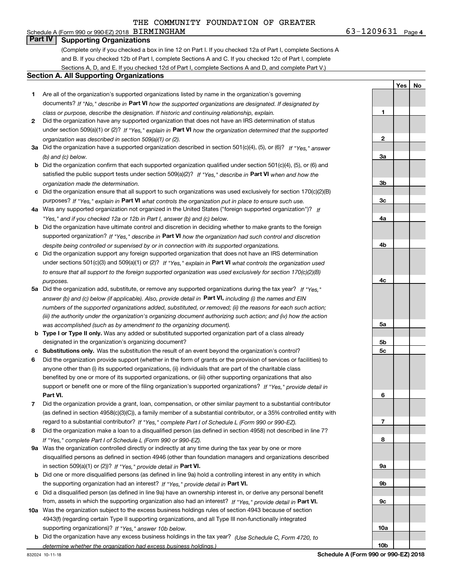#### Schedule A (Form 990 or 990-EZ) 2018 Page BIRMINGHAM 63-1209631 **Part IV Supporting Organizations**

(Complete only if you checked a box in line 12 on Part I. If you checked 12a of Part I, complete Sections A and B. If you checked 12b of Part I, complete Sections A and C. If you checked 12c of Part I, complete Sections A, D, and E. If you checked 12d of Part I, complete Sections A and D, and complete Part V.)

#### **Section A. All Supporting Organizations**

- **1** Are all of the organization's supported organizations listed by name in the organization's governing documents? If "No," describe in **Part VI** how the supported organizations are designated. If designated by *class or purpose, describe the designation. If historic and continuing relationship, explain.*
- **2** Did the organization have any supported organization that does not have an IRS determination of status under section 509(a)(1) or (2)? If "Yes," explain in Part VI how the organization determined that the supported *organization was described in section 509(a)(1) or (2).*
- **3a** Did the organization have a supported organization described in section 501(c)(4), (5), or (6)? If "Yes," answer *(b) and (c) below.*
- **b** Did the organization confirm that each supported organization qualified under section 501(c)(4), (5), or (6) and satisfied the public support tests under section 509(a)(2)? If "Yes," describe in **Part VI** when and how the *organization made the determination.*
- **c**Did the organization ensure that all support to such organizations was used exclusively for section 170(c)(2)(B) purposes? If "Yes," explain in **Part VI** what controls the organization put in place to ensure such use.
- **4a***If* Was any supported organization not organized in the United States ("foreign supported organization")? *"Yes," and if you checked 12a or 12b in Part I, answer (b) and (c) below.*
- **b** Did the organization have ultimate control and discretion in deciding whether to make grants to the foreign supported organization? If "Yes," describe in **Part VI** how the organization had such control and discretion *despite being controlled or supervised by or in connection with its supported organizations.*
- **c** Did the organization support any foreign supported organization that does not have an IRS determination under sections 501(c)(3) and 509(a)(1) or (2)? If "Yes," explain in **Part VI** what controls the organization used *to ensure that all support to the foreign supported organization was used exclusively for section 170(c)(2)(B) purposes.*
- **5a***If "Yes,"* Did the organization add, substitute, or remove any supported organizations during the tax year? answer (b) and (c) below (if applicable). Also, provide detail in **Part VI,** including (i) the names and EIN *numbers of the supported organizations added, substituted, or removed; (ii) the reasons for each such action; (iii) the authority under the organization's organizing document authorizing such action; and (iv) how the action was accomplished (such as by amendment to the organizing document).*
- **b** Type I or Type II only. Was any added or substituted supported organization part of a class already designated in the organization's organizing document?
- **cSubstitutions only.**  Was the substitution the result of an event beyond the organization's control?
- **6** Did the organization provide support (whether in the form of grants or the provision of services or facilities) to **Part VI.** *If "Yes," provide detail in* support or benefit one or more of the filing organization's supported organizations? anyone other than (i) its supported organizations, (ii) individuals that are part of the charitable class benefited by one or more of its supported organizations, or (iii) other supporting organizations that also
- **7**Did the organization provide a grant, loan, compensation, or other similar payment to a substantial contributor *If "Yes," complete Part I of Schedule L (Form 990 or 990-EZ).* regard to a substantial contributor? (as defined in section 4958(c)(3)(C)), a family member of a substantial contributor, or a 35% controlled entity with
- **8** Did the organization make a loan to a disqualified person (as defined in section 4958) not described in line 7? *If "Yes," complete Part I of Schedule L (Form 990 or 990-EZ).*
- **9a** Was the organization controlled directly or indirectly at any time during the tax year by one or more in section 509(a)(1) or (2))? If "Yes," *provide detail in* <code>Part VI.</code> disqualified persons as defined in section 4946 (other than foundation managers and organizations described
- **b** Did one or more disqualified persons (as defined in line 9a) hold a controlling interest in any entity in which the supporting organization had an interest? If "Yes," provide detail in P**art VI**.
- **c**Did a disqualified person (as defined in line 9a) have an ownership interest in, or derive any personal benefit from, assets in which the supporting organization also had an interest? If "Yes," provide detail in P**art VI.**
- **10a** Was the organization subject to the excess business holdings rules of section 4943 because of section supporting organizations)? If "Yes," answer 10b below. 4943(f) (regarding certain Type II supporting organizations, and all Type III non-functionally integrated
- **b** Did the organization have any excess business holdings in the tax year? (Use Schedule C, Form 4720, to *determine whether the organization had excess business holdings.)*

**23a3b3c4a4b4c5a5b5c6789a 9b9c10a**

**10b**

**1**

**YesNo**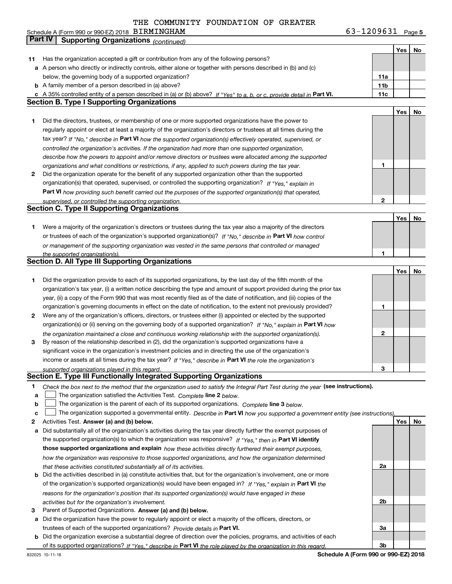**5** Schedule A (Form 990 or 990-EZ) 2018 Page BIRMINGHAM 63-1209631

|              | Part IV<br><b>Supporting Organizations (continued)</b>                                                                            |                 |     |    |
|--------------|-----------------------------------------------------------------------------------------------------------------------------------|-----------------|-----|----|
|              |                                                                                                                                   |                 | Yes | No |
| 11           | Has the organization accepted a gift or contribution from any of the following persons?                                           |                 |     |    |
|              | a A person who directly or indirectly controls, either alone or together with persons described in (b) and (c)                    |                 |     |    |
|              | below, the governing body of a supported organization?                                                                            | 11a             |     |    |
|              | <b>b</b> A family member of a person described in (a) above?                                                                      | 11 <sub>b</sub> |     |    |
|              | c A 35% controlled entity of a person described in (a) or (b) above? If "Yes" to a, b, or c, provide detail in Part VI.           | 11c             |     |    |
|              | <b>Section B. Type I Supporting Organizations</b>                                                                                 |                 |     |    |
|              |                                                                                                                                   |                 | Yes | No |
| 1            | Did the directors, trustees, or membership of one or more supported organizations have the power to                               |                 |     |    |
|              | regularly appoint or elect at least a majority of the organization's directors or trustees at all times during the                |                 |     |    |
|              | tax year? If "No," describe in Part VI how the supported organization(s) effectively operated, supervised, or                     |                 |     |    |
|              | controlled the organization's activities. If the organization had more than one supported organization,                           |                 |     |    |
|              | describe how the powers to appoint and/or remove directors or trustees were allocated among the supported                         |                 |     |    |
|              | organizations and what conditions or restrictions, if any, applied to such powers during the tax year.                            | 1               |     |    |
| $\mathbf{2}$ | Did the organization operate for the benefit of any supported organization other than the supported                               |                 |     |    |
|              | organization(s) that operated, supervised, or controlled the supporting organization? If "Yes," explain in                        |                 |     |    |
|              |                                                                                                                                   |                 |     |    |
|              | Part VI how providing such benefit carried out the purposes of the supported organization(s) that operated,                       | $\mathbf{2}$    |     |    |
|              | supervised, or controlled the supporting organization.<br><b>Section C. Type II Supporting Organizations</b>                      |                 |     |    |
|              |                                                                                                                                   |                 |     |    |
|              |                                                                                                                                   |                 | Yes | No |
| 1.           | Were a majority of the organization's directors or trustees during the tax year also a majority of the directors                  |                 |     |    |
|              | or trustees of each of the organization's supported organization(s)? If "No." describe in Part VI how control                     |                 |     |    |
|              | or management of the supporting organization was vested in the same persons that controlled or managed                            |                 |     |    |
|              | the supported organization(s).<br><b>Section D. All Type III Supporting Organizations</b>                                         | 1               |     |    |
|              |                                                                                                                                   |                 |     |    |
|              |                                                                                                                                   |                 | Yes | No |
| 1            | Did the organization provide to each of its supported organizations, by the last day of the fifth month of the                    |                 |     |    |
|              | organization's tax year, (i) a written notice describing the type and amount of support provided during the prior tax             |                 |     |    |
|              | year, (ii) a copy of the Form 990 that was most recently filed as of the date of notification, and (iii) copies of the            |                 |     |    |
|              | organization's governing documents in effect on the date of notification, to the extent not previously provided?                  | 1               |     |    |
| 2            | Were any of the organization's officers, directors, or trustees either (i) appointed or elected by the supported                  |                 |     |    |
|              | organization(s) or (ii) serving on the governing body of a supported organization? If "No," explain in Part VI how                |                 |     |    |
|              | the organization maintained a close and continuous working relationship with the supported organization(s).                       | $\mathbf{2}$    |     |    |
| 3            | By reason of the relationship described in (2), did the organization's supported organizations have a                             |                 |     |    |
|              | significant voice in the organization's investment policies and in directing the use of the organization's                        |                 |     |    |
|              | income or assets at all times during the tax year? If "Yes," describe in Part VI the role the organization's                      |                 |     |    |
|              | supported organizations played in this regard.                                                                                    | 3               |     |    |
|              | Section E. Type III Functionally Integrated Supporting Organizations                                                              |                 |     |    |
| 1            | Check the box next to the method that the organization used to satisfy the Integral Part Test during the year (see instructions). |                 |     |    |
| a            | The organization satisfied the Activities Test. Complete line 2 below.                                                            |                 |     |    |
| b            | The organization is the parent of each of its supported organizations. Complete line 3 below.                                     |                 |     |    |
| c            | The organization supported a governmental entity. Describe in Part VI how you supported a government entity (see instructions),   |                 |     |    |
| 2            | Activities Test. Answer (a) and (b) below.                                                                                        |                 | Yes | No |
| а            | Did substantially all of the organization's activities during the tax year directly further the exempt purposes of                |                 |     |    |
|              | the supported organization(s) to which the organization was responsive? If "Yes," then in Part VI identify                        |                 |     |    |
|              | those supported organizations and explain how these activities directly furthered their exempt purposes,                          |                 |     |    |
|              | how the organization was responsive to those supported organizations, and how the organization determined                         |                 |     |    |
|              | that these activities constituted substantially all of its activities.                                                            | 2a              |     |    |
| b            | Did the activities described in (a) constitute activities that, but for the organization's involvement, one or more               |                 |     |    |
|              | of the organization's supported organization(s) would have been engaged in? If "Yes," explain in Part VI the                      |                 |     |    |
|              | reasons for the organization's position that its supported organization(s) would have engaged in these                            |                 |     |    |
|              | activities but for the organization's involvement.                                                                                | 2b              |     |    |
| з            | Parent of Supported Organizations. Answer (a) and (b) below.                                                                      |                 |     |    |
| а            | Did the organization have the power to regularly appoint or elect a majority of the officers, directors, or                       |                 |     |    |
|              | trustees of each of the supported organizations? Provide details in Part VI.                                                      | За              |     |    |
|              | <b>b</b> Did the organization exercise a substantial degree of direction over the policies, programs, and activities of each      |                 |     |    |
|              | of its supported organizations? If "Yes." describe in Part VI the role played by the organization in this regard.                 | 3b              |     |    |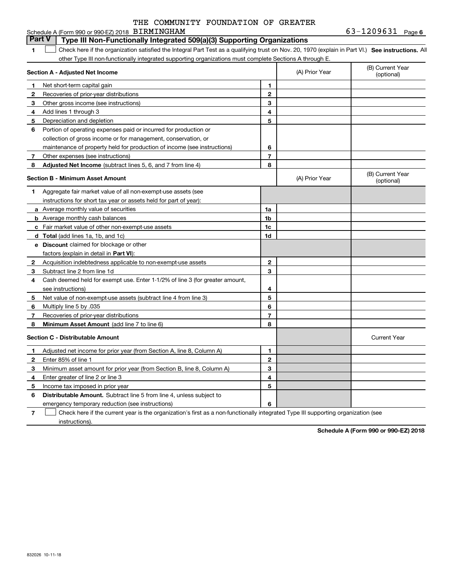|                  | THE COMMUNITY FOUNDATION OF GREATER |  |
|------------------|-------------------------------------|--|
| "א בזוראדו במחדר |                                     |  |

#### **1SEP 10. See instructions.** All antegral Part Test as a qualifying trust on Nov. 20, 1970 (explain in Part VI.) See instructions. All **Section A - Adjusted Net Income 12** Recoveries of prior-year distributions **3** Other gross income (see instructions) **4**Add lines 1 through 3 **56** Portion of operating expenses paid or incurred for production or **7** Other expenses (see instructions) **8** Adjusted Net Income (subtract lines 5, 6, and 7 from line 4) **8 8 1234567Section B - Minimum Asset Amount 1**Aggregate fair market value of all non-exempt-use assets (see **2**Acquisition indebtedness applicable to non-exempt-use assets **3** Subtract line 2 from line 1d **4**Cash deemed held for exempt use. Enter 1-1/2% of line 3 (for greater amount, **5** Net value of non-exempt-use assets (subtract line 4 from line 3) **6**Multiply line 5 by .035 **78a** Average monthly value of securities **b** Average monthly cash balances **c**Fair market value of other non-exempt-use assets **dTotal**  (add lines 1a, 1b, and 1c) **eDiscount** claimed for blockage or other **1a1b1c1d2345678**factors (explain in detail in **Part VI**): **Minimum Asset Amount**  (add line 7 to line 6) **Section C - Distributable Amount 12**Enter 85% of line 1 **3**Minimum asset amount for prior year (from Section B, line 8, Column A) **456** Distributable Amount. Subtract line 5 from line 4, unless subject to **123456**Schedule A (Form 990 or 990-EZ) 2018 Page BIRMINGHAM 63-1209631 other Type III non-functionally integrated supporting organizations must complete Sections A through E. (B) Current Year (optional)(A) Prior Year Net short-term capital gain Depreciation and depletion collection of gross income or for management, conservation, or maintenance of property held for production of income (see instructions) (B) Current Year (optional)(A) Prior Year instructions for short tax year or assets held for part of year): see instructions) Recoveries of prior-year distributions Current Year Adjusted net income for prior year (from Section A, line 8, Column A) Enter greater of line 2 or line 3 Income tax imposed in prior year emergency temporary reduction (see instructions) **Part V** Type III Non-Functionally Integrated 509(a)(3) Supporting Organizations  $\mathcal{L}^{\text{max}}$

**7**Check here if the current year is the organization's first as a non-functionally integrated Type III supporting organization (see instructions). $\mathcal{L}^{\text{max}}$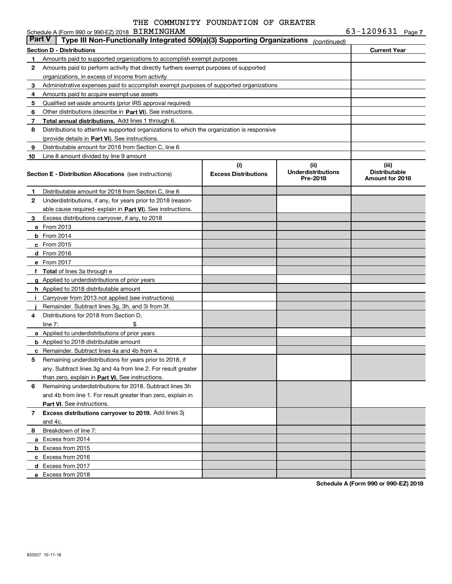|               | Schedule A (Form 990 or 990-EZ) 2018 BIRMINGHAM                                            |                                    |                                               | $63 - 1209631$ Page 7                            |  |
|---------------|--------------------------------------------------------------------------------------------|------------------------------------|-----------------------------------------------|--------------------------------------------------|--|
| <b>Part V</b> | Type III Non-Functionally Integrated 509(a)(3) Supporting Organizations                    |                                    | (continued)                                   |                                                  |  |
|               | <b>Section D - Distributions</b>                                                           |                                    |                                               | <b>Current Year</b>                              |  |
| 1             | Amounts paid to supported organizations to accomplish exempt purposes                      |                                    |                                               |                                                  |  |
| 2             | Amounts paid to perform activity that directly furthers exempt purposes of supported       |                                    |                                               |                                                  |  |
|               | organizations, in excess of income from activity                                           |                                    |                                               |                                                  |  |
| 3             | Administrative expenses paid to accomplish exempt purposes of supported organizations      |                                    |                                               |                                                  |  |
| 4             | Amounts paid to acquire exempt-use assets                                                  |                                    |                                               |                                                  |  |
| 5             | Qualified set-aside amounts (prior IRS approval required)                                  |                                    |                                               |                                                  |  |
| 6             | Other distributions (describe in Part VI). See instructions.                               |                                    |                                               |                                                  |  |
| 7             | Total annual distributions. Add lines 1 through 6.                                         |                                    |                                               |                                                  |  |
| 8             | Distributions to attentive supported organizations to which the organization is responsive |                                    |                                               |                                                  |  |
|               | (provide details in Part VI). See instructions.                                            |                                    |                                               |                                                  |  |
| 9             | Distributable amount for 2018 from Section C, line 6                                       |                                    |                                               |                                                  |  |
| 10            | Line 8 amount divided by line 9 amount                                                     |                                    |                                               |                                                  |  |
|               | <b>Section E - Distribution Allocations</b> (see instructions)                             | (i)<br><b>Excess Distributions</b> | (ii)<br><b>Underdistributions</b><br>Pre-2018 | (iii)<br><b>Distributable</b><br>Amount for 2018 |  |
| 1             | Distributable amount for 2018 from Section C, line 6                                       |                                    |                                               |                                                  |  |
| 2             | Underdistributions, if any, for years prior to 2018 (reason-                               |                                    |                                               |                                                  |  |
|               | able cause required-explain in Part VI). See instructions.                                 |                                    |                                               |                                                  |  |
| 3             | Excess distributions carryover, if any, to 2018                                            |                                    |                                               |                                                  |  |
|               | <b>a</b> From 2013                                                                         |                                    |                                               |                                                  |  |
|               | $b$ From 2014                                                                              |                                    |                                               |                                                  |  |
|               | $c$ From 2015                                                                              |                                    |                                               |                                                  |  |
|               | d From 2016                                                                                |                                    |                                               |                                                  |  |
|               | e From 2017                                                                                |                                    |                                               |                                                  |  |
|               | f Total of lines 3a through e                                                              |                                    |                                               |                                                  |  |
|               | g Applied to underdistributions of prior years                                             |                                    |                                               |                                                  |  |
|               | <b>h</b> Applied to 2018 distributable amount                                              |                                    |                                               |                                                  |  |
|               | Carryover from 2013 not applied (see instructions)                                         |                                    |                                               |                                                  |  |
|               | Remainder. Subtract lines 3g, 3h, and 3i from 3f.                                          |                                    |                                               |                                                  |  |
| 4             | Distributions for 2018 from Section D.                                                     |                                    |                                               |                                                  |  |
|               | \$<br>line $7:$                                                                            |                                    |                                               |                                                  |  |
|               | <b>a</b> Applied to underdistributions of prior years                                      |                                    |                                               |                                                  |  |
|               | <b>b</b> Applied to 2018 distributable amount                                              |                                    |                                               |                                                  |  |
|               | <b>c</b> Remainder. Subtract lines 4a and 4b from 4.                                       |                                    |                                               |                                                  |  |
|               | Remaining underdistributions for years prior to 2018, if                                   |                                    |                                               |                                                  |  |
|               | any. Subtract lines 3g and 4a from line 2. For result greater                              |                                    |                                               |                                                  |  |
|               | than zero, explain in Part VI. See instructions.                                           |                                    |                                               |                                                  |  |
| 6             | Remaining underdistributions for 2018. Subtract lines 3h                                   |                                    |                                               |                                                  |  |
|               | and 4b from line 1. For result greater than zero, explain in                               |                                    |                                               |                                                  |  |
|               | Part VI. See instructions.                                                                 |                                    |                                               |                                                  |  |
| 7             | Excess distributions carryover to 2019. Add lines 3j                                       |                                    |                                               |                                                  |  |
|               | and 4c.                                                                                    |                                    |                                               |                                                  |  |
| 8             | Breakdown of line 7:                                                                       |                                    |                                               |                                                  |  |
|               | a Excess from 2014                                                                         |                                    |                                               |                                                  |  |
|               | <b>b</b> Excess from 2015                                                                  |                                    |                                               |                                                  |  |
|               | c Excess from 2016                                                                         |                                    |                                               |                                                  |  |
|               | d Excess from 2017                                                                         |                                    |                                               |                                                  |  |
|               | e Excess from 2018                                                                         |                                    |                                               |                                                  |  |
|               |                                                                                            |                                    |                                               |                                                  |  |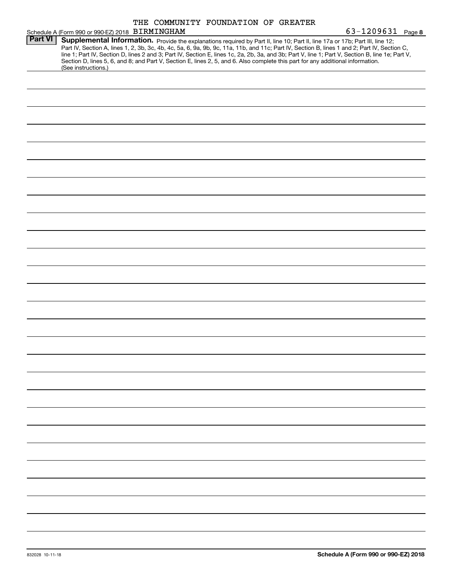|                 | THE COMMUNITY FOUNDATION OF GREATER |  |
|-----------------|-------------------------------------|--|
| <b>NITNOUAM</b> |                                     |  |

|                | Schedule A (Form 990 or 990-EZ) 2018 BIRMINGHAM                                                                                                                                                                                                                                                                                                                                                                                                                                                                                                                                             | 63-1209631 Page 8 |  |
|----------------|---------------------------------------------------------------------------------------------------------------------------------------------------------------------------------------------------------------------------------------------------------------------------------------------------------------------------------------------------------------------------------------------------------------------------------------------------------------------------------------------------------------------------------------------------------------------------------------------|-------------------|--|
| <b>Part VI</b> | Supplemental Information. Provide the explanations required by Part II, line 10; Part II, line 17a or 17b; Part III, line 12;<br>Part IV, Section A, lines 1, 2, 3b, 3c, 4b, 4c, 5a, 6, 9a, 9b, 9c, 11a, 11b, and 11c; Part IV, Section B, lines 1 and 2; Part IV, Section C,<br>line 1; Part IV, Section D, lines 2 and 3; Part IV, Section E, lines 1c, 2a, 2b, 3a, and 3b; Part V, line 1; Part V, Section B, line 1e; Part V,<br>Section D, lines 5, 6, and 8; and Part V, Section E, lines 2, 5, and 6. Also complete this part for any additional information.<br>(See instructions.) |                   |  |
|                |                                                                                                                                                                                                                                                                                                                                                                                                                                                                                                                                                                                             |                   |  |
|                |                                                                                                                                                                                                                                                                                                                                                                                                                                                                                                                                                                                             |                   |  |
|                |                                                                                                                                                                                                                                                                                                                                                                                                                                                                                                                                                                                             |                   |  |
|                |                                                                                                                                                                                                                                                                                                                                                                                                                                                                                                                                                                                             |                   |  |
|                |                                                                                                                                                                                                                                                                                                                                                                                                                                                                                                                                                                                             |                   |  |
|                |                                                                                                                                                                                                                                                                                                                                                                                                                                                                                                                                                                                             |                   |  |
|                |                                                                                                                                                                                                                                                                                                                                                                                                                                                                                                                                                                                             |                   |  |
|                |                                                                                                                                                                                                                                                                                                                                                                                                                                                                                                                                                                                             |                   |  |
|                |                                                                                                                                                                                                                                                                                                                                                                                                                                                                                                                                                                                             |                   |  |
|                |                                                                                                                                                                                                                                                                                                                                                                                                                                                                                                                                                                                             |                   |  |
|                |                                                                                                                                                                                                                                                                                                                                                                                                                                                                                                                                                                                             |                   |  |
|                |                                                                                                                                                                                                                                                                                                                                                                                                                                                                                                                                                                                             |                   |  |
|                |                                                                                                                                                                                                                                                                                                                                                                                                                                                                                                                                                                                             |                   |  |
|                |                                                                                                                                                                                                                                                                                                                                                                                                                                                                                                                                                                                             |                   |  |
|                |                                                                                                                                                                                                                                                                                                                                                                                                                                                                                                                                                                                             |                   |  |
|                |                                                                                                                                                                                                                                                                                                                                                                                                                                                                                                                                                                                             |                   |  |
|                |                                                                                                                                                                                                                                                                                                                                                                                                                                                                                                                                                                                             |                   |  |
|                |                                                                                                                                                                                                                                                                                                                                                                                                                                                                                                                                                                                             |                   |  |
|                |                                                                                                                                                                                                                                                                                                                                                                                                                                                                                                                                                                                             |                   |  |
|                |                                                                                                                                                                                                                                                                                                                                                                                                                                                                                                                                                                                             |                   |  |
|                |                                                                                                                                                                                                                                                                                                                                                                                                                                                                                                                                                                                             |                   |  |
|                |                                                                                                                                                                                                                                                                                                                                                                                                                                                                                                                                                                                             |                   |  |
|                |                                                                                                                                                                                                                                                                                                                                                                                                                                                                                                                                                                                             |                   |  |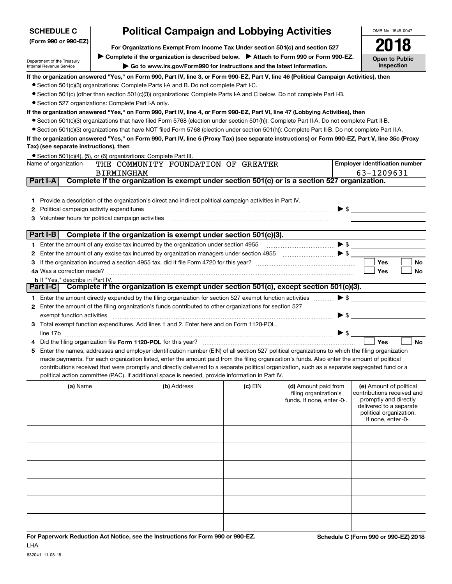| <b>SCHEDULE C</b>                                    | <b>Political Campaign and Lobbying Activities</b>                                    |                                                                                                                                                                                                                                |           |                            |                          |                                                |           |  |
|------------------------------------------------------|--------------------------------------------------------------------------------------|--------------------------------------------------------------------------------------------------------------------------------------------------------------------------------------------------------------------------------|-----------|----------------------------|--------------------------|------------------------------------------------|-----------|--|
| (Form 990 or 990-EZ)                                 |                                                                                      |                                                                                                                                                                                                                                |           |                            |                          |                                                |           |  |
|                                                      | N18<br>For Organizations Exempt From Income Tax Under section 501(c) and section 527 |                                                                                                                                                                                                                                |           |                            |                          |                                                |           |  |
| Department of the Treasury                           |                                                                                      | Complete if the organization is described below. Attach to Form 990 or Form 990-EZ.                                                                                                                                            |           |                            |                          |                                                |           |  |
| Internal Revenue Service                             |                                                                                      | $\blacktriangleright$ Go to www.irs.gov/Form990 for instructions and the latest information.                                                                                                                                   |           |                            |                          | Inspection                                     |           |  |
|                                                      |                                                                                      | If the organization answered "Yes," on Form 990, Part IV, line 3, or Form 990-EZ, Part V, line 46 (Political Campaign Activities), then                                                                                        |           |                            |                          |                                                |           |  |
|                                                      |                                                                                      | • Section 501(c)(3) organizations: Complete Parts I-A and B. Do not complete Part I-C.                                                                                                                                         |           |                            |                          |                                                |           |  |
|                                                      |                                                                                      | ● Section 501(c) (other than section 501(c)(3)) organizations: Complete Parts I-A and C below. Do not complete Part I-B.                                                                                                       |           |                            |                          |                                                |           |  |
| • Section 527 organizations: Complete Part I-A only. |                                                                                      |                                                                                                                                                                                                                                |           |                            |                          |                                                |           |  |
|                                                      |                                                                                      | If the organization answered "Yes," on Form 990, Part IV, line 4, or Form 990-EZ, Part VI, line 47 (Lobbying Activities), then                                                                                                 |           |                            |                          |                                                |           |  |
|                                                      |                                                                                      | • Section 501(c)(3) organizations that have filed Form 5768 (election under section 501(h)): Complete Part II-A. Do not complete Part II-B.                                                                                    |           |                            |                          |                                                |           |  |
|                                                      |                                                                                      | • Section 501(c)(3) organizations that have NOT filed Form 5768 (election under section 501(h)): Complete Part II-B. Do not complete Part II-A.                                                                                |           |                            |                          |                                                |           |  |
|                                                      |                                                                                      | If the organization answered "Yes," on Form 990, Part IV, line 5 (Proxy Tax) (see separate instructions) or Form 990-EZ, Part V, line 35c (Proxy                                                                               |           |                            |                          |                                                |           |  |
| Tax) (see separate instructions), then               |                                                                                      |                                                                                                                                                                                                                                |           |                            |                          |                                                |           |  |
|                                                      |                                                                                      | • Section 501(c)(4), (5), or (6) organizations: Complete Part III.                                                                                                                                                             |           |                            |                          |                                                |           |  |
| Name of organization                                 |                                                                                      | THE COMMUNITY FOUNDATION OF GREATER                                                                                                                                                                                            |           |                            |                          | <b>Employer identification number</b>          |           |  |
|                                                      | <b>BIRMINGHAM</b>                                                                    |                                                                                                                                                                                                                                |           |                            |                          | 63-1209631                                     |           |  |
| Part I-A                                             |                                                                                      | Complete if the organization is exempt under section 501(c) or is a section 527 organization.                                                                                                                                  |           |                            |                          |                                                |           |  |
|                                                      |                                                                                      |                                                                                                                                                                                                                                |           |                            |                          |                                                |           |  |
|                                                      |                                                                                      | 1 Provide a description of the organization's direct and indirect political campaign activities in Part IV.                                                                                                                    |           |                            |                          |                                                |           |  |
|                                                      |                                                                                      |                                                                                                                                                                                                                                |           |                            |                          |                                                |           |  |
|                                                      |                                                                                      | 3 Volunteer hours for political campaign activities [11] manufactures in the contract of the contract of the contract of the contract of the contract of the contract of the contract of the contract of the contract of the c |           |                            |                          |                                                |           |  |
|                                                      |                                                                                      |                                                                                                                                                                                                                                |           |                            |                          |                                                |           |  |
| Part I-B                                             |                                                                                      | Complete if the organization is exempt under section 501(c)(3).                                                                                                                                                                |           |                            |                          |                                                |           |  |
|                                                      |                                                                                      |                                                                                                                                                                                                                                |           |                            |                          |                                                |           |  |
|                                                      |                                                                                      |                                                                                                                                                                                                                                |           |                            |                          |                                                |           |  |
|                                                      |                                                                                      |                                                                                                                                                                                                                                |           |                            |                          | Yes                                            | No        |  |
| 4a Was a correction made?                            |                                                                                      |                                                                                                                                                                                                                                |           |                            |                          | Yes                                            | No        |  |
| <b>b</b> If "Yes," describe in Part IV.              |                                                                                      |                                                                                                                                                                                                                                |           |                            |                          |                                                |           |  |
|                                                      |                                                                                      | Part I-C   Complete if the organization is exempt under section 501(c), except section 501(c)(3).                                                                                                                              |           |                            |                          |                                                |           |  |
|                                                      |                                                                                      | 1 Enter the amount directly expended by the filing organization for section 527 exempt function activities                                                                                                                     |           |                            | $\blacktriangleright$ \$ |                                                |           |  |
|                                                      |                                                                                      | 2 Enter the amount of the filing organization's funds contributed to other organizations for section 527                                                                                                                       |           |                            |                          |                                                |           |  |
| exempt function activities                           |                                                                                      |                                                                                                                                                                                                                                |           |                            | $\triangleright$ \$      |                                                |           |  |
|                                                      |                                                                                      | 3 Total exempt function expenditures. Add lines 1 and 2. Enter here and on Form 1120-POL,                                                                                                                                      |           |                            |                          |                                                |           |  |
|                                                      |                                                                                      |                                                                                                                                                                                                                                |           |                            | $\blacktriangleright$ \$ |                                                |           |  |
|                                                      |                                                                                      |                                                                                                                                                                                                                                |           |                            |                          | Yes                                            | <b>No</b> |  |
|                                                      |                                                                                      | 5 Enter the names, addresses and employer identification number (EIN) of all section 527 political organizations to which the filing organization                                                                              |           |                            |                          |                                                |           |  |
|                                                      |                                                                                      | made payments. For each organization listed, enter the amount paid from the filing organization's funds. Also enter the amount of political                                                                                    |           |                            |                          |                                                |           |  |
|                                                      |                                                                                      | contributions received that were promptly and directly delivered to a separate political organization, such as a separate segregated fund or a                                                                                 |           |                            |                          |                                                |           |  |
|                                                      |                                                                                      | political action committee (PAC). If additional space is needed, provide information in Part IV.                                                                                                                               |           |                            |                          |                                                |           |  |
| (a) Name                                             |                                                                                      | (b) Address                                                                                                                                                                                                                    | $(c)$ EIN | (d) Amount paid from       |                          | (e) Amount of political                        |           |  |
|                                                      |                                                                                      |                                                                                                                                                                                                                                |           | filing organization's      |                          | contributions received and                     |           |  |
|                                                      |                                                                                      |                                                                                                                                                                                                                                |           | funds. If none, enter -0-. |                          | promptly and directly                          |           |  |
|                                                      |                                                                                      |                                                                                                                                                                                                                                |           |                            |                          | delivered to a separate                        |           |  |
|                                                      |                                                                                      |                                                                                                                                                                                                                                |           |                            |                          | political organization.<br>If none, enter -0-. |           |  |
|                                                      |                                                                                      |                                                                                                                                                                                                                                |           |                            |                          |                                                |           |  |
|                                                      |                                                                                      |                                                                                                                                                                                                                                |           |                            |                          |                                                |           |  |
|                                                      |                                                                                      |                                                                                                                                                                                                                                |           |                            |                          |                                                |           |  |
|                                                      |                                                                                      |                                                                                                                                                                                                                                |           |                            |                          |                                                |           |  |
|                                                      |                                                                                      |                                                                                                                                                                                                                                |           |                            |                          |                                                |           |  |
|                                                      |                                                                                      |                                                                                                                                                                                                                                |           |                            |                          |                                                |           |  |

# **Political Campaign and Lobbying Activities**

832041 11-08-18

LHA

**For Paperwork Reduction Act Notice, see the Instructions for Form 990 or 990-EZ. Schedule C (Form 990 or 990-EZ) 2018**

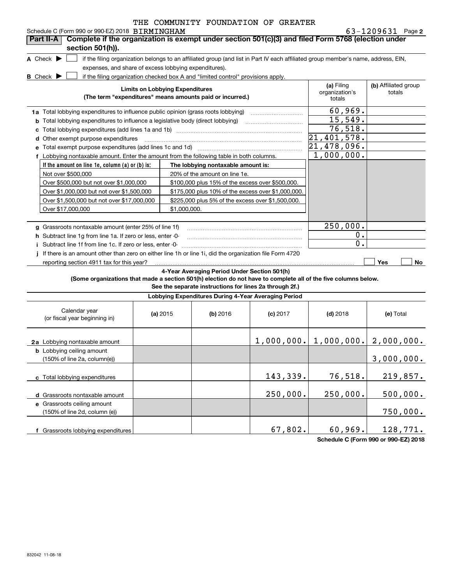|                               | Schedule C (Form 990 or 990-EZ) 2018 BIRMINGHAM                                                                |                                                       |                                                                                                         |                                                                                                                                   |                                        | 63-1209631 Page 2              |
|-------------------------------|----------------------------------------------------------------------------------------------------------------|-------------------------------------------------------|---------------------------------------------------------------------------------------------------------|-----------------------------------------------------------------------------------------------------------------------------------|----------------------------------------|--------------------------------|
| Part II-A                     | Complete if the organization is exempt under section 501(c)(3) and filed Form 5768 (election under             |                                                       |                                                                                                         |                                                                                                                                   |                                        |                                |
|                               | section 501(h)).                                                                                               |                                                       |                                                                                                         |                                                                                                                                   |                                        |                                |
| A Check $\blacktriangleright$ |                                                                                                                |                                                       |                                                                                                         | if the filing organization belongs to an affiliated group (and list in Part IV each affiliated group member's name, address, EIN, |                                        |                                |
|                               |                                                                                                                | expenses, and share of excess lobbying expenditures). |                                                                                                         |                                                                                                                                   |                                        |                                |
| <b>B</b> Check <b>D</b>       |                                                                                                                |                                                       | if the filing organization checked box A and "limited control" provisions apply.                        |                                                                                                                                   |                                        |                                |
|                               |                                                                                                                | <b>Limits on Lobbying Expenditures</b>                | (The term "expenditures" means amounts paid or incurred.)                                               |                                                                                                                                   | (a) Filing<br>organization's<br>totals | (b) Affiliated group<br>totals |
|                               | 1a Total lobbying expenditures to influence public opinion (grass roots lobbying)                              |                                                       |                                                                                                         |                                                                                                                                   | 60,969.                                |                                |
|                               | <b>b</b> Total lobbying expenditures to influence a legislative body (direct lobbying)                         |                                                       |                                                                                                         |                                                                                                                                   | 15,549.                                |                                |
|                               |                                                                                                                |                                                       |                                                                                                         |                                                                                                                                   | 76,518.                                |                                |
|                               | <b>d</b> Other exempt purpose expenditures                                                                     |                                                       |                                                                                                         |                                                                                                                                   | 21,401,578.                            |                                |
|                               | e Total exempt purpose expenditures (add lines 1c and 1d) [11] [12] [13] [13] [13] [13] [14] [15] [15] [15] [1 |                                                       |                                                                                                         |                                                                                                                                   | $\overline{21,478}$ ,096.              |                                |
|                               | f Lobbying nontaxable amount. Enter the amount from the following table in both columns.                       |                                                       |                                                                                                         |                                                                                                                                   | 1,000,000.                             |                                |
|                               | If the amount on line 1e, column (a) or (b) is:                                                                |                                                       | The lobbying nontaxable amount is:                                                                      |                                                                                                                                   |                                        |                                |
|                               | Not over \$500,000                                                                                             |                                                       | 20% of the amount on line 1e.                                                                           |                                                                                                                                   |                                        |                                |
|                               | Over \$500,000 but not over \$1,000,000                                                                        |                                                       | \$100,000 plus 15% of the excess over \$500,000.                                                        |                                                                                                                                   |                                        |                                |
|                               | Over \$1,000,000 but not over \$1,500,000                                                                      |                                                       | \$175,000 plus 10% of the excess over \$1,000,000.                                                      |                                                                                                                                   |                                        |                                |
|                               | Over \$1,500,000 but not over \$17,000,000                                                                     |                                                       | \$225,000 plus 5% of the excess over \$1,500,000.                                                       |                                                                                                                                   |                                        |                                |
|                               | Over \$17,000,000                                                                                              | \$1,000,000.                                          |                                                                                                         |                                                                                                                                   |                                        |                                |
|                               |                                                                                                                |                                                       |                                                                                                         |                                                                                                                                   |                                        |                                |
|                               | g Grassroots nontaxable amount (enter 25% of line 1f)                                                          |                                                       |                                                                                                         |                                                                                                                                   | 250,000.                               |                                |
|                               | h Subtract line 1g from line 1a. If zero or less, enter -0-                                                    |                                                       |                                                                                                         |                                                                                                                                   | 0.                                     |                                |
|                               | i Subtract line 1f from line 1c. If zero or less, enter -0-                                                    |                                                       |                                                                                                         |                                                                                                                                   | $\mathbf 0$ .                          |                                |
|                               | j If there is an amount other than zero on either line 1h or line 1i, did the organization file Form 4720      |                                                       |                                                                                                         |                                                                                                                                   |                                        |                                |
|                               | reporting section 4911 tax for this year?                                                                      |                                                       |                                                                                                         |                                                                                                                                   |                                        | <b>Yes</b><br>No               |
|                               | (Some organizations that made a section 501(h) election do not have to complete all of the five columns below. |                                                       | 4-Year Averaging Period Under Section 501(h)<br>See the separate instructions for lines 2a through 2f.) |                                                                                                                                   |                                        |                                |
|                               |                                                                                                                |                                                       | Lobbying Expenditures During 4-Year Averaging Period                                                    |                                                                                                                                   |                                        |                                |
|                               | Calendar year<br>(or fiscal year beginning in)                                                                 | (a) 2015                                              | (b) 2016                                                                                                | $(c)$ 2017                                                                                                                        | $(d)$ 2018                             | (e) Total                      |
|                               | 2a Lobbying nontaxable amount                                                                                  |                                                       |                                                                                                         |                                                                                                                                   | $1,000,000.$ $1,000,000.$ $2,000,000.$ |                                |
|                               | <b>b</b> Lobbying ceiling amount<br>$(150% \text{ of line } 2a \text{ column}(a))$                             |                                                       |                                                                                                         |                                                                                                                                   |                                        | 3 NOO NOO.                     |

| Calendar year<br>(or fiscal year beginning in)                                       | (a) $2015$ | (b) 2016 | $(c)$ 2017 | $(d)$ 2018 | (e) Total  |
|--------------------------------------------------------------------------------------|------------|----------|------------|------------|------------|
| 2a Lobbying nontaxable amount                                                        |            |          | 1,000,000. | 1,000,000. | 2,000,000. |
| <b>b</b> Lobbying ceiling amount<br>$(150\% \text{ of line } 2a, \text{ column}(e))$ |            |          |            |            | 3,000,000. |
| Total lobbying expenditures                                                          |            |          | 143,339.   | 76,518.    | 219,857.   |
| Grassroots nontaxable amount<br>d                                                    |            |          | 250,000.   | 250,000.   | 500,000.   |
| Grassroots ceiling amount<br>е<br>(150% of line 2d, column (e))                      |            |          |            |            | 750,000.   |
| Grassroots lobbying expenditures                                                     |            |          | 67,802.    | 60,969.    | 128,771.   |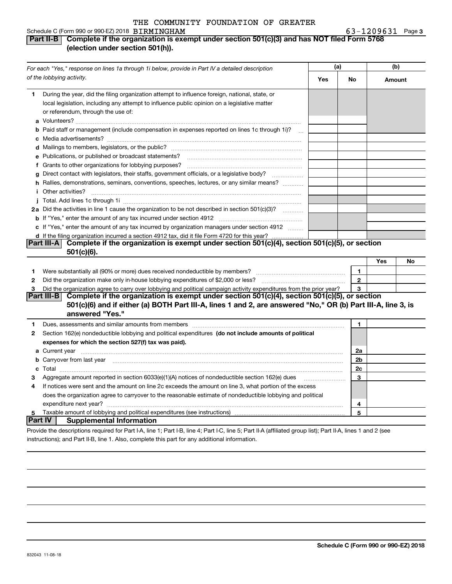#### Schedule C (Form 990 or 990-EZ) 2018 Page BIRMINGHAM 63-1209631

#### **Part II-B Complete if the organization is exempt under section 501(c)(3) and has NOT filed Form 5768 (election under section 501(h)).**

|              | For each "Yes," response on lines 1a through 1i below, provide in Part IV a detailed description                                                                                                                                     | (a) |              | (b)    |    |
|--------------|--------------------------------------------------------------------------------------------------------------------------------------------------------------------------------------------------------------------------------------|-----|--------------|--------|----|
|              | of the lobbying activity.                                                                                                                                                                                                            | Yes | No           | Amount |    |
| 1            | During the year, did the filing organization attempt to influence foreign, national, state, or<br>local legislation, including any attempt to influence public opinion on a legislative matter<br>or referendum, through the use of: |     |              |        |    |
|              | b Paid staff or management (include compensation in expenses reported on lines 1c through 1i)?                                                                                                                                       |     |              |        |    |
|              |                                                                                                                                                                                                                                      |     |              |        |    |
|              | e Publications, or published or broadcast statements?                                                                                                                                                                                |     |              |        |    |
|              | f Grants to other organizations for lobbying purposes?                                                                                                                                                                               |     |              |        |    |
| g            | Direct contact with legislators, their staffs, government officials, or a legislative body?                                                                                                                                          |     |              |        |    |
|              | h Rallies, demonstrations, seminars, conventions, speeches, lectures, or any similar means?                                                                                                                                          |     |              |        |    |
|              | <i>i</i> Other activities?                                                                                                                                                                                                           |     |              |        |    |
|              |                                                                                                                                                                                                                                      |     |              |        |    |
|              | 2a Did the activities in line 1 cause the organization to be not described in section 501(c)(3)?                                                                                                                                     |     |              |        |    |
|              |                                                                                                                                                                                                                                      |     |              |        |    |
|              | c If "Yes," enter the amount of any tax incurred by organization managers under section 4912                                                                                                                                         |     |              |        |    |
|              | d If the filing organization incurred a section 4912 tax, did it file Form 4720 for this year?                                                                                                                                       |     |              |        |    |
|              | Part III-A Complete if the organization is exempt under section 501(c)(4), section 501(c)(5), or section                                                                                                                             |     |              |        |    |
|              | $501(c)(6)$ .                                                                                                                                                                                                                        |     |              |        |    |
|              |                                                                                                                                                                                                                                      |     |              | Yes    | No |
| 1            | Were substantially all (90% or more) dues received nondeductible by members?                                                                                                                                                         |     | $\mathbf{1}$ |        |    |
| $\mathbf{2}$ | Did the organization make only in house lobbying expenditures of \$2,000 or less?                                                                                                                                                    |     | $\mathbf{2}$ |        |    |
| 3            | Did the organization agree to carry over lobbying and political campaign activity expenditures from the prior year?                                                                                                                  |     | 3            |        |    |
|              | Complete if the organization is exempt under section 501(c)(4), section 501(c)(5), or section<br><b>Part III-B</b>                                                                                                                   |     |              |        |    |
|              | 501(c)(6) and if either (a) BOTH Part III-A, lines 1 and 2, are answered "No," OR (b) Part III-A, line 3, is<br>answered "Yes."                                                                                                      |     |              |        |    |
| 1            |                                                                                                                                                                                                                                      |     | 1            |        |    |
| 2            | Section 162(e) nondeductible lobbying and political expenditures (do not include amounts of political                                                                                                                                |     |              |        |    |
|              | expenses for which the section 527(f) tax was paid).                                                                                                                                                                                 |     |              |        |    |
|              | <b>a</b> Current year                                                                                                                                                                                                                |     | 2a           |        |    |
|              |                                                                                                                                                                                                                                      |     | 2b           |        |    |
|              |                                                                                                                                                                                                                                      |     | 2c           |        |    |
| З            | Aggregate amount reported in section 6033(e)(1)(A) notices of nondeductible section 162(e) dues                                                                                                                                      |     | 3            |        |    |
| 4            | If notices were sent and the amount on line 2c exceeds the amount on line 3, what portion of the excess                                                                                                                              |     |              |        |    |
|              | does the organization agree to carryover to the reasonable estimate of nondeductible lobbying and political                                                                                                                          |     |              |        |    |
|              | expenditure next year?                                                                                                                                                                                                               |     | 4            |        |    |
| 5            |                                                                                                                                                                                                                                      |     | 5            |        |    |
| Part IV      | <b>Supplemental Information</b>                                                                                                                                                                                                      |     |              |        |    |
|              | Provide the descriptions required for Part I-A, line 1; Part I-B, line 4; Part I-C, line 5; Part II-A (affiliated group list); Part II-A, lines 1 and 2 (see                                                                         |     |              |        |    |

instructions); and Part II-B, line 1. Also, complete this part for any additional information.

**3**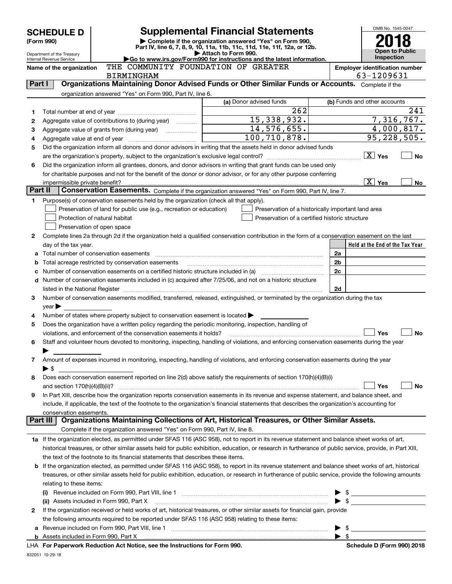|                | <b>SCHEDULE D</b>                                    |                                                                                                        | <b>Supplemental Financial Statements</b>                                                                                                                  |                      | OMB No. 1545-0047                   |
|----------------|------------------------------------------------------|--------------------------------------------------------------------------------------------------------|-----------------------------------------------------------------------------------------------------------------------------------------------------------|----------------------|-------------------------------------|
|                | (Form 990)                                           |                                                                                                        | Complete if the organization answered "Yes" on Form 990,<br>Part IV, line 6, 7, 8, 9, 10, 11a, 11b, 11c, 11d, 11e, 11f, 12a, or 12b.                      |                      |                                     |
|                | Department of the Treasury                           |                                                                                                        | Attach to Form 990.<br>Go to www.irs.gov/Form990 for instructions and the latest information.                                                             |                      | Open to Public<br><b>Inspection</b> |
|                | Internal Revenue Service<br>Name of the organization |                                                                                                        | <b>Employer identification number</b>                                                                                                                     |                      |                                     |
|                |                                                      | THE COMMUNITY FOUNDATION OF GREATER<br><b>BIRMINGHAM</b>                                               |                                                                                                                                                           |                      | 63-1209631                          |
| <b>Part I</b>  |                                                      |                                                                                                        | Organizations Maintaining Donor Advised Funds or Other Similar Funds or Accounts. Complete if the                                                         |                      |                                     |
|                |                                                      | organization answered "Yes" on Form 990, Part IV, line 6.                                              |                                                                                                                                                           |                      |                                     |
|                |                                                      |                                                                                                        | (a) Donor advised funds                                                                                                                                   |                      | (b) Funds and other accounts        |
| 1              |                                                      |                                                                                                        | 262                                                                                                                                                       |                      | 241                                 |
| 2              |                                                      | Aggregate value of contributions to (during year)                                                      | 15, 338, 932.                                                                                                                                             |                      | 7,316,767.                          |
| 3              |                                                      | Aggregate value of grants from (during year)                                                           | $14,576,655$ .<br>100, 710, 878.                                                                                                                          |                      | 4,000,817.<br>95, 228, 505.         |
| 4              |                                                      |                                                                                                        | Did the organization inform all donors and donor advisors in writing that the assets held in donor advised funds                                          |                      |                                     |
| 5              |                                                      |                                                                                                        |                                                                                                                                                           |                      | $ \overline{X} $ Yes<br><b>No</b>   |
| 6              |                                                      |                                                                                                        | Did the organization inform all grantees, donors, and donor advisors in writing that grant funds can be used only                                         |                      |                                     |
|                |                                                      |                                                                                                        | for charitable purposes and not for the benefit of the donor or donor advisor, or for any other purpose conferring                                        |                      |                                     |
|                | impermissible private benefit?                       |                                                                                                        |                                                                                                                                                           |                      | $\overline{X}$ Yes<br>No            |
| <b>Part II</b> |                                                      |                                                                                                        | Conservation Easements. Complete if the organization answered "Yes" on Form 990, Part IV, line 7.                                                         |                      |                                     |
| 1              |                                                      | Purpose(s) of conservation easements held by the organization (check all that apply).                  |                                                                                                                                                           |                      |                                     |
|                |                                                      | Preservation of land for public use (e.g., recreation or education)                                    | Preservation of a historically important land area                                                                                                        |                      |                                     |
|                |                                                      | Protection of natural habitat                                                                          | Preservation of a certified historic structure                                                                                                            |                      |                                     |
|                |                                                      | Preservation of open space                                                                             |                                                                                                                                                           |                      |                                     |
| 2              |                                                      |                                                                                                        | Complete lines 2a through 2d if the organization held a qualified conservation contribution in the form of a conservation easement on the last            |                      |                                     |
|                | day of the tax year.                                 |                                                                                                        |                                                                                                                                                           |                      | Held at the End of the Tax Year     |
|                |                                                      | Total number of conservation easements                                                                 |                                                                                                                                                           | 2a<br>2 <sub>b</sub> |                                     |
| b              |                                                      | Total acreage restricted by conservation easements                                                     |                                                                                                                                                           | 2c                   |                                     |
| d              |                                                      |                                                                                                        | Number of conservation easements included in (c) acquired after 7/25/06, and not on a historic structure                                                  |                      |                                     |
|                |                                                      |                                                                                                        |                                                                                                                                                           | 2d                   |                                     |
| 3              |                                                      |                                                                                                        | Number of conservation easements modified, transferred, released, extinguished, or terminated by the organization during the tax                          |                      |                                     |
|                | $year \triangleright$                                |                                                                                                        |                                                                                                                                                           |                      |                                     |
| 4              |                                                      | Number of states where property subject to conservation easement is located >                          |                                                                                                                                                           |                      |                                     |
| 5              |                                                      | Does the organization have a written policy regarding the periodic monitoring, inspection, handling of |                                                                                                                                                           |                      |                                     |
|                |                                                      | violations, and enforcement of the conservation easements it holds?                                    |                                                                                                                                                           |                      | Yes<br><b>No</b>                    |
| 6              |                                                      |                                                                                                        | Staff and volunteer hours devoted to monitoring, inspecting, handling of violations, and enforcing conservation easements during the year                 |                      |                                     |
|                |                                                      |                                                                                                        |                                                                                                                                                           |                      |                                     |
| 7              | $\blacktriangleright$ \$                             |                                                                                                        | Amount of expenses incurred in monitoring, inspecting, handling of violations, and enforcing conservation easements during the year                       |                      |                                     |
| 8              |                                                      |                                                                                                        | Does each conservation easement reported on line 2(d) above satisfy the requirements of section 170(h)(4)(B)(i)                                           |                      |                                     |
|                | and section $170(h)(4)(B)(ii)?$                      |                                                                                                        |                                                                                                                                                           |                      | Yes<br>No                           |
| 9              |                                                      |                                                                                                        | In Part XIII, describe how the organization reports conservation easements in its revenue and expense statement, and balance sheet, and                   |                      |                                     |
|                |                                                      |                                                                                                        | include, if applicable, the text of the footnote to the organization's financial statements that describes the organization's accounting for              |                      |                                     |
|                | conservation easements.                              |                                                                                                        |                                                                                                                                                           |                      |                                     |
|                | <b>Part III</b>                                      |                                                                                                        | Organizations Maintaining Collections of Art, Historical Treasures, or Other Similar Assets.                                                              |                      |                                     |
|                |                                                      | Complete if the organization answered "Yes" on Form 990, Part IV, line 8.                              |                                                                                                                                                           |                      |                                     |
|                |                                                      |                                                                                                        | 1a If the organization elected, as permitted under SFAS 116 (ASC 958), not to report in its revenue statement and balance sheet works of art,             |                      |                                     |
|                |                                                      |                                                                                                        | historical treasures, or other similar assets held for public exhibition, education, or research in furtherance of public service, provide, in Part XIII, |                      |                                     |
|                |                                                      | the text of the footnote to its financial statements that describes these items.                       | If the organization elected, as permitted under SFAS 116 (ASC 958), to report in its revenue statement and balance sheet works of art, historical         |                      |                                     |
| b              |                                                      |                                                                                                        | treasures, or other similar assets held for public exhibition, education, or research in furtherance of public service, provide the following amounts     |                      |                                     |
|                | relating to these items:                             |                                                                                                        |                                                                                                                                                           |                      |                                     |
|                |                                                      |                                                                                                        |                                                                                                                                                           |                      | $\frac{1}{2}$                       |
|                |                                                      | (ii) Assets included in Form 990, Part X                                                               |                                                                                                                                                           |                      |                                     |
| 2              |                                                      |                                                                                                        | If the organization received or held works of art, historical treasures, or other similar assets for financial gain, provide                              |                      |                                     |
|                |                                                      | the following amounts required to be reported under SFAS 116 (ASC 958) relating to these items:        |                                                                                                                                                           |                      |                                     |
|                |                                                      | a Revenue included on Form 990, Part VIII, line 1                                                      |                                                                                                                                                           |                      | - \$                                |

|  |  |  |  |  | LHA For Paperwork Reduction Act Notice, see the Instructions for Form 990 |  |  |  |
|--|--|--|--|--|---------------------------------------------------------------------------|--|--|--|
|--|--|--|--|--|---------------------------------------------------------------------------|--|--|--|

 $\blacktriangleright$  \$

**b** Assets included in Form 990, Part X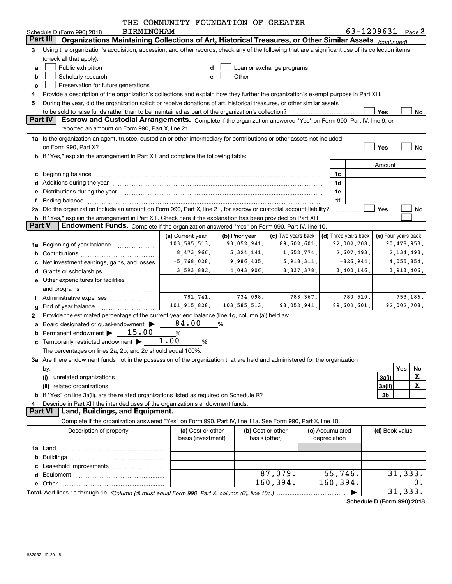|        |                                                                                                                                                                                                                                | THE COMMUNITY FOUNDATION OF GREATER     |                |                                                                                                                                                                                                                                |          |                                 |          |                        |             |
|--------|--------------------------------------------------------------------------------------------------------------------------------------------------------------------------------------------------------------------------------|-----------------------------------------|----------------|--------------------------------------------------------------------------------------------------------------------------------------------------------------------------------------------------------------------------------|----------|---------------------------------|----------|------------------------|-------------|
|        | <b>BIRMINGHAM</b><br>Schedule D (Form 990) 2018                                                                                                                                                                                |                                         |                |                                                                                                                                                                                                                                |          |                                 |          | 63-1209631 $_{Page}$ 2 |             |
|        | Organizations Maintaining Collections of Art, Historical Treasures, or Other Similar Assets (continued)<br>Part III                                                                                                            |                                         |                |                                                                                                                                                                                                                                |          |                                 |          |                        |             |
| 3      | Using the organization's acquisition, accession, and other records, check any of the following that are a significant use of its collection items                                                                              |                                         |                |                                                                                                                                                                                                                                |          |                                 |          |                        |             |
|        | (check all that apply):                                                                                                                                                                                                        |                                         |                |                                                                                                                                                                                                                                |          |                                 |          |                        |             |
| a      | Public exhibition                                                                                                                                                                                                              |                                         |                | Loan or exchange programs                                                                                                                                                                                                      |          |                                 |          |                        |             |
| b      | Scholarly research                                                                                                                                                                                                             | е                                       |                | Other the contract of the contract of the contract of the contract of the contract of the contract of the contract of the contract of the contract of the contract of the contract of the contract of the contract of the cont |          |                                 |          |                        |             |
| с      | Preservation for future generations                                                                                                                                                                                            |                                         |                |                                                                                                                                                                                                                                |          |                                 |          |                        |             |
| 4      | Provide a description of the organization's collections and explain how they further the organization's exempt purpose in Part XIII.                                                                                           |                                         |                |                                                                                                                                                                                                                                |          |                                 |          |                        |             |
| 5      | During the year, did the organization solicit or receive donations of art, historical treasures, or other similar assets<br>to be sold to raise funds rather than to be maintained as part of the organization's collection?   |                                         |                |                                                                                                                                                                                                                                |          |                                 |          | Yes                    | No          |
|        | Part IV<br>Escrow and Custodial Arrangements. Complete if the organization answered "Yes" on Form 990, Part IV, line 9, or                                                                                                     |                                         |                |                                                                                                                                                                                                                                |          |                                 |          |                        |             |
|        | reported an amount on Form 990, Part X, line 21.                                                                                                                                                                               |                                         |                |                                                                                                                                                                                                                                |          |                                 |          |                        |             |
|        | 1a Is the organization an agent, trustee, custodian or other intermediary for contributions or other assets not included                                                                                                       |                                         |                |                                                                                                                                                                                                                                |          |                                 |          |                        |             |
|        |                                                                                                                                                                                                                                |                                         |                |                                                                                                                                                                                                                                |          |                                 |          | Yes                    | <b>No</b>   |
|        | <b>b</b> If "Yes," explain the arrangement in Part XIII and complete the following table:                                                                                                                                      |                                         |                |                                                                                                                                                                                                                                |          |                                 |          |                        |             |
|        |                                                                                                                                                                                                                                |                                         |                |                                                                                                                                                                                                                                |          |                                 |          | Amount                 |             |
|        | c Beginning balance                                                                                                                                                                                                            |                                         |                |                                                                                                                                                                                                                                |          | 1c                              |          |                        |             |
|        | d Additions during the year manufactured and an account of the year manufactured and account of the year manufactured and account of the year manufactured and account of the year manufactured and account of the year manufa |                                         |                |                                                                                                                                                                                                                                |          | 1d                              |          |                        |             |
| е      | Distributions during the year manufactured and an account of the year manufactured and the year manufactured and the year manufactured and the year manufactured and the year manufactured and the year manufactured and the y |                                         |                |                                                                                                                                                                                                                                |          | 1e                              |          |                        |             |
| f      |                                                                                                                                                                                                                                |                                         |                |                                                                                                                                                                                                                                |          | 1f                              |          |                        |             |
|        | 2a Did the organization include an amount on Form 990, Part X, line 21, for escrow or custodial account liability?                                                                                                             |                                         |                |                                                                                                                                                                                                                                |          |                                 |          | Yes                    | No          |
|        | b If "Yes," explain the arrangement in Part XIII. Check here if the explanation has been provided on Part XIII                                                                                                                 |                                         |                |                                                                                                                                                                                                                                |          |                                 |          |                        |             |
|        | <b>Part V</b><br><b>Endowment Funds.</b> Complete if the organization answered "Yes" on Form 990, Part IV, line 10.                                                                                                            |                                         |                |                                                                                                                                                                                                                                |          |                                 |          |                        |             |
|        |                                                                                                                                                                                                                                | (a) Current year                        | (b) Prior year | (c) Two years back                                                                                                                                                                                                             |          | (d) Three years back            |          | (e) Four years back    |             |
|        | <b>1a</b> Beginning of year balance <i>manument</i>                                                                                                                                                                            | 103,585,513.                            | 93,052,941.    | 89,602,601.                                                                                                                                                                                                                    |          | 92,002,708.                     |          |                        | 90,478,953. |
| b      |                                                                                                                                                                                                                                | 8,473,966.                              | 5, 324, 141.   | 1,652,774.                                                                                                                                                                                                                     |          | 2,607,493.                      |          |                        | 2,134,493.  |
| с      | Net investment earnings, gains, and losses                                                                                                                                                                                     | $-5,768,028.$                           | 9,986,435.     | 5,918,311.                                                                                                                                                                                                                     |          | $-826,944.$                     |          |                        | 4,055,854.  |
| d      |                                                                                                                                                                                                                                | 3,593,882.                              | 4,043,906.     | 3, 337, 378.                                                                                                                                                                                                                   |          | 3,400,146.                      |          |                        | 3,913,406.  |
|        | e Other expenditures for facilities                                                                                                                                                                                            |                                         |                |                                                                                                                                                                                                                                |          |                                 |          |                        |             |
|        | and programs                                                                                                                                                                                                                   | 781,741.                                | 734,098.       |                                                                                                                                                                                                                                | 783,367. |                                 | 780,510. |                        | 753,186.    |
|        | f Administrative expenses <i></i><br>End of year balance                                                                                                                                                                       | 101, 915, 828.                          | 103,585,513.   | 93,052,941.                                                                                                                                                                                                                    |          | 89,602,601.                     |          |                        | 92,002,708. |
| g<br>2 | Provide the estimated percentage of the current year end balance (line 1g, column (a)) held as:                                                                                                                                |                                         |                |                                                                                                                                                                                                                                |          |                                 |          |                        |             |
|        | a Board designated or quasi-endowment >                                                                                                                                                                                        | 84.00                                   | %              |                                                                                                                                                                                                                                |          |                                 |          |                        |             |
|        | Permanent endowment > 15.00                                                                                                                                                                                                    | $\%$                                    |                |                                                                                                                                                                                                                                |          |                                 |          |                        |             |
|        | <b>c</b> Temporarily restricted endowment $\blacktriangleright$                                                                                                                                                                | 1.00<br>%                               |                |                                                                                                                                                                                                                                |          |                                 |          |                        |             |
|        | The percentages on lines 2a, 2b, and 2c should equal 100%.                                                                                                                                                                     |                                         |                |                                                                                                                                                                                                                                |          |                                 |          |                        |             |
|        | 3a Are there endowment funds not in the possession of the organization that are held and administered for the organization                                                                                                     |                                         |                |                                                                                                                                                                                                                                |          |                                 |          |                        |             |
|        | by:                                                                                                                                                                                                                            |                                         |                |                                                                                                                                                                                                                                |          |                                 |          |                        | Yes<br>No   |
|        | (i)                                                                                                                                                                                                                            |                                         |                |                                                                                                                                                                                                                                |          |                                 |          | 3a(i)                  | X           |
|        |                                                                                                                                                                                                                                |                                         |                |                                                                                                                                                                                                                                |          |                                 |          | 3a(ii)                 | X           |
|        |                                                                                                                                                                                                                                |                                         |                |                                                                                                                                                                                                                                |          |                                 |          | 3b                     |             |
| 4      | Describe in Part XIII the intended uses of the organization's endowment funds.                                                                                                                                                 |                                         |                |                                                                                                                                                                                                                                |          |                                 |          |                        |             |
|        | <b>Part VI</b><br>Land, Buildings, and Equipment.                                                                                                                                                                              |                                         |                |                                                                                                                                                                                                                                |          |                                 |          |                        |             |
|        | Complete if the organization answered "Yes" on Form 990, Part IV, line 11a. See Form 990, Part X, line 10.                                                                                                                     |                                         |                |                                                                                                                                                                                                                                |          |                                 |          |                        |             |
|        | Description of property                                                                                                                                                                                                        | (a) Cost or other<br>basis (investment) | basis (other)  | (b) Cost or other                                                                                                                                                                                                              |          | (c) Accumulated<br>depreciation |          | (d) Book value         |             |
|        |                                                                                                                                                                                                                                |                                         |                |                                                                                                                                                                                                                                |          |                                 |          |                        |             |
| b      |                                                                                                                                                                                                                                |                                         |                |                                                                                                                                                                                                                                |          |                                 |          |                        |             |
| c      |                                                                                                                                                                                                                                |                                         |                |                                                                                                                                                                                                                                |          |                                 |          |                        |             |
| d      |                                                                                                                                                                                                                                |                                         |                | 87,079.                                                                                                                                                                                                                        |          | 55,746.                         |          |                        | 31,333.     |
|        |                                                                                                                                                                                                                                |                                         |                | 160, 394.                                                                                                                                                                                                                      |          | 160,394.                        |          |                        | 0.          |
|        |                                                                                                                                                                                                                                |                                         |                |                                                                                                                                                                                                                                |          |                                 |          |                        | 31, 333.    |

**Schedule D (Form 990) 2018**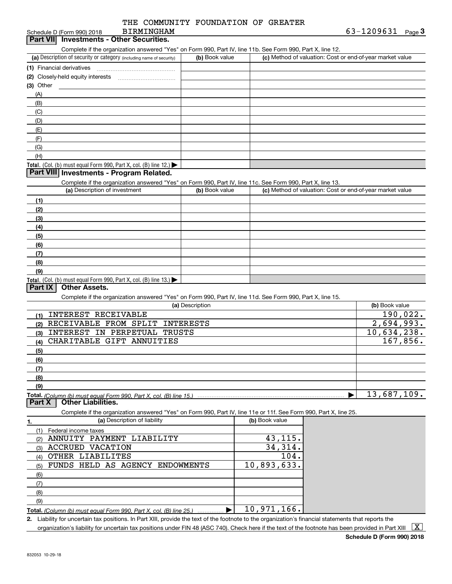|  | THE COMMUNITY FOUNDATION OF GREATER |  |
|--|-------------------------------------|--|
|  |                                     |  |

#### Schedule D (Form 990) 2018 **Part VII Investments - Other Securities.** BIRMINGHAM

Complete if the organization answered "Yes" on Form 990, Part IV, line 11b. See Form 990, Part X, line 12.

| (a) Description of security or category (including name of security)       | (b) Book value | (c) Method of valuation: Cost or end-of-year market value |
|----------------------------------------------------------------------------|----------------|-----------------------------------------------------------|
| (1) Financial derivatives                                                  |                |                                                           |
| (2) Closely-held equity interests                                          |                |                                                           |
| $(3)$ Other                                                                |                |                                                           |
| (A)                                                                        |                |                                                           |
| (B)                                                                        |                |                                                           |
| (C)                                                                        |                |                                                           |
| (D)                                                                        |                |                                                           |
| (E)                                                                        |                |                                                           |
| (F)                                                                        |                |                                                           |
| (G)                                                                        |                |                                                           |
| (H)                                                                        |                |                                                           |
| <b>Total.</b> (Col. (b) must equal Form 990, Part X, col. (B) line $12$ .) |                |                                                           |

#### **Part VIII Investments - Program Related.**

Complete if the organization answered "Yes" on Form 990, Part IV, line 11c. See Form 990, Part X, line 13.

| (a) Description of investment                                       | (b) Book value | (c) Method of valuation: Cost or end-of-year market value |
|---------------------------------------------------------------------|----------------|-----------------------------------------------------------|
| (1)                                                                 |                |                                                           |
| (2)                                                                 |                |                                                           |
| $\frac{1}{2}$                                                       |                |                                                           |
| (4)                                                                 |                |                                                           |
| $\left(5\right)$                                                    |                |                                                           |
| (6)                                                                 |                |                                                           |
| (7)                                                                 |                |                                                           |
| (8)                                                                 |                |                                                           |
| (9)                                                                 |                |                                                           |
| Total. (Col. (b) must equal Form 990, Part X, col. (B) line $13.$ ) |                |                                                           |

#### **Part IX Other Assets.**

Complete if the organization answered "Yes" on Form 990, Part IV, line 11d. See Form 990, Part X, line 15.

| (a) Description                                                    | (b) Book value |
|--------------------------------------------------------------------|----------------|
| INTEREST RECEIVABLE<br>(1)                                         | 190,022.       |
| RECEIVABLE FROM SPLIT INTERESTS<br>(2)                             | 2,694,993.     |
| INTEREST IN PERPETUAL TRUSTS<br>(3)                                | 10,634,238.    |
| CHARITABLE GIFT ANNUITIES<br>(4)                                   | 167,856.       |
| (5)                                                                |                |
| (6)                                                                |                |
| (7)                                                                |                |
| (8)                                                                |                |
| (9)                                                                |                |
| Total. (Column (b) must equal Form 990, Part X, col. (B) line 15.) | 13,687,109.    |

**Part X Other Liabilities.**

Complete if the organization answered "Yes" on Form 990, Part IV, line 11e or 11f. See Form 990, Part X, line 25.

|     | (a) Description of liability                                                      | (b) Book value    |
|-----|-----------------------------------------------------------------------------------|-------------------|
|     | Federal income taxes                                                              |                   |
|     | ANNUITY PAYMENT LIABILITY                                                         | 43,115.           |
| (3  | <b>ACCRUED VACATION</b>                                                           | 34,314.           |
| (4) | OTHER LIABILITES                                                                  | 104.              |
| (5) | FUNDS HELD AS AGENCY ENDOWMENTS                                                   | 10,893,633.       |
| (6) |                                                                                   |                   |
|     |                                                                                   |                   |
| (8) |                                                                                   |                   |
| (9) |                                                                                   |                   |
|     | $T \circ t \circ 1$ (0.1  4) $T = 1$ $T = 0.000$ $R = 1$ $M = 1$ $(R)$ $T = 0.51$ | 971<br>166<br>1 በ |

**Total.** (Column (b) must equal Form 990, Part X, col. (B) line 25.) ................ ▶ 10,971,166.

**2.** Liability for uncertain tax positions. In Part XIII, provide the text of the footnote to the organization's financial statements that reports the organization's liability for uncertain tax positions under FIN 48 (ASC 740). Check here if the text of the footnote has been provided in Part XIII  $~\boxed{\rm X}$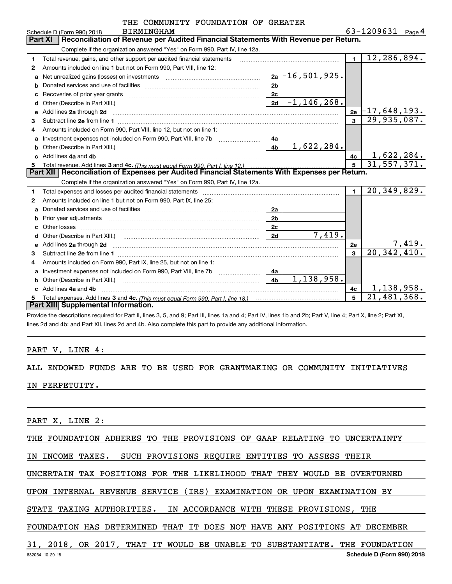|              | THE COMMUNITY FOUNDATION OF GREATER                                                                                                                                                                                                 |                              |                |                             |
|--------------|-------------------------------------------------------------------------------------------------------------------------------------------------------------------------------------------------------------------------------------|------------------------------|----------------|-----------------------------|
|              | <b>BIRMINGHAM</b><br>Schedule D (Form 990) 2018                                                                                                                                                                                     |                              |                | 63-1209631 Page 4           |
|              | Reconciliation of Revenue per Audited Financial Statements With Revenue per Return.<br><b>Part XI</b>                                                                                                                               |                              |                |                             |
|              | Complete if the organization answered "Yes" on Form 990, Part IV, line 12a.                                                                                                                                                         |                              |                |                             |
| 1            | Total revenue, gains, and other support per audited financial statements                                                                                                                                                            |                              | $\blacksquare$ | 12,286,894.                 |
| $\mathbf{2}$ | Amounts included on line 1 but not on Form 990, Part VIII, line 12:                                                                                                                                                                 |                              |                |                             |
| a            |                                                                                                                                                                                                                                     | $2a - 16, 501, 925.$         |                |                             |
| b            |                                                                                                                                                                                                                                     | 2 <sub>b</sub>               |                |                             |
| c            |                                                                                                                                                                                                                                     | 2c                           |                |                             |
| d            |                                                                                                                                                                                                                                     | $-1, 146, 268.$<br>2d        |                |                             |
| е            | Add lines 2a through 2d                                                                                                                                                                                                             |                              | 2e             | $-17$ ,648,193.             |
| 3            |                                                                                                                                                                                                                                     |                              | 3              | 29,935,087.                 |
| 4            | Amounts included on Form 990, Part VIII, line 12, but not on line 1:                                                                                                                                                                |                              |                |                             |
| a            | Investment expenses not included on Form 990, Part VIII, line 7b                                                                                                                                                                    | 4a                           |                |                             |
|              | Other (Describe in Part XIII.)                                                                                                                                                                                                      | 1,622,284.<br>4 <sub>b</sub> |                |                             |
|              | Add lines 4a and 4b                                                                                                                                                                                                                 |                              | 4с             | 1,622,284.                  |
| 5            |                                                                                                                                                                                                                                     |                              | 5              | 31,557,371.                 |
|              | Part XII   Reconciliation of Expenses per Audited Financial Statements With Expenses per Return.                                                                                                                                    |                              |                |                             |
|              | Complete if the organization answered "Yes" on Form 990, Part IV, line 12a.                                                                                                                                                         |                              |                |                             |
| 1            |                                                                                                                                                                                                                                     |                              | $\blacksquare$ | $\overline{20}$ , 349, 829. |
| 2            | Amounts included on line 1 but not on Form 990, Part IX, line 25:                                                                                                                                                                   |                              |                |                             |
| a            |                                                                                                                                                                                                                                     | 2a                           |                |                             |
| b            | Prior year adjustments communications and the contract of the contract of the contract of the contract of the                                                                                                                       | 2 <sub>b</sub>               |                |                             |
|              |                                                                                                                                                                                                                                     | 2c                           |                |                             |
|              |                                                                                                                                                                                                                                     | 7,419.<br>2d                 |                |                             |
|              | e Add lines 2a through 2d <b>contract and a contract and a contract a</b> contract a contract and a contract a contract a contract a contract a contract a contract a contract a contract a contract a contract a contract a contra |                              | 2e             | $\frac{7,419}{20,342,410}$  |
| 3            |                                                                                                                                                                                                                                     |                              | 3              |                             |
| 4            | Amounts included on Form 990, Part IX, line 25, but not on line 1:                                                                                                                                                                  |                              |                |                             |
| a            | Investment expenses not included on Form 990, Part VIII, line 7b                                                                                                                                                                    | 4a                           |                |                             |
| b            | Other (Describe in Part XIII.) <b>Construction Contract Construction</b> Chern Construction Construction Construction                                                                                                               | 1,138,958.<br>4 <sub>h</sub> |                |                             |
|              | Add lines 4a and 4b                                                                                                                                                                                                                 |                              | 4c             | 1,138,958.                  |
| 5            |                                                                                                                                                                                                                                     |                              | 5              | 21,481,368.                 |
|              | Part XIII Supplemental Information.                                                                                                                                                                                                 |                              |                |                             |

Provide the descriptions required for Part II, lines 3, 5, and 9; Part III, lines 1a and 4; Part IV, lines 1b and 2b; Part V, line 4; Part X, line 2; Part XI, lines 2d and 4b; and Part XII, lines 2d and 4b. Also complete this part to provide any additional information.

#### PART V, LINE 4:

ALL ENDOWED FUNDS ARE TO BE USED FOR GRANTMAKING OR COMMUNITY INITIATIVES IN PERPETUITY.

PART X, LINE 2:

THE FOUNDATION ADHERES TO THE PROVISIONS OF GAAP RELATING TO UNCERTAINTY

IN INCOME TAXES. SUCH PROVISIONS REQUIRE ENTITIES TO ASSESS THEIR

UNCERTAIN TAX POSITIONS FOR THE LIKELIHOOD THAT THEY WOULD BE OVERTURNED

UPON INTERNAL REVENUE SERVICE (IRS) EXAMINATION OR UPON EXAMINATION BY

STATE TAXING AUTHORITIES. IN ACCORDANCE WITH THESE PROVISIONS, THE

FOUNDATION HAS DETERMINED THAT IT DOES NOT HAVE ANY POSITIONS AT DECEMBER

31, 2018, OR 2017, THAT IT WOULD BE UNABLE TO SUBSTANTIATE. THE FOUNDATION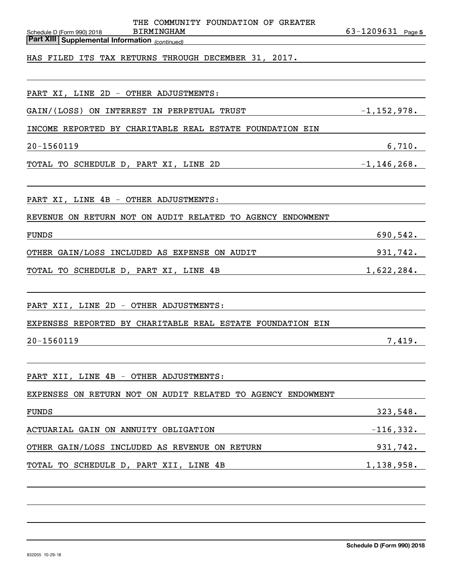| THE COMMUNITY FOUNDATION OF GREATER<br><b>BIRMINGHAM</b><br>Schedule D (Form 990) 2018 | $63 - 1209631$ Page 5 |
|----------------------------------------------------------------------------------------|-----------------------|
| <b>Part XIII Supplemental Information</b> (continued)                                  |                       |
| HAS FILED ITS TAX RETURNS THROUGH DECEMBER 31, 2017.                                   |                       |
|                                                                                        |                       |
| PART XI, LINE 2D - OTHER ADJUSTMENTS:                                                  |                       |
| GAIN/(LOSS)<br>ON INTEREST<br>IN PERPETUAL TRUST                                       | $-1, 152, 978.$       |
| INCOME REPORTED BY CHARITABLE REAL ESTATE FOUNDATION EIN                               |                       |
|                                                                                        |                       |
| 20-1560119                                                                             | 6,710.                |
| TOTAL TO SCHEDULE D, PART XI, LINE 2D                                                  | $-1, 146, 268.$       |
|                                                                                        |                       |
| PART XI, LINE 4B - OTHER ADJUSTMENTS:                                                  |                       |
| REVENUE ON RETURN NOT ON AUDIT RELATED TO AGENCY ENDOWMENT                             |                       |
| <b>FUNDS</b>                                                                           | 690,542.              |
| OTHER GAIN/LOSS INCLUDED AS EXPENSE ON AUDIT                                           | 931,742.              |
| TOTAL TO SCHEDULE D, PART XI, LINE 4B                                                  | 1,622,284.            |
|                                                                                        |                       |
| PART XII, LINE 2D - OTHER ADJUSTMENTS:                                                 |                       |
| EXPENSES REPORTED BY CHARITABLE REAL ESTATE FOUNDATION EIN                             |                       |
| 20-1560119                                                                             | 7,419.                |
|                                                                                        |                       |
| PART XII, LINE 4B - OTHER ADJUSTMENTS:                                                 |                       |
| EXPENSES ON RETURN NOT ON AUDIT RELATED TO AGENCY ENDOWMENT                            |                       |
| FUNDS                                                                                  |                       |
| $-116,332.$<br>ACTUARIAL GAIN ON ANNUITY OBLIGATION                                    |                       |
| OTHER GAIN/LOSS INCLUDED AS REVENUE ON RETURN                                          | 931,742.              |
| TOTAL TO SCHEDULE D, PART XII, LINE 4B<br>$1,138,958$ .                                |                       |
|                                                                                        |                       |
|                                                                                        |                       |
|                                                                                        |                       |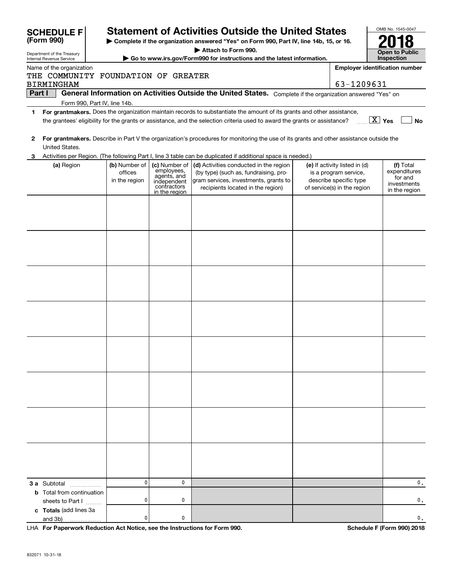|   | <b>SCHEDULE F</b>                                                                                                                              |                                                                                        |                                                                                           | <b>Statement of Activities Outside the United States</b>                                                                                                      |  |                                                                                                                 | OMB No. 1545-0047                                                    |  |  |  |  |  |
|---|------------------------------------------------------------------------------------------------------------------------------------------------|----------------------------------------------------------------------------------------|-------------------------------------------------------------------------------------------|---------------------------------------------------------------------------------------------------------------------------------------------------------------|--|-----------------------------------------------------------------------------------------------------------------|----------------------------------------------------------------------|--|--|--|--|--|
|   | (Form 990)                                                                                                                                     | Complete if the organization answered "Yes" on Form 990, Part IV, line 14b, 15, or 16. |                                                                                           |                                                                                                                                                               |  |                                                                                                                 |                                                                      |  |  |  |  |  |
|   | Department of the Treasury<br>Internal Revenue Service                                                                                         |                                                                                        |                                                                                           | Attach to Form 990.<br>Go to www.irs.gov/Form990 for instructions and the latest information.                                                                 |  |                                                                                                                 | Open to Public<br>Inspection                                         |  |  |  |  |  |
|   | <b>Employer identification number</b><br>Name of the organization<br>THE COMMUNITY FOUNDATION OF GREATER                                       |                                                                                        |                                                                                           |                                                                                                                                                               |  |                                                                                                                 |                                                                      |  |  |  |  |  |
|   | 63-1209631<br><b>BIRMINGHAM</b><br>General Information on Activities Outside the United States. Complete if the organization answered "Yes" on |                                                                                        |                                                                                           |                                                                                                                                                               |  |                                                                                                                 |                                                                      |  |  |  |  |  |
|   | Part I                                                                                                                                         | Form 990, Part IV, line 14b.                                                           |                                                                                           |                                                                                                                                                               |  |                                                                                                                 |                                                                      |  |  |  |  |  |
| 1 |                                                                                                                                                |                                                                                        |                                                                                           | For grantmakers. Does the organization maintain records to substantiate the amount of its grants and other assistance,                                        |  |                                                                                                                 |                                                                      |  |  |  |  |  |
|   |                                                                                                                                                |                                                                                        |                                                                                           | the grantees' eligibility for the grants or assistance, and the selection criteria used to award the grants or assistance?                                    |  |                                                                                                                 | $\boxed{\text{X}}$ Yes<br>No                                         |  |  |  |  |  |
| 2 | United States.                                                                                                                                 |                                                                                        |                                                                                           | For grantmakers. Describe in Part V the organization's procedures for monitoring the use of its grants and other assistance outside the                       |  |                                                                                                                 |                                                                      |  |  |  |  |  |
|   |                                                                                                                                                |                                                                                        |                                                                                           | Activities per Region. (The following Part I, line 3 table can be duplicated if additional space is needed.)                                                  |  |                                                                                                                 |                                                                      |  |  |  |  |  |
|   | (a) Region                                                                                                                                     | (b) Number of<br>offices<br>in the region                                              | (c) Number of<br>employees,<br>agents, and<br>independent<br>contractors<br>in the region | (d) Activities conducted in the region<br>(by type) (such as, fundraising, pro-<br>gram services, investments, grants to<br>recipients located in the region) |  | (e) If activity listed in (d)<br>is a program service,<br>describe specific type<br>of service(s) in the region | (f) Total<br>expenditures<br>for and<br>investments<br>in the region |  |  |  |  |  |
|   |                                                                                                                                                |                                                                                        |                                                                                           |                                                                                                                                                               |  |                                                                                                                 |                                                                      |  |  |  |  |  |
|   |                                                                                                                                                |                                                                                        |                                                                                           |                                                                                                                                                               |  |                                                                                                                 |                                                                      |  |  |  |  |  |
|   |                                                                                                                                                |                                                                                        |                                                                                           |                                                                                                                                                               |  |                                                                                                                 |                                                                      |  |  |  |  |  |
|   |                                                                                                                                                |                                                                                        |                                                                                           |                                                                                                                                                               |  |                                                                                                                 |                                                                      |  |  |  |  |  |
|   |                                                                                                                                                |                                                                                        |                                                                                           |                                                                                                                                                               |  |                                                                                                                 |                                                                      |  |  |  |  |  |
|   |                                                                                                                                                |                                                                                        |                                                                                           |                                                                                                                                                               |  |                                                                                                                 |                                                                      |  |  |  |  |  |
|   |                                                                                                                                                |                                                                                        |                                                                                           |                                                                                                                                                               |  |                                                                                                                 |                                                                      |  |  |  |  |  |
|   |                                                                                                                                                |                                                                                        |                                                                                           |                                                                                                                                                               |  |                                                                                                                 |                                                                      |  |  |  |  |  |
|   | <b>3 a</b> Subtotal                                                                                                                            | 0                                                                                      | 0                                                                                         |                                                                                                                                                               |  |                                                                                                                 | 0.                                                                   |  |  |  |  |  |
|   | <b>b</b> Total from continuation                                                                                                               |                                                                                        |                                                                                           |                                                                                                                                                               |  |                                                                                                                 |                                                                      |  |  |  |  |  |
|   | sheets to Part I<br>c Totals (add lines 3a<br>and 3b)                                                                                          | 0<br>0                                                                                 | 0<br>0                                                                                    |                                                                                                                                                               |  |                                                                                                                 | 0.<br>0.                                                             |  |  |  |  |  |

**For Paperwork Reduction Act Notice, see the Instructions for Form 990. Schedule F (Form 990) 2018** LHA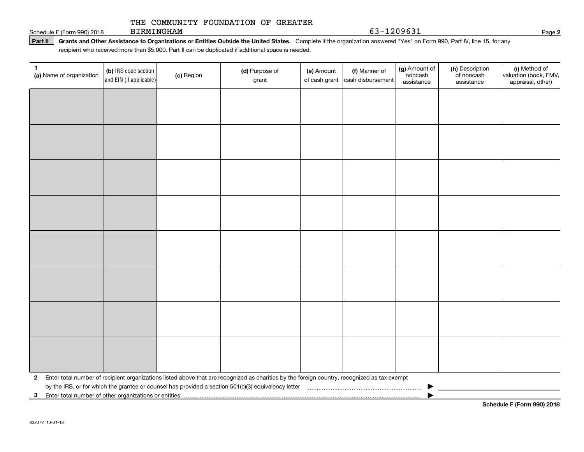#### THE COMMUNITY FOUNDATION OF GREATER BIRMINGHAM

Schedule F (Form 990) 2018 BIRMINGHAM  $63-1209631$ 

Part II | Grants and Other Assistance to Organizations or Entities Outside the United States. Complete if the organization answered "Yes" on Form 990, Part IV, line 15, for any recipient who received more than \$5,000. Part II can be duplicated if additional space is needed.

| 1<br>(a) Name of organization                           | (b) IRS code section<br>and EIN (if applicable) | (c) Region | (d) Purpose of<br>grant                                                                                                                      | (e) Amount<br>of cash grant | (f) Manner of<br>cash disbursement | (g) Amount of<br>noncash<br>assistance | (h) Description<br>of noncash<br>assistance | (i) Method of<br>valuation (book, FMV,<br>appraisal, other) |
|---------------------------------------------------------|-------------------------------------------------|------------|----------------------------------------------------------------------------------------------------------------------------------------------|-----------------------------|------------------------------------|----------------------------------------|---------------------------------------------|-------------------------------------------------------------|
|                                                         |                                                 |            |                                                                                                                                              |                             |                                    |                                        |                                             |                                                             |
|                                                         |                                                 |            |                                                                                                                                              |                             |                                    |                                        |                                             |                                                             |
|                                                         |                                                 |            |                                                                                                                                              |                             |                                    |                                        |                                             |                                                             |
|                                                         |                                                 |            |                                                                                                                                              |                             |                                    |                                        |                                             |                                                             |
|                                                         |                                                 |            |                                                                                                                                              |                             |                                    |                                        |                                             |                                                             |
|                                                         |                                                 |            |                                                                                                                                              |                             |                                    |                                        |                                             |                                                             |
|                                                         |                                                 |            |                                                                                                                                              |                             |                                    |                                        |                                             |                                                             |
|                                                         |                                                 |            |                                                                                                                                              |                             |                                    |                                        |                                             |                                                             |
|                                                         |                                                 |            |                                                                                                                                              |                             |                                    |                                        |                                             |                                                             |
|                                                         |                                                 |            |                                                                                                                                              |                             |                                    |                                        |                                             |                                                             |
|                                                         |                                                 |            |                                                                                                                                              |                             |                                    |                                        |                                             |                                                             |
|                                                         |                                                 |            |                                                                                                                                              |                             |                                    |                                        |                                             |                                                             |
|                                                         |                                                 |            |                                                                                                                                              |                             |                                    |                                        |                                             |                                                             |
|                                                         |                                                 |            |                                                                                                                                              |                             |                                    |                                        |                                             |                                                             |
|                                                         |                                                 |            |                                                                                                                                              |                             |                                    |                                        |                                             |                                                             |
|                                                         |                                                 |            |                                                                                                                                              |                             |                                    |                                        |                                             |                                                             |
| $\mathbf{2}$                                            |                                                 |            | Enter total number of recipient organizations listed above that are recognized as charities by the foreign country, recognized as tax-exempt |                             |                                    |                                        |                                             |                                                             |
| 3 Enter total number of other organizations or entities |                                                 |            |                                                                                                                                              |                             |                                    |                                        |                                             |                                                             |

**2**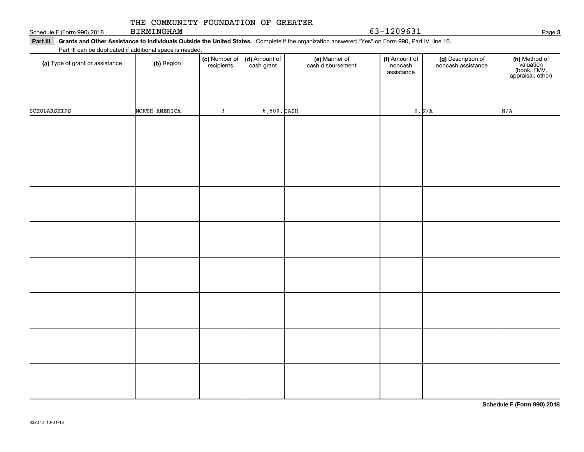| (a) Type or grant or assistance | <b>(b)</b> Region | recipients   | cash grant       | cash disbursement | noncash<br>assistance | noncash assistance | valuation<br>(book, FMV,<br>appraisal, other) |
|---------------------------------|-------------------|--------------|------------------|-------------------|-----------------------|--------------------|-----------------------------------------------|
|                                 |                   |              |                  |                   |                       |                    |                                               |
| SCHOLARSHIPS                    | NORTH AMERICA     | $\mathbf{3}$ | $6,500$ . $CASH$ |                   |                       | 0. N/A             | N/A                                           |
|                                 |                   |              |                  |                   |                       |                    |                                               |
|                                 |                   |              |                  |                   |                       |                    |                                               |
|                                 |                   |              |                  |                   |                       |                    |                                               |
|                                 |                   |              |                  |                   |                       |                    |                                               |
|                                 |                   |              |                  |                   |                       |                    |                                               |
|                                 |                   |              |                  |                   |                       |                    |                                               |
|                                 |                   |              |                  |                   |                       |                    |                                               |
|                                 |                   |              |                  |                   |                       |                    |                                               |
|                                 |                   |              |                  |                   |                       |                    |                                               |
|                                 |                   |              |                  |                   |                       |                    |                                               |
|                                 |                   |              |                  |                   |                       |                    |                                               |
|                                 |                   |              |                  |                   |                       |                    |                                               |
|                                 |                   |              |                  |                   |                       |                    |                                               |
|                                 |                   |              |                  |                   |                       |                    |                                               |
|                                 |                   |              |                  |                   |                       |                    |                                               |
|                                 |                   |              |                  |                   |                       |                    |                                               |
|                                 |                   |              |                  |                   |                       |                    |                                               |
|                                 |                   |              |                  |                   |                       |                    |                                               |
|                                 |                   |              |                  |                   |                       |                    |                                               |
|                                 |                   |              |                  |                   |                       |                    |                                               |
|                                 |                   |              |                  |                   |                       |                    |                                               |

#### Schedule F (Form 990) 2018 BIRMINGHAM  $63-1209631$ THE COMMUNITY FOUNDATION OF GREATER BIRMINGHAM

 $\overline{\phantom{a}}$ 

832073 10-31-18

# Part III Grants and Other Assistance to Individuals Outside the United States. Complete if the organization answered "Yes" on Form 990, Part IV, line 16.

(c) Number of recipients

(d) Amount of cash grant

#### Part III can be duplicated if additional space is needed.

**(a)** Type of grant or assistance  $\qquad$  **(b)** Region

noncash assistance

(f) Amount of noncash

**(c)** Number of **| (d)** Amount of **| (e)** Manner of **| (f)** Amount of **| (g)** Description of **| (h)** 

(e) Manner of cash disbursement (h) Method of

**Schedule F (Form 990) 2018**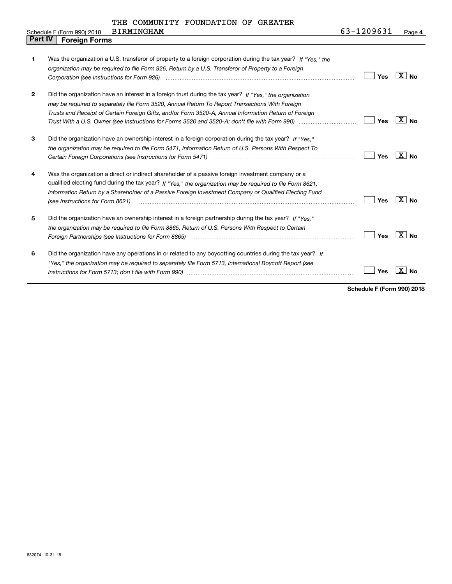|                | <b>BIRMINGHAM</b><br>Schedule F (Form 990) 2018                                                                                                                                                                                                                                                                                                                | 63-1209631 | Page 4              |
|----------------|----------------------------------------------------------------------------------------------------------------------------------------------------------------------------------------------------------------------------------------------------------------------------------------------------------------------------------------------------------------|------------|---------------------|
| <b>Part IV</b> | <b>Foreign Forms</b>                                                                                                                                                                                                                                                                                                                                           |            |                     |
| 1              | Was the organization a U.S. transferor of property to a foreign corporation during the tax year? If "Yes." the<br>organization may be required to file Form 926, Return by a U.S. Transferor of Property to a Foreign<br>Corporation (see Instructions for Form 926) <i>manual content content corporation</i> (see Instructions for Form 926)                 | Yes        | $X \mid No$         |
| $\mathbf{2}$   | Did the organization have an interest in a foreign trust during the tax year? If "Yes." the organization<br>may be required to separately file Form 3520, Annual Return To Report Transactions With Foreign<br>Trusts and Receipt of Certain Foreign Gifts, and/or Form 3520-A, Annual Information Return of Foreign                                           | Yes        | $X \mid No$         |
| 3              | Did the organization have an ownership interest in a foreign corporation during the tax year? If "Yes."<br>the organization may be required to file Form 5471, Information Return of U.S. Persons With Respect To<br>Certain Foreign Corporations (see Instructions for Form 5471) <i>manded contained contained corporation</i> contained to                  | Yes        | $X \mid No$         |
| 4              | Was the organization a direct or indirect shareholder of a passive foreign investment company or a<br>qualified electing fund during the tax year? If "Yes," the organization may be required to file Form 8621,<br>Information Return by a Shareholder of a Passive Foreign Investment Company or Qualified Electing Fund<br>(see Instructions for Form 8621) | Yes        | $X \mid No$         |
| 5              | Did the organization have an ownership interest in a foreign partnership during the tax year? If "Yes."<br>the organization may be required to file Form 8865, Return of U.S. Persons With Respect to Certain                                                                                                                                                  | Yes        | $\overline{X}$   No |
| 6              | Did the organization have any operations in or related to any boycotting countries during the tax year? If<br>"Yes," the organization may be reguired to separately file Form 5713, International Boycott Report (see                                                                                                                                          | Yes        | x<br>No             |

**Schedule F (Form 990) 2018**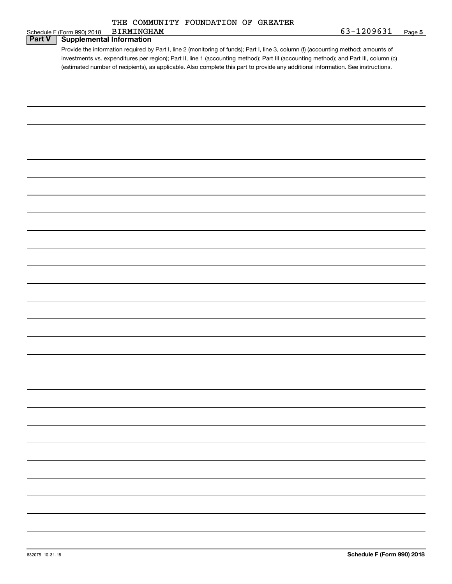| THE COMMUNITY FOUNDATION OF GREATER |
|-------------------------------------|
|-------------------------------------|

|               | THE CONNONITI LOONDAILON OF ORENTER<br><b>BIRMINGHAM</b>                                                                              | 63-1209631 |        |
|---------------|---------------------------------------------------------------------------------------------------------------------------------------|------------|--------|
| <b>Part V</b> | Schedule F (Form 990) 2018<br><b>Supplemental Information</b>                                                                         |            | Page 5 |
|               |                                                                                                                                       |            |        |
|               | Provide the information required by Part I, line 2 (monitoring of funds); Part I, line 3, column (f) (accounting method; amounts of   |            |        |
|               | investments vs. expenditures per region); Part II, line 1 (accounting method); Part III (accounting method); and Part III, column (c) |            |        |
|               | (estimated number of recipients), as applicable. Also complete this part to provide any additional information. See instructions.     |            |        |
|               |                                                                                                                                       |            |        |
|               |                                                                                                                                       |            |        |
|               |                                                                                                                                       |            |        |
|               |                                                                                                                                       |            |        |
|               |                                                                                                                                       |            |        |
|               |                                                                                                                                       |            |        |
|               |                                                                                                                                       |            |        |
|               |                                                                                                                                       |            |        |
|               |                                                                                                                                       |            |        |
|               |                                                                                                                                       |            |        |
|               |                                                                                                                                       |            |        |
|               |                                                                                                                                       |            |        |
|               |                                                                                                                                       |            |        |
|               |                                                                                                                                       |            |        |
|               |                                                                                                                                       |            |        |
|               |                                                                                                                                       |            |        |
|               |                                                                                                                                       |            |        |
|               |                                                                                                                                       |            |        |
|               |                                                                                                                                       |            |        |
|               |                                                                                                                                       |            |        |
|               |                                                                                                                                       |            |        |
|               |                                                                                                                                       |            |        |
|               |                                                                                                                                       |            |        |
|               |                                                                                                                                       |            |        |
|               |                                                                                                                                       |            |        |
|               |                                                                                                                                       |            |        |
|               |                                                                                                                                       |            |        |
|               |                                                                                                                                       |            |        |
|               |                                                                                                                                       |            |        |
|               |                                                                                                                                       |            |        |
|               |                                                                                                                                       |            |        |
|               |                                                                                                                                       |            |        |
|               |                                                                                                                                       |            |        |
|               |                                                                                                                                       |            |        |
|               |                                                                                                                                       |            |        |
|               |                                                                                                                                       |            |        |
|               |                                                                                                                                       |            |        |
|               |                                                                                                                                       |            |        |
|               |                                                                                                                                       |            |        |
|               |                                                                                                                                       |            |        |
|               |                                                                                                                                       |            |        |
|               |                                                                                                                                       |            |        |
|               |                                                                                                                                       |            |        |
|               |                                                                                                                                       |            |        |
|               |                                                                                                                                       |            |        |
|               |                                                                                                                                       |            |        |
|               |                                                                                                                                       |            |        |
|               |                                                                                                                                       |            |        |
|               |                                                                                                                                       |            |        |
|               |                                                                                                                                       |            |        |
|               |                                                                                                                                       |            |        |
|               |                                                                                                                                       |            |        |
|               |                                                                                                                                       |            |        |
|               |                                                                                                                                       |            |        |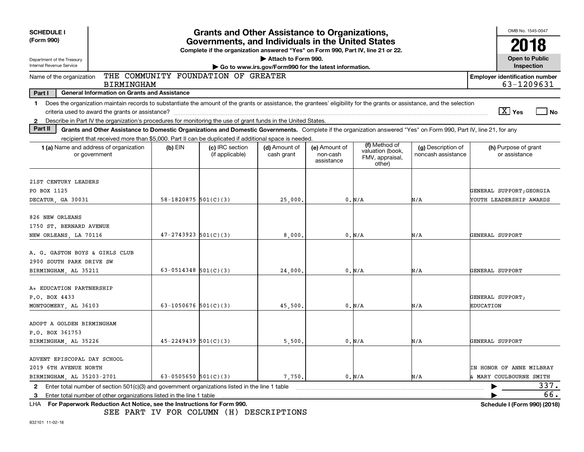| <b>SCHEDULE I</b><br>(Form 990)                                                                                               | <b>Grants and Other Assistance to Organizations,</b><br>Governments, and Individuals in the United States                                                                |                          |                                                                                  |                                                                              |                                         |                                                                |                                          |                  | OMB No. 1545-0047                     |             |
|-------------------------------------------------------------------------------------------------------------------------------|--------------------------------------------------------------------------------------------------------------------------------------------------------------------------|--------------------------|----------------------------------------------------------------------------------|------------------------------------------------------------------------------|-----------------------------------------|----------------------------------------------------------------|------------------------------------------|------------------|---------------------------------------|-------------|
|                                                                                                                               |                                                                                                                                                                          |                          | Complete if the organization answered "Yes" on Form 990, Part IV, line 21 or 22. |                                                                              |                                         | 2018                                                           |                                          |                  |                                       |             |
| Department of the Treasury<br>Internal Revenue Service                                                                        |                                                                                                                                                                          |                          |                                                                                  | Attach to Form 990.<br>Go to www.irs.gov/Form990 for the latest information. |                                         |                                                                |                                          |                  | <b>Open to Public</b><br>Inspection   |             |
| THE COMMUNITY FOUNDATION OF GREATER<br>Name of the organization<br><b>Employer identification number</b><br><b>BIRMINGHAM</b> |                                                                                                                                                                          |                          |                                                                                  |                                                                              |                                         |                                                                |                                          |                  |                                       | 63-1209631  |
| Part I                                                                                                                        | General Information on Grants and Assistance                                                                                                                             |                          |                                                                                  |                                                                              |                                         |                                                                |                                          |                  |                                       |             |
| $\mathbf 1$                                                                                                                   | Does the organization maintain records to substantiate the amount of the grants or assistance, the grantees' eligibility for the grants or assistance, and the selection |                          |                                                                                  |                                                                              |                                         |                                                                |                                          |                  |                                       |             |
|                                                                                                                               | criteria used to award the grants or assistance?                                                                                                                         |                          |                                                                                  |                                                                              |                                         |                                                                |                                          |                  | $\boxed{\text{X}}$ Yes                | l No        |
| $\mathbf{2}$                                                                                                                  | Describe in Part IV the organization's procedures for monitoring the use of grant funds in the United States.                                                            |                          |                                                                                  |                                                                              |                                         |                                                                |                                          |                  |                                       |             |
| Part II                                                                                                                       | Grants and Other Assistance to Domestic Organizations and Domestic Governments. Complete if the organization answered "Yes" on Form 990, Part IV, line 21, for any       |                          |                                                                                  |                                                                              |                                         |                                                                |                                          |                  |                                       |             |
|                                                                                                                               | recipient that received more than \$5,000. Part II can be duplicated if additional space is needed.<br><b>1 (a)</b> Name and address of organization<br>or government    | $(b)$ EIN                | (c) IRC section<br>(if applicable)                                               | (d) Amount of<br>cash grant                                                  | (e) Amount of<br>non-cash<br>assistance | (f) Method of<br>valuation (book,<br>FMV, appraisal,<br>other) | (g) Description of<br>noncash assistance |                  | (h) Purpose of grant<br>or assistance |             |
|                                                                                                                               |                                                                                                                                                                          |                          |                                                                                  |                                                                              |                                         |                                                                |                                          |                  |                                       |             |
| 21ST CENTURY LEADERS                                                                                                          |                                                                                                                                                                          |                          |                                                                                  |                                                                              |                                         |                                                                |                                          |                  |                                       |             |
| PO BOX 1125                                                                                                                   |                                                                                                                                                                          |                          |                                                                                  |                                                                              |                                         |                                                                |                                          |                  | GENERAL SUPPORT; GEORGIA              |             |
| DECATUR, GA 30031                                                                                                             |                                                                                                                                                                          | 58-1820875 $501(C)(3)$   |                                                                                  | 25,000                                                                       |                                         | 0. N/A                                                         | N/A                                      |                  | YOUTH LEADERSHIP AWARDS               |             |
| 826 NEW ORLEANS                                                                                                               |                                                                                                                                                                          |                          |                                                                                  |                                                                              |                                         |                                                                |                                          |                  |                                       |             |
| 1750 ST. BERNARD AVENUE                                                                                                       |                                                                                                                                                                          |                          |                                                                                  |                                                                              |                                         |                                                                |                                          |                  |                                       |             |
| NEW ORLEANS, LA 70116                                                                                                         |                                                                                                                                                                          | $47 - 2743923$ 501(C)(3) |                                                                                  | 8,000.                                                                       |                                         | 0. N/A                                                         | N/A                                      | GENERAL SUPPORT  |                                       |             |
|                                                                                                                               |                                                                                                                                                                          |                          |                                                                                  |                                                                              |                                         |                                                                |                                          |                  |                                       |             |
| A. G. GASTON BOYS & GIRLS CLUB                                                                                                |                                                                                                                                                                          |                          |                                                                                  |                                                                              |                                         |                                                                |                                          |                  |                                       |             |
| 2900 SOUTH PARK DRIVE SW                                                                                                      |                                                                                                                                                                          |                          |                                                                                  |                                                                              |                                         |                                                                |                                          |                  |                                       |             |
| BIRMINGHAM, AL 35211                                                                                                          |                                                                                                                                                                          | 63-0514348 $501(C)(3)$   |                                                                                  | 24,000                                                                       |                                         | 0. N/A                                                         | N/A                                      | GENERAL SUPPORT  |                                       |             |
| A+ EDUCATION PARTNERSHIP                                                                                                      |                                                                                                                                                                          |                          |                                                                                  |                                                                              |                                         |                                                                |                                          |                  |                                       |             |
| P.O. BOX 4433                                                                                                                 |                                                                                                                                                                          |                          |                                                                                  |                                                                              |                                         |                                                                |                                          |                  | GENERAL SUPPORT;                      |             |
| MONTGOMERY, AL 36103                                                                                                          |                                                                                                                                                                          | 63-1050676 $501(C)(3)$   |                                                                                  | 45,500.                                                                      |                                         | 0. N/A                                                         | N/A                                      | <b>EDUCATION</b> |                                       |             |
|                                                                                                                               |                                                                                                                                                                          |                          |                                                                                  |                                                                              |                                         |                                                                |                                          |                  |                                       |             |
| ADOPT A GOLDEN BIRMINGHAM                                                                                                     |                                                                                                                                                                          |                          |                                                                                  |                                                                              |                                         |                                                                |                                          |                  |                                       |             |
| P.O. BOX 361753                                                                                                               |                                                                                                                                                                          |                          |                                                                                  |                                                                              |                                         |                                                                |                                          |                  |                                       |             |
| BIRMINGHAM, AL 35226                                                                                                          |                                                                                                                                                                          | $45 - 2249439$ 501(C)(3) |                                                                                  | 5,500                                                                        |                                         | 0. N/A                                                         | N/A                                      | GENERAL SUPPORT  |                                       |             |
|                                                                                                                               |                                                                                                                                                                          |                          |                                                                                  |                                                                              |                                         |                                                                |                                          |                  |                                       |             |
| ADVENT EPISCOPAL DAY SCHOOL                                                                                                   |                                                                                                                                                                          |                          |                                                                                  |                                                                              |                                         |                                                                |                                          |                  |                                       |             |
| 2019 6TH AVENUE NORTH                                                                                                         |                                                                                                                                                                          |                          |                                                                                  |                                                                              |                                         |                                                                |                                          |                  | <b>IN HONOR OF ANNE MILBRAY</b>       |             |
| BIRMINGHAM, AL 35203-2701                                                                                                     |                                                                                                                                                                          | 63-0505650 $501(C)(3)$   |                                                                                  | 7,750.                                                                       |                                         | 0. N/A                                                         | N/A                                      |                  | & MARY COULBOURNE SMITH               |             |
| $\mathbf{2}$                                                                                                                  | Enter total number of section 501(c)(3) and government organizations listed in the line 1 table                                                                          |                          |                                                                                  |                                                                              |                                         |                                                                |                                          |                  |                                       | 337.<br>66. |
| 3                                                                                                                             | Enter total number of other organizations listed in the line 1 table<br>LHA For Paperwork Reduction Act Notice, see the Instructions for Form 990.                       |                          |                                                                                  |                                                                              |                                         |                                                                |                                          |                  | Schedule I (Form 990) (2018)          |             |
|                                                                                                                               |                                                                                                                                                                          |                          |                                                                                  |                                                                              |                                         |                                                                |                                          |                  |                                       |             |

SEE PART IV FOR COLUMN (H) DESCRIPTIONS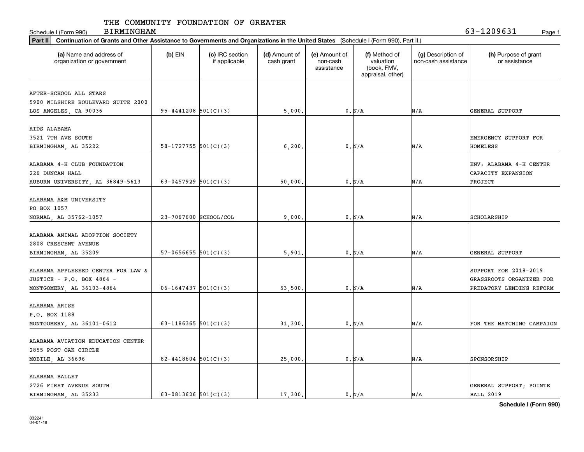Schedule I (Form 990) Page 1

BIRMINGHAM 63-1209631

| Part II   Continuation of Grants and Other Assistance to Governments and Organizations in the United States (Schedule I (Form 990), Part II.) |                          |                                  |                             |                                         |                                                                |                                           |                                       |  |
|-----------------------------------------------------------------------------------------------------------------------------------------------|--------------------------|----------------------------------|-----------------------------|-----------------------------------------|----------------------------------------------------------------|-------------------------------------------|---------------------------------------|--|
| (a) Name and address of<br>organization or government                                                                                         | $(b)$ EIN                | (c) IRC section<br>if applicable | (d) Amount of<br>cash grant | (e) Amount of<br>non-cash<br>assistance | (f) Method of<br>valuation<br>(book, FMV,<br>appraisal, other) | (g) Description of<br>non-cash assistance | (h) Purpose of grant<br>or assistance |  |
|                                                                                                                                               |                          |                                  |                             |                                         |                                                                |                                           |                                       |  |
| AFTER-SCHOOL ALL STARS                                                                                                                        |                          |                                  |                             |                                         |                                                                |                                           |                                       |  |
| 5900 WILSHIRE BOULEVARD SUITE 2000                                                                                                            |                          |                                  |                             |                                         |                                                                |                                           |                                       |  |
| LOS ANGELES, CA 90036                                                                                                                         | $95 - 4441208$ 501(C)(3) |                                  | 5,000.                      |                                         | 0. N/A                                                         | N/A                                       | GENERAL SUPPORT                       |  |
| AIDS ALABAMA                                                                                                                                  |                          |                                  |                             |                                         |                                                                |                                           |                                       |  |
|                                                                                                                                               |                          |                                  |                             |                                         |                                                                |                                           |                                       |  |
| 3521 7TH AVE SOUTH                                                                                                                            |                          |                                  |                             |                                         |                                                                |                                           | EMERGENCY SUPPORT FOR                 |  |
| BIRMINGHAM, AL 35222                                                                                                                          | 58-1727755 $501(C)(3)$   |                                  | 6,200                       |                                         | 0. N/A                                                         | N/A                                       | HOMELESS                              |  |
| ALABAMA 4-H CLUB FOUNDATION                                                                                                                   |                          |                                  |                             |                                         |                                                                |                                           | ENV: ALABAMA 4-H CENTER               |  |
| 226 DUNCAN HALL                                                                                                                               |                          |                                  |                             |                                         |                                                                |                                           | CAPACITY EXPANSION                    |  |
|                                                                                                                                               |                          |                                  |                             |                                         |                                                                |                                           |                                       |  |
| AUBURN UNIVERSITY, AL 36849-5613                                                                                                              | 63-0457929 $501(C)(3)$   |                                  | 50,000                      |                                         | 0. N/A                                                         | N/A                                       | PROJECT                               |  |
| ALABAMA A&M UNIVERSITY                                                                                                                        |                          |                                  |                             |                                         |                                                                |                                           |                                       |  |
|                                                                                                                                               |                          |                                  |                             |                                         |                                                                |                                           |                                       |  |
| PO BOX 1057                                                                                                                                   |                          |                                  |                             |                                         |                                                                |                                           |                                       |  |
| NORMAL, AL 35762-1057                                                                                                                         | 23-7067600 SCHOOL/COL    |                                  | 9,000                       |                                         | 0. N/A                                                         | N/A                                       | SCHOLARSHIP                           |  |
|                                                                                                                                               |                          |                                  |                             |                                         |                                                                |                                           |                                       |  |
| ALABAMA ANIMAL ADOPTION SOCIETY                                                                                                               |                          |                                  |                             |                                         |                                                                |                                           |                                       |  |
| 2808 CRESCENT AVENUE                                                                                                                          |                          |                                  |                             |                                         |                                                                |                                           |                                       |  |
| BIRMINGHAM, AL 35209                                                                                                                          | $57-0656655$ $501(C)(3)$ |                                  | 5,901                       |                                         | 0. N/A                                                         | N/A                                       | GENERAL SUPPORT                       |  |
|                                                                                                                                               |                          |                                  |                             |                                         |                                                                |                                           |                                       |  |
| ALABAMA APPLESEED CENTER FOR LAW &                                                                                                            |                          |                                  |                             |                                         |                                                                |                                           | SUPPORT FOR 2018-2019                 |  |
| JUSTICE - P.O. BOX 4864 -                                                                                                                     |                          |                                  |                             |                                         |                                                                |                                           | GRASSROOTS ORGANIZER FOR              |  |
| MONTGOMERY, AL 36103-4864                                                                                                                     | $06 - 1647437$ 501(C)(3) |                                  | 53,500                      |                                         | 0. N/A                                                         | N/A                                       | PREDATORY LENDING REFORM              |  |
|                                                                                                                                               |                          |                                  |                             |                                         |                                                                |                                           |                                       |  |
| ALABAMA ARISE                                                                                                                                 |                          |                                  |                             |                                         |                                                                |                                           |                                       |  |
| P.O. BOX 1188                                                                                                                                 |                          |                                  |                             |                                         |                                                                |                                           |                                       |  |
| MONTGOMERY, AL 36101-0612                                                                                                                     | 63-1186365 $501(C)(3)$   |                                  | 31,300                      |                                         | 0. N/A                                                         | N/A                                       | FOR THE MATCHING CAMPAIGN             |  |
|                                                                                                                                               |                          |                                  |                             |                                         |                                                                |                                           |                                       |  |
| ALABAMA AVIATION EDUCATION CENTER                                                                                                             |                          |                                  |                             |                                         |                                                                |                                           |                                       |  |
| 2855 POST OAK CIRCLE                                                                                                                          |                          |                                  |                             |                                         |                                                                |                                           |                                       |  |
| MOBILE, AL 36696                                                                                                                              | $82 - 4418604$ 501(C)(3) |                                  | 25,000                      |                                         | 0. N/A                                                         | N/A                                       | SPONSORSHIP                           |  |
| ALABAMA BALLET                                                                                                                                |                          |                                  |                             |                                         |                                                                |                                           |                                       |  |
|                                                                                                                                               |                          |                                  |                             |                                         |                                                                |                                           |                                       |  |
| 2726 FIRST AVENUE SOUTH                                                                                                                       |                          |                                  |                             |                                         |                                                                |                                           | GENERAL SUPPORT; POINTE               |  |
| BIRMINGHAM, AL 35233                                                                                                                          | 63-0813626 $501(C)(3)$   |                                  | 17,300.                     |                                         | 0. N/A                                                         | N/A                                       | <b>BALL 2019</b>                      |  |

**Schedule I (Form 990)**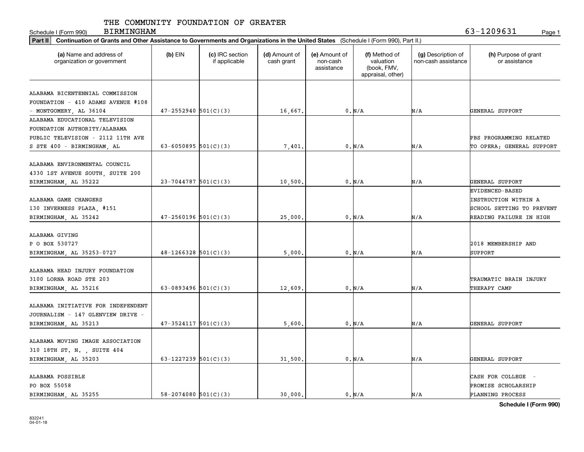Schedule I (Form 990) Page 1 BIRMINGHAM 63-1209631

| Part II   Continuation of Grants and Other Assistance to Governments and Organizations in the United States (Schedule I (Form 990), Part II.) |                            |                                  |                             |                                         |                                                                |                                           |                                                                                    |  |
|-----------------------------------------------------------------------------------------------------------------------------------------------|----------------------------|----------------------------------|-----------------------------|-----------------------------------------|----------------------------------------------------------------|-------------------------------------------|------------------------------------------------------------------------------------|--|
| (a) Name and address of<br>organization or government                                                                                         | $(b)$ EIN                  | (c) IRC section<br>if applicable | (d) Amount of<br>cash grant | (e) Amount of<br>non-cash<br>assistance | (f) Method of<br>valuation<br>(book, FMV,<br>appraisal, other) | (g) Description of<br>non-cash assistance | (h) Purpose of grant<br>or assistance                                              |  |
|                                                                                                                                               |                            |                                  |                             |                                         |                                                                |                                           |                                                                                    |  |
| ALABAMA BICENTENNIAL COMMISSION                                                                                                               |                            |                                  |                             |                                         |                                                                |                                           |                                                                                    |  |
| FOUNDATION - 410 ADAMS AVENUE #108                                                                                                            |                            |                                  |                             |                                         |                                                                |                                           |                                                                                    |  |
| - MONTGOMERY, AL 36104                                                                                                                        | $47 - 2552940$ $501(C)(3)$ |                                  | 16,667.                     |                                         | 0. N/A                                                         | N/A                                       | GENERAL SUPPORT                                                                    |  |
| ALABAMA EDUCATIONAL TELEVISION                                                                                                                |                            |                                  |                             |                                         |                                                                |                                           |                                                                                    |  |
| FOUNDATION AUTHORITY/ALABAMA                                                                                                                  |                            |                                  |                             |                                         |                                                                |                                           |                                                                                    |  |
| PUBLIC TELEVISION - 2112 11TH AVE                                                                                                             |                            |                                  |                             |                                         |                                                                |                                           | PBS PROGRAMMING RELATED                                                            |  |
| S STE 400 - BIRMINGHAM, AL                                                                                                                    | $63 - 6050895$ $501(C)(3)$ |                                  | 7,401                       |                                         | 0. N/A                                                         | N/A                                       | TO OPERA; GENERAL SUPPORT                                                          |  |
| ALABAMA ENVIRONMENTAL COUNCIL                                                                                                                 |                            |                                  |                             |                                         |                                                                |                                           |                                                                                    |  |
| 4330 1ST AVENUE SOUTH, SUITE 200                                                                                                              |                            |                                  |                             |                                         |                                                                |                                           |                                                                                    |  |
| BIRMINGHAM, AL 35222                                                                                                                          | $23 - 7044787$ 501(C)(3)   |                                  | 10,500                      |                                         | 0. N/A                                                         | N/A                                       | GENERAL SUPPORT                                                                    |  |
| ALABAMA GAME CHANGERS<br>130 INVERNESS PLAZA, #151                                                                                            |                            |                                  |                             |                                         |                                                                |                                           | <b>EVIDENCED-BASED</b><br><b>INSTRUCTION WITHIN A</b><br>SCHOOL SETTING TO PREVENT |  |
| BIRMINGHAM, AL 35242                                                                                                                          | $47 - 2560196$ 501(C)(3)   |                                  | 25,000                      |                                         | 0. N/A                                                         | N/A                                       | READING FAILURE IN HIGH                                                            |  |
| ALABAMA GIVING<br>P O BOX 530727<br>BIRMINGHAM, AL 35253-0727                                                                                 | $48-1266328$ 501(C)(3)     |                                  | 5,000                       |                                         | 0. N/A                                                         | N/A                                       | 2018 MEMBERSHIP AND<br>SUPPORT                                                     |  |
| ALABAMA HEAD INJURY FOUNDATION<br>3100 LORNA ROAD STE 203<br>BIRMINGHAM, AL 35216                                                             | 63-0893496 $501(C)(3)$     |                                  | 12,609                      |                                         | 0. N/A                                                         | N/A                                       | TRAUMATIC BRAIN INJURY<br>THERAPY CAMP                                             |  |
| ALABAMA INITIATIVE FOR INDEPENDENT<br>JOURNALISM - 147 GLENVIEW DRIVE -<br>BIRMINGHAM, AL 35213                                               | $47-3524117$ $501(C)(3)$   |                                  | 5,600                       |                                         | 0. N/A                                                         | N/A                                       | GENERAL SUPPORT                                                                    |  |
| ALABAMA MOVING IMAGE ASSOCIATION<br>310 18TH ST. N. , SUITE 404<br>BIRMINGHAM, AL 35203                                                       | 63-1227239 $501(C)(3)$     |                                  | 31,500                      |                                         | 0. N/A                                                         | N/A                                       | GENERAL SUPPORT                                                                    |  |
| ALABAMA POSSIBLE<br>PO BOX 55058<br>BIRMINGHAM, AL 35255                                                                                      | $58 - 2074080$ $501(C)(3)$ |                                  | 30,000                      |                                         | 0. N/A                                                         | N/A                                       | CASH FOR COLLEGE -<br>PROMISE SCHOLARSHIP<br>PLANNING PROCESS                      |  |

**Schedule I (Form 990)**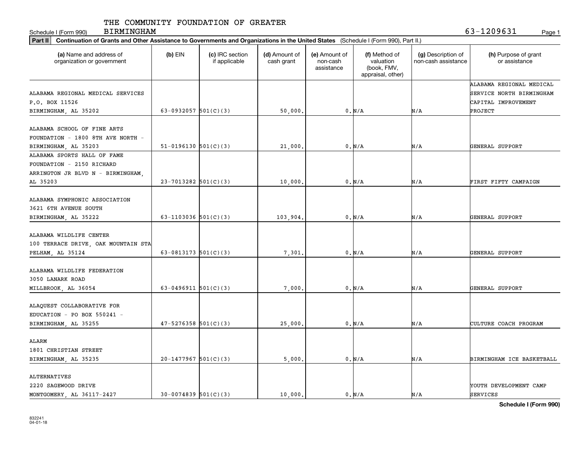Schedule I (Form 990) Page 1

BIRMINGHAM 63-1209631

| Part II   Continuation of Grants and Other Assistance to Governments and Organizations in the United States (Schedule I (Form 990), Part II.) |                            |                                  |                             |                                         |                                                                |                                           |                                       |
|-----------------------------------------------------------------------------------------------------------------------------------------------|----------------------------|----------------------------------|-----------------------------|-----------------------------------------|----------------------------------------------------------------|-------------------------------------------|---------------------------------------|
| (a) Name and address of<br>organization or government                                                                                         | $(b)$ EIN                  | (c) IRC section<br>if applicable | (d) Amount of<br>cash grant | (e) Amount of<br>non-cash<br>assistance | (f) Method of<br>valuation<br>(book, FMV,<br>appraisal, other) | (g) Description of<br>non-cash assistance | (h) Purpose of grant<br>or assistance |
|                                                                                                                                               |                            |                                  |                             |                                         |                                                                |                                           | ALABAMA REGIONAL MEDICAL              |
| ALABAMA REGIONAL MEDICAL SERVICES                                                                                                             |                            |                                  |                             |                                         |                                                                |                                           | SERVICE NORTH BIRMINGHAM              |
| P.O. BOX 11526                                                                                                                                |                            |                                  |                             |                                         |                                                                |                                           | CAPITAL IMPROVEMENT                   |
| BIRMINGHAM, AL 35202                                                                                                                          | 63-0932057 $501(C)(3)$     |                                  | 50,000.                     |                                         | 0. N/A                                                         | N/A                                       | PROJECT                               |
|                                                                                                                                               |                            |                                  |                             |                                         |                                                                |                                           |                                       |
| ALABAMA SCHOOL OF FINE ARTS                                                                                                                   |                            |                                  |                             |                                         |                                                                |                                           |                                       |
| FOUNDATION - 1800 8TH AVE NORTH -                                                                                                             |                            |                                  |                             |                                         |                                                                |                                           |                                       |
| BIRMINGHAM, AL 35203<br>ALABAMA SPORTS HALL OF FAME                                                                                           | $51-0196130$ $501(C)(3)$   |                                  | 21,000                      |                                         | 0. N/A                                                         | N/A                                       | GENERAL SUPPORT                       |
| FOUNDATION - 2150 RICHARD                                                                                                                     |                            |                                  |                             |                                         |                                                                |                                           |                                       |
|                                                                                                                                               |                            |                                  |                             |                                         |                                                                |                                           |                                       |
| ARRINGTON JR BLVD N - BIRMINGHAM,<br>AL 35203                                                                                                 | $23 - 7013282$ 501(C)(3)   |                                  | 10,000                      |                                         | 0. N/A                                                         | N/A                                       | FIRST FIFTY CAMPAIGN                  |
|                                                                                                                                               |                            |                                  |                             |                                         |                                                                |                                           |                                       |
| ALABAMA SYMPHONIC ASSOCIATION                                                                                                                 |                            |                                  |                             |                                         |                                                                |                                           |                                       |
| 3621 6TH AVENUE SOUTH                                                                                                                         |                            |                                  |                             |                                         |                                                                |                                           |                                       |
| BIRMINGHAM, AL 35222                                                                                                                          | 63-1103036 $501(C)(3)$     |                                  | 103,904                     |                                         | 0. N/A                                                         | N/A                                       | GENERAL SUPPORT                       |
|                                                                                                                                               |                            |                                  |                             |                                         |                                                                |                                           |                                       |
| ALABAMA WILDLIFE CENTER                                                                                                                       |                            |                                  |                             |                                         |                                                                |                                           |                                       |
| 100 TERRACE DRIVE, OAK MOUNTAIN STA                                                                                                           |                            |                                  |                             |                                         |                                                                |                                           |                                       |
| PELHAM, AL 35124                                                                                                                              | 63-0813173 $501(C)(3)$     |                                  | 7,301                       |                                         | 0. N/A                                                         | N/A                                       | GENERAL SUPPORT                       |
|                                                                                                                                               |                            |                                  |                             |                                         |                                                                |                                           |                                       |
| ALABAMA WILDLIFE FEDERATION                                                                                                                   |                            |                                  |                             |                                         |                                                                |                                           |                                       |
| 3050 LANARK ROAD                                                                                                                              |                            |                                  |                             |                                         |                                                                |                                           |                                       |
| MILLBROOK, AL 36054                                                                                                                           | $63 - 0496911$ $501(C)(3)$ |                                  | 7,000                       |                                         | 0. N/A                                                         | N/A                                       | GENERAL SUPPORT                       |
|                                                                                                                                               |                            |                                  |                             |                                         |                                                                |                                           |                                       |
| ALAQUEST COLLABORATIVE FOR                                                                                                                    |                            |                                  |                             |                                         |                                                                |                                           |                                       |
| EDUCATION - PO BOX 550241 -                                                                                                                   |                            |                                  |                             |                                         |                                                                |                                           |                                       |
| BIRMINGHAM, AL 35255                                                                                                                          | $47 - 5276358$ 501(C)(3)   |                                  | 25,000                      |                                         | 0. N/A                                                         | N/A                                       | CULTURE COACH PROGRAM                 |
|                                                                                                                                               |                            |                                  |                             |                                         |                                                                |                                           |                                       |
| ALARM                                                                                                                                         |                            |                                  |                             |                                         |                                                                |                                           |                                       |
| 1801 CHRISTIAN STREET                                                                                                                         |                            |                                  |                             |                                         |                                                                |                                           |                                       |
| BIRMINGHAM, AL 35235                                                                                                                          | $20-1477967$ 501(C)(3)     |                                  | 5,000                       |                                         | 0. N/A                                                         | N/A                                       | BIRMINGHAM ICE BASKETBALL             |
|                                                                                                                                               |                            |                                  |                             |                                         |                                                                |                                           |                                       |
| ALTERNATIVES                                                                                                                                  |                            |                                  |                             |                                         |                                                                |                                           |                                       |
| 2220 SAGEWOOD DRIVE                                                                                                                           |                            |                                  |                             |                                         |                                                                |                                           | YOUTH DEVELOPMENT CAMP                |
| MONTGOMERY AL 36117-2427                                                                                                                      | $30-0074839$ 501(C)(3)     |                                  | 10,000.                     |                                         | 0. N/A                                                         | N/A                                       | SERVICES                              |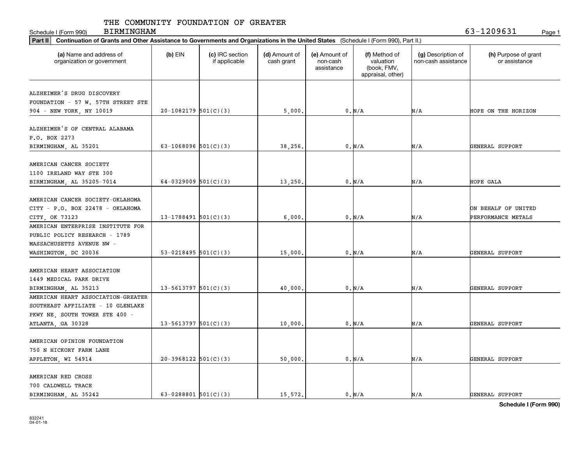Schedule I (Form 990) Page 1

BIRMINGHAM 63-1209631

| Part II   Continuation of Grants and Other Assistance to Governments and Organizations in the United States (Schedule I (Form 990), Part II.) |                          |                                  |                             |                                         |                                                                |                                           |                                       |
|-----------------------------------------------------------------------------------------------------------------------------------------------|--------------------------|----------------------------------|-----------------------------|-----------------------------------------|----------------------------------------------------------------|-------------------------------------------|---------------------------------------|
| (a) Name and address of<br>organization or government                                                                                         | $(b)$ EIN                | (c) IRC section<br>if applicable | (d) Amount of<br>cash grant | (e) Amount of<br>non-cash<br>assistance | (f) Method of<br>valuation<br>(book, FMV,<br>appraisal, other) | (g) Description of<br>non-cash assistance | (h) Purpose of grant<br>or assistance |
|                                                                                                                                               |                          |                                  |                             |                                         |                                                                |                                           |                                       |
| ALZHEIMER'S DRUG DISCOVERY                                                                                                                    |                          |                                  |                             |                                         |                                                                |                                           |                                       |
| FOUNDATION - 57 W. 57TH STREET STE                                                                                                            |                          |                                  |                             |                                         |                                                                |                                           |                                       |
| 904 - NEW YORK, NY 10019                                                                                                                      | $20-1082179$ 501(C)(3)   |                                  | 5,000                       |                                         | 0. N/A                                                         | N/A                                       | HOPE ON THE HORIZON                   |
| ALZHEIMER'S OF CENTRAL ALABAMA                                                                                                                |                          |                                  |                             |                                         |                                                                |                                           |                                       |
| P.O. BOX 2273                                                                                                                                 |                          |                                  |                             |                                         |                                                                |                                           |                                       |
| BIRMINGHAM, AL 35201                                                                                                                          | 63-1068096 $501(C)(3)$   |                                  | 38,256                      |                                         | 0. N/A                                                         | N/A                                       | GENERAL SUPPORT                       |
|                                                                                                                                               |                          |                                  |                             |                                         |                                                                |                                           |                                       |
| AMERICAN CANCER SOCIETY                                                                                                                       |                          |                                  |                             |                                         |                                                                |                                           |                                       |
| 1100 IRELAND WAY STE 300                                                                                                                      |                          |                                  |                             |                                         |                                                                |                                           |                                       |
| BIRMINGHAM, AL 35205-7014                                                                                                                     | 64-0329009 $501(C)(3)$   |                                  | 13,250.                     |                                         | 0. N/A                                                         | N/A                                       | HOPE GALA                             |
|                                                                                                                                               |                          |                                  |                             |                                         |                                                                |                                           |                                       |
| AMERICAN CANCER SOCIETY-OKLAHOMA                                                                                                              |                          |                                  |                             |                                         |                                                                |                                           |                                       |
| CITY - P.O. BOX 22478 - OKLAHOMA                                                                                                              |                          |                                  |                             |                                         |                                                                |                                           | ON BEHALF OF UNITED                   |
| CITY, OK 73123                                                                                                                                | $13 - 1788491$ 501(C)(3) |                                  | 6,000                       |                                         | 0. N/A                                                         | N/A                                       | PERFORMANCE METALS                    |
| AMERICAN ENTERPRISE INSTITUTE FOR                                                                                                             |                          |                                  |                             |                                         |                                                                |                                           |                                       |
| PUBLIC POLICY RESEARCH - 1789                                                                                                                 |                          |                                  |                             |                                         |                                                                |                                           |                                       |
| MASSACHUSETTS AVENUE NW -                                                                                                                     |                          |                                  |                             |                                         |                                                                |                                           |                                       |
| WASHINGTON, DC 20036                                                                                                                          | 53-0218495 $501(C)(3)$   |                                  | 15,000                      |                                         | 0. N/A                                                         | N/A                                       | GENERAL SUPPORT                       |
|                                                                                                                                               |                          |                                  |                             |                                         |                                                                |                                           |                                       |
| AMERICAN HEART ASSOCIATION                                                                                                                    |                          |                                  |                             |                                         |                                                                |                                           |                                       |
| 1449 MEDICAL PARK DRIVE                                                                                                                       |                          |                                  |                             |                                         |                                                                |                                           |                                       |
| BIRMINGHAM, AL 35213                                                                                                                          | $13 - 5613797$ 501(C)(3) |                                  | 40,000                      |                                         | 0. N/A                                                         | N/A                                       | GENERAL SUPPORT                       |
| AMERICAN HEART ASSOCIATION-GREATER                                                                                                            |                          |                                  |                             |                                         |                                                                |                                           |                                       |
| SOUTHEAST AFFILIATE - 10 GLENLAKE                                                                                                             |                          |                                  |                             |                                         |                                                                |                                           |                                       |
| PKWY NE, SOUTH TOWER STE 400 -                                                                                                                |                          |                                  |                             |                                         |                                                                |                                           |                                       |
| ATLANTA, GA 30328                                                                                                                             | $13 - 5613797$ 501(C)(3) |                                  | 10,000                      |                                         | 0. N/A                                                         | N/A                                       | GENERAL SUPPORT                       |
|                                                                                                                                               |                          |                                  |                             |                                         |                                                                |                                           |                                       |
| AMERICAN OPINION FOUNDATION                                                                                                                   |                          |                                  |                             |                                         |                                                                |                                           |                                       |
| 750 N HICKORY FARM LANE                                                                                                                       |                          |                                  |                             |                                         |                                                                |                                           |                                       |
| APPLETON, WI 54914                                                                                                                            | $20-3968122$ 501(C)(3)   |                                  | 50,000                      |                                         | 0. N/A                                                         | N/A                                       | GENERAL SUPPORT                       |
|                                                                                                                                               |                          |                                  |                             |                                         |                                                                |                                           |                                       |
| AMERICAN RED CROSS                                                                                                                            |                          |                                  |                             |                                         |                                                                |                                           |                                       |
| 700 CALDWELL TRACE                                                                                                                            |                          |                                  |                             |                                         |                                                                |                                           |                                       |
| BIRMINGHAM AL 35242                                                                                                                           | 63-0288801 $501(C)(3)$   |                                  | 15,572.                     |                                         | 0. N/A                                                         | N/A                                       | GENERAL SUPPORT                       |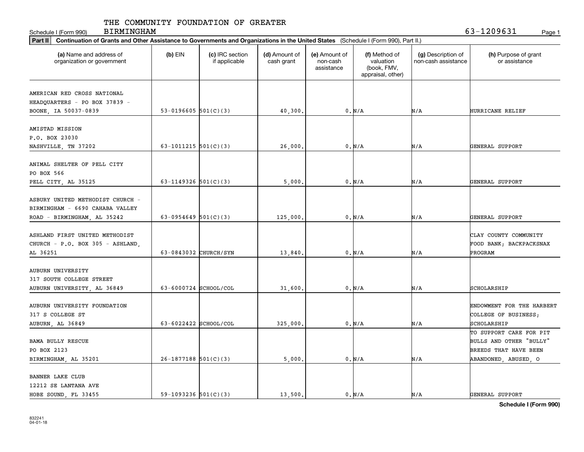Schedule I (Form 990) Page 1 BIRMINGHAM 63-1209631

| Part II   Continuation of Grants and Other Assistance to Governments and Organizations in the United States (Schedule I (Form 990), Part II.) |                        |                                  |                             |                                         |                                                                |                                           |                                       |
|-----------------------------------------------------------------------------------------------------------------------------------------------|------------------------|----------------------------------|-----------------------------|-----------------------------------------|----------------------------------------------------------------|-------------------------------------------|---------------------------------------|
| (a) Name and address of<br>organization or government                                                                                         | $(b)$ EIN              | (c) IRC section<br>if applicable | (d) Amount of<br>cash grant | (e) Amount of<br>non-cash<br>assistance | (f) Method of<br>valuation<br>(book, FMV,<br>appraisal, other) | (g) Description of<br>non-cash assistance | (h) Purpose of grant<br>or assistance |
|                                                                                                                                               |                        |                                  |                             |                                         |                                                                |                                           |                                       |
| AMERICAN RED CROSS NATIONAL                                                                                                                   |                        |                                  |                             |                                         |                                                                |                                           |                                       |
| HEADQUARTERS - PO BOX 37839 -                                                                                                                 | 53-0196605 $501(C)(3)$ |                                  |                             |                                         | 0. N/A                                                         | N/A                                       | HURRICANE RELIEF                      |
| BOONE, IA 50037-0839                                                                                                                          |                        |                                  | 40,300.                     |                                         |                                                                |                                           |                                       |
| AMISTAD MISSION                                                                                                                               |                        |                                  |                             |                                         |                                                                |                                           |                                       |
| P.O. BOX 23030                                                                                                                                |                        |                                  |                             |                                         |                                                                |                                           |                                       |
| NASHVILLE, TN 37202                                                                                                                           | 63-1011215 $501(C)(3)$ |                                  | 26,000                      |                                         | 0. N/A                                                         | N/A                                       | GENERAL SUPPORT                       |
|                                                                                                                                               |                        |                                  |                             |                                         |                                                                |                                           |                                       |
| ANIMAL SHELTER OF PELL CITY                                                                                                                   |                        |                                  |                             |                                         |                                                                |                                           |                                       |
| PO BOX 566                                                                                                                                    |                        |                                  |                             |                                         |                                                                |                                           |                                       |
| PELL CITY, AL 35125                                                                                                                           | 63-1149326 $501(C)(3)$ |                                  | 5,000                       |                                         | 0. N/A                                                         | N/A                                       | GENERAL SUPPORT                       |
|                                                                                                                                               |                        |                                  |                             |                                         |                                                                |                                           |                                       |
| ASBURY UNITED METHODIST CHURCH -                                                                                                              |                        |                                  |                             |                                         |                                                                |                                           |                                       |
| BIRMINGHAM - 6690 CAHABA VALLEY                                                                                                               |                        |                                  |                             |                                         |                                                                |                                           |                                       |
| ROAD - BIRMINGHAM, AL 35242                                                                                                                   | 63-0954649 $501(C)(3)$ |                                  | 125,000                     |                                         | 0. N/A                                                         | N/A                                       | GENERAL SUPPORT                       |
|                                                                                                                                               |                        |                                  |                             |                                         |                                                                |                                           |                                       |
| ASHLAND FIRST UNITED METHODIST                                                                                                                |                        |                                  |                             |                                         |                                                                |                                           | CLAY COUNTY COMMUNITY                 |
| CHURCH - P.O. BOX 305 - ASHLAND,                                                                                                              |                        |                                  |                             |                                         |                                                                |                                           | FOOD BANK; BACKPACKSNAX               |
| AL 36251                                                                                                                                      | 63-0843032 CHURCH/SYN  |                                  | 13,840                      |                                         | 0. N/A                                                         | N/A                                       | PROGRAM                               |
|                                                                                                                                               |                        |                                  |                             |                                         |                                                                |                                           |                                       |
| <b>AUBURN UNIVERSITY</b>                                                                                                                      |                        |                                  |                             |                                         |                                                                |                                           |                                       |
| 317 SOUTH COLLEGE STREET                                                                                                                      |                        |                                  |                             |                                         |                                                                |                                           |                                       |
| AUBURN UNIVERSITY, AL 36849                                                                                                                   | 63-6000724 SCHOOL/COL  |                                  | 31,600                      |                                         | 0. N/A                                                         | N/A                                       | SCHOLARSHIP                           |
|                                                                                                                                               |                        |                                  |                             |                                         |                                                                |                                           |                                       |
| AUBURN UNIVERSITY FOUNDATION                                                                                                                  |                        |                                  |                             |                                         |                                                                |                                           | ENDOWMENT FOR THE HARBERT             |
| 317 S COLLEGE ST                                                                                                                              |                        |                                  |                             |                                         |                                                                |                                           | COLLEGE OF BUSINESS;                  |
| AUBURN, AL 36849                                                                                                                              | 63-6022422 SCHOOL/COL  |                                  | 325,000.                    |                                         | 0. N/A                                                         | N/A                                       | SCHOLARSHIP                           |
|                                                                                                                                               |                        |                                  |                             |                                         |                                                                |                                           | TO SUPPORT CARE FOR PIT               |
| <b>BAMA BULLY RESCUE</b>                                                                                                                      |                        |                                  |                             |                                         |                                                                |                                           | BULLS AND OTHER "BULLY"               |
| PO BOX 2123                                                                                                                                   |                        |                                  |                             |                                         |                                                                |                                           | BREEDS THAT HAVE BEEN                 |
| BIRMINGHAM, AL 35201                                                                                                                          | $26-1877188$ 501(C)(3) |                                  | 5,000                       |                                         | 0. N/A                                                         | N/A                                       | ABANDONED, ABUSED, O                  |
|                                                                                                                                               |                        |                                  |                             |                                         |                                                                |                                           |                                       |
| BANNER LAKE CLUB                                                                                                                              |                        |                                  |                             |                                         |                                                                |                                           |                                       |
| 12212 SE LANTANA AVE                                                                                                                          |                        |                                  |                             |                                         |                                                                |                                           |                                       |
| HOBE SOUND, FL 33455                                                                                                                          | 59-1093236 $501(C)(3)$ |                                  | 13,500.                     |                                         | 0. N/A                                                         | N/A                                       | GENERAL SUPPORT                       |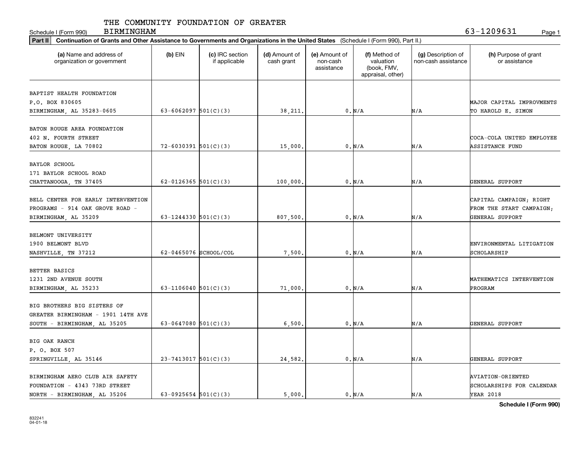Schedule I (Form 990) Page 1

BIRMINGHAM 63-1209631

| Part II   Continuation of Grants and Other Assistance to Governments and Organizations in the United States (Schedule I (Form 990), Part II.) |                          |                                  |                             |                                         |                                                                |                                           |                                       |
|-----------------------------------------------------------------------------------------------------------------------------------------------|--------------------------|----------------------------------|-----------------------------|-----------------------------------------|----------------------------------------------------------------|-------------------------------------------|---------------------------------------|
| (a) Name and address of<br>organization or government                                                                                         | $(b)$ EIN                | (c) IRC section<br>if applicable | (d) Amount of<br>cash grant | (e) Amount of<br>non-cash<br>assistance | (f) Method of<br>valuation<br>(book, FMV,<br>appraisal, other) | (g) Description of<br>non-cash assistance | (h) Purpose of grant<br>or assistance |
|                                                                                                                                               |                          |                                  |                             |                                         |                                                                |                                           |                                       |
| BAPTIST HEALTH FOUNDATION                                                                                                                     |                          |                                  |                             |                                         |                                                                |                                           |                                       |
| P.O. BOX 830605                                                                                                                               |                          |                                  |                             |                                         |                                                                |                                           | MAJOR CAPITAL IMPROVMENTS             |
| BIRMINGHAM, AL 35283-0605                                                                                                                     | 63-6062097 $501(C)(3)$   |                                  | 38,211.                     |                                         | 0. N/A                                                         | N/A                                       | TO HAROLD E. SIMON                    |
|                                                                                                                                               |                          |                                  |                             |                                         |                                                                |                                           |                                       |
| BATON ROUGE AREA FOUNDATION                                                                                                                   |                          |                                  |                             |                                         |                                                                |                                           |                                       |
| 402 N. FOURTH STREET                                                                                                                          |                          |                                  |                             |                                         |                                                                |                                           | COCA-COLA UNITED EMPLOYEE             |
| BATON ROUGE, LA 70802                                                                                                                         | $72 - 6030391$ 501(C)(3) |                                  | 15,000                      |                                         | 0. N/A                                                         | N/A                                       | <b>ASSISTANCE FUND</b>                |
| BAYLOR SCHOOL                                                                                                                                 |                          |                                  |                             |                                         |                                                                |                                           |                                       |
| 171 BAYLOR SCHOOL ROAD                                                                                                                        |                          |                                  |                             |                                         |                                                                |                                           |                                       |
| CHATTANOOGA, TN 37405                                                                                                                         | 62-0126365 $501(C)(3)$   |                                  | 100,000                     |                                         | 0. N/A                                                         | N/A                                       | GENERAL SUPPORT                       |
|                                                                                                                                               |                          |                                  |                             |                                         |                                                                |                                           |                                       |
| BELL CENTER FOR EARLY INTERVENTION                                                                                                            |                          |                                  |                             |                                         |                                                                |                                           | CAPITAL CAMPAIGN; RIGHT               |
| PROGRAMS - 914 OAK GROVE ROAD -                                                                                                               |                          |                                  |                             |                                         |                                                                |                                           | FROM THE START CAMPAIGN;              |
|                                                                                                                                               |                          |                                  |                             |                                         |                                                                | N/A                                       | GENERAL SUPPORT                       |
| BIRMINGHAM, AL 35209                                                                                                                          | 63-1244330 $501(C)(3)$   |                                  | 807,500.                    |                                         | 0. N/A                                                         |                                           |                                       |
| BELMONT UNIVERSITY                                                                                                                            |                          |                                  |                             |                                         |                                                                |                                           |                                       |
| 1900 BELMONT BLVD                                                                                                                             |                          |                                  |                             |                                         |                                                                |                                           | ENVIRONMENTAL LITIGATION              |
|                                                                                                                                               | 62-0465076 SCHOOL/COL    |                                  | 7,500                       |                                         | 0. N/A                                                         | N/A                                       | SCHOLARSHIP                           |
| NASHVILLE, TN 37212                                                                                                                           |                          |                                  |                             |                                         |                                                                |                                           |                                       |
| BETTER BASICS                                                                                                                                 |                          |                                  |                             |                                         |                                                                |                                           |                                       |
| 1231 2ND AVENUE SOUTH                                                                                                                         |                          |                                  |                             |                                         |                                                                |                                           | MATHEMATICS INTERVENTION              |
| BIRMINGHAM, AL 35233                                                                                                                          | 63-1106040 $501(C)(3)$   |                                  | 71,000                      |                                         | 0. N/A                                                         | N/A                                       | PROGRAM                               |
|                                                                                                                                               |                          |                                  |                             |                                         |                                                                |                                           |                                       |
| BIG BROTHERS BIG SISTERS OF                                                                                                                   |                          |                                  |                             |                                         |                                                                |                                           |                                       |
| GREATER BIRMINGHAM - 1901 14TH AVE                                                                                                            |                          |                                  |                             |                                         |                                                                |                                           |                                       |
|                                                                                                                                               |                          |                                  |                             |                                         |                                                                |                                           |                                       |
| SOUTH - BIRMINGHAM, AL 35205                                                                                                                  | 63-0647080 $501(C)(3)$   |                                  | 6,500                       |                                         | 0. N/A                                                         | N/A                                       | GENERAL SUPPORT                       |
| BIG OAK RANCH                                                                                                                                 |                          |                                  |                             |                                         |                                                                |                                           |                                       |
| P. O. BOX 507                                                                                                                                 |                          |                                  |                             |                                         |                                                                |                                           |                                       |
|                                                                                                                                               | $23 - 7413017$ 501(C)(3) |                                  | 24,582.                     |                                         | 0. N/A                                                         | N/A                                       | GENERAL SUPPORT                       |
| SPRINGVILLE, AL 35146                                                                                                                         |                          |                                  |                             |                                         |                                                                |                                           |                                       |
| BIRMINGHAM AERO CLUB AIR SAFETY                                                                                                               |                          |                                  |                             |                                         |                                                                |                                           | <b>AVIATION-ORIENTED</b>              |
| FOUNDATION - 4343 73RD STREET                                                                                                                 |                          |                                  |                             |                                         |                                                                |                                           | SCHOLARSHIPS FOR CALENDAR             |
|                                                                                                                                               |                          |                                  |                             |                                         |                                                                |                                           |                                       |
| NORTH - BIRMINGHAM, AL 35206                                                                                                                  | 63-0925654 $501(C)(3)$   |                                  | 5.000.                      |                                         | 0. N/A                                                         | N/A                                       | YEAR 2018                             |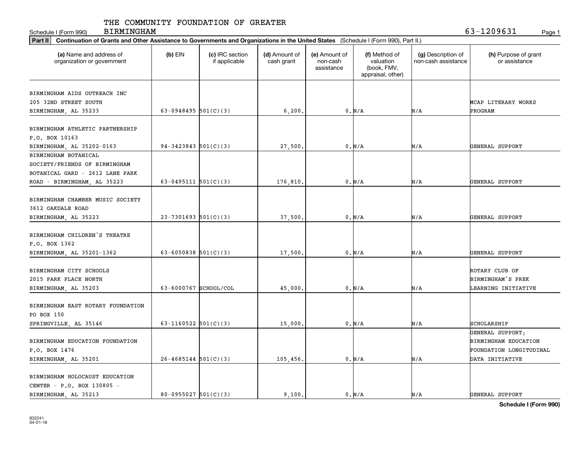Schedule I (Form 990) Page 1 BIRMINGHAM 63-1209631

| Part II   Continuation of Grants and Other Assistance to Governments and Organizations in the United States (Schedule I (Form 990), Part II.) |                            |                                  |                             |                                         |                                                                |                                           |                                       |
|-----------------------------------------------------------------------------------------------------------------------------------------------|----------------------------|----------------------------------|-----------------------------|-----------------------------------------|----------------------------------------------------------------|-------------------------------------------|---------------------------------------|
| (a) Name and address of<br>organization or government                                                                                         | $(b)$ EIN                  | (c) IRC section<br>if applicable | (d) Amount of<br>cash grant | (e) Amount of<br>non-cash<br>assistance | (f) Method of<br>valuation<br>(book, FMV,<br>appraisal, other) | (g) Description of<br>non-cash assistance | (h) Purpose of grant<br>or assistance |
|                                                                                                                                               |                            |                                  |                             |                                         |                                                                |                                           |                                       |
| BIRMINGHAM AIDS OUTREACH INC                                                                                                                  |                            |                                  |                             |                                         |                                                                |                                           |                                       |
| 205 32ND STREET SOUTH                                                                                                                         |                            |                                  |                             |                                         |                                                                |                                           | MCAP LITERARY WORKS                   |
| BIRMINGHAM, AL 35233                                                                                                                          | 63-0948495 $501(C)(3)$     |                                  | 6, 200.                     |                                         | 0. N/A                                                         | N/A                                       | PROGRAM                               |
|                                                                                                                                               |                            |                                  |                             |                                         |                                                                |                                           |                                       |
| BIRMINGHAM ATHLETIC PARTNERSHIP                                                                                                               |                            |                                  |                             |                                         |                                                                |                                           |                                       |
| P.O. BOX 10163                                                                                                                                | $94-3423843$ 501(C)(3)     |                                  |                             |                                         |                                                                |                                           |                                       |
| BIRMINGHAM, AL 35202-0163                                                                                                                     |                            |                                  | 27,500                      |                                         | 0. N/A                                                         | N/A                                       | GENERAL SUPPORT                       |
| BIRMINGHAM BOTANICAL                                                                                                                          |                            |                                  |                             |                                         |                                                                |                                           |                                       |
| SOCIETY/FRIENDS OF BIRMINGHAM                                                                                                                 |                            |                                  |                             |                                         |                                                                |                                           |                                       |
| BOTANICAL GARD - 2612 LANE PARK                                                                                                               |                            |                                  |                             |                                         |                                                                |                                           |                                       |
| ROAD - BIRMINGHAM, AL 35223                                                                                                                   | $63 - 0495111$ $501(C)(3)$ |                                  | 176,810.                    |                                         | 0. N/A                                                         | N/A                                       | GENERAL SUPPORT                       |
|                                                                                                                                               |                            |                                  |                             |                                         |                                                                |                                           |                                       |
| BIRMINGHAM CHAMBER MUSIC SOCIETY                                                                                                              |                            |                                  |                             |                                         |                                                                |                                           |                                       |
| 3612 OAKDALE ROAD                                                                                                                             |                            |                                  |                             |                                         |                                                                |                                           |                                       |
| BIRMINGHAM, AL 35223                                                                                                                          | $23 - 7301693$ 501(C)(3)   |                                  | 37,500                      |                                         | 0. N/A                                                         | N/A                                       | GENERAL SUPPORT                       |
|                                                                                                                                               |                            |                                  |                             |                                         |                                                                |                                           |                                       |
| BIRMINGHAM CHILDREN'S THEATRE                                                                                                                 |                            |                                  |                             |                                         |                                                                |                                           |                                       |
| P.O. BOX 1362                                                                                                                                 |                            |                                  |                             |                                         |                                                                |                                           |                                       |
| BIRMINGHAM, AL 35201-1362                                                                                                                     | 63-6050838 $501(C)(3)$     |                                  | 17,500                      |                                         | 0. N/A                                                         | N/A                                       | GENERAL SUPPORT                       |
|                                                                                                                                               |                            |                                  |                             |                                         |                                                                |                                           |                                       |
| BIRMINGHAM CITY SCHOOLS                                                                                                                       |                            |                                  |                             |                                         |                                                                |                                           | ROTARY CLUB OF                        |
| 2015 PARK PLACE NORTH                                                                                                                         |                            |                                  |                             |                                         |                                                                |                                           | BIRMINGHAM'S PREK                     |
| BIRMINGHAM, AL 35203                                                                                                                          | 63-6000767 SCHOOL/COL      |                                  | 45,000                      |                                         | 0. N/A                                                         | N/A                                       | LEARNING INITIATIVE                   |
|                                                                                                                                               |                            |                                  |                             |                                         |                                                                |                                           |                                       |
| BIRMINGHAM EAST ROTARY FOUNDATION                                                                                                             |                            |                                  |                             |                                         |                                                                |                                           |                                       |
| PO BOX 150                                                                                                                                    |                            |                                  |                             |                                         |                                                                |                                           |                                       |
| SPRINGVILLE, AL 35146                                                                                                                         | 63-1160522 $501(C)(3)$     |                                  | 15,000                      |                                         | 0. N/A                                                         | N/A                                       | SCHOLARSHIP                           |
|                                                                                                                                               |                            |                                  |                             |                                         |                                                                |                                           | GENERAL SUPPORT;                      |
| BIRMINGHAM EDUCATION FOUNDATION                                                                                                               |                            |                                  |                             |                                         |                                                                |                                           | BIRMINGHAM EDUCATION                  |
| P.O. BOX 1476                                                                                                                                 |                            |                                  |                             |                                         |                                                                |                                           | FOUNDATION LONGITUDINAL               |
| BIRMINGHAM, AL 35201                                                                                                                          | $26 - 4685144$ 501(C)(3)   |                                  | 105,456.                    |                                         | 0. N/A                                                         | N/A                                       | DATA INITIATIVE                       |
|                                                                                                                                               |                            |                                  |                             |                                         |                                                                |                                           |                                       |
| BIRMINGHAM HOLOCAUST EDUCATION                                                                                                                |                            |                                  |                             |                                         |                                                                |                                           |                                       |
| CENTER - P.O. BOX 130805 -                                                                                                                    |                            |                                  |                             |                                         |                                                                |                                           |                                       |
| BIRMINGHAM, AL 35213                                                                                                                          | $80 - 0955027$ 501(C)(3)   |                                  | 9,100.                      |                                         | 0. N/A                                                         | N/A                                       | GENERAL SUPPORT                       |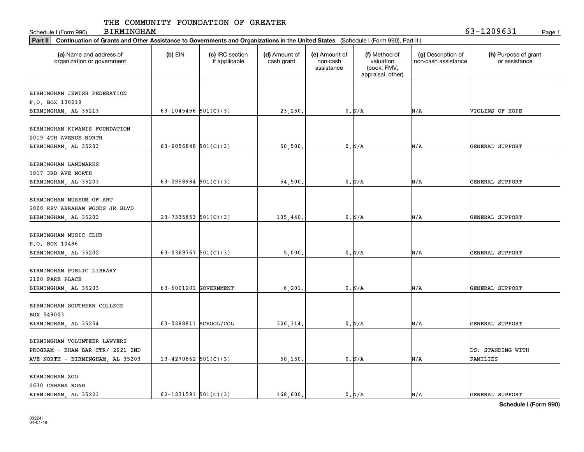Schedule I (Form 990) Page 1 BIRMINGHAM 63-1209631

| Part II   Continuation of Grants and Other Assistance to Governments and Organizations in the United States (Schedule I (Form 990), Part II.) |                          |                                  |                             |                                         |                                                                |                                           |                                       |
|-----------------------------------------------------------------------------------------------------------------------------------------------|--------------------------|----------------------------------|-----------------------------|-----------------------------------------|----------------------------------------------------------------|-------------------------------------------|---------------------------------------|
| (a) Name and address of<br>organization or government                                                                                         | $(b)$ EIN                | (c) IRC section<br>if applicable | (d) Amount of<br>cash grant | (e) Amount of<br>non-cash<br>assistance | (f) Method of<br>valuation<br>(book, FMV,<br>appraisal, other) | (g) Description of<br>non-cash assistance | (h) Purpose of grant<br>or assistance |
|                                                                                                                                               |                          |                                  |                             |                                         |                                                                |                                           |                                       |
| BIRMINGHAM JEWISH FEDERATION                                                                                                                  |                          |                                  |                             |                                         |                                                                |                                           |                                       |
| P.O. BOX 130219                                                                                                                               |                          |                                  |                             |                                         |                                                                |                                           |                                       |
| BIRMINGHAM, AL 35213                                                                                                                          | 63-1045456 $501(C)(3)$   |                                  | 23,250.                     |                                         | 0. N/A                                                         | N/A                                       | VIOLINS OF HOPE                       |
| BIRMINGHAM KIWANIS FOUNDATION                                                                                                                 |                          |                                  |                             |                                         |                                                                |                                           |                                       |
| 2019 4TH AVENUE NORTH                                                                                                                         |                          |                                  |                             |                                         |                                                                |                                           |                                       |
|                                                                                                                                               |                          |                                  |                             |                                         |                                                                |                                           |                                       |
| BIRMINGHAM, AL 35203                                                                                                                          | 63-6056848 $501(C)(3)$   |                                  | 50,500                      |                                         | 0. N/A                                                         | N/A                                       | GENERAL SUPPORT                       |
| BIRMINGHAM LANDMARKS                                                                                                                          |                          |                                  |                             |                                         |                                                                |                                           |                                       |
| 1817 3RD AVE NORTH                                                                                                                            |                          |                                  |                             |                                         |                                                                |                                           |                                       |
| BIRMINGHAM, AL 35203                                                                                                                          | 63-0958984 $501(C)(3)$   |                                  | 54,500                      |                                         | 0. N/A                                                         | N/A                                       | GENERAL SUPPORT                       |
|                                                                                                                                               |                          |                                  |                             |                                         |                                                                |                                           |                                       |
| BIRMINGHAM MUSEUM OF ART                                                                                                                      |                          |                                  |                             |                                         |                                                                |                                           |                                       |
| 2000 REV ABRAHAM WOODS JR BLVD                                                                                                                |                          |                                  |                             |                                         |                                                                |                                           |                                       |
| BIRMINGHAM, AL 35203                                                                                                                          | $23 - 7335853$ 501(C)(3) |                                  | 135,440                     |                                         | 0. N/A                                                         | N/A                                       | GENERAL SUPPORT                       |
|                                                                                                                                               |                          |                                  |                             |                                         |                                                                |                                           |                                       |
| BIRMINGHAM MUSIC CLUB                                                                                                                         |                          |                                  |                             |                                         |                                                                |                                           |                                       |
| P.O. BOX 10486                                                                                                                                |                          |                                  |                             |                                         |                                                                |                                           |                                       |
| BIRMINGHAM, AL 35202                                                                                                                          | 63-0369767 $501(C)(3)$   |                                  | 5,000                       |                                         | 0. N/A                                                         | N/A                                       | GENERAL SUPPORT                       |
|                                                                                                                                               |                          |                                  |                             |                                         |                                                                |                                           |                                       |
| BIRMINGHAM PUBLIC LIBRARY                                                                                                                     |                          |                                  |                             |                                         |                                                                |                                           |                                       |
| 2100 PARK PLACE                                                                                                                               |                          |                                  |                             |                                         |                                                                |                                           |                                       |
| BIRMINGHAM, AL 35203                                                                                                                          | 63-6001201 GOVERNMENT    |                                  | 6,201                       |                                         | 0. N/A                                                         | N/A                                       | GENERAL SUPPORT                       |
|                                                                                                                                               |                          |                                  |                             |                                         |                                                                |                                           |                                       |
| BIRMINGHAM SOUTHERN COLLEGE                                                                                                                   |                          |                                  |                             |                                         |                                                                |                                           |                                       |
| BOX 549003                                                                                                                                    |                          |                                  |                             |                                         |                                                                |                                           |                                       |
| BIRMINGHAM, AL 35254                                                                                                                          | 63-0288811 SCHOOL/COL    |                                  | 326, 314.                   |                                         | 0. N/A                                                         | N/A                                       | GENERAL SUPPORT                       |
|                                                                                                                                               |                          |                                  |                             |                                         |                                                                |                                           |                                       |
| BIRMINGHAM VOLUNTEER LAWYERS                                                                                                                  |                          |                                  |                             |                                         |                                                                |                                           |                                       |
| PROGRAM - BHAM BAR CTR/ 2021 2ND                                                                                                              |                          |                                  |                             |                                         |                                                                |                                           | DS: STANDING WITH                     |
| AVE NORTH - BIRMINGHAM, AL 35203                                                                                                              | $13 - 4270862$ 501(C)(3) |                                  | 50, 150.                    |                                         | 0. N/A                                                         | N/A                                       | FAMILIES                              |
|                                                                                                                                               |                          |                                  |                             |                                         |                                                                |                                           |                                       |
| BIRMINGHAM ZOO                                                                                                                                |                          |                                  |                             |                                         |                                                                |                                           |                                       |
| 2630 CAHABA ROAD                                                                                                                              |                          |                                  |                             |                                         |                                                                |                                           |                                       |
| BIRMINGHAM, AL 35223                                                                                                                          | 62-1231591 $501(C)(3)$   |                                  | 168,600.                    |                                         | 0. N/A                                                         | N/A                                       | GENERAL SUPPORT                       |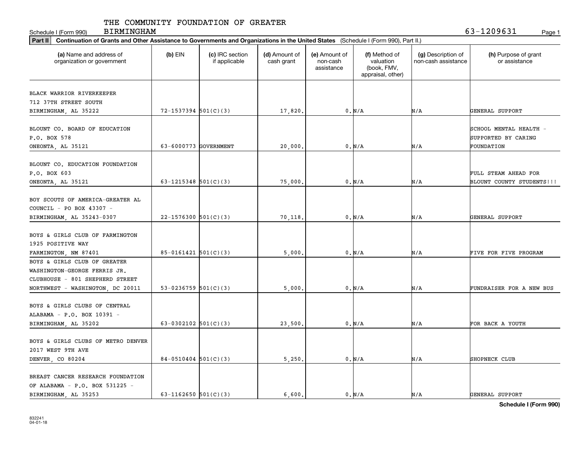Schedule I (Form 990) Page 1

BIRMINGHAM 63-1209631

| (a) Name and address of<br>organization or government                                       | $(b)$ EIN                  | (c) IRC section<br>if applicable | (d) Amount of<br>cash grant | (e) Amount of<br>non-cash<br>assistance | (f) Method of<br>valuation<br>(book, FMV,<br>appraisal, other) | (g) Description of<br>non-cash assistance | (h) Purpose of grant<br>or assistance |
|---------------------------------------------------------------------------------------------|----------------------------|----------------------------------|-----------------------------|-----------------------------------------|----------------------------------------------------------------|-------------------------------------------|---------------------------------------|
| BLACK WARRIOR RIVERKEEPER                                                                   |                            |                                  |                             |                                         |                                                                |                                           |                                       |
| 712 37TH STREET SOUTH                                                                       |                            |                                  |                             |                                         |                                                                |                                           |                                       |
| BIRMINGHAM, AL 35222                                                                        | $72 - 1537394$ 501(C)(3)   |                                  | 17,820.                     |                                         | 0. N/A                                                         | N/A                                       | GENERAL SUPPORT                       |
| BLOUNT CO. BOARD OF EDUCATION                                                               |                            |                                  |                             |                                         |                                                                |                                           | SCHOOL MENTAL HEALTH -                |
| P.O. BOX 578                                                                                |                            |                                  |                             |                                         |                                                                |                                           | SUPPORTED BY CARING                   |
| ONEONTA, AL 35121                                                                           | 63-6000773 GOVERNMENT      |                                  | 20,000                      |                                         | 0. N/A                                                         | N/A                                       | FOUNDATION                            |
| BLOUNT CO. EDUCATION FOUNDATION<br>P.O. BOX 603                                             |                            |                                  |                             |                                         |                                                                |                                           | FULL STEAM AHEAD FOR                  |
| ONEONTA, AL 35121                                                                           | 63-1215348 $501(C)(3)$     |                                  | 75,000                      |                                         | 0. N/A                                                         | N/A                                       | BLOUNT COUNTY STUDENTS!!!             |
| BOY SCOUTS OF AMERICA-GREATER AL<br>COUNCIL - PO BOX 43307 -<br>BIRMINGHAM, AL 35243-0307   | 22-1576300 501(C)(3)       |                                  | 70,118                      |                                         | 0. N/A                                                         | N/A                                       | GENERAL SUPPORT                       |
| BOYS & GIRLS CLUB OF FARMINGTON<br>1925 POSITIVE WAY                                        | $85 - 0161421$ $501(C)(3)$ |                                  | 5,000                       |                                         | 0. N/A                                                         | N/A                                       | FIVE FOR FIVE PROGRAM                 |
| FARMINGTON, NM 87401<br>BOYS & GIRLS CLUB OF GREATER                                        |                            |                                  |                             |                                         |                                                                |                                           |                                       |
| WASHINGTON-GEORGE FERRIS JR.<br>CLUBHOUSE - 801 SHEPHERD STREET                             |                            |                                  |                             |                                         |                                                                |                                           |                                       |
| NORTHWEST - WASHINGTON, DC 20011                                                            | 53-0236759 $501(C)(3)$     |                                  | 5,000                       |                                         | 0. N/A                                                         | N/A                                       | FUNDRAISER FOR A NEW BUS              |
| BOYS & GIRLS CLUBS OF CENTRAL<br>ALABAMA - P.O. BOX 10391 -                                 |                            |                                  |                             |                                         |                                                                |                                           |                                       |
| BIRMINGHAM, AL 35202                                                                        | 63-0302102 $501(C)(3)$     |                                  | 23,500                      |                                         | 0. N/A                                                         | N/A                                       | FOR BACK A YOUTH                      |
| BOYS & GIRLS CLUBS OF METRO DENVER<br>2017 WEST 9TH AVE                                     |                            |                                  |                             |                                         |                                                                |                                           |                                       |
| DENVER, CO 80204                                                                            | $84-0510404$ 501(C)(3)     |                                  | 5,250.                      |                                         | 0. N/A                                                         | N/A                                       | SHOPNECK CLUB                         |
| BREAST CANCER RESEARCH FOUNDATION<br>OF ALABAMA - P.O. BOX 531225 -<br>BIRMINGHAM, AL 35253 | 63-1162650 $501(C)(3)$     |                                  | 6,600.                      |                                         | $0$ . $\text{N}/\text{A}$                                      | N/A                                       | GENERAL SUPPORT                       |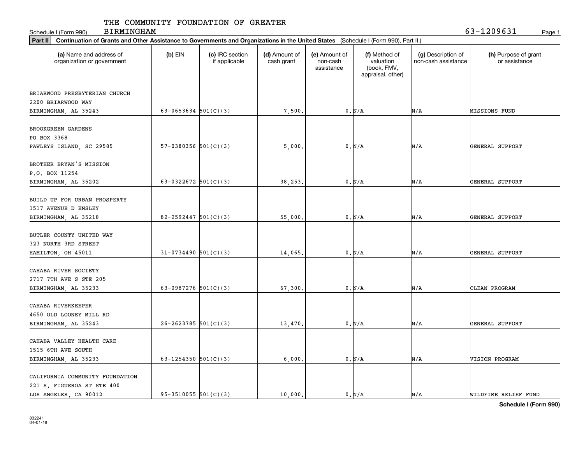Schedule I (Form 990) Page 1 BIRMINGHAM 63-1209631

| Part II   Continuation of Grants and Other Assistance to Governments and Organizations in the United States (Schedule I (Form 990), Part II.) |                          |                                  |                             |                                         |                                                                |                                           |                                       |
|-----------------------------------------------------------------------------------------------------------------------------------------------|--------------------------|----------------------------------|-----------------------------|-----------------------------------------|----------------------------------------------------------------|-------------------------------------------|---------------------------------------|
| (a) Name and address of<br>organization or government                                                                                         | $(b)$ EIN                | (c) IRC section<br>if applicable | (d) Amount of<br>cash grant | (e) Amount of<br>non-cash<br>assistance | (f) Method of<br>valuation<br>(book, FMV,<br>appraisal, other) | (g) Description of<br>non-cash assistance | (h) Purpose of grant<br>or assistance |
|                                                                                                                                               |                          |                                  |                             |                                         |                                                                |                                           |                                       |
| BRIARWOOD PRESBYTERIAN CHURCH                                                                                                                 |                          |                                  |                             |                                         |                                                                |                                           |                                       |
| 2200 BRIARWOOD WAY                                                                                                                            |                          |                                  |                             |                                         |                                                                |                                           |                                       |
| BIRMINGHAM, AL 35243                                                                                                                          | 63-0653634 $501(C)(3)$   |                                  | 7,500.                      |                                         | 0. N/A                                                         | N/A                                       | MISSIONS FUND                         |
| BROOKGREEN GARDENS                                                                                                                            |                          |                                  |                             |                                         |                                                                |                                           |                                       |
| PO BOX 3368                                                                                                                                   |                          |                                  |                             |                                         |                                                                |                                           |                                       |
| PAWLEYS ISLAND, SC 29585                                                                                                                      | $57-0380356$ $501(C)(3)$ |                                  | 5,000                       |                                         | 0. N/A                                                         | N/A                                       | GENERAL SUPPORT                       |
|                                                                                                                                               |                          |                                  |                             |                                         |                                                                |                                           |                                       |
| BROTHER BRYAN'S MISSION                                                                                                                       |                          |                                  |                             |                                         |                                                                |                                           |                                       |
| P.O. BOX 11254                                                                                                                                |                          |                                  |                             |                                         |                                                                |                                           |                                       |
| BIRMINGHAM, AL 35202                                                                                                                          | 63-0322672 $501(C)(3)$   |                                  | 38,253.                     |                                         | 0. N/A                                                         | N/A                                       | GENERAL SUPPORT                       |
|                                                                                                                                               |                          |                                  |                             |                                         |                                                                |                                           |                                       |
| BUILD UP FOR URBAN PROSPERTY                                                                                                                  |                          |                                  |                             |                                         |                                                                |                                           |                                       |
| 1517 AVENUE D ENSLEY                                                                                                                          |                          |                                  |                             |                                         |                                                                |                                           |                                       |
| BIRMINGHAM, AL 35218                                                                                                                          | $82 - 2592447$ 501(C)(3) |                                  | 55,000.                     |                                         | 0. N/A                                                         | N/A                                       | GENERAL SUPPORT                       |
|                                                                                                                                               |                          |                                  |                             |                                         |                                                                |                                           |                                       |
| BUTLER COUNTY UNITED WAY                                                                                                                      |                          |                                  |                             |                                         |                                                                |                                           |                                       |
| 323 NORTH 3RD STREET                                                                                                                          |                          |                                  |                             |                                         |                                                                |                                           |                                       |
| HAMILTON, OH 45011                                                                                                                            | $31-0734490$ 501(C)(3)   |                                  | 14,065                      |                                         | 0. N/A                                                         | N/A                                       | GENERAL SUPPORT                       |
|                                                                                                                                               |                          |                                  |                             |                                         |                                                                |                                           |                                       |
| CAHABA RIVER SOCIETY                                                                                                                          |                          |                                  |                             |                                         |                                                                |                                           |                                       |
| 2717 7TH AVE S STE 205                                                                                                                        |                          |                                  |                             |                                         |                                                                |                                           |                                       |
| BIRMINGHAM, AL 35233                                                                                                                          | 63-0987276 $501(C)(3)$   |                                  | 67,300.                     |                                         | 0. N/A                                                         | N/A                                       | CLEAN PROGRAM                         |
|                                                                                                                                               |                          |                                  |                             |                                         |                                                                |                                           |                                       |
| CAHABA RIVERKEEPER                                                                                                                            |                          |                                  |                             |                                         |                                                                |                                           |                                       |
| 4650 OLD LOONEY MILL RD                                                                                                                       |                          |                                  |                             |                                         |                                                                |                                           |                                       |
| BIRMINGHAM, AL 35243                                                                                                                          | $26 - 2623785$ 501(C)(3) |                                  | 13,470                      |                                         | 0. N/A                                                         | N/A                                       | GENERAL SUPPORT                       |
|                                                                                                                                               |                          |                                  |                             |                                         |                                                                |                                           |                                       |
| CAHABA VALLEY HEALTH CARE                                                                                                                     |                          |                                  |                             |                                         |                                                                |                                           |                                       |
| 1515 6TH AVE SOUTH                                                                                                                            |                          |                                  |                             |                                         |                                                                |                                           |                                       |
| BIRMINGHAM, AL 35233                                                                                                                          | 63-1254350 $501(C)(3)$   |                                  | 6,000.                      |                                         | 0. N/A                                                         | N/A                                       | VISION PROGRAM                        |
|                                                                                                                                               |                          |                                  |                             |                                         |                                                                |                                           |                                       |
| CALIFORNIA COMMUNITY FOUNDATION                                                                                                               |                          |                                  |                             |                                         |                                                                |                                           |                                       |
| 221 S. FIGUEROA ST STE 400                                                                                                                    |                          |                                  |                             |                                         |                                                                |                                           |                                       |
| LOS ANGELES, CA 90012                                                                                                                         | $95-3510055$ $501(C)(3)$ |                                  | 10,000.                     |                                         | 0. N/A                                                         | N/A                                       | WILDFIRE RELIEF FUND                  |
|                                                                                                                                               |                          |                                  |                             |                                         |                                                                |                                           |                                       |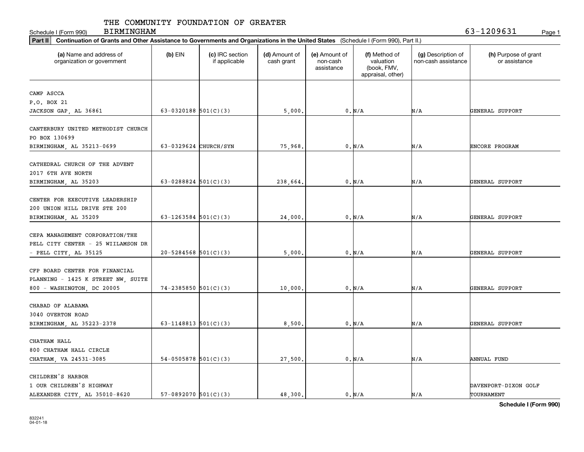Schedule I (Form 990) Page 1

BIRMINGHAM 63-1209631

| Part II   Continuation of Grants and Other Assistance to Governments and Organizations in the United States (Schedule I (Form 990), Part II.) |                            |                                  |                             |                                         |                                                                |                                           |                                       |
|-----------------------------------------------------------------------------------------------------------------------------------------------|----------------------------|----------------------------------|-----------------------------|-----------------------------------------|----------------------------------------------------------------|-------------------------------------------|---------------------------------------|
| (a) Name and address of<br>organization or government                                                                                         | $(b)$ EIN                  | (c) IRC section<br>if applicable | (d) Amount of<br>cash grant | (e) Amount of<br>non-cash<br>assistance | (f) Method of<br>valuation<br>(book, FMV,<br>appraisal, other) | (g) Description of<br>non-cash assistance | (h) Purpose of grant<br>or assistance |
|                                                                                                                                               |                            |                                  |                             |                                         |                                                                |                                           |                                       |
| CAMP ASCCA                                                                                                                                    |                            |                                  |                             |                                         |                                                                |                                           |                                       |
| P.O. BOX 21                                                                                                                                   |                            |                                  |                             |                                         |                                                                |                                           |                                       |
| JACKSON GAP, AL 36861                                                                                                                         | 63-0320188 $501(C)(3)$     |                                  | 5,000.                      |                                         | 0. N/A                                                         | N/A                                       | GENERAL SUPPORT                       |
| CANTERBURY UNITED METHODIST CHURCH<br>PO BOX 130699                                                                                           |                            |                                  |                             |                                         |                                                                |                                           |                                       |
| BIRMINGHAM, AL 35213-0699                                                                                                                     | 63-0329624 CHURCH/SYN      |                                  | 75,968                      |                                         | 0. N/A                                                         | N/A                                       | ENCORE PROGRAM                        |
| CATHEDRAL CHURCH OF THE ADVENT<br>2017 6TH AVE NORTH<br>BIRMINGHAM, AL 35203                                                                  | 63-0288824 $501(C)(3)$     |                                  | 238,664.                    |                                         | 0. N/A                                                         | N/A                                       | GENERAL SUPPORT                       |
| CENTER FOR EXECUTIVE LEADERSHIP<br>200 UNION HILL DRIVE STE 200<br>BIRMINGHAM, AL 35209                                                       | 63-1263584 $501(C)(3)$     |                                  | 24,000                      |                                         | 0. N/A                                                         | N/A                                       | GENERAL SUPPORT                       |
| CEPA MANAGEMENT CORPORATION/THE<br>PELL CITY CENTER - 25 WIILAMSON DR<br>- PELL CITY, AL 35125                                                | $20 - 5284568$ 501(C)(3)   |                                  | 5,000                       |                                         | 0. N/A                                                         | N/A                                       | GENERAL SUPPORT                       |
| CFP BOARD CENTER FOR FINANCIAL<br>PLANNING - 1425 K STREET NW, SUITE<br>800 - WASHINGTON, DC 20005                                            | $74 - 2385850$ $501(C)(3)$ |                                  | 10,000                      |                                         | $0$ . $\text{N}/\text{A}$                                      | N/A                                       | GENERAL SUPPORT                       |
| CHABAD OF ALABAMA<br>3040 OVERTON ROAD<br>BIRMINGHAM, AL 35223-2378                                                                           | 63-1148813 $501(C)(3)$     |                                  | 8,500                       |                                         | 0. N/A                                                         | N/A                                       | GENERAL SUPPORT                       |
| CHATHAM HALL<br>800 CHATHAM HALL CIRCLE<br>CHATHAM, VA 24531-3085                                                                             | $54-0505878$ 501(C)(3)     |                                  | 27,500.                     |                                         | 0. N/A                                                         | N/A                                       | ANNUAL FUND                           |
| CHILDREN'S HARBOR<br>1 OUR CHILDREN'S HIGHWAY<br>ALEXANDER CITY, AL 35010-8620                                                                | $57-0892070$ $501(C)(3)$   |                                  | 48,300.                     |                                         | 0. N/A                                                         | N/A                                       | DAVENPORT-DIXON GOLF<br>TOURNAMENT    |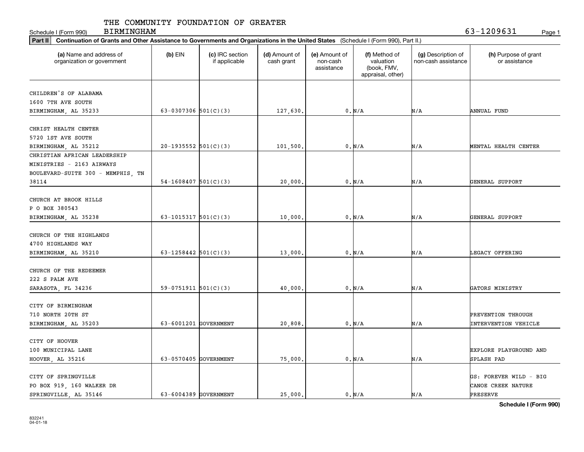Schedule I (Form 990) Page 1 BIRMINGHAM 63-1209631

| Part II   Continuation of Grants and Other Assistance to Governments and Organizations in the United States (Schedule I (Form 990), Part II.) |                          |                                  |                             |                                         |                                                                |                                           |                                       |
|-----------------------------------------------------------------------------------------------------------------------------------------------|--------------------------|----------------------------------|-----------------------------|-----------------------------------------|----------------------------------------------------------------|-------------------------------------------|---------------------------------------|
| (a) Name and address of<br>organization or government                                                                                         | $(b)$ EIN                | (c) IRC section<br>if applicable | (d) Amount of<br>cash grant | (e) Amount of<br>non-cash<br>assistance | (f) Method of<br>valuation<br>(book, FMV,<br>appraisal, other) | (g) Description of<br>non-cash assistance | (h) Purpose of grant<br>or assistance |
| CHILDREN'S OF ALABAMA                                                                                                                         |                          |                                  |                             |                                         |                                                                |                                           |                                       |
| 1600 7TH AVE SOUTH                                                                                                                            |                          |                                  |                             |                                         |                                                                |                                           |                                       |
| BIRMINGHAM, AL 35233                                                                                                                          | 63-0307306 $501(C)(3)$   |                                  | 127,630.                    |                                         | 0. N/A                                                         | N/A                                       | ANNUAL FUND                           |
|                                                                                                                                               |                          |                                  |                             |                                         |                                                                |                                           |                                       |
| CHRIST HEALTH CENTER                                                                                                                          |                          |                                  |                             |                                         |                                                                |                                           |                                       |
| 5720 1ST AVE SOUTH                                                                                                                            |                          |                                  |                             |                                         |                                                                |                                           |                                       |
| BIRMINGHAM, AL 35212                                                                                                                          | $20-1935552$ $501(C)(3)$ |                                  | 101,500.                    |                                         | 0. N/A                                                         | N/A                                       | MENTAL HEALTH CENTER                  |
| CHRISTIAN AFRICAN LEADERSHIP                                                                                                                  |                          |                                  |                             |                                         |                                                                |                                           |                                       |
| MINISTRIES - 2163 AIRWAYS                                                                                                                     |                          |                                  |                             |                                         |                                                                |                                           |                                       |
| BOULEVARD-SUITE 300 - MEMPHIS, TN                                                                                                             |                          |                                  |                             |                                         |                                                                |                                           |                                       |
| 38114                                                                                                                                         | $54-1608407$ 501(C)(3)   |                                  | 20,000                      |                                         | 0. N/A                                                         | N/A                                       | GENERAL SUPPORT                       |
|                                                                                                                                               |                          |                                  |                             |                                         |                                                                |                                           |                                       |
| CHURCH AT BROOK HILLS                                                                                                                         |                          |                                  |                             |                                         |                                                                |                                           |                                       |
| P O BOX 380543                                                                                                                                |                          |                                  |                             |                                         |                                                                |                                           |                                       |
| BIRMINGHAM, AL 35238                                                                                                                          | 63-1015317 $501(C)(3)$   |                                  | 10,000                      |                                         | 0. N/A                                                         | N/A                                       | GENERAL SUPPORT                       |
|                                                                                                                                               |                          |                                  |                             |                                         |                                                                |                                           |                                       |
| CHURCH OF THE HIGHLANDS                                                                                                                       |                          |                                  |                             |                                         |                                                                |                                           |                                       |
| 4700 HIGHLANDS WAY                                                                                                                            |                          |                                  |                             |                                         |                                                                |                                           |                                       |
| BIRMINGHAM, AL 35210                                                                                                                          | 63-1258442 $501(C)(3)$   |                                  | 13,000                      |                                         | 0. N/A                                                         | N/A                                       | LEGACY OFFERING                       |
|                                                                                                                                               |                          |                                  |                             |                                         |                                                                |                                           |                                       |
| CHURCH OF THE REDEEMER                                                                                                                        |                          |                                  |                             |                                         |                                                                |                                           |                                       |
| 222 S PALM AVE                                                                                                                                |                          |                                  |                             |                                         |                                                                |                                           |                                       |
| SARASOTA, FL 34236                                                                                                                            | $59-0751911$ $501(C)(3)$ |                                  | 40,000                      |                                         | 0. N/A                                                         | N/A                                       | GATORS MINISTRY                       |
|                                                                                                                                               |                          |                                  |                             |                                         |                                                                |                                           |                                       |
| CITY OF BIRMINGHAM                                                                                                                            |                          |                                  |                             |                                         |                                                                |                                           |                                       |
| 710 NORTH 20TH ST                                                                                                                             |                          |                                  |                             |                                         |                                                                |                                           | PREVENTION THROUGH                    |
| BIRMINGHAM, AL 35203                                                                                                                          | 63-6001201 GOVERNMENT    |                                  | 20,808                      |                                         | 0. N/A                                                         | N/A                                       | <b>INTERVENTION VEHICLE</b>           |
|                                                                                                                                               |                          |                                  |                             |                                         |                                                                |                                           |                                       |
| CITY OF HOOVER                                                                                                                                |                          |                                  |                             |                                         |                                                                |                                           |                                       |
| 100 MUNICIPAL LANE                                                                                                                            |                          |                                  |                             |                                         |                                                                |                                           | EXPLORE PLAYGROUND AND                |
| HOOVER, AL 35216                                                                                                                              | 63-0570405 GOVERNMENT    |                                  | 75,000                      |                                         | 0. N/A                                                         | N/A                                       | SPLASH PAD                            |
|                                                                                                                                               |                          |                                  |                             |                                         |                                                                |                                           |                                       |
| CITY OF SPRINGVILLE                                                                                                                           |                          |                                  |                             |                                         |                                                                |                                           | GS: FOREVER WILD - BIG                |
| PO BOX 919, 160 WALKER DR                                                                                                                     |                          |                                  |                             |                                         |                                                                |                                           | CANOE CREEK NATURE                    |
| SPRINGVILLE, AL 35146                                                                                                                         | 63-6004389 GOVERNMENT    |                                  | 25,000                      |                                         | 0. N/A                                                         | N/A                                       | PRESERVE                              |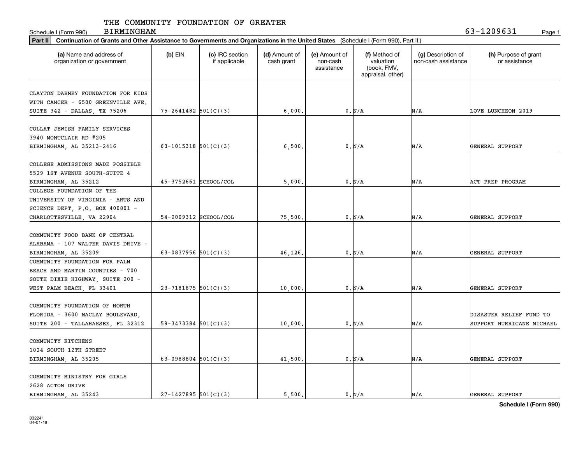Schedule I (Form 990) Page 1 BIRMINGHAM 63-1209631

| Part II   Continuation of Grants and Other Assistance to Governments and Organizations in the United States (Schedule I (Form 990), Part II.) |                          |                                  |                             |                                         |                                                                |                                           |                                       |
|-----------------------------------------------------------------------------------------------------------------------------------------------|--------------------------|----------------------------------|-----------------------------|-----------------------------------------|----------------------------------------------------------------|-------------------------------------------|---------------------------------------|
| (a) Name and address of<br>organization or government                                                                                         | $(b)$ EIN                | (c) IRC section<br>if applicable | (d) Amount of<br>cash grant | (e) Amount of<br>non-cash<br>assistance | (f) Method of<br>valuation<br>(book, FMV,<br>appraisal, other) | (g) Description of<br>non-cash assistance | (h) Purpose of grant<br>or assistance |
|                                                                                                                                               |                          |                                  |                             |                                         |                                                                |                                           |                                       |
| CLAYTON DABNEY FOUNDATION FOR KIDS                                                                                                            |                          |                                  |                             |                                         |                                                                |                                           |                                       |
| WITH CANCER - 6500 GREENVILLE AVE.                                                                                                            |                          |                                  |                             |                                         |                                                                | N/A                                       | LOVE LUNCHEON 2019                    |
| SUITE 342 - DALLAS, TX 75206                                                                                                                  | $75 - 2641482$ 501(C)(3) |                                  | 6,000.                      |                                         | 0. N/A                                                         |                                           |                                       |
| COLLAT JEWISH FAMILY SERVICES                                                                                                                 |                          |                                  |                             |                                         |                                                                |                                           |                                       |
| 3940 MONTCLAIR RD #205                                                                                                                        |                          |                                  |                             |                                         |                                                                |                                           |                                       |
|                                                                                                                                               |                          |                                  |                             |                                         |                                                                |                                           |                                       |
| BIRMINGHAM, AL 35213-2416                                                                                                                     | 63-1015318 $501(C)(3)$   |                                  | 6,500                       |                                         | 0. N/A                                                         | N/A                                       | GENERAL SUPPORT                       |
| COLLEGE ADMISSIONS MADE POSSIBLE                                                                                                              |                          |                                  |                             |                                         |                                                                |                                           |                                       |
|                                                                                                                                               |                          |                                  |                             |                                         |                                                                |                                           |                                       |
| 5529 1ST AVENUE SOUTH-SUITE 4                                                                                                                 |                          |                                  |                             |                                         |                                                                |                                           |                                       |
| BIRMINGHAM, AL 35212                                                                                                                          | 45-3752661 SCHOOL/COL    |                                  | 5,000                       |                                         | 0. N/A                                                         | N/A                                       | ACT PREP PROGRAM                      |
| COLLEGE FOUNDATION OF THE                                                                                                                     |                          |                                  |                             |                                         |                                                                |                                           |                                       |
| UNIVERSITY OF VIRGINIA - ARTS AND                                                                                                             |                          |                                  |                             |                                         |                                                                |                                           |                                       |
| SCIENCE DEPT, P.O. BOX 400801 -                                                                                                               |                          |                                  |                             |                                         |                                                                |                                           |                                       |
| CHARLOTTESVILLE, VA 22904                                                                                                                     | 54-2009312 SCHOOL/COL    |                                  | 75,500                      |                                         | 0. N/A                                                         | N/A                                       | GENERAL SUPPORT                       |
|                                                                                                                                               |                          |                                  |                             |                                         |                                                                |                                           |                                       |
| COMMUNITY FOOD BANK OF CENTRAL                                                                                                                |                          |                                  |                             |                                         |                                                                |                                           |                                       |
| ALABAMA - 107 WALTER DAVIS DRIVE -                                                                                                            |                          |                                  |                             |                                         |                                                                |                                           |                                       |
| BIRMINGHAM, AL 35209                                                                                                                          | 63-0837956 $501(C)(3)$   |                                  | 46,126                      |                                         | 0. N/A                                                         | N/A                                       | GENERAL SUPPORT                       |
| COMMUNITY FOUNDATION FOR PALM                                                                                                                 |                          |                                  |                             |                                         |                                                                |                                           |                                       |
| BEACH AND MARTIN COUNTIES - 700                                                                                                               |                          |                                  |                             |                                         |                                                                |                                           |                                       |
| SOUTH DIXIE HIGHWAY, SUITE 200 -                                                                                                              |                          |                                  |                             |                                         |                                                                |                                           |                                       |
| WEST PALM BEACH, FL 33401                                                                                                                     | $23 - 7181875$ 501(C)(3) |                                  | 10,000                      |                                         | 0. N/A                                                         | N/A                                       | GENERAL SUPPORT                       |
|                                                                                                                                               |                          |                                  |                             |                                         |                                                                |                                           |                                       |
| COMMUNITY FOUNDATION OF NORTH                                                                                                                 |                          |                                  |                             |                                         |                                                                |                                           |                                       |
| FLORIDA - 3600 MACLAY BOULEVARD,                                                                                                              |                          |                                  |                             |                                         |                                                                |                                           | DISASTER RELIEF FUND TO               |
| SUITE 200 - TALLAHASSEE, FL 32312                                                                                                             | $59 - 3473384$ 501(C)(3) |                                  | 10,000                      |                                         | 0. N/A                                                         | N/A                                       | SUPPORT HURRICANE MICHAEL             |
|                                                                                                                                               |                          |                                  |                             |                                         |                                                                |                                           |                                       |
| COMMUNITY KITCHENS                                                                                                                            |                          |                                  |                             |                                         |                                                                |                                           |                                       |
| 1024 SOUTH 12TH STREET                                                                                                                        |                          |                                  |                             |                                         |                                                                |                                           |                                       |
| BIRMINGHAM, AL 35205                                                                                                                          | 63-0988804 $501(C)(3)$   |                                  | 41,500                      |                                         | 0. N/A                                                         | N/A                                       | GENERAL SUPPORT                       |
|                                                                                                                                               |                          |                                  |                             |                                         |                                                                |                                           |                                       |
| COMMUNITY MINISTRY FOR GIRLS                                                                                                                  |                          |                                  |                             |                                         |                                                                |                                           |                                       |
| 2628 ACTON DRIVE                                                                                                                              |                          |                                  |                             |                                         |                                                                |                                           |                                       |
| BIRMINGHAM, AL 35243                                                                                                                          | $27-1427895$ 501(C)(3)   |                                  | 5.500.                      |                                         | 0. N/A                                                         | N/A                                       | GENERAL SUPPORT                       |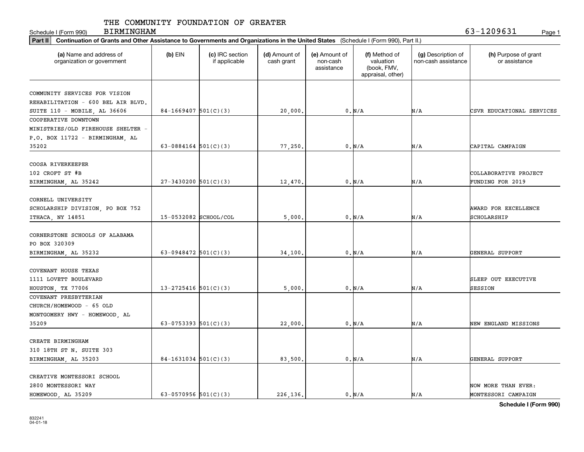Schedule I (Form 990) Page 1

BIRMINGHAM 63-1209631

| Part II   Continuation of Grants and Other Assistance to Governments and Organizations in the United States (Schedule I (Form 990), Part II.) |                          |                                  |                             |                                         |                                                                |                                           |                                       |
|-----------------------------------------------------------------------------------------------------------------------------------------------|--------------------------|----------------------------------|-----------------------------|-----------------------------------------|----------------------------------------------------------------|-------------------------------------------|---------------------------------------|
| (a) Name and address of<br>organization or government                                                                                         | $(b)$ EIN                | (c) IRC section<br>if applicable | (d) Amount of<br>cash grant | (e) Amount of<br>non-cash<br>assistance | (f) Method of<br>valuation<br>(book, FMV,<br>appraisal, other) | (g) Description of<br>non-cash assistance | (h) Purpose of grant<br>or assistance |
|                                                                                                                                               |                          |                                  |                             |                                         |                                                                |                                           |                                       |
| COMMUNITY SERVICES FOR VISION                                                                                                                 |                          |                                  |                             |                                         |                                                                |                                           |                                       |
| REHABILITATION - 600 BEL AIR BLVD.                                                                                                            |                          |                                  |                             |                                         |                                                                |                                           |                                       |
| SUITE 110 - MOBILE, AL 36606                                                                                                                  | $84-1669407$ 501(C)(3)   |                                  | 20,000.                     |                                         | 0. N/A                                                         | N/A                                       | CSVR EDUCATIONAL SERVICES             |
| COOPERATIVE DOWNTOWN                                                                                                                          |                          |                                  |                             |                                         |                                                                |                                           |                                       |
| MINISTRIES/OLD FIREHOUSE SHELTER -                                                                                                            |                          |                                  |                             |                                         |                                                                |                                           |                                       |
| P.O. BOX 11722 - BIRMINGHAM, AL                                                                                                               |                          |                                  |                             |                                         |                                                                |                                           |                                       |
| 35202                                                                                                                                         | 63-0884164 $501(C)(3)$   |                                  | 77,250                      |                                         | 0. N/A                                                         | N/A                                       | CAPITAL CAMPAIGN                      |
| COOSA RIVERKEEPER                                                                                                                             |                          |                                  |                             |                                         |                                                                |                                           |                                       |
| 102 CROFT ST #B                                                                                                                               |                          |                                  |                             |                                         |                                                                |                                           | COLLABORATIVE PROJECT                 |
| BIRMINGHAM, AL 35242                                                                                                                          | $27-3430200$ 501(C)(3)   |                                  | 12,470.                     |                                         | 0. N/A                                                         | N/A                                       | <b>FUNDING FOR 2019</b>               |
|                                                                                                                                               |                          |                                  |                             |                                         |                                                                |                                           |                                       |
| CORNELL UNIVERSITY                                                                                                                            |                          |                                  |                             |                                         |                                                                |                                           |                                       |
| SCHOLARSHIP DIVISION, PO BOX 752                                                                                                              |                          |                                  |                             |                                         |                                                                |                                           | AWARD FOR EXCELLENCE                  |
| ITHACA, NY 14851                                                                                                                              | 15-0532082 SCHOOL/COL    |                                  | 5,000                       |                                         | 0. N/A                                                         | N/A                                       | SCHOLARSHIP                           |
|                                                                                                                                               |                          |                                  |                             |                                         |                                                                |                                           |                                       |
| CORNERSTONE SCHOOLS OF ALABAMA                                                                                                                |                          |                                  |                             |                                         |                                                                |                                           |                                       |
| PO BOX 320309                                                                                                                                 |                          |                                  |                             |                                         |                                                                |                                           |                                       |
| BIRMINGHAM, AL 35232                                                                                                                          | 63-0948472 $501(C)(3)$   |                                  | 34,100                      |                                         | 0. N/A                                                         | N/A                                       | GENERAL SUPPORT                       |
|                                                                                                                                               |                          |                                  |                             |                                         |                                                                |                                           |                                       |
| COVENANT HOUSE TEXAS                                                                                                                          |                          |                                  |                             |                                         |                                                                |                                           |                                       |
| 1111 LOVETT BOULEVARD                                                                                                                         |                          |                                  |                             |                                         |                                                                |                                           | SLEEP OUT EXECUTIVE                   |
| HOUSTON, TX 77006                                                                                                                             | $13 - 2725416$ 501(C)(3) |                                  | 5,000                       |                                         | 0. N/A                                                         | N/A                                       | SESSION                               |
| COVENANT PRESBYTERIAN                                                                                                                         |                          |                                  |                             |                                         |                                                                |                                           |                                       |
| CHURCH/HOMEWOOD - 65 OLD                                                                                                                      |                          |                                  |                             |                                         |                                                                |                                           |                                       |
| MONTGOMERY HWY - HOMEWOOD, AL                                                                                                                 |                          |                                  |                             |                                         |                                                                |                                           |                                       |
| 35209                                                                                                                                         | 63-0753393 $501(C)(3)$   |                                  | 22,000                      |                                         | 0. N/A                                                         | N/A                                       | NEW ENGLAND MISSIONS                  |
|                                                                                                                                               |                          |                                  |                             |                                         |                                                                |                                           |                                       |
| CREATE BIRMINGHAM                                                                                                                             |                          |                                  |                             |                                         |                                                                |                                           |                                       |
| 310 18TH ST N. SUITE 303                                                                                                                      |                          |                                  |                             |                                         |                                                                |                                           |                                       |
| BIRMINGHAM, AL 35203                                                                                                                          | $84-1631034$ 501(C)(3)   |                                  | 83,500                      |                                         | 0. N/A                                                         | N/A                                       | GENERAL SUPPORT                       |
|                                                                                                                                               |                          |                                  |                             |                                         |                                                                |                                           |                                       |
| CREATIVE MONTESSORI SCHOOL                                                                                                                    |                          |                                  |                             |                                         |                                                                |                                           |                                       |
| 2800 MONTESSORI WAY                                                                                                                           |                          |                                  |                             |                                         |                                                                |                                           | NOW MORE THAN EVER:                   |
| HOMEWOOD, AL 35209                                                                                                                            | 63-0570956 $501(C)(3)$   |                                  | 226.136.                    |                                         | $0. N/A$                                                       | N/A                                       | MONTESSORI CAMPAIGN                   |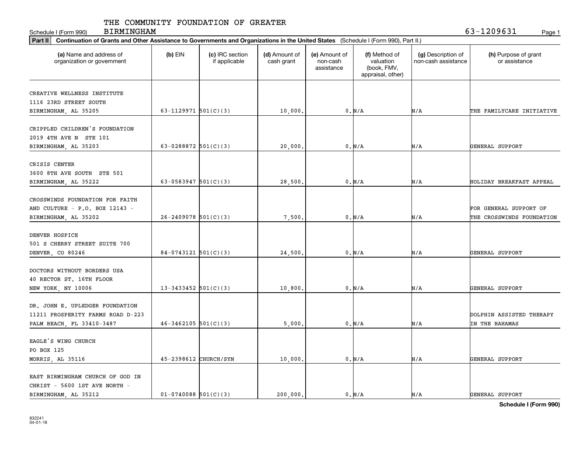Schedule I (Form 990) Page 1 BIRMINGHAM 63-1209631

| Part II   Continuation of Grants and Other Assistance to Governments and Organizations in the United States (Schedule I (Form 990), Part II.) |                          |                                  |                             |                                         |                                                                |                                           |                                       |
|-----------------------------------------------------------------------------------------------------------------------------------------------|--------------------------|----------------------------------|-----------------------------|-----------------------------------------|----------------------------------------------------------------|-------------------------------------------|---------------------------------------|
| (a) Name and address of<br>organization or government                                                                                         | $(b)$ EIN                | (c) IRC section<br>if applicable | (d) Amount of<br>cash grant | (e) Amount of<br>non-cash<br>assistance | (f) Method of<br>valuation<br>(book, FMV,<br>appraisal, other) | (g) Description of<br>non-cash assistance | (h) Purpose of grant<br>or assistance |
|                                                                                                                                               |                          |                                  |                             |                                         |                                                                |                                           |                                       |
| CREATIVE WELLNESS INSTITUTE                                                                                                                   |                          |                                  |                             |                                         |                                                                |                                           |                                       |
| 1116 23RD STREET SOUTH                                                                                                                        |                          |                                  |                             |                                         |                                                                |                                           |                                       |
| BIRMINGHAM, AL 35205                                                                                                                          | 63-1129971 $501(C)(3)$   |                                  | 10,000.                     |                                         | 0. N/A                                                         | N/A                                       | THE FAMILYCARE INITIATIVE             |
| CRIPPLED CHILDREN'S FOUNDATION                                                                                                                |                          |                                  |                             |                                         |                                                                |                                           |                                       |
| 2019 4TH AVE N STE 101                                                                                                                        |                          |                                  |                             |                                         |                                                                |                                           |                                       |
|                                                                                                                                               | 63-0288872 $501(C)(3)$   |                                  |                             |                                         |                                                                |                                           |                                       |
| BIRMINGHAM, AL 35203                                                                                                                          |                          |                                  | 20,000                      |                                         | 0. N/A                                                         | N/A                                       | GENERAL SUPPORT                       |
| CRISIS CENTER                                                                                                                                 |                          |                                  |                             |                                         |                                                                |                                           |                                       |
| 3600 8TH AVE SOUTH STE 501                                                                                                                    |                          |                                  |                             |                                         |                                                                |                                           |                                       |
| BIRMINGHAM, AL 35222                                                                                                                          | 63-0583947 $501(C)(3)$   |                                  | 28,500                      |                                         | 0. N/A                                                         | N/A                                       | HOLIDAY BREAKFAST APPEAL              |
|                                                                                                                                               |                          |                                  |                             |                                         |                                                                |                                           |                                       |
| CROSSWINDS FOUNDATION FOR FAITH                                                                                                               |                          |                                  |                             |                                         |                                                                |                                           |                                       |
| AND CULTURE - P.O. BOX 12143 -                                                                                                                |                          |                                  |                             |                                         |                                                                |                                           | FOR GENERAL SUPPORT OF                |
| BIRMINGHAM, AL 35202                                                                                                                          | $26 - 2409078$ 501(C)(3) |                                  | 7,500                       |                                         | 0. N/A                                                         | N/A                                       | THE CROSSWINDS FOUNDATION             |
|                                                                                                                                               |                          |                                  |                             |                                         |                                                                |                                           |                                       |
| DENVER HOSPICE                                                                                                                                |                          |                                  |                             |                                         |                                                                |                                           |                                       |
| 501 S CHERRY STREET SUITE 700                                                                                                                 |                          |                                  |                             |                                         |                                                                |                                           |                                       |
| DENVER, CO 80246                                                                                                                              | $84-0743121$ 501(C)(3)   |                                  | 24,500                      |                                         | 0. N/A                                                         | N/A                                       | GENERAL SUPPORT                       |
|                                                                                                                                               |                          |                                  |                             |                                         |                                                                |                                           |                                       |
| DOCTORS WITHOUT BORDERS USA                                                                                                                   |                          |                                  |                             |                                         |                                                                |                                           |                                       |
| 40 RECTOR ST. 16TH FLOOR                                                                                                                      |                          |                                  |                             |                                         |                                                                |                                           |                                       |
| NEW YORK, NY 10006                                                                                                                            | 13-3433452 $501(C)(3)$   |                                  | 10,800                      |                                         | 0. N/A                                                         | N/A                                       | GENERAL SUPPORT                       |
|                                                                                                                                               |                          |                                  |                             |                                         |                                                                |                                           |                                       |
| DR. JOHN E. UPLEDGER FOUNDATION                                                                                                               |                          |                                  |                             |                                         |                                                                |                                           |                                       |
| 11211 PROSPERITY FARMS ROAD D-223                                                                                                             |                          |                                  |                             |                                         |                                                                |                                           | DOLPHIN ASSISTED THERAPY              |
| PALM BEACH, FL 33410-3487                                                                                                                     | $46 - 3462105$ 501(C)(3) |                                  | 5,000                       |                                         | 0. N/A                                                         | N/A                                       | IN THE BAHAMAS                        |
|                                                                                                                                               |                          |                                  |                             |                                         |                                                                |                                           |                                       |
| EAGLE'S WING CHURCH                                                                                                                           |                          |                                  |                             |                                         |                                                                |                                           |                                       |
| PO BOX 125                                                                                                                                    |                          |                                  |                             |                                         |                                                                |                                           |                                       |
| MORRIS, AL 35116                                                                                                                              | 45-2398612 CHURCH/SYN    |                                  | 10,000                      |                                         | 0. N/A                                                         | N/A                                       | GENERAL SUPPORT                       |
|                                                                                                                                               |                          |                                  |                             |                                         |                                                                |                                           |                                       |
| EAST BIRMINGHAM CHURCH OF GOD IN                                                                                                              |                          |                                  |                             |                                         |                                                                |                                           |                                       |
| CHRIST - 5600 1ST AVE NORTH -                                                                                                                 |                          |                                  |                             |                                         |                                                                |                                           |                                       |
| BIRMINGHAM, AL 35212                                                                                                                          | $01-0740088$ 501(C)(3)   |                                  | 200,000.                    |                                         | 0. N/A                                                         | N/A                                       | GENERAL SUPPORT                       |
|                                                                                                                                               |                          |                                  |                             |                                         |                                                                |                                           |                                       |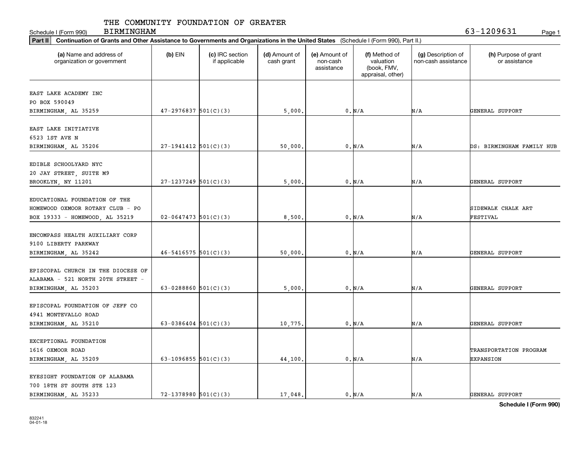Schedule I (Form 990) Page 1

BIRMINGHAM 63-1209631

| Part II   Continuation of Grants and Other Assistance to Governments and Organizations in the United States (Schedule I (Form 990), Part II.) |                          |                                  |                             |                                         |                                                                |                                           |                                       |
|-----------------------------------------------------------------------------------------------------------------------------------------------|--------------------------|----------------------------------|-----------------------------|-----------------------------------------|----------------------------------------------------------------|-------------------------------------------|---------------------------------------|
| (a) Name and address of<br>organization or government                                                                                         | $(b)$ EIN                | (c) IRC section<br>if applicable | (d) Amount of<br>cash grant | (e) Amount of<br>non-cash<br>assistance | (f) Method of<br>valuation<br>(book, FMV,<br>appraisal, other) | (g) Description of<br>non-cash assistance | (h) Purpose of grant<br>or assistance |
| EAST LAKE ACADEMY INC                                                                                                                         |                          |                                  |                             |                                         |                                                                |                                           |                                       |
| PO BOX 590049                                                                                                                                 |                          |                                  |                             |                                         |                                                                |                                           |                                       |
| BIRMINGHAM, AL 35259                                                                                                                          | $47 - 2976837$ 501(C)(3) |                                  | 5,000                       |                                         | 0. N/A                                                         | N/A                                       | GENERAL SUPPORT                       |
|                                                                                                                                               |                          |                                  |                             |                                         |                                                                |                                           |                                       |
| EAST LAKE INITIATIVE                                                                                                                          |                          |                                  |                             |                                         |                                                                |                                           |                                       |
| 6523 1ST AVE N                                                                                                                                |                          |                                  |                             |                                         |                                                                |                                           |                                       |
| BIRMINGHAM, AL 35206                                                                                                                          | $27-1941412$ 501(C)(3)   |                                  | 50,000                      |                                         | 0. N/A                                                         | N/A                                       | DS: BIRMINGHAM FAMILY HUB             |
|                                                                                                                                               |                          |                                  |                             |                                         |                                                                |                                           |                                       |
| EDIBLE SCHOOLYARD NYC                                                                                                                         |                          |                                  |                             |                                         |                                                                |                                           |                                       |
| 20 JAY STREET, SUITE M9                                                                                                                       |                          |                                  |                             |                                         |                                                                |                                           |                                       |
| BROOKLYN, NY 11201                                                                                                                            | $27-1237249$ 501(C)(3)   |                                  | 5,000                       |                                         | 0. N/A                                                         | N/A                                       | GENERAL SUPPORT                       |
| EDUCATIONAL FOUNDATION OF THE                                                                                                                 |                          |                                  |                             |                                         |                                                                |                                           |                                       |
|                                                                                                                                               |                          |                                  |                             |                                         |                                                                |                                           |                                       |
| HOMEWOOD OXMOOR ROTARY CLUB - PO                                                                                                              |                          |                                  |                             |                                         |                                                                |                                           | SIDEWALK CHALK ART                    |
| BOX 19333 - HOMEWOOD, AL 35219                                                                                                                | $02 - 0647473$ 501(C)(3) |                                  | 8,500                       |                                         | 0. N/A                                                         | N/A                                       | FESTIVAL                              |
| ENCOMPASS HEALTH AUXILIARY CORP                                                                                                               |                          |                                  |                             |                                         |                                                                |                                           |                                       |
| 9100 LIBERTY PARKWAY                                                                                                                          |                          |                                  |                             |                                         |                                                                |                                           |                                       |
|                                                                                                                                               | $46 - 5416575$ 501(C)(3) |                                  | 50,000                      |                                         | 0. N/A                                                         | N/A                                       | GENERAL SUPPORT                       |
| BIRMINGHAM, AL 35242                                                                                                                          |                          |                                  |                             |                                         |                                                                |                                           |                                       |
| EPISCOPAL CHURCH IN THE DIOCESE OF                                                                                                            |                          |                                  |                             |                                         |                                                                |                                           |                                       |
| ALABAMA - 521 NORTH 20TH STREET -                                                                                                             |                          |                                  |                             |                                         |                                                                |                                           |                                       |
| BIRMINGHAM, AL 35203                                                                                                                          | 63-0288860 $501(C)(3)$   |                                  | 5,000                       |                                         | 0. N/A                                                         | N/A                                       | GENERAL SUPPORT                       |
|                                                                                                                                               |                          |                                  |                             |                                         |                                                                |                                           |                                       |
| EPISCOPAL FOUNDATION OF JEFF CO                                                                                                               |                          |                                  |                             |                                         |                                                                |                                           |                                       |
| 4941 MONTEVALLO ROAD                                                                                                                          |                          |                                  |                             |                                         |                                                                |                                           |                                       |
| BIRMINGHAM, AL 35210                                                                                                                          | 63-0386404 $501(C)(3)$   |                                  | 10,775                      |                                         | 0. N/A                                                         | N/A                                       | GENERAL SUPPORT                       |
|                                                                                                                                               |                          |                                  |                             |                                         |                                                                |                                           |                                       |
| EXCEPTIONAL FOUNDATION                                                                                                                        |                          |                                  |                             |                                         |                                                                |                                           |                                       |
| 1616 OXMOOR ROAD                                                                                                                              |                          |                                  |                             |                                         |                                                                |                                           | TRANSPORTATION PROGRAM                |
| BIRMINGHAM, AL 35209                                                                                                                          | 63-1096855 $501(C)(3)$   |                                  | 44,100                      |                                         | 0. N/A                                                         | N/A                                       | <b>EXPANSION</b>                      |
|                                                                                                                                               |                          |                                  |                             |                                         |                                                                |                                           |                                       |
| EYESIGHT FOUNDATION OF ALABAMA                                                                                                                |                          |                                  |                             |                                         |                                                                |                                           |                                       |
| 700 18TH ST SOUTH STE 123                                                                                                                     |                          |                                  |                             |                                         |                                                                |                                           |                                       |
| BIRMINGHAM, AL 35233                                                                                                                          | $72 - 1378980$ 501(C)(3) |                                  | 17,048.                     |                                         | 0. N/A                                                         | N/A                                       | GENERAL SUPPORT                       |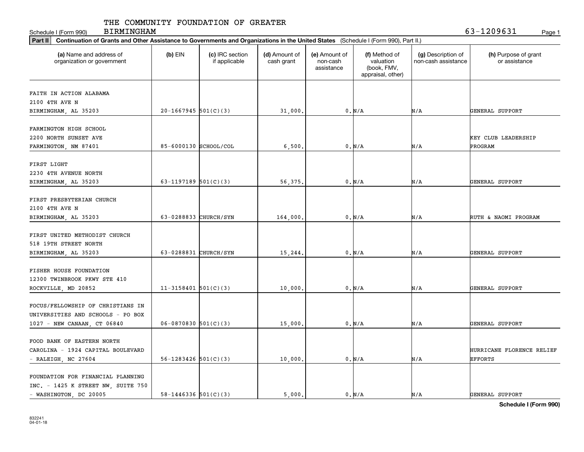Schedule I (Form 990) Page 1

BIRMINGHAM 63-1209631

| Part II   Continuation of Grants and Other Assistance to Governments and Organizations in the United States (Schedule I (Form 990), Part II.) |                            |                                  |                             |                                         |                                                                |                                           |                                       |  |  |  |
|-----------------------------------------------------------------------------------------------------------------------------------------------|----------------------------|----------------------------------|-----------------------------|-----------------------------------------|----------------------------------------------------------------|-------------------------------------------|---------------------------------------|--|--|--|
| (a) Name and address of<br>organization or government                                                                                         | $(b)$ EIN                  | (c) IRC section<br>if applicable | (d) Amount of<br>cash grant | (e) Amount of<br>non-cash<br>assistance | (f) Method of<br>valuation<br>(book, FMV,<br>appraisal, other) | (g) Description of<br>non-cash assistance | (h) Purpose of grant<br>or assistance |  |  |  |
|                                                                                                                                               |                            |                                  |                             |                                         |                                                                |                                           |                                       |  |  |  |
| FAITH IN ACTION ALABAMA                                                                                                                       |                            |                                  |                             |                                         |                                                                |                                           |                                       |  |  |  |
| 2100 4TH AVE N                                                                                                                                |                            |                                  |                             |                                         |                                                                |                                           |                                       |  |  |  |
| BIRMINGHAM, AL 35203                                                                                                                          | $20-1667945$ 501(C)(3)     |                                  | 31,000.                     |                                         | 0. N/A                                                         | N/A                                       | GENERAL SUPPORT                       |  |  |  |
| FARMINGTON HIGH SCHOOL                                                                                                                        |                            |                                  |                             |                                         |                                                                |                                           |                                       |  |  |  |
| 2200 NORTH SUNSET AVE                                                                                                                         |                            |                                  |                             |                                         |                                                                |                                           | KEY CLUB LEADERSHIP                   |  |  |  |
|                                                                                                                                               | 85-6000130 SCHOOL/COL      |                                  |                             |                                         | 0. N/A                                                         | N/A                                       | PROGRAM                               |  |  |  |
| FARMINGTON, NM 87401                                                                                                                          |                            |                                  | 6,500                       |                                         |                                                                |                                           |                                       |  |  |  |
| FIRST LIGHT                                                                                                                                   |                            |                                  |                             |                                         |                                                                |                                           |                                       |  |  |  |
| 2230 4TH AVENUE NORTH                                                                                                                         |                            |                                  |                             |                                         |                                                                |                                           |                                       |  |  |  |
| BIRMINGHAM, AL 35203                                                                                                                          | 63-1197189 $501(C)(3)$     |                                  | 56,375.                     |                                         | $0. N/A$                                                       | N/A                                       | GENERAL SUPPORT                       |  |  |  |
|                                                                                                                                               |                            |                                  |                             |                                         |                                                                |                                           |                                       |  |  |  |
| FIRST PRESBYTERIAN CHURCH                                                                                                                     |                            |                                  |                             |                                         |                                                                |                                           |                                       |  |  |  |
| 2100 4TH AVE N                                                                                                                                |                            |                                  |                             |                                         |                                                                |                                           |                                       |  |  |  |
| BIRMINGHAM, AL 35203                                                                                                                          | 63-0288833 CHURCH/SYN      |                                  | 164,000.                    |                                         | 0. N/A                                                         | N/A                                       | RUTH & NAOMI PROGRAM                  |  |  |  |
|                                                                                                                                               |                            |                                  |                             |                                         |                                                                |                                           |                                       |  |  |  |
| FIRST UNITED METHODIST CHURCH                                                                                                                 |                            |                                  |                             |                                         |                                                                |                                           |                                       |  |  |  |
| 518 19TH STREET NORTH                                                                                                                         |                            |                                  |                             |                                         |                                                                |                                           |                                       |  |  |  |
| BIRMINGHAM, AL 35203                                                                                                                          | 63-0288831 CHURCH/SYN      |                                  | 15,244.                     |                                         | 0. N/A                                                         | N/A                                       | GENERAL SUPPORT                       |  |  |  |
|                                                                                                                                               |                            |                                  |                             |                                         |                                                                |                                           |                                       |  |  |  |
| FISHER HOUSE FOUNDATION                                                                                                                       |                            |                                  |                             |                                         |                                                                |                                           |                                       |  |  |  |
| 12300 TWINBROOK PKWY STE 410                                                                                                                  |                            |                                  |                             |                                         |                                                                |                                           |                                       |  |  |  |
| ROCKVILLE, MD 20852                                                                                                                           | $11-3158401$ 501(C)(3)     |                                  | 10,000                      |                                         | 0. N/A                                                         | N/A                                       | GENERAL SUPPORT                       |  |  |  |
|                                                                                                                                               |                            |                                  |                             |                                         |                                                                |                                           |                                       |  |  |  |
| FOCUS/FELLOWSHIP OF CHRISTIANS IN                                                                                                             |                            |                                  |                             |                                         |                                                                |                                           |                                       |  |  |  |
| UNIVERSITIES AND SCHOOLS - PO BOX                                                                                                             |                            |                                  |                             |                                         |                                                                |                                           |                                       |  |  |  |
| 1027 - NEW CANAAN, CT 06840                                                                                                                   | $06-0870830$ 501(C)(3)     |                                  | 15,000                      |                                         | 0. N/A                                                         | N/A                                       | GENERAL SUPPORT                       |  |  |  |
|                                                                                                                                               |                            |                                  |                             |                                         |                                                                |                                           |                                       |  |  |  |
| FOOD BANK OF EASTERN NORTH                                                                                                                    |                            |                                  |                             |                                         |                                                                |                                           |                                       |  |  |  |
| CAROLINA - 1924 CAPITAL BOULEVARD                                                                                                             |                            |                                  |                             |                                         |                                                                |                                           | HURRICANE FLORENCE RELIEF             |  |  |  |
| $-$ RALEIGH, NC 27604                                                                                                                         | $56 - 1283426$ $501(C)(3)$ |                                  | 10,000                      |                                         | 0. N/A                                                         | N/A                                       | <b>EFFORTS</b>                        |  |  |  |
|                                                                                                                                               |                            |                                  |                             |                                         |                                                                |                                           |                                       |  |  |  |
| FOUNDATION FOR FINANCIAL PLANNING                                                                                                             |                            |                                  |                             |                                         |                                                                |                                           |                                       |  |  |  |
| INC. - 1425 K STREET NW, SUITE 750                                                                                                            |                            |                                  |                             |                                         |                                                                |                                           |                                       |  |  |  |
| - WASHINGTON, DC 20005                                                                                                                        | $58 - 1446336$ $501(C)(3)$ |                                  | 5,000.                      |                                         | 0. N/A                                                         | N/A                                       | GENERAL SUPPORT                       |  |  |  |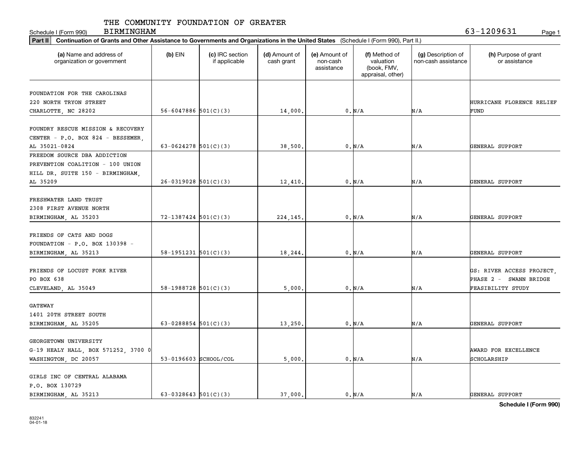Schedule I (Form 990) Page 1 BIRMINGHAM 63-1209631

|                                                       | Part II   Continuation of Grants and Other Assistance to Governments and Organizations in the United States (Schedule I (Form 990), Part II.) |                                  |                             |                                         |                                                                |                                           |                                       |  |  |  |  |
|-------------------------------------------------------|-----------------------------------------------------------------------------------------------------------------------------------------------|----------------------------------|-----------------------------|-----------------------------------------|----------------------------------------------------------------|-------------------------------------------|---------------------------------------|--|--|--|--|
| (a) Name and address of<br>organization or government | $(b)$ EIN                                                                                                                                     | (c) IRC section<br>if applicable | (d) Amount of<br>cash grant | (e) Amount of<br>non-cash<br>assistance | (f) Method of<br>valuation<br>(book, FMV,<br>appraisal, other) | (g) Description of<br>non-cash assistance | (h) Purpose of grant<br>or assistance |  |  |  |  |
|                                                       |                                                                                                                                               |                                  |                             |                                         |                                                                |                                           |                                       |  |  |  |  |
| FOUNDATION FOR THE CAROLINAS                          |                                                                                                                                               |                                  |                             |                                         |                                                                |                                           |                                       |  |  |  |  |
| 220 NORTH TRYON STREET                                |                                                                                                                                               |                                  |                             |                                         |                                                                |                                           | HURRICANE FLORENCE RELIEF             |  |  |  |  |
| CHARLOTTE, NC 28202                                   | $56 - 6047886$ $501(C)(3)$                                                                                                                    |                                  | 14,000.                     |                                         | 0. N/A                                                         | N/A                                       | FUND                                  |  |  |  |  |
| FOUNDRY RESCUE MISSION & RECOVERY                     |                                                                                                                                               |                                  |                             |                                         |                                                                |                                           |                                       |  |  |  |  |
|                                                       |                                                                                                                                               |                                  |                             |                                         |                                                                |                                           |                                       |  |  |  |  |
| CENTER - P.O. BOX 824 - BESSEMER,<br>AL 35021-0824    | 63-0624278 $501(C)(3)$                                                                                                                        |                                  |                             |                                         | 0. N/A                                                         | N/A                                       | GENERAL SUPPORT                       |  |  |  |  |
| FREEDOM SOURCE DBA ADDICTION                          |                                                                                                                                               |                                  | 38,500                      |                                         |                                                                |                                           |                                       |  |  |  |  |
| PREVENTION COALITION - 100 UNION                      |                                                                                                                                               |                                  |                             |                                         |                                                                |                                           |                                       |  |  |  |  |
|                                                       |                                                                                                                                               |                                  |                             |                                         |                                                                |                                           |                                       |  |  |  |  |
| HILL DR. SUITE 150 - BIRMINGHAM,<br>AL 35209          | $26-0319028$ 501(C)(3)                                                                                                                        |                                  |                             |                                         |                                                                | N/A                                       | GENERAL SUPPORT                       |  |  |  |  |
|                                                       |                                                                                                                                               |                                  | 12,410.                     |                                         | 0. N/A                                                         |                                           |                                       |  |  |  |  |
| FRESHWATER LAND TRUST                                 |                                                                                                                                               |                                  |                             |                                         |                                                                |                                           |                                       |  |  |  |  |
| 2308 FIRST AVENUE NORTH                               |                                                                                                                                               |                                  |                             |                                         |                                                                |                                           |                                       |  |  |  |  |
| BIRMINGHAM, AL 35203                                  | $72 - 1387424$ 501(C)(3)                                                                                                                      |                                  | 224,145                     |                                         | 0. N/A                                                         | N/A                                       | GENERAL SUPPORT                       |  |  |  |  |
|                                                       |                                                                                                                                               |                                  |                             |                                         |                                                                |                                           |                                       |  |  |  |  |
| FRIENDS OF CATS AND DOGS                              |                                                                                                                                               |                                  |                             |                                         |                                                                |                                           |                                       |  |  |  |  |
| FOUNDATION - $P.O.$ BOX 130398 -                      |                                                                                                                                               |                                  |                             |                                         |                                                                |                                           |                                       |  |  |  |  |
| BIRMINGHAM, AL 35213                                  | $58-1951231$ $501(C)(3)$                                                                                                                      |                                  | 18,244                      |                                         | 0. N/A                                                         | N/A                                       | GENERAL SUPPORT                       |  |  |  |  |
|                                                       |                                                                                                                                               |                                  |                             |                                         |                                                                |                                           |                                       |  |  |  |  |
| FRIENDS OF LOCUST FORK RIVER                          |                                                                                                                                               |                                  |                             |                                         |                                                                |                                           | GS: RIVER ACCESS PROJECT,             |  |  |  |  |
| PO BOX 638                                            |                                                                                                                                               |                                  |                             |                                         |                                                                |                                           | PHASE 2 - SWANN BRIDGE                |  |  |  |  |
| CLEVELAND, AL 35049                                   | $58-1988728$ $501(C)(3)$                                                                                                                      |                                  | 5,000                       |                                         | 0. N/A                                                         | N/A                                       | FEASIBILITY STUDY                     |  |  |  |  |
|                                                       |                                                                                                                                               |                                  |                             |                                         |                                                                |                                           |                                       |  |  |  |  |
| <b>GATEWAY</b>                                        |                                                                                                                                               |                                  |                             |                                         |                                                                |                                           |                                       |  |  |  |  |
| 1401 20TH STREET SOUTH                                |                                                                                                                                               |                                  |                             |                                         |                                                                |                                           |                                       |  |  |  |  |
| BIRMINGHAM, AL 35205                                  | 63-0288854 $501(C)(3)$                                                                                                                        |                                  | 13,250                      |                                         | 0. N/A                                                         | N/A                                       | GENERAL SUPPORT                       |  |  |  |  |
|                                                       |                                                                                                                                               |                                  |                             |                                         |                                                                |                                           |                                       |  |  |  |  |
| GEORGETOWN UNIVERSITY                                 |                                                                                                                                               |                                  |                             |                                         |                                                                |                                           |                                       |  |  |  |  |
| G-19 HEALY HALL, BOX 571252, 3700 0                   |                                                                                                                                               |                                  |                             |                                         |                                                                |                                           | AWARD FOR EXCELLENCE                  |  |  |  |  |
| WASHINGTON, DC 20057                                  | 53-0196603 SCHOOL/COL                                                                                                                         |                                  | 5,000                       |                                         | 0. N/A                                                         | N/A                                       | SCHOLARSHIP                           |  |  |  |  |
|                                                       |                                                                                                                                               |                                  |                             |                                         |                                                                |                                           |                                       |  |  |  |  |
| GIRLS INC OF CENTRAL ALABAMA                          |                                                                                                                                               |                                  |                             |                                         |                                                                |                                           |                                       |  |  |  |  |
| P.O. BOX 130729                                       |                                                                                                                                               |                                  |                             |                                         |                                                                |                                           |                                       |  |  |  |  |
| BIRMINGHAM, AL 35213                                  | 63-0328643 $501(C)(3)$                                                                                                                        |                                  | 37.000.                     |                                         | 0. N/A                                                         | N/A                                       | GENERAL SUPPORT                       |  |  |  |  |
|                                                       |                                                                                                                                               |                                  |                             |                                         |                                                                |                                           |                                       |  |  |  |  |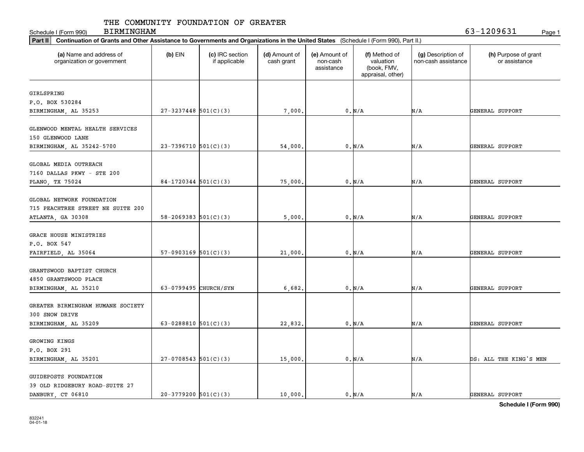Schedule I (Form 990) Page 1

BIRMINGHAM 63-1209631

| Part II   Continuation of Grants and Other Assistance to Governments and Organizations in the United States (Schedule I (Form 990), Part II.) |                            |                                  |                             |                                         |                                                                |                                           |                                       |
|-----------------------------------------------------------------------------------------------------------------------------------------------|----------------------------|----------------------------------|-----------------------------|-----------------------------------------|----------------------------------------------------------------|-------------------------------------------|---------------------------------------|
| (a) Name and address of<br>organization or government                                                                                         | $(b)$ EIN                  | (c) IRC section<br>if applicable | (d) Amount of<br>cash grant | (e) Amount of<br>non-cash<br>assistance | (f) Method of<br>valuation<br>(book, FMV,<br>appraisal, other) | (g) Description of<br>non-cash assistance | (h) Purpose of grant<br>or assistance |
|                                                                                                                                               |                            |                                  |                             |                                         |                                                                |                                           |                                       |
| GIRLSPRING<br>P.O. BOX 530284                                                                                                                 |                            |                                  |                             |                                         |                                                                |                                           |                                       |
| BIRMINGHAM, AL 35253                                                                                                                          | $27 - 3237448$ 501(C)(3)   |                                  | 7,000.                      |                                         | 0. N/A                                                         | N/A                                       | GENERAL SUPPORT                       |
|                                                                                                                                               |                            |                                  |                             |                                         |                                                                |                                           |                                       |
| GLENWOOD MENTAL HEALTH SERVICES                                                                                                               |                            |                                  |                             |                                         |                                                                |                                           |                                       |
| 150 GLENWOOD LANE                                                                                                                             |                            |                                  |                             |                                         |                                                                |                                           |                                       |
| BIRMINGHAM, AL 35242-5700                                                                                                                     | $23-7396710$ 501(C)(3)     |                                  | 54,000                      |                                         | 0. N/A                                                         | N/A                                       | GENERAL SUPPORT                       |
| GLOBAL MEDIA OUTREACH                                                                                                                         |                            |                                  |                             |                                         |                                                                |                                           |                                       |
| 7160 DALLAS PKWY - STE 200                                                                                                                    |                            |                                  |                             |                                         |                                                                |                                           |                                       |
| PLANO, TX 75024                                                                                                                               | $84-1720344$ 501(C)(3)     |                                  | 75,000                      |                                         | 0. N/A                                                         | N/A                                       | GENERAL SUPPORT                       |
|                                                                                                                                               |                            |                                  |                             |                                         |                                                                |                                           |                                       |
| GLOBAL NETWORK FOUNDATION                                                                                                                     |                            |                                  |                             |                                         |                                                                |                                           |                                       |
| 715 PEACHTREE STREET NE SUITE 200                                                                                                             |                            |                                  |                             |                                         |                                                                |                                           |                                       |
| ATLANTA, GA 30308                                                                                                                             | $58 - 2069383$ $501(C)(3)$ |                                  | 5,000                       |                                         | 0. N/A                                                         | N/A                                       | GENERAL SUPPORT                       |
|                                                                                                                                               |                            |                                  |                             |                                         |                                                                |                                           |                                       |
| GRACE HOUSE MINISTRIES                                                                                                                        |                            |                                  |                             |                                         |                                                                |                                           |                                       |
| P.O. BOX 547                                                                                                                                  |                            |                                  |                             |                                         |                                                                |                                           |                                       |
| FAIRFIELD, AL 35064                                                                                                                           | $57-0903169$ $501(C)(3)$   |                                  | 21,000                      |                                         | 0. N/A                                                         | N/A                                       | GENERAL SUPPORT                       |
|                                                                                                                                               |                            |                                  |                             |                                         |                                                                |                                           |                                       |
| GRANTSWOOD BAPTIST CHURCH                                                                                                                     |                            |                                  |                             |                                         |                                                                |                                           |                                       |
| 4850 GRANTSWOOD PLACE                                                                                                                         |                            |                                  |                             |                                         |                                                                |                                           |                                       |
| BIRMINGHAM, AL 35210                                                                                                                          | 63-0799495 CHURCH/SYN      |                                  | 6,682.                      |                                         | 0. N/A                                                         | N/A                                       | GENERAL SUPPORT                       |
|                                                                                                                                               |                            |                                  |                             |                                         |                                                                |                                           |                                       |
| GREATER BIRMINGHAM HUMANE SOCIETY                                                                                                             |                            |                                  |                             |                                         |                                                                |                                           |                                       |
| 300 SNOW DRIVE                                                                                                                                |                            |                                  |                             |                                         |                                                                |                                           |                                       |
| BIRMINGHAM, AL 35209                                                                                                                          | 63-0288810 $501(C)(3)$     |                                  | 22,832.                     |                                         | 0. N/A                                                         | N/A                                       | GENERAL SUPPORT                       |
| GROWING KINGS                                                                                                                                 |                            |                                  |                             |                                         |                                                                |                                           |                                       |
| P.O. BOX 291                                                                                                                                  |                            |                                  |                             |                                         |                                                                |                                           |                                       |
| BIRMINGHAM, AL 35201                                                                                                                          | $27-0708543$ 501(C)(3)     |                                  | 15,000                      |                                         | 0. N/A                                                         | N/A                                       | DS: ALL THE KING'S MEN                |
|                                                                                                                                               |                            |                                  |                             |                                         |                                                                |                                           |                                       |
| GUIDEPOSTS FOUNDATION                                                                                                                         |                            |                                  |                             |                                         |                                                                |                                           |                                       |
| 39 OLD RIDGEBURY ROAD-SUITE 27                                                                                                                |                            |                                  |                             |                                         |                                                                |                                           |                                       |
| DANBURY CT 06810                                                                                                                              | $20-3779200$ 501(C)(3)     |                                  | 10,000.                     |                                         | 0. N/A                                                         | N/A                                       | GENERAL SUPPORT                       |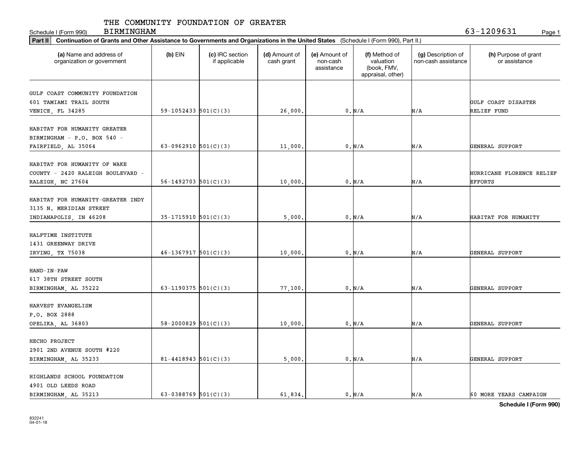Schedule I (Form 990) Page 1

BIRMINGHAM 63-1209631

|                                                       | Part II   Continuation of Grants and Other Assistance to Governments and Organizations in the United States (Schedule I (Form 990), Part II.) |                                  |                             |                                         |                                                                |                                           |                                           |  |  |  |  |
|-------------------------------------------------------|-----------------------------------------------------------------------------------------------------------------------------------------------|----------------------------------|-----------------------------|-----------------------------------------|----------------------------------------------------------------|-------------------------------------------|-------------------------------------------|--|--|--|--|
| (a) Name and address of<br>organization or government | $(b)$ EIN                                                                                                                                     | (c) IRC section<br>if applicable | (d) Amount of<br>cash grant | (e) Amount of<br>non-cash<br>assistance | (f) Method of<br>valuation<br>(book, FMV,<br>appraisal, other) | (g) Description of<br>non-cash assistance | (h) Purpose of grant<br>or assistance     |  |  |  |  |
|                                                       |                                                                                                                                               |                                  |                             |                                         |                                                                |                                           |                                           |  |  |  |  |
| GULF COAST COMMUNITY FOUNDATION                       |                                                                                                                                               |                                  |                             |                                         |                                                                |                                           |                                           |  |  |  |  |
| 601 TAMIAMI TRAIL SOUTH                               | 59-1052433 $501(C)(3)$                                                                                                                        |                                  |                             |                                         | 0. N/A                                                         | N/A                                       | <b>GULF COAST DISASTER</b><br>RELIEF FUND |  |  |  |  |
| VENICE, FL 34285                                      |                                                                                                                                               |                                  | 26,000.                     |                                         |                                                                |                                           |                                           |  |  |  |  |
| HABITAT FOR HUMANITY GREATER                          |                                                                                                                                               |                                  |                             |                                         |                                                                |                                           |                                           |  |  |  |  |
| BIRMINGHAM - P.O. BOX 540 -                           |                                                                                                                                               |                                  |                             |                                         |                                                                |                                           |                                           |  |  |  |  |
| FAIRFIELD, AL 35064                                   | 63-0962910 $501(C)(3)$                                                                                                                        |                                  | 11,000                      |                                         | 0. N/A                                                         | N/A                                       | GENERAL SUPPORT                           |  |  |  |  |
|                                                       |                                                                                                                                               |                                  |                             |                                         |                                                                |                                           |                                           |  |  |  |  |
| HABITAT FOR HUMANITY OF WAKE                          |                                                                                                                                               |                                  |                             |                                         |                                                                |                                           |                                           |  |  |  |  |
| COUNTY - 2420 RALEIGH BOULEVARD -                     |                                                                                                                                               |                                  |                             |                                         |                                                                |                                           | HURRICANE FLORENCE RELIEF                 |  |  |  |  |
| RALEIGH, NC 27604                                     | $56 - 1492703$ $501(C)(3)$                                                                                                                    |                                  | 10,000.                     |                                         | $0. N/A$                                                       | N/A                                       | <b>EFFORTS</b>                            |  |  |  |  |
|                                                       |                                                                                                                                               |                                  |                             |                                         |                                                                |                                           |                                           |  |  |  |  |
| HABITAT FOR HUMANITY-GREATER INDY                     |                                                                                                                                               |                                  |                             |                                         |                                                                |                                           |                                           |  |  |  |  |
| 3135 N. MERIDIAN STREET                               |                                                                                                                                               |                                  |                             |                                         |                                                                |                                           |                                           |  |  |  |  |
| INDIANAPOLIS, IN 46208                                | $35-1715910$ $501(C)(3)$                                                                                                                      |                                  | 5,000.                      |                                         | 0. N/A                                                         | N/A                                       | HABITAT FOR HUMANITY                      |  |  |  |  |
|                                                       |                                                                                                                                               |                                  |                             |                                         |                                                                |                                           |                                           |  |  |  |  |
| HALFTIME INSTITUTE                                    |                                                                                                                                               |                                  |                             |                                         |                                                                |                                           |                                           |  |  |  |  |
| 1431 GREENWAY DRIVE                                   |                                                                                                                                               |                                  |                             |                                         |                                                                |                                           |                                           |  |  |  |  |
| IRVING, TX 75038                                      | $46-1367917$ 501(C)(3)                                                                                                                        |                                  | 10,000                      |                                         | 0. N/A                                                         | N/A                                       | GENERAL SUPPORT                           |  |  |  |  |
|                                                       |                                                                                                                                               |                                  |                             |                                         |                                                                |                                           |                                           |  |  |  |  |
| HAND-IN-PAW                                           |                                                                                                                                               |                                  |                             |                                         |                                                                |                                           |                                           |  |  |  |  |
| 617 38TH STREET SOUTH                                 |                                                                                                                                               |                                  |                             |                                         |                                                                |                                           |                                           |  |  |  |  |
| BIRMINGHAM, AL 35222                                  | 63-1190375 $501(C)(3)$                                                                                                                        |                                  | 77,100                      |                                         | 0. N/A                                                         | N/A                                       | GENERAL SUPPORT                           |  |  |  |  |
| HARVEST EVANGELISM                                    |                                                                                                                                               |                                  |                             |                                         |                                                                |                                           |                                           |  |  |  |  |
| P.O. BOX 2888                                         |                                                                                                                                               |                                  |                             |                                         |                                                                |                                           |                                           |  |  |  |  |
| OPELIKA, AL 36803                                     | $58 - 2000829$ $501(C)(3)$                                                                                                                    |                                  | 10,000.                     |                                         | 0. N/A                                                         | N/A                                       | GENERAL SUPPORT                           |  |  |  |  |
|                                                       |                                                                                                                                               |                                  |                             |                                         |                                                                |                                           |                                           |  |  |  |  |
| HECHO PROJECT                                         |                                                                                                                                               |                                  |                             |                                         |                                                                |                                           |                                           |  |  |  |  |
| 2901 2ND AVENUE SOUTH #220                            |                                                                                                                                               |                                  |                             |                                         |                                                                |                                           |                                           |  |  |  |  |
| BIRMINGHAM, AL 35233                                  | $81 - 4418943$ $501(C)(3)$                                                                                                                    |                                  | 5,000.                      |                                         | 0. N/A                                                         | N/A                                       | GENERAL SUPPORT                           |  |  |  |  |
|                                                       |                                                                                                                                               |                                  |                             |                                         |                                                                |                                           |                                           |  |  |  |  |
| HIGHLANDS SCHOOL FOUNDATION                           |                                                                                                                                               |                                  |                             |                                         |                                                                |                                           |                                           |  |  |  |  |
| 4901 OLD LEEDS ROAD                                   |                                                                                                                                               |                                  |                             |                                         |                                                                |                                           |                                           |  |  |  |  |
| BIRMINGHAM, AL 35213                                  | 63-0388769 $501(C)(3)$                                                                                                                        |                                  | 61.834.                     |                                         | $0. N/A$                                                       | N/A                                       | 60 MORE YEARS CAMPAIGN                    |  |  |  |  |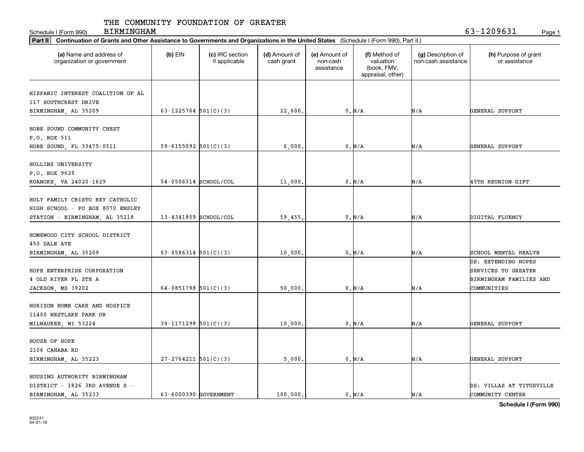Schedule I (Form 990) Page 1

BIRMINGHAM 63-1209631

| Part II   Continuation of Grants and Other Assistance to Governments and Organizations in the United States (Schedule I (Form 990), Part II.) |                            |                                  |                             |                                         |                                                                |                                           |                                                                                      |
|-----------------------------------------------------------------------------------------------------------------------------------------------|----------------------------|----------------------------------|-----------------------------|-----------------------------------------|----------------------------------------------------------------|-------------------------------------------|--------------------------------------------------------------------------------------|
| (a) Name and address of<br>organization or government                                                                                         | $(b)$ EIN                  | (c) IRC section<br>if applicable | (d) Amount of<br>cash grant | (e) Amount of<br>non-cash<br>assistance | (f) Method of<br>valuation<br>(book, FMV,<br>appraisal, other) | (g) Description of<br>non-cash assistance | (h) Purpose of grant<br>or assistance                                                |
| HISPANIC INTEREST COALITION OF AL                                                                                                             |                            |                                  |                             |                                         |                                                                |                                           |                                                                                      |
| 117 SOUTHCREST DRIVE<br>BIRMINGHAM, AL 35209                                                                                                  | 63-1225764 $501(C)(3)$     |                                  | 22,600.                     |                                         | 0. N/A                                                         | N/A                                       | GENERAL SUPPORT                                                                      |
| HOBE SOUND COMMUNITY CHEST<br>P.O. BOX 511                                                                                                    |                            |                                  |                             |                                         |                                                                |                                           |                                                                                      |
| HOBE SOUND, FL 33475-0511                                                                                                                     | 59-6155092 $501(C)(3)$     |                                  | 6,000                       |                                         | 0. N/A                                                         | N/A                                       | GENERAL SUPPORT                                                                      |
| HOLLINS UNIVERSITY<br>P.O. BOX 9629<br>ROANOKE, VA 24020-1629                                                                                 | 54-0506314 SCHOOL/COL      |                                  | 11,000                      |                                         | 0. N/A                                                         | N/A                                       | 45TH REUNION GIFT                                                                    |
| HOLY FAMILY CRISTO REY CATHOLIC<br>HIGH SCHOOL - PO BOX 8070 ENSLEY<br>STATION - BIRMINGHAM, AL 35218                                         | $13 - 4341859$ SCHOOL/COL  |                                  | 59,455.                     |                                         | 0. N/A                                                         | N/A                                       | DIGITAL FLUENCY                                                                      |
| HOMEWOOD CITY SCHOOL DISTRICT<br>450 DALE AVE<br>BIRMINGHAM, AL 35209                                                                         | $63 - 0586314$ $501(C)(3)$ |                                  | 10,000                      |                                         | 0. N/A                                                         | N/A                                       | SCHOOL MENTAL HEALTH                                                                 |
| HOPE ENTERPRISE CORPORATION<br>4 OLD RIVER PL STE A<br>JACKSON, MS 39202                                                                      | 64-0851798 $501(C)(3)$     |                                  | 50,000                      |                                         | 0. N/A                                                         | N/A                                       | DS: EXTENDING HOPES<br>SERVICES TO GREATER<br>BIRMINGHAM FAMILIES AND<br>COMMUNITIES |
| HORIZON HOME CARE AND HOSPICE<br>11400 WESTLAKE PARK DR<br>MILWAUKEE, WI 53224                                                                | $39-1171298$ 501(C)(3)     |                                  | 10,000                      |                                         | 0. N/A                                                         | N/A                                       | GENERAL SUPPORT                                                                      |
| HOUSE OF HOPE<br>2106 CAHABA RD<br>BIRMINGHAM, AL 35223                                                                                       | $27 - 2764211$ 501(C)(3)   |                                  | 5,000                       |                                         | 0. N/A                                                         | N/A                                       | <b>GENERAL SUPPORT</b>                                                               |
| HOUSING AUTHORITY BIRMINGHAM<br>DISTRICT - 1826 3RD AVENUE S -<br>BIRMINGHAM, AL 35233                                                        | 63-6000390 GOVERNMENT      |                                  | 100,000.                    |                                         | 0. N/A                                                         | N/A                                       | DS: VILLAS AT TITUSVILLE<br>COMMUNITY CENTER                                         |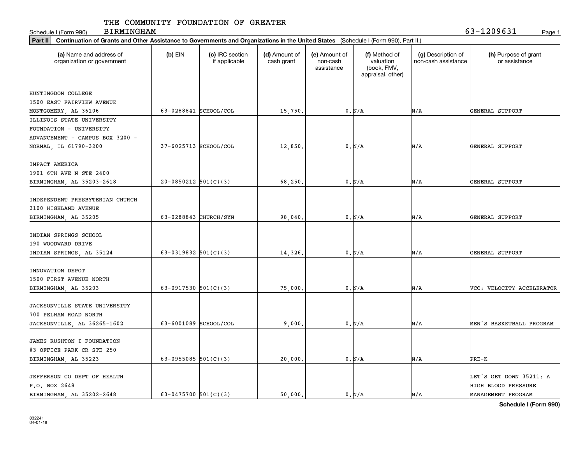Schedule I (Form 990) Page 1

BIRMINGHAM 63-1209631

|                                                       | Part II   Continuation of Grants and Other Assistance to Governments and Organizations in the United States (Schedule I (Form 990), Part II.) |                                  |                             |                                         |                                                                |                                           |                                       |  |  |  |
|-------------------------------------------------------|-----------------------------------------------------------------------------------------------------------------------------------------------|----------------------------------|-----------------------------|-----------------------------------------|----------------------------------------------------------------|-------------------------------------------|---------------------------------------|--|--|--|
| (a) Name and address of<br>organization or government | $(b)$ EIN                                                                                                                                     | (c) IRC section<br>if applicable | (d) Amount of<br>cash grant | (e) Amount of<br>non-cash<br>assistance | (f) Method of<br>valuation<br>(book, FMV,<br>appraisal, other) | (g) Description of<br>non-cash assistance | (h) Purpose of grant<br>or assistance |  |  |  |
|                                                       |                                                                                                                                               |                                  |                             |                                         |                                                                |                                           |                                       |  |  |  |
| HUNTINGDON COLLEGE                                    |                                                                                                                                               |                                  |                             |                                         |                                                                |                                           |                                       |  |  |  |
| 1500 EAST FAIRVIEW AVENUE                             |                                                                                                                                               |                                  |                             |                                         |                                                                |                                           |                                       |  |  |  |
| MONTGOMERY, AL 36106                                  | 63-0288841 SCHOOL/COL                                                                                                                         |                                  | 15,750.                     |                                         | 0. N/A                                                         | N/A                                       | GENERAL SUPPORT                       |  |  |  |
| ILLINOIS STATE UNIVERSITY                             |                                                                                                                                               |                                  |                             |                                         |                                                                |                                           |                                       |  |  |  |
| FOUNDATION - UNIVERSITY                               |                                                                                                                                               |                                  |                             |                                         |                                                                |                                           |                                       |  |  |  |
| ADVANCEMENT - CAMPUS BOX 3200 -                       |                                                                                                                                               |                                  |                             |                                         |                                                                |                                           |                                       |  |  |  |
| NORMAL, IL 61790-3200                                 | 37-6025713 SCHOOL/COL                                                                                                                         |                                  | 12,850                      |                                         | 0. N/A                                                         | N/A                                       | GENERAL SUPPORT                       |  |  |  |
| IMPACT AMERICA                                        |                                                                                                                                               |                                  |                             |                                         |                                                                |                                           |                                       |  |  |  |
| 1901 6TH AVE N STE 2400                               |                                                                                                                                               |                                  |                             |                                         |                                                                |                                           |                                       |  |  |  |
| BIRMINGHAM, AL 35203-2618                             | $20-0850212$ 501(C)(3)                                                                                                                        |                                  | 68,250                      |                                         | 0. N/A                                                         | N/A                                       | GENERAL SUPPORT                       |  |  |  |
|                                                       |                                                                                                                                               |                                  |                             |                                         |                                                                |                                           |                                       |  |  |  |
| INDEPENDENT PRESBYTERIAN CHURCH                       |                                                                                                                                               |                                  |                             |                                         |                                                                |                                           |                                       |  |  |  |
| 3100 HIGHLAND AVENUE                                  |                                                                                                                                               |                                  |                             |                                         |                                                                |                                           |                                       |  |  |  |
| BIRMINGHAM, AL 35205                                  | 63-0288843 CHURCH/SYN                                                                                                                         |                                  | 98,040.                     |                                         | 0. N/A                                                         | N/A                                       | GENERAL SUPPORT                       |  |  |  |
|                                                       |                                                                                                                                               |                                  |                             |                                         |                                                                |                                           |                                       |  |  |  |
| INDIAN SPRINGS SCHOOL                                 |                                                                                                                                               |                                  |                             |                                         |                                                                |                                           |                                       |  |  |  |
| 190 WOODWARD DRIVE                                    |                                                                                                                                               |                                  |                             |                                         |                                                                |                                           |                                       |  |  |  |
| INDIAN SPRINGS, AL 35124                              | 63-0319832 $501(C)(3)$                                                                                                                        |                                  | 14,326.                     |                                         | 0. N/A                                                         | N/A                                       | GENERAL SUPPORT                       |  |  |  |
|                                                       |                                                                                                                                               |                                  |                             |                                         |                                                                |                                           |                                       |  |  |  |
| INNOVATION DEPOT                                      |                                                                                                                                               |                                  |                             |                                         |                                                                |                                           |                                       |  |  |  |
| 1500 FIRST AVENUE NORTH                               |                                                                                                                                               |                                  |                             |                                         |                                                                |                                           |                                       |  |  |  |
| BIRMINGHAM, AL 35203                                  | 63-0917530 $501(C)(3)$                                                                                                                        |                                  | 75,000                      |                                         | $0. N/A$                                                       | N/A                                       | VCC: VELOCITY ACCELERATOR             |  |  |  |
|                                                       |                                                                                                                                               |                                  |                             |                                         |                                                                |                                           |                                       |  |  |  |
| JACKSONVILLE STATE UNIVERSITY                         |                                                                                                                                               |                                  |                             |                                         |                                                                |                                           |                                       |  |  |  |
| 700 PELHAM ROAD NORTH                                 |                                                                                                                                               |                                  |                             |                                         |                                                                |                                           |                                       |  |  |  |
| JACKSONVILLE, AL 36265-1602                           | 63-6001089 SCHOOL/COL                                                                                                                         |                                  | 9,000                       |                                         | 0. N/A                                                         | N/A                                       | MEN'S BASKETBALL PROGRAM              |  |  |  |
| JAMES RUSHTON I FOUNDATION                            |                                                                                                                                               |                                  |                             |                                         |                                                                |                                           |                                       |  |  |  |
| #3 OFFICE PARK CR STE 250                             |                                                                                                                                               |                                  |                             |                                         |                                                                |                                           |                                       |  |  |  |
| BIRMINGHAM, AL 35223                                  | 63-0955085 $501(C)(3)$                                                                                                                        |                                  | 20,000                      |                                         | $0. N/A$                                                       | N/A                                       | PRE-K                                 |  |  |  |
|                                                       |                                                                                                                                               |                                  |                             |                                         |                                                                |                                           |                                       |  |  |  |
| JEFFERSON CO DEPT OF HEALTH                           |                                                                                                                                               |                                  |                             |                                         |                                                                |                                           | LET'S GET DOWN 35211: A               |  |  |  |
| P.O. BOX 2648                                         |                                                                                                                                               |                                  |                             |                                         |                                                                |                                           | <b>HIGH BLOOD PRESSURE</b>            |  |  |  |
| BIRMINGHAM, AL 35202-2648                             | 63-0475700 $501(C)(3)$                                                                                                                        |                                  | 50,000.                     |                                         | 0. N/A                                                         | N/A                                       | MANAGEMENT PROGRAM                    |  |  |  |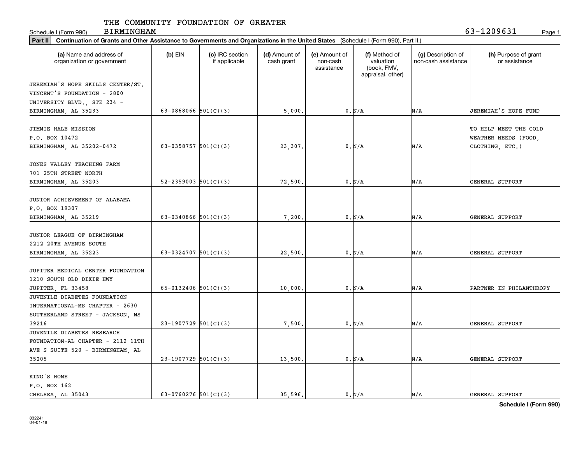Schedule I (Form 990) Page 1

BIRMINGHAM 63-1209631

| Part II   Continuation of Grants and Other Assistance to Governments and Organizations in the United States (Schedule I (Form 990), Part II.) |                        |                                  |                             |                                         |                                                                |                                           |                                               |  |  |
|-----------------------------------------------------------------------------------------------------------------------------------------------|------------------------|----------------------------------|-----------------------------|-----------------------------------------|----------------------------------------------------------------|-------------------------------------------|-----------------------------------------------|--|--|
| (a) Name and address of<br>organization or government                                                                                         | $(b)$ EIN              | (c) IRC section<br>if applicable | (d) Amount of<br>cash grant | (e) Amount of<br>non-cash<br>assistance | (f) Method of<br>valuation<br>(book, FMV,<br>appraisal, other) | (g) Description of<br>non-cash assistance | (h) Purpose of grant<br>or assistance         |  |  |
| JEREMIAH'S HOPE SKILLS CENTER/ST.                                                                                                             |                        |                                  |                             |                                         |                                                                |                                           |                                               |  |  |
| VINCENT'S FOUNDATION - 2800                                                                                                                   |                        |                                  |                             |                                         |                                                                |                                           |                                               |  |  |
| UNIVERSITY BLVD., STE 234 -                                                                                                                   |                        |                                  |                             |                                         |                                                                |                                           |                                               |  |  |
| BIRMINGHAM, AL 35233                                                                                                                          | 63-0868066 $501(C)(3)$ |                                  | 5,000.                      |                                         | 0. N/A                                                         | N/A                                       | JEREMIAH'S HOPE FUND                          |  |  |
| JIMMIE HALE MISSION<br>P.O. BOX 10472                                                                                                         |                        |                                  |                             |                                         |                                                                |                                           | TO HELP MEET THE COLD<br>WEATHER NEEDS (FOOD, |  |  |
| BIRMINGHAM, AL 35202-0472                                                                                                                     | 63-0358757 $501(C)(3)$ |                                  | 23,307.                     |                                         | 0. N/A                                                         | N/A                                       | CLOTHING, ETC.)                               |  |  |
| JONES VALLEY TEACHING FARM<br>701 25TH STREET NORTH                                                                                           |                        |                                  |                             |                                         | 0. N/A                                                         | N/A                                       | GENERAL SUPPORT                               |  |  |
| BIRMINGHAM, AL 35203                                                                                                                          | 52-2359003 $501(C)(3)$ |                                  | 72,500.                     |                                         |                                                                |                                           |                                               |  |  |
| JUNIOR ACHIEVEMENT OF ALABAMA<br>P.O. BOX 19307                                                                                               |                        |                                  |                             |                                         |                                                                |                                           |                                               |  |  |
| BIRMINGHAM, AL 35219                                                                                                                          | 63-0340866 $501(C)(3)$ |                                  | 7,200                       |                                         | 0. N/A                                                         | N/A                                       | GENERAL SUPPORT                               |  |  |
| JUNIOR LEAGUE OF BIRMINGHAM<br>2212 20TH AVENUE SOUTH<br>BIRMINGHAM, AL 35223                                                                 | 63-0324707 $501(C)(3)$ |                                  | 22,500                      |                                         | 0. N/A                                                         | N/A                                       | GENERAL SUPPORT                               |  |  |
| JUPITER MEDICAL CENTER FOUNDATION<br>1210 SOUTH OLD DIXIE HWY                                                                                 | 65-0132406 501(C)(3)   |                                  |                             |                                         | 0. N/A                                                         |                                           |                                               |  |  |
| JUPITER, FL 33458<br>JUVENILE DIABETES FOUNDATION<br>INTERNATIONAL-MS CHAPTER - 2630<br>SOUTHERLAND STREET - JACKSON, MS                      |                        |                                  | 10,000                      |                                         |                                                                | N/A                                       | PARTNER IN PHILANTHROPY                       |  |  |
| 39216                                                                                                                                         | $23-1907729$ 501(C)(3) |                                  | 7,500.                      |                                         | 0. N/A                                                         | N/A                                       | GENERAL SUPPORT                               |  |  |
| JUVENILE DIABETES RESEARCH<br>FOUNDATION-AL CHAPTER - 2112 11TH<br>AVE S SUITE 520 - BIRMINGHAM, AL                                           |                        |                                  |                             |                                         |                                                                |                                           |                                               |  |  |
| 35205                                                                                                                                         | $23-1907729$ 501(C)(3) |                                  | 13,500                      |                                         | 0. N/A                                                         | N/A                                       | GENERAL SUPPORT                               |  |  |
| KING'S HOME<br>P.O. BOX 162<br>CHELSEA, AL 35043                                                                                              | 63-0760276 $501(C)(3)$ |                                  | 35.596.                     |                                         | 0. N/A                                                         | N/A                                       | GENERAL SUPPORT                               |  |  |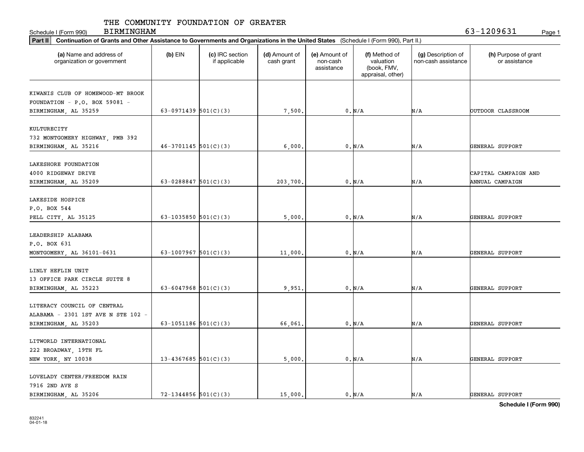Schedule I (Form 990) Page 1

BIRMINGHAM 63-1209631

| Part II   Continuation of Grants and Other Assistance to Governments and Organizations in the United States (Schedule I (Form 990), Part II.) |                          |                                  |                             |                                         |                                                                |                                           |                                       |
|-----------------------------------------------------------------------------------------------------------------------------------------------|--------------------------|----------------------------------|-----------------------------|-----------------------------------------|----------------------------------------------------------------|-------------------------------------------|---------------------------------------|
| (a) Name and address of<br>organization or government                                                                                         | $(b)$ EIN                | (c) IRC section<br>if applicable | (d) Amount of<br>cash grant | (e) Amount of<br>non-cash<br>assistance | (f) Method of<br>valuation<br>(book, FMV,<br>appraisal, other) | (g) Description of<br>non-cash assistance | (h) Purpose of grant<br>or assistance |
|                                                                                                                                               |                          |                                  |                             |                                         |                                                                |                                           |                                       |
| KIWANIS CLUB OF HOMEWOOD-MT BROOK                                                                                                             |                          |                                  |                             |                                         |                                                                |                                           |                                       |
| FOUNDATION - P.O. BOX 59081 -                                                                                                                 |                          |                                  |                             |                                         |                                                                |                                           |                                       |
| BIRMINGHAM, AL 35259                                                                                                                          | 63-0971439 $501(C)(3)$   |                                  | 7,500.                      |                                         | 0. N/A                                                         | N/A                                       | OUTDOOR CLASSROOM                     |
| KULTURECITY                                                                                                                                   |                          |                                  |                             |                                         |                                                                |                                           |                                       |
|                                                                                                                                               |                          |                                  |                             |                                         |                                                                |                                           |                                       |
| 732 MONTGOMERY HIGHWAY, PMB 392                                                                                                               |                          |                                  |                             |                                         |                                                                |                                           |                                       |
| BIRMINGHAM, AL 35216                                                                                                                          | $46-3701145$ 501(C)(3)   |                                  | 6,000                       |                                         | 0. N/A                                                         | N/A                                       | GENERAL SUPPORT                       |
| LAKESHORE FOUNDATION                                                                                                                          |                          |                                  |                             |                                         |                                                                |                                           |                                       |
| 4000 RIDGEWAY DRIVE                                                                                                                           |                          |                                  |                             |                                         |                                                                |                                           | CAPITAL CAMPAIGN AND                  |
| BIRMINGHAM, AL 35209                                                                                                                          | 63-0288847 $501(C)(3)$   |                                  | 203,700.                    |                                         | 0. N/A                                                         | N/A                                       | ANNUAL CAMPAIGN                       |
|                                                                                                                                               |                          |                                  |                             |                                         |                                                                |                                           |                                       |
| LAKESIDE HOSPICE                                                                                                                              |                          |                                  |                             |                                         |                                                                |                                           |                                       |
| P.O. BOX 544                                                                                                                                  |                          |                                  |                             |                                         |                                                                |                                           |                                       |
| PELL CITY, AL 35125                                                                                                                           | 63-1035850 $501(C)(3)$   |                                  | 5,000                       |                                         | 0. N/A                                                         | N/A                                       | GENERAL SUPPORT                       |
|                                                                                                                                               |                          |                                  |                             |                                         |                                                                |                                           |                                       |
| LEADERSHIP ALABAMA                                                                                                                            |                          |                                  |                             |                                         |                                                                |                                           |                                       |
| P.O. BOX 631                                                                                                                                  |                          |                                  |                             |                                         |                                                                |                                           |                                       |
| MONTGOMERY, AL 36101-0631                                                                                                                     | 63-1007967 $501(C)(3)$   |                                  | 11,000                      |                                         | 0. N/A                                                         | N/A                                       | GENERAL SUPPORT                       |
|                                                                                                                                               |                          |                                  |                             |                                         |                                                                |                                           |                                       |
| LINLY HEFLIN UNIT                                                                                                                             |                          |                                  |                             |                                         |                                                                |                                           |                                       |
| 13 OFFICE PARK CIRCLE SUITE 8                                                                                                                 |                          |                                  |                             |                                         |                                                                |                                           |                                       |
| BIRMINGHAM, AL 35223                                                                                                                          | 63-6047968 $501(C)(3)$   |                                  | 9,951                       |                                         | 0. N/A                                                         | N/A                                       | GENERAL SUPPORT                       |
|                                                                                                                                               |                          |                                  |                             |                                         |                                                                |                                           |                                       |
| LITERACY COUNCIL OF CENTRAL                                                                                                                   |                          |                                  |                             |                                         |                                                                |                                           |                                       |
| ALABAMA - 2301 1ST AVE N STE 102 -                                                                                                            |                          |                                  |                             |                                         |                                                                |                                           |                                       |
| BIRMINGHAM, AL 35203                                                                                                                          | 63-1051186 $501(C)(3)$   |                                  | 66,061                      |                                         | 0. N/A                                                         | N/A                                       | GENERAL SUPPORT                       |
|                                                                                                                                               |                          |                                  |                             |                                         |                                                                |                                           |                                       |
| LITWORLD INTERNATIONAL                                                                                                                        |                          |                                  |                             |                                         |                                                                |                                           |                                       |
| 222 BROADWAY, 19TH FL                                                                                                                         |                          |                                  |                             |                                         |                                                                |                                           |                                       |
| NEW YORK, NY 10038                                                                                                                            | $13 - 4367685$ 501(C)(3) |                                  | 5,000                       |                                         | 0. N/A                                                         | N/A                                       | GENERAL SUPPORT                       |
|                                                                                                                                               |                          |                                  |                             |                                         |                                                                |                                           |                                       |
| LOVELADY CENTER/FREEDOM RAIN                                                                                                                  |                          |                                  |                             |                                         |                                                                |                                           |                                       |
| 7916 2ND AVE S                                                                                                                                |                          |                                  |                             |                                         |                                                                |                                           |                                       |
| BIRMINGHAM AL 35206                                                                                                                           | $72 - 1344856$ 501(C)(3) |                                  | 15,000.                     |                                         | 0. N/A                                                         | N/A                                       | GENERAL SUPPORT                       |
|                                                                                                                                               |                          |                                  |                             |                                         |                                                                |                                           |                                       |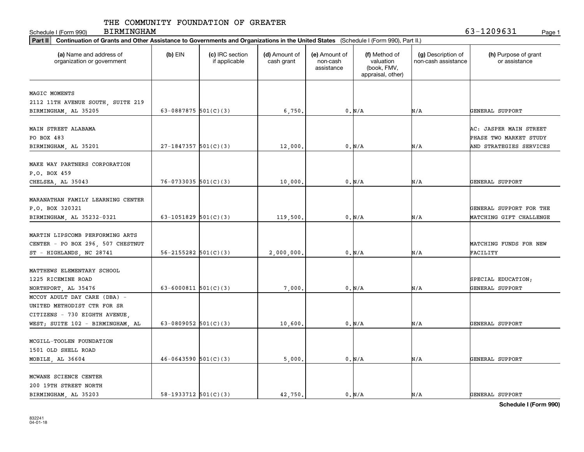| <b>BIRMINGHAM</b><br>Schedule I (Form 990)                                                                                                     |                            |                                  |                             |                                         |                                                                |                                           | 63-1209631<br>Page 1                                                        |
|------------------------------------------------------------------------------------------------------------------------------------------------|----------------------------|----------------------------------|-----------------------------|-----------------------------------------|----------------------------------------------------------------|-------------------------------------------|-----------------------------------------------------------------------------|
| Part II<br>Continuation of Grants and Other Assistance to Governments and Organizations in the United States (Schedule I (Form 990), Part II.) |                            |                                  |                             |                                         |                                                                |                                           |                                                                             |
| (a) Name and address of<br>organization or government                                                                                          | $(b)$ EIN                  | (c) IRC section<br>if applicable | (d) Amount of<br>cash grant | (e) Amount of<br>non-cash<br>assistance | (f) Method of<br>valuation<br>(book, FMV,<br>appraisal, other) | (g) Description of<br>non-cash assistance | (h) Purpose of grant<br>or assistance                                       |
| MAGIC MOMENTS<br>2112 11TH AVENUE SOUTH, SUITE 219<br>BIRMINGHAM, AL 35205                                                                     | 63-0887875 $501(C)(3)$     |                                  | 6,750.                      |                                         | 0. N/A                                                         | N/A                                       | GENERAL SUPPORT                                                             |
| MAIN STREET ALABAMA<br>PO BOX 483<br>BIRMINGHAM, AL 35201                                                                                      | $27-1847357$ 501(C)(3)     |                                  | 12,000                      |                                         | 0. N/A                                                         | N/A                                       | AC: JASPER MAIN STREET<br>PHASE TWO MARKET STUDY<br>AND STRATEGIES SERVICES |
| MAKE WAY PARTNERS CORPORATION<br>P.O. BOX 459<br>CHELSEA, AL 35043                                                                             | $76-0733035$ 501(C)(3)     |                                  | 10,000.                     |                                         | 0. N/A                                                         | N/A                                       | GENERAL SUPPORT                                                             |
| MARANATHAN FAMILY LEARNING CENTER<br>P.O. BOX 320321<br>BIRMINGHAM, AL 35232-0321                                                              | 63-1051829 $501(C)(3)$     |                                  | 119,500                     |                                         | 0. N/A                                                         | N/A                                       | GENERAL SUPPORT FOR THE<br>MATCHING GIFT CHALLENGE                          |
| MARTIN LIPSCOMB PERFORMING ARTS<br>CENTER - PO BOX 296, 507 CHESTNUT<br>ST - HIGHLANDS, NC 28741                                               | $56 - 2155282$ $501(C)(3)$ |                                  | 2,000,000                   |                                         | 0. N/A                                                         | N/A                                       | MATCHING FUNDS FOR NEW<br>FACILITY                                          |
| MATTHEWS ELEMENTARY SCHOOL<br>1225 RICEMINE ROAD<br>NORTHPORT, AL 35476                                                                        | 63-6000811 $501(C)(3)$     |                                  | 7,000                       |                                         | 0. N/A                                                         | N/A                                       | SPECIAL EDUCATION;<br>GENERAL SUPPORT                                       |
| MCCOY ADULT DAY CARE (DBA) -<br>UNITED METHODIST CTR FOR SR<br>CITIZENS - 730 EIGHTH AVENUE,<br>WEST; SUITE 102 - BIRMINGHAM, AL               | 63-0809052 $501(C)(3)$     |                                  | 10,600                      |                                         | 0. N/A                                                         | N/A                                       | <b>GENERAL SUPPORT</b>                                                      |
| MCGILL-TOOLEN FOUNDATION<br>1501 OLD SHELL ROAD<br>MOBILE, AL 36604                                                                            | $46-0643590$ $501(C)(3)$   |                                  | 5,000.                      |                                         | 0. N/A                                                         | N/A                                       | GENERAL SUPPORT                                                             |
| MCWANE SCIENCE CENTER<br>200 19TH STREET NORTH<br>BIRMINGHAM AL 35203                                                                          | 58-1933712 $501(C)(3)$     |                                  | 42,750.                     |                                         | 0. N/A                                                         | N/A                                       | GENERAL SUPPORT                                                             |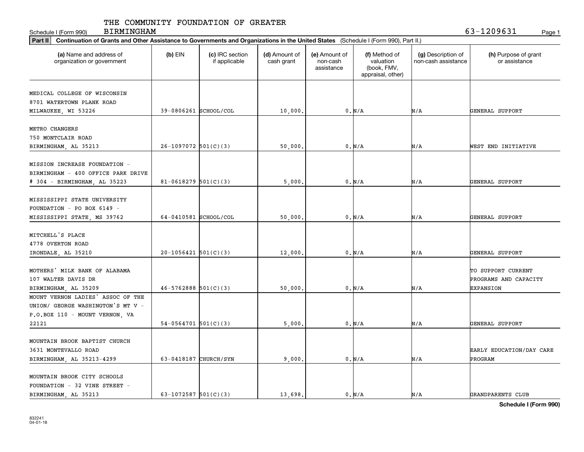Schedule I (Form 990) Page 1

BIRMINGHAM 63-1209631

| Part II   Continuation of Grants and Other Assistance to Governments and Organizations in the United States (Schedule I (Form 990), Part II.) |                            |                                  |                             |                                         |                                                                |                                           |                                                                 |  |  |
|-----------------------------------------------------------------------------------------------------------------------------------------------|----------------------------|----------------------------------|-----------------------------|-----------------------------------------|----------------------------------------------------------------|-------------------------------------------|-----------------------------------------------------------------|--|--|
| (a) Name and address of<br>organization or government                                                                                         | $(b)$ EIN                  | (c) IRC section<br>if applicable | (d) Amount of<br>cash grant | (e) Amount of<br>non-cash<br>assistance | (f) Method of<br>valuation<br>(book, FMV,<br>appraisal, other) | (g) Description of<br>non-cash assistance | (h) Purpose of grant<br>or assistance                           |  |  |
|                                                                                                                                               |                            |                                  |                             |                                         |                                                                |                                           |                                                                 |  |  |
| MEDICAL COLLEGE OF WISCONSIN                                                                                                                  |                            |                                  |                             |                                         |                                                                |                                           |                                                                 |  |  |
| 8701 WATERTOWN PLANK ROAD                                                                                                                     |                            |                                  |                             |                                         |                                                                |                                           |                                                                 |  |  |
| MILWAUKEE, WI 53226                                                                                                                           | 39-0806261 SCHOOL/COL      |                                  | 10,000.                     |                                         | 0. N/A                                                         | N/A                                       | GENERAL SUPPORT                                                 |  |  |
| METRO CHANGERS                                                                                                                                |                            |                                  |                             |                                         |                                                                |                                           |                                                                 |  |  |
| 750 MONTCLAIR ROAD                                                                                                                            |                            |                                  |                             |                                         |                                                                |                                           |                                                                 |  |  |
| BIRMINGHAM, AL 35213                                                                                                                          | $26-1097072$ 501(C)(3)     |                                  | 50,000                      |                                         | 0. N/A                                                         | N/A                                       | WEST END INITIATIVE                                             |  |  |
|                                                                                                                                               |                            |                                  |                             |                                         |                                                                |                                           |                                                                 |  |  |
| MISSION INCREASE FOUNDATION -                                                                                                                 |                            |                                  |                             |                                         |                                                                |                                           |                                                                 |  |  |
| BIRMINGHAM - 400 OFFICE PARK DRIVE                                                                                                            |                            |                                  |                             |                                         |                                                                |                                           |                                                                 |  |  |
| # 304 - BIRMINGHAM, AL 35223                                                                                                                  | $81 - 0618279$ 501(C)(3)   |                                  | 5,000                       |                                         | 0. N/A                                                         | N/A                                       | GENERAL SUPPORT                                                 |  |  |
| MISSISSIPPI STATE UNIVERSITY<br>FOUNDATION - PO BOX 6149 -                                                                                    |                            |                                  |                             |                                         |                                                                |                                           |                                                                 |  |  |
| MISSISSIPPI STATE, MS 39762                                                                                                                   | 64-0410581 SCHOOL/COL      |                                  | 50,000.                     |                                         | 0. N/A                                                         | N/A                                       | GENERAL SUPPORT                                                 |  |  |
| MITCHELL'S PLACE<br>4778 OVERTON ROAD                                                                                                         |                            |                                  |                             |                                         |                                                                |                                           |                                                                 |  |  |
| IRONDALE, AL 35210                                                                                                                            | $20-1056421$ 501(C)(3)     |                                  | 12,000                      |                                         | 0. N/A                                                         | N/A                                       | GENERAL SUPPORT                                                 |  |  |
| MOTHERS' MILK BANK OF ALABAMA<br>107 WALTER DAVIS DR<br>BIRMINGHAM, AL 35209                                                                  | $46 - 5762888$ $501(C)(3)$ |                                  | 50,000                      |                                         | 0. N/A                                                         | N/A                                       | TO SUPPORT CURRENT<br>PROGRAMS AND CAPACITY<br><b>EXPANSION</b> |  |  |
| MOUNT VERNON LADIES' ASSOC OF THE<br>UNION/ GEORGE WASHINGTON'S MT V -<br>P.O.BOX 110 - MOUNT VERNON, VA                                      |                            |                                  |                             |                                         |                                                                |                                           |                                                                 |  |  |
| 22121                                                                                                                                         | $54-0564701$ 501(C)(3)     |                                  | 5,000                       |                                         | 0. N/A                                                         | N/A                                       | GENERAL SUPPORT                                                 |  |  |
|                                                                                                                                               |                            |                                  |                             |                                         |                                                                |                                           |                                                                 |  |  |
| MOUNTAIN BROOK BAPTIST CHURCH<br>3631 MONTEVALLO ROAD                                                                                         |                            |                                  |                             |                                         |                                                                |                                           | EARLY EDUCATION/DAY CARE                                        |  |  |
| BIRMINGHAM, AL 35213-4299                                                                                                                     | 63-0418187 CHURCH/SYN      |                                  | 9,000                       |                                         | 0. N/A                                                         | N/A                                       | PROGRAM                                                         |  |  |
| MOUNTAIN BROOK CITY SCHOOLS<br>FOUNDATION - 32 VINE STREET -<br>BIRMINGHAM, AL 35213                                                          | 63-1072587 $501(C)(3)$     |                                  | 13,698.                     |                                         | 0. N/A                                                         | N/A                                       | GRANDPARENTS CLUB                                               |  |  |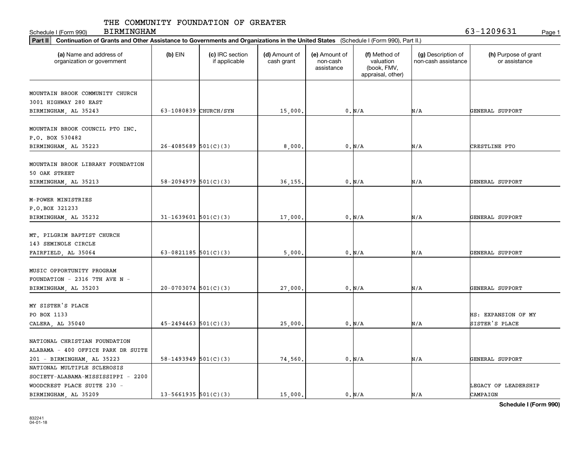Schedule I (Form 990) Page 1

BIRMINGHAM 63-1209631

| Part II   Continuation of Grants and Other Assistance to Governments and Organizations in the United States (Schedule I (Form 990), Part II.) |                            |                                  |                             |                                         |                                                                |                                           |                                       |
|-----------------------------------------------------------------------------------------------------------------------------------------------|----------------------------|----------------------------------|-----------------------------|-----------------------------------------|----------------------------------------------------------------|-------------------------------------------|---------------------------------------|
| (a) Name and address of<br>organization or government                                                                                         | $(b)$ EIN                  | (c) IRC section<br>if applicable | (d) Amount of<br>cash grant | (e) Amount of<br>non-cash<br>assistance | (f) Method of<br>valuation<br>(book, FMV,<br>appraisal, other) | (g) Description of<br>non-cash assistance | (h) Purpose of grant<br>or assistance |
|                                                                                                                                               |                            |                                  |                             |                                         |                                                                |                                           |                                       |
| MOUNTAIN BROOK COMMUNITY CHURCH<br>3001 HIGHWAY 280 EAST                                                                                      |                            |                                  |                             |                                         |                                                                |                                           |                                       |
| BIRMINGHAM, AL 35243                                                                                                                          | 63-1080839 CHURCH/SYN      |                                  | 15,000.                     |                                         | 0. N/A                                                         | N/A                                       | GENERAL SUPPORT                       |
|                                                                                                                                               |                            |                                  |                             |                                         |                                                                |                                           |                                       |
| MOUNTAIN BROOK COUNCIL PTO INC.<br>P.O. BOX 530482                                                                                            |                            |                                  |                             |                                         |                                                                |                                           |                                       |
|                                                                                                                                               | $26 - 4085689$ 501(C)(3)   |                                  | 8,000                       |                                         | 0. N/A                                                         | N/A                                       | CRESTLINE PTO                         |
| BIRMINGHAM, AL 35223                                                                                                                          |                            |                                  |                             |                                         |                                                                |                                           |                                       |
| MOUNTAIN BROOK LIBRARY FOUNDATION<br>50 OAK STREET                                                                                            |                            |                                  |                             |                                         |                                                                |                                           |                                       |
| BIRMINGHAM, AL 35213                                                                                                                          | $58 - 2094979$ $501(C)(3)$ |                                  | 36,155                      |                                         | 0. N/A                                                         | N/A                                       | GENERAL SUPPORT                       |
| M-POWER MINISTRIES<br>P.O.BOX 321233<br>BIRMINGHAM, AL 35232                                                                                  | $31 - 1639601$ 501(C)(3)   |                                  | 17,000                      |                                         | 0. N/A                                                         | N/A                                       | GENERAL SUPPORT                       |
| MT. PILGRIM BAPTIST CHURCH<br>143 SEMINOLE CIRCLE                                                                                             |                            |                                  |                             |                                         |                                                                |                                           |                                       |
| FAIRFIELD, AL 35064                                                                                                                           | 63-0821185 $501(C)(3)$     |                                  | 5,000                       |                                         | 0. N/A                                                         | N/A                                       | GENERAL SUPPORT                       |
| MUSIC OPPORTUNITY PROGRAM<br>FOUNDATION - 2316 7TH AVE N -<br>BIRMINGHAM, AL 35203                                                            | $20-0703074$ 501(C)(3)     |                                  | 27,000                      |                                         | 0. N/A                                                         | N/A                                       | GENERAL SUPPORT                       |
| MY SISTER'S PLACE                                                                                                                             |                            |                                  |                             |                                         |                                                                |                                           |                                       |
| PO BOX 1133                                                                                                                                   |                            |                                  |                             |                                         |                                                                |                                           | HS: EXPANSION OF MY                   |
| CALERA, AL 35040                                                                                                                              | $45 - 2494463$ 501(C)(3)   |                                  | 25,000                      |                                         | 0. N/A                                                         | N/A                                       | SISTER'S PLACE                        |
| NATIONAL CHRISTIAN FOUNDATION<br>ALABAMA - 400 OFFICE PARK DR SUITE                                                                           |                            |                                  |                             |                                         |                                                                |                                           |                                       |
| 201 - BIRMINGHAM, AL 35223                                                                                                                    | $58-1493949$ $501(C)(3)$   |                                  | 74,560.                     |                                         | 0. N/A                                                         | N/A                                       | GENERAL SUPPORT                       |
| NATIONAL MULTIPLE SCLEROSIS                                                                                                                   |                            |                                  |                             |                                         |                                                                |                                           |                                       |
| SOCIETY-ALABAMA-MISSISSIPPI - 2200                                                                                                            |                            |                                  |                             |                                         |                                                                |                                           |                                       |
| WOODCREST PLACE SUITE 230 -                                                                                                                   |                            |                                  |                             |                                         |                                                                |                                           | LEGACY OF LEADERSHIP                  |
| BIRMINGHAM, AL 35209                                                                                                                          | $13 - 5661935$ 501(C)(3)   |                                  | 15,000.                     |                                         | 0. N/A                                                         | N/A                                       | CAMPAIGN                              |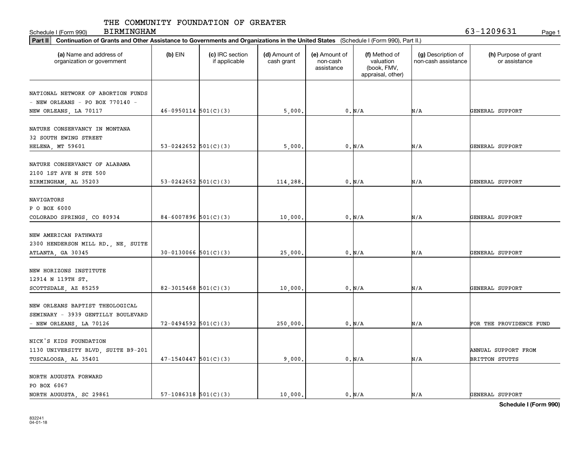Schedule I (Form 990) Page 1 BIRMINGHAM 63-1209631

| Part II   Continuation of Grants and Other Assistance to Governments and Organizations in the United States (Schedule I (Form 990), Part II.) |                          |                                  |                             |                                         |                                                                |                                           |                                       |
|-----------------------------------------------------------------------------------------------------------------------------------------------|--------------------------|----------------------------------|-----------------------------|-----------------------------------------|----------------------------------------------------------------|-------------------------------------------|---------------------------------------|
| (a) Name and address of<br>organization or government                                                                                         | $(b)$ EIN                | (c) IRC section<br>if applicable | (d) Amount of<br>cash grant | (e) Amount of<br>non-cash<br>assistance | (f) Method of<br>valuation<br>(book, FMV,<br>appraisal, other) | (g) Description of<br>non-cash assistance | (h) Purpose of grant<br>or assistance |
|                                                                                                                                               |                          |                                  |                             |                                         |                                                                |                                           |                                       |
| NATIONAL NETWORK OF ABORTION FUNDS<br>- NEW ORLEANS - PO BOX 770140 -                                                                         |                          |                                  |                             |                                         |                                                                |                                           |                                       |
| NEW ORLEANS, LA 70117                                                                                                                         | $46-0950114$ $501(C)(3)$ |                                  | 5,000                       |                                         | 0. N/A                                                         | N/A                                       | GENERAL SUPPORT                       |
|                                                                                                                                               |                          |                                  |                             |                                         |                                                                |                                           |                                       |
| NATURE CONSERVANCY IN MONTANA                                                                                                                 |                          |                                  |                             |                                         |                                                                |                                           |                                       |
| 32 SOUTH EWING STREET                                                                                                                         |                          |                                  |                             |                                         |                                                                |                                           |                                       |
| HELENA, MT 59601                                                                                                                              | 53-0242652 $501(C)(3)$   |                                  | 5,000                       |                                         | 0. N/A                                                         | N/A                                       | GENERAL SUPPORT                       |
|                                                                                                                                               |                          |                                  |                             |                                         |                                                                |                                           |                                       |
| NATURE CONSERVANCY OF ALABAMA                                                                                                                 |                          |                                  |                             |                                         |                                                                |                                           |                                       |
| 2100 1ST AVE N STE 500                                                                                                                        |                          |                                  |                             |                                         |                                                                |                                           |                                       |
| BIRMINGHAM, AL 35203                                                                                                                          | 53-0242652 $501(C)(3)$   |                                  | 114,288                     |                                         | 0. N/A                                                         | N/A                                       | GENERAL SUPPORT                       |
|                                                                                                                                               |                          |                                  |                             |                                         |                                                                |                                           |                                       |
| NAVIGATORS                                                                                                                                    |                          |                                  |                             |                                         |                                                                |                                           |                                       |
| P O BOX 6000                                                                                                                                  |                          |                                  |                             |                                         |                                                                |                                           |                                       |
| COLORADO SPRINGS, CO 80934                                                                                                                    | $84-6007896$ 501(C)(3)   |                                  | 10,000                      |                                         | 0. N/A                                                         | N/A                                       | GENERAL SUPPORT                       |
|                                                                                                                                               |                          |                                  |                             |                                         |                                                                |                                           |                                       |
| NEW AMERICAN PATHWAYS                                                                                                                         |                          |                                  |                             |                                         |                                                                |                                           |                                       |
| 2300 HENDERSON MILL RD., NE, SUITE                                                                                                            |                          |                                  |                             |                                         |                                                                |                                           |                                       |
| ATLANTA, GA 30345                                                                                                                             | $30-0130066$ $501(C)(3)$ |                                  | 25,000.                     |                                         | 0. N/A                                                         | N/A                                       | GENERAL SUPPORT                       |
|                                                                                                                                               |                          |                                  |                             |                                         |                                                                |                                           |                                       |
| NEW HORIZONS INSTITUTE                                                                                                                        |                          |                                  |                             |                                         |                                                                |                                           |                                       |
| 12914 N 119TH ST.                                                                                                                             |                          |                                  |                             |                                         |                                                                |                                           |                                       |
| SCOTTSDALE, AZ 85259                                                                                                                          | 82-3015468 $501(C)(3)$   |                                  | 10,000                      |                                         | 0. N/A                                                         | N/A                                       | GENERAL SUPPORT                       |
|                                                                                                                                               |                          |                                  |                             |                                         |                                                                |                                           |                                       |
| NEW ORLEANS BAPTIST THEOLOGICAL                                                                                                               |                          |                                  |                             |                                         |                                                                |                                           |                                       |
| SEMINARY - 3939 GENTILLY BOULEVARD                                                                                                            |                          |                                  |                             |                                         |                                                                |                                           |                                       |
| - NEW ORLEANS, LA 70126                                                                                                                       | $72 - 0494592$ 501(C)(3) |                                  | 250,000                     |                                         | 0. N/A                                                         | N/A                                       | FOR THE PROVIDENCE FUND               |
|                                                                                                                                               |                          |                                  |                             |                                         |                                                                |                                           |                                       |
| NICK'S KIDS FOUNDATION                                                                                                                        |                          |                                  |                             |                                         |                                                                |                                           |                                       |
| 1130 UNIVERSITY BLVD, SUITE B9-201                                                                                                            |                          |                                  |                             |                                         |                                                                |                                           | ANNUAL SUPPORT FROM                   |
| TUSCALOOSA, AL 35401                                                                                                                          | $47-1540447$ 501(C)(3)   |                                  | 9,000                       |                                         | 0. N/A                                                         | N/A                                       | BRITTON STUTTS                        |
| NORTH AUGUSTA FORWARD                                                                                                                         |                          |                                  |                             |                                         |                                                                |                                           |                                       |
| PO BOX 6067                                                                                                                                   |                          |                                  |                             |                                         |                                                                |                                           |                                       |
| NORTH AUGUSTA, SC 29861                                                                                                                       | $57-1086318$ $501(C)(3)$ |                                  | 10,000.                     |                                         | $0. N/A$                                                       | N/A                                       | GENERAL SUPPORT                       |
|                                                                                                                                               |                          |                                  |                             |                                         |                                                                |                                           |                                       |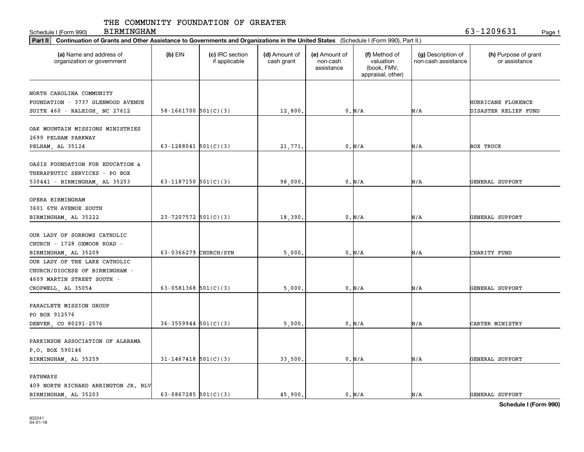Schedule I (Form 990) Page 1 BIRMINGHAM 63-1209631

| Part II   Continuation of Grants and Other Assistance to Governments and Organizations in the United States (Schedule I (Form 990), Part II.) |                            |                                  |                             |                                         |                                                                |                                           |                                       |
|-----------------------------------------------------------------------------------------------------------------------------------------------|----------------------------|----------------------------------|-----------------------------|-----------------------------------------|----------------------------------------------------------------|-------------------------------------------|---------------------------------------|
| (a) Name and address of<br>organization or government                                                                                         | $(b)$ EIN                  | (c) IRC section<br>if applicable | (d) Amount of<br>cash grant | (e) Amount of<br>non-cash<br>assistance | (f) Method of<br>valuation<br>(book, FMV,<br>appraisal, other) | (g) Description of<br>non-cash assistance | (h) Purpose of grant<br>or assistance |
| NORTH CAROLINA COMMUNITY                                                                                                                      |                            |                                  |                             |                                         |                                                                |                                           |                                       |
| FOUNDATION - 3737 GLENWOOD AVENUE                                                                                                             |                            |                                  |                             |                                         |                                                                |                                           | HURRICANE FLORENCE                    |
| SUITE 460 - RALEIGH, NC 27612                                                                                                                 | $58 - 1661700$ $501(C)(3)$ |                                  | 12,800.                     |                                         | 0. N/A                                                         | N/A                                       | DISASTER RELIEF FUND                  |
|                                                                                                                                               |                            |                                  |                             |                                         |                                                                |                                           |                                       |
| OAK MOUNTAIN MISSIONS MINISTRIES                                                                                                              |                            |                                  |                             |                                         |                                                                |                                           |                                       |
| 2699 PELHAM PARKWAY                                                                                                                           |                            |                                  |                             |                                         |                                                                |                                           |                                       |
| PELHAM, AL 35124                                                                                                                              | 63-1288041 $501(C)(3)$     |                                  | 21,771                      |                                         | 0. N/A                                                         | N/A                                       | <b>BOX TRUCK</b>                      |
|                                                                                                                                               |                            |                                  |                             |                                         |                                                                |                                           |                                       |
| OASIS FOUNDATION FOR EDUCATION &                                                                                                              |                            |                                  |                             |                                         |                                                                |                                           |                                       |
| THERAPEUTIC SERVICES - PO BOX                                                                                                                 |                            |                                  |                             |                                         |                                                                |                                           |                                       |
| 530441 - BIRMINGHAM, AL 35253                                                                                                                 | 63-1187150 $501(C)(3)$     |                                  | 98,000                      |                                         | 0. N/A                                                         | N/A                                       | GENERAL SUPPORT                       |
| OPERA BIRMINGHAM                                                                                                                              |                            |                                  |                             |                                         |                                                                |                                           |                                       |
| 3601 6TH AVENUE SOUTH                                                                                                                         |                            |                                  |                             |                                         |                                                                |                                           |                                       |
| BIRMINGHAM, AL 35222                                                                                                                          | $23 - 7207572$ 501(C)(3)   |                                  | 18,390                      |                                         | 0. N/A                                                         | N/A                                       | GENERAL SUPPORT                       |
|                                                                                                                                               |                            |                                  |                             |                                         |                                                                |                                           |                                       |
| OUR LADY OF SORROWS CATHOLIC                                                                                                                  |                            |                                  |                             |                                         |                                                                |                                           |                                       |
| CHURCH - 1728 OXMOOR ROAD -                                                                                                                   |                            |                                  |                             |                                         |                                                                |                                           |                                       |
| BIRMINGHAM, AL 35209                                                                                                                          | 63-0366279 CHURCH/SYN      |                                  | 5,000                       |                                         | 0. N/A                                                         | N/A                                       | CHARITY FUND                          |
| OUR LADY OF THE LAKE CATHOLIC                                                                                                                 |                            |                                  |                             |                                         |                                                                |                                           |                                       |
| CHURCH/DIOCESE OF BIRMINGHAM -                                                                                                                |                            |                                  |                             |                                         |                                                                |                                           |                                       |
| 4609 MARTIN STREET SOUTH -                                                                                                                    |                            |                                  |                             |                                         |                                                                |                                           |                                       |
| CROPWELL, AL 35054                                                                                                                            | 63-0581368 $501(C)(3)$     |                                  | 5,000                       |                                         | 0. N/A                                                         | N/A                                       | GENERAL SUPPORT                       |
|                                                                                                                                               |                            |                                  |                             |                                         |                                                                |                                           |                                       |
| PARACLETE MISSION GROUP                                                                                                                       |                            |                                  |                             |                                         |                                                                |                                           |                                       |
| PO BOX 912576                                                                                                                                 |                            |                                  |                             |                                         |                                                                |                                           |                                       |
| DENVER, CO 80291-2576                                                                                                                         | $36 - 3559944$ $501(C)(3)$ |                                  | 5,000                       |                                         | 0. N/A                                                         | N/A                                       | CARTER MINISTRY                       |
| PARKINSON ASSOCIATION OF ALABAMA                                                                                                              |                            |                                  |                             |                                         |                                                                |                                           |                                       |
| P.O. BOX 590146                                                                                                                               |                            |                                  |                             |                                         |                                                                |                                           |                                       |
|                                                                                                                                               | $31 - 1467418$ 501(C)(3)   |                                  | 33,500.                     |                                         | 0. N/A                                                         | N/A                                       | GENERAL SUPPORT                       |
| BIRMINGHAM, AL 35259                                                                                                                          |                            |                                  |                             |                                         |                                                                |                                           |                                       |
| <b>PATHWAYS</b>                                                                                                                               |                            |                                  |                             |                                         |                                                                |                                           |                                       |
| 409 NORTH RICHARD ARRINGTON JR. BLV                                                                                                           |                            |                                  |                             |                                         |                                                                |                                           |                                       |
| BIRMINGHAM, AL 35203                                                                                                                          | 63-0867285 $501(C)(3)$     |                                  | 45.900.                     |                                         | 0. N/A                                                         | N/A                                       | GENERAL SUPPORT                       |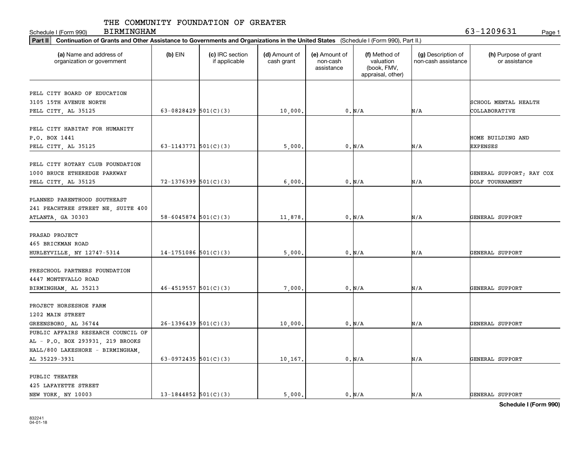Schedule I (Form 990) Page 1

BIRMINGHAM 63-1209631

| Part II   Continuation of Grants and Other Assistance to Governments and Organizations in the United States (Schedule I (Form 990), Part II.) |                            |                                  |                             |                                         |                                                                |                                           |                                       |
|-----------------------------------------------------------------------------------------------------------------------------------------------|----------------------------|----------------------------------|-----------------------------|-----------------------------------------|----------------------------------------------------------------|-------------------------------------------|---------------------------------------|
| (a) Name and address of<br>organization or government                                                                                         | $(b)$ EIN                  | (c) IRC section<br>if applicable | (d) Amount of<br>cash grant | (e) Amount of<br>non-cash<br>assistance | (f) Method of<br>valuation<br>(book, FMV,<br>appraisal, other) | (g) Description of<br>non-cash assistance | (h) Purpose of grant<br>or assistance |
|                                                                                                                                               |                            |                                  |                             |                                         |                                                                |                                           |                                       |
| PELL CITY BOARD OF EDUCATION<br>3105 15TH AVENUE NORTH                                                                                        |                            |                                  |                             |                                         |                                                                |                                           | SCHOOL MENTAL HEALTH                  |
| PELL CITY, AL 35125                                                                                                                           | 63-0828429 $501(C)(3)$     |                                  | 10,000.                     |                                         | 0. N/A                                                         | N/A                                       | COLLABORATIVE                         |
|                                                                                                                                               |                            |                                  |                             |                                         |                                                                |                                           |                                       |
| PELL CITY HABITAT FOR HUMANITY                                                                                                                |                            |                                  |                             |                                         |                                                                |                                           |                                       |
| P.O. BOX 1441                                                                                                                                 |                            |                                  |                             |                                         |                                                                |                                           | HOME BUILDING AND                     |
| PELL CITY, AL 35125                                                                                                                           | 63-1143771 $501(C)(3)$     |                                  | 5,000                       |                                         | 0. N/A                                                         | N/A                                       | EXPENSES                              |
|                                                                                                                                               |                            |                                  |                             |                                         |                                                                |                                           |                                       |
| PELL CITY ROTARY CLUB FOUNDATION                                                                                                              |                            |                                  |                             |                                         |                                                                |                                           |                                       |
| 1000 BRUCE ETHEREDGE PARKWAY                                                                                                                  |                            |                                  |                             |                                         |                                                                |                                           | GENERAL SUPPORT; RAY COX              |
| PELL CITY, AL 35125                                                                                                                           | $72 - 1376399$ 501(C)(3)   |                                  | 6,000                       |                                         | 0. N/A                                                         | N/A                                       | GOLF TOURNAMENT                       |
|                                                                                                                                               |                            |                                  |                             |                                         |                                                                |                                           |                                       |
| PLANNED PARENTHOOD SOUTHEAST                                                                                                                  |                            |                                  |                             |                                         |                                                                |                                           |                                       |
| 241 PEACHTREE STREET NE, SUITE 400                                                                                                            |                            |                                  |                             |                                         |                                                                |                                           |                                       |
|                                                                                                                                               | $58 - 6045874$ $501(C)(3)$ |                                  |                             |                                         | 0. N/A                                                         | N/A                                       | GENERAL SUPPORT                       |
| ATLANTA, GA 30303                                                                                                                             |                            |                                  | 11,878                      |                                         |                                                                |                                           |                                       |
| PRASAD PROJECT                                                                                                                                |                            |                                  |                             |                                         |                                                                |                                           |                                       |
| 465 BRICKMAN ROAD                                                                                                                             |                            |                                  |                             |                                         |                                                                |                                           |                                       |
| HURLEYVILLE, NY 12747-5314                                                                                                                    | $14-1751086$ 501(C)(3)     |                                  | 5,000                       |                                         | 0. N/A                                                         | N/A                                       | GENERAL SUPPORT                       |
|                                                                                                                                               |                            |                                  |                             |                                         |                                                                |                                           |                                       |
| PRESCHOOL PARTNERS FOUNDATION                                                                                                                 |                            |                                  |                             |                                         |                                                                |                                           |                                       |
| 4447 MONTEVALLO ROAD                                                                                                                          |                            |                                  |                             |                                         |                                                                |                                           |                                       |
| BIRMINGHAM, AL 35213                                                                                                                          | $46 - 4519557$ $501(C)(3)$ |                                  | 7,000                       |                                         | 0. N/A                                                         | N/A                                       | GENERAL SUPPORT                       |
|                                                                                                                                               |                            |                                  |                             |                                         |                                                                |                                           |                                       |
| PROJECT HORSESHOE FARM                                                                                                                        |                            |                                  |                             |                                         |                                                                |                                           |                                       |
| 1202 MAIN STREET                                                                                                                              |                            |                                  |                             |                                         |                                                                |                                           |                                       |
| GREENSBORO, AL 36744                                                                                                                          | $26-1396439$ 501(C)(3)     |                                  | 10,000                      |                                         | 0. N/A                                                         | N/A                                       | GENERAL SUPPORT                       |
| PUBLIC AFFAIRS RESEARCH COUNCIL OF                                                                                                            |                            |                                  |                             |                                         |                                                                |                                           |                                       |
| AL - P.O. BOX 293931, 219 BROOKS                                                                                                              |                            |                                  |                             |                                         |                                                                |                                           |                                       |
| HALL/800 LAKESHORE - BIRMINGHAM,                                                                                                              |                            |                                  |                             |                                         |                                                                |                                           |                                       |
| AL 35229-3931                                                                                                                                 | 63-0972435 $501(C)(3)$     |                                  | 10,167.                     |                                         | 0. N/A                                                         | N/A                                       | GENERAL SUPPORT                       |
|                                                                                                                                               |                            |                                  |                             |                                         |                                                                |                                           |                                       |
| PUBLIC THEATER                                                                                                                                |                            |                                  |                             |                                         |                                                                |                                           |                                       |
| 425 LAFAYETTE STREET                                                                                                                          |                            |                                  |                             |                                         |                                                                |                                           |                                       |
| NEW YORK, NY 10003                                                                                                                            | 13-1844852 $501(C)(3)$     |                                  | 5,000.                      |                                         | $0. N/A$                                                       | N/A                                       | GENERAL SUPPORT                       |
|                                                                                                                                               |                            |                                  |                             |                                         |                                                                |                                           |                                       |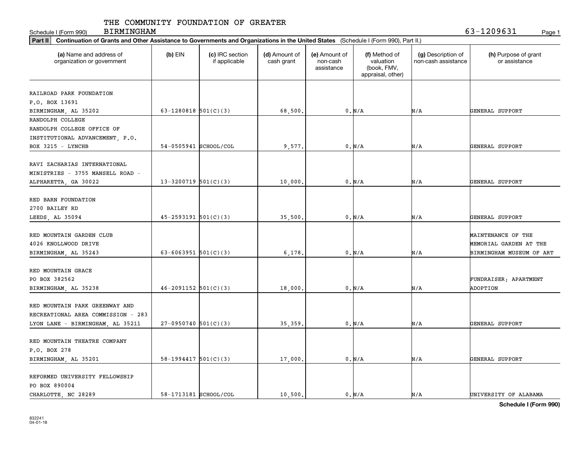| <b>BIRMINGHAM</b><br>Schedule I (Form 990)                                                                                                     |                            |                                  |                             |                                         |                                                                |                                           | 63-1209631<br>Page 1                                                     |
|------------------------------------------------------------------------------------------------------------------------------------------------|----------------------------|----------------------------------|-----------------------------|-----------------------------------------|----------------------------------------------------------------|-------------------------------------------|--------------------------------------------------------------------------|
| Part II<br>Continuation of Grants and Other Assistance to Governments and Organizations in the United States (Schedule I (Form 990), Part II.) |                            |                                  |                             |                                         |                                                                |                                           |                                                                          |
| (a) Name and address of<br>organization or government                                                                                          | $(b)$ EIN                  | (c) IRC section<br>if applicable | (d) Amount of<br>cash grant | (e) Amount of<br>non-cash<br>assistance | (f) Method of<br>valuation<br>(book, FMV,<br>appraisal, other) | (g) Description of<br>non-cash assistance | (h) Purpose of grant<br>or assistance                                    |
| RAILROAD PARK FOUNDATION<br>P.O. BOX 13691<br>BIRMINGHAM, AL 35202                                                                             | 63-1280818 $501(C)(3)$     |                                  | 68,500.                     |                                         | $0. N/A$                                                       | N/A                                       | GENERAL SUPPORT                                                          |
| RANDOLPH COLLEGE<br>RANDOLPH COLLEGE OFFICE OF<br>INSTITUTIONAL ADVANCEMENT, P.O.<br>BOX 3215 - LYNCHB                                         | 54-0505941 SCHOOL/COL      |                                  | 9,577.                      |                                         | 0. N/A                                                         | N/A                                       | GENERAL SUPPORT                                                          |
| RAVI ZACHARIAS INTERNATIONAL<br>MINISTRIES - 3755 MANSELL ROAD -<br>ALPHARETTA, GA 30022                                                       | 13-3200719 $501(C)(3)$     |                                  | 10,000.                     |                                         | 0. N/A                                                         | N/A                                       | GENERAL SUPPORT                                                          |
| RED BARN FOUNDATION<br>2700 BAILEY RD<br>LEEDS, AL 35094                                                                                       | $45 - 2593191$ $501(C)(3)$ |                                  | 35,500.                     |                                         | 0. N/A                                                         | N/A                                       | GENERAL SUPPORT                                                          |
| RED MOUNTAIN GARDEN CLUB<br>4026 KNOLLWOOD DRIVE<br>BIRMINGHAM, AL 35243                                                                       | 63-6063951 $501(C)(3)$     |                                  | 6, 178.                     |                                         | 0. N/A                                                         | N/A                                       | MAINTENANCE OF THE<br>MEMORIAL GARDEN AT THE<br>BIRMINGHAM MUSEUM OF ART |
| RED MOUNTAIN GRACE<br>PO BOX 382562<br>BIRMINGHAM, AL 35238                                                                                    | $46 - 2091152$ $501(C)(3)$ |                                  | 18,000                      |                                         | $0. N/A$                                                       | N/A                                       | FUNDRAISER; APARTMENT<br>ADOPTION                                        |
| RED MOUNTAIN PARK GREENWAY AND<br>RECREATIONAL AREA COMMISSION - 283<br>LYON LANE - BIRMINGHAM, AL 35211                                       | $27-0950740$ 501(C)(3)     |                                  | 35,359                      |                                         | 0. N/A                                                         | N/A                                       | GENERAL SUPPORT                                                          |
| RED MOUNTAIN THEATRE COMPANY<br>P.O. BOX 278<br>BIRMINGHAM, AL 35201                                                                           | $58-1994417$ $501(C)(3)$   |                                  | 17,000.                     |                                         | 0. N/A                                                         | N/A                                       | GENERAL SUPPORT                                                          |
| REFORMED UNIVERSITY FELLOWSHIP<br>PO BOX 890004<br>CHARLOTTE, NC 28289                                                                         | 58-1713181 SCHOOL/COL      |                                  | 10.500.                     |                                         | 0. N/A                                                         | N/A                                       | UNIVERSITY OF ALABAMA                                                    |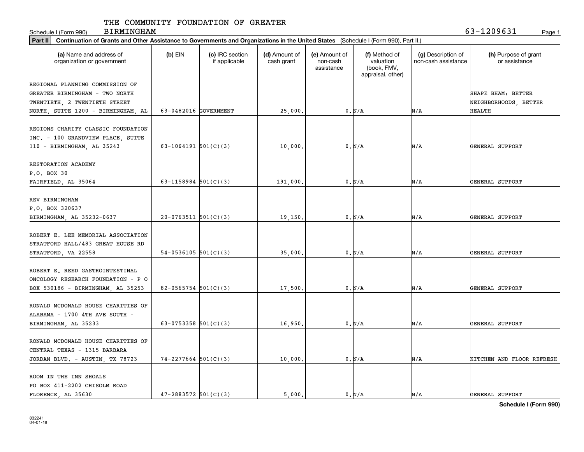Schedule I (Form 990) Page 1 BIRMINGHAM 63-1209631

| Part II   Continuation of Grants and Other Assistance to Governments and Organizations in the United States (Schedule I (Form 990), Part II.) |                            |                                  |                             |                                         |                                                                |                                           |                                             |
|-----------------------------------------------------------------------------------------------------------------------------------------------|----------------------------|----------------------------------|-----------------------------|-----------------------------------------|----------------------------------------------------------------|-------------------------------------------|---------------------------------------------|
| (a) Name and address of<br>organization or government                                                                                         | $(b)$ EIN                  | (c) IRC section<br>if applicable | (d) Amount of<br>cash grant | (e) Amount of<br>non-cash<br>assistance | (f) Method of<br>valuation<br>(book, FMV,<br>appraisal, other) | (g) Description of<br>non-cash assistance | (h) Purpose of grant<br>or assistance       |
| REGIONAL PLANNING COMMISSION OF<br>GREATER BIRMINGHAM - TWO NORTH<br>TWENTIETH, 2 TWENTIETH STREET                                            |                            |                                  |                             |                                         |                                                                |                                           | SHAPE BHAM: BETTER<br>NEIGHBORHOODS, BETTER |
| NORTH, SUITE 1200 - BIRMINGHAM, AL                                                                                                            | 63-0482016 GOVERNMENT      |                                  | 25,000.                     |                                         | 0. N/A                                                         | N/A                                       | <b>HEALTH</b>                               |
| REGIONS CHARITY CLASSIC FOUNDATION<br>INC. - 100 GRANDVIEW PLACE, SUITE<br>110 - BIRMINGHAM, AL 35243                                         | $63 - 1064191$ $501(C)(3)$ |                                  | 10,000                      |                                         | 0. N/A                                                         | N/A                                       | GENERAL SUPPORT                             |
| RESTORATION ACADEMY<br>P.O. BOX 30<br>FAIRFIELD, AL 35064                                                                                     | 63-1158984 $501(C)(3)$     |                                  | 191,000                     |                                         | 0. N/A                                                         | N/A                                       | GENERAL SUPPORT                             |
| REV BIRMINGHAM<br>P.O. BOX 320637<br>BIRMINGHAM, AL 35232-0637                                                                                | $20-0763511$ $501(C)(3)$   |                                  | 19,150                      |                                         | 0. N/A                                                         | N/A                                       | GENERAL SUPPORT                             |
| ROBERT E. LEE MEMORIAL ASSOCIATION<br>STRATFORD HALL/483 GREAT HOUSE RD<br>STRATFORD, VA 22558                                                | $54-0536105$ 501(C)(3)     |                                  | 35,000                      |                                         | 0. N/A                                                         | N/A                                       | GENERAL SUPPORT                             |
| ROBERT E. REED GASTROINTESTINAL<br>ONCOLOGY RESEARCH FOUNDATION - P O<br>BOX 530186 - BIRMINGHAM, AL 35253                                    | $82-0565754$ 501(C)(3)     |                                  | 17,500                      |                                         | 0. N/A                                                         | N/A                                       | GENERAL SUPPORT                             |
| RONALD MCDONALD HOUSE CHARITIES OF<br>ALABAMA - 1700 4TH AVE SOUTH -<br>BIRMINGHAM, AL 35233                                                  | 63-0753358 $501(C)(3)$     |                                  | 16,950                      |                                         | 0. N/A                                                         | N/A                                       | GENERAL SUPPORT                             |
| RONALD MCDONALD HOUSE CHARITIES OF<br>CENTRAL TEXAS - 1315 BARBARA<br>JORDAN BLVD. - AUSTIN, TX 78723                                         | $74 - 2277664$ 501(C)(3)   |                                  | 10,000                      |                                         | 0. N/A                                                         | N/A                                       | KITCHEN AND FLOOR REFRESH                   |
| ROOM IN THE INN SHOALS<br>PO BOX 411-2202 CHISOLM ROAD<br>FLORENCE, AL 35630                                                                  | $47 - 2883572$ 501(C)(3)   |                                  | 5,000.                      |                                         | 0. N/A                                                         | N/A                                       | GENERAL SUPPORT                             |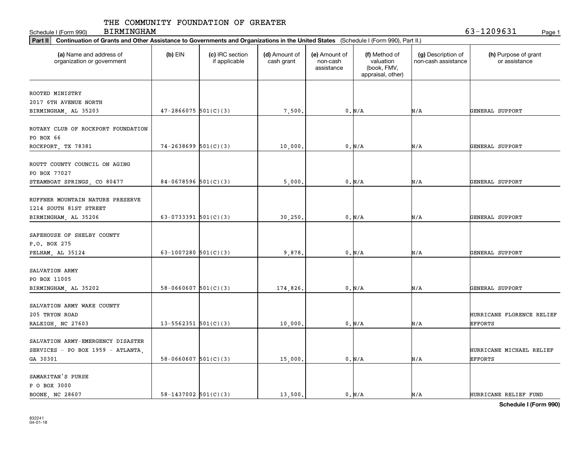Schedule I (Form 990) Page 1 BIRMINGHAM 63-1209631

| Part II   Continuation of Grants and Other Assistance to Governments and Organizations in the United States (Schedule I (Form 990), Part II.) |                            |                                  |                             |                                         |                                                                |                                           |                                             |
|-----------------------------------------------------------------------------------------------------------------------------------------------|----------------------------|----------------------------------|-----------------------------|-----------------------------------------|----------------------------------------------------------------|-------------------------------------------|---------------------------------------------|
| (a) Name and address of<br>organization or government                                                                                         | $(b)$ EIN                  | (c) IRC section<br>if applicable | (d) Amount of<br>cash grant | (e) Amount of<br>non-cash<br>assistance | (f) Method of<br>valuation<br>(book, FMV,<br>appraisal, other) | (g) Description of<br>non-cash assistance | (h) Purpose of grant<br>or assistance       |
|                                                                                                                                               |                            |                                  |                             |                                         |                                                                |                                           |                                             |
| ROOTED MINISTRY                                                                                                                               |                            |                                  |                             |                                         |                                                                |                                           |                                             |
| 2017 6TH AVENUE NORTH                                                                                                                         |                            |                                  |                             |                                         |                                                                |                                           |                                             |
| BIRMINGHAM, AL 35203                                                                                                                          | $47 - 2866075$ 501(C)(3)   |                                  | 7,500.                      |                                         | 0. N/A                                                         | N/A                                       | GENERAL SUPPORT                             |
| ROTARY CLUB OF ROCKPORT FOUNDATION<br>PO BOX 66                                                                                               |                            |                                  |                             |                                         |                                                                |                                           |                                             |
| ROCKPORT, TX 78381                                                                                                                            | $74 - 2638699$ 501(C)(3)   |                                  | 10,000                      |                                         | 0. N/A                                                         | N/A                                       | GENERAL SUPPORT                             |
| ROUTT COUNTY COUNCIL ON AGING<br>PO BOX 77027<br>STEAMBOAT SPRINGS, CO 80477                                                                  | $84-0678596$ 501(C)(3)     |                                  | 5,000                       |                                         | 0. N/A                                                         | N/A                                       | GENERAL SUPPORT                             |
| RUFFNER MOUNTAIN NATURE PRESERVE<br>1214 SOUTH 81ST STREET                                                                                    |                            |                                  |                             |                                         |                                                                |                                           |                                             |
| BIRMINGHAM, AL 35206                                                                                                                          | 63-0733391 $501(C)(3)$     |                                  | 30, 250                     |                                         | 0. N/A                                                         | N/A                                       | GENERAL SUPPORT                             |
| SAFEHOUSE OF SHELBY COUNTY<br>P.O. BOX 275<br>PELHAM, AL 35124                                                                                | 63-1007280 $501(C)(3)$     |                                  | 9,878                       |                                         | 0. N/A                                                         | N/A                                       | GENERAL SUPPORT                             |
| SALVATION ARMY<br>PO BOX 11005<br>BIRMINGHAM, AL 35202                                                                                        | $58-0660607$ $501(C)(3)$   |                                  | 174,826.                    |                                         | 0. N/A                                                         | N/A                                       | GENERAL SUPPORT                             |
| SALVATION ARMY WAKE COUNTY<br>205 TRYON ROAD<br>RALEIGH, NC 27603                                                                             | $13 - 5562351$ $501(C)(3)$ |                                  | 10,000                      |                                         | 0. N/A                                                         | N/A                                       | HURRICANE FLORENCE RELIEF<br><b>EFFORTS</b> |
| SALVATION ARMY-EMERGENCY DISASTER<br>SERVICES - PO BOX 1959 - ATLANTA,<br>GA 30301                                                            | $58-0660607$ $501(C)(3)$   |                                  | 15,000                      |                                         | $0. N/A$                                                       | N/A                                       | HURRICANE MICHAEL RELIEF<br><b>EFFORTS</b>  |
| SAMARITAN'S PURSE<br>P O BOX 3000<br>BOONE, NC 28607                                                                                          | $58 - 1437002$ $501(C)(3)$ |                                  | 13,500.                     |                                         | 0. N/A                                                         | N/A                                       | HURRICANE RELIEF FUND                       |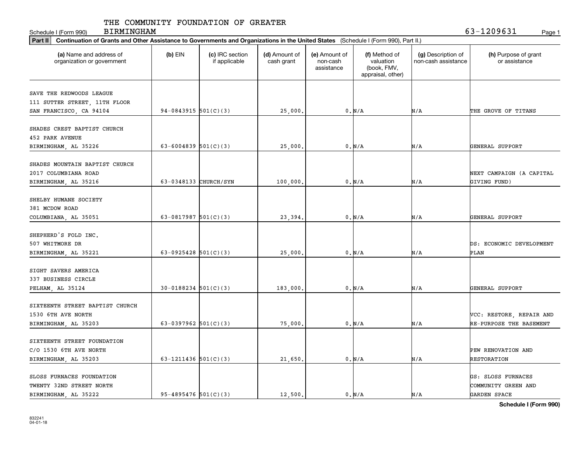Schedule I (Form 990) Page 1 BIRMINGHAM 63-1209631

| Part II   Continuation of Grants and Other Assistance to Governments and Organizations in the United States (Schedule I (Form 990), Part II.) |                            |                                  |                             |                                         |                                                                |                                           |                                           |
|-----------------------------------------------------------------------------------------------------------------------------------------------|----------------------------|----------------------------------|-----------------------------|-----------------------------------------|----------------------------------------------------------------|-------------------------------------------|-------------------------------------------|
| (a) Name and address of<br>organization or government                                                                                         | $(b)$ EIN                  | (c) IRC section<br>if applicable | (d) Amount of<br>cash grant | (e) Amount of<br>non-cash<br>assistance | (f) Method of<br>valuation<br>(book, FMV,<br>appraisal, other) | (g) Description of<br>non-cash assistance | (h) Purpose of grant<br>or assistance     |
|                                                                                                                                               |                            |                                  |                             |                                         |                                                                |                                           |                                           |
| SAVE THE REDWOODS LEAGUE                                                                                                                      |                            |                                  |                             |                                         |                                                                |                                           |                                           |
| 111 SUTTER STREET, 11TH FLOOR                                                                                                                 |                            |                                  |                             |                                         |                                                                |                                           |                                           |
| SAN FRANCISCO, CA 94104                                                                                                                       | $94-0843915$ 501(C)(3)     |                                  | 25,000.                     |                                         | 0. N/A                                                         | N/A                                       | THE GROVE OF TITANS                       |
| SHADES CREST BAPTIST CHURCH                                                                                                                   |                            |                                  |                             |                                         |                                                                |                                           |                                           |
| <b>452 PARK AVENUE</b>                                                                                                                        |                            |                                  |                             |                                         |                                                                |                                           |                                           |
| BIRMINGHAM, AL 35226                                                                                                                          | 63-6004839 $501(C)(3)$     |                                  | 25,000                      |                                         | 0. N/A                                                         | N/A                                       | GENERAL SUPPORT                           |
|                                                                                                                                               |                            |                                  |                             |                                         |                                                                |                                           |                                           |
| SHADES MOUNTAIN BAPTIST CHURCH                                                                                                                |                            |                                  |                             |                                         |                                                                |                                           |                                           |
| 2017 COLUMBIANA ROAD                                                                                                                          |                            |                                  |                             |                                         |                                                                |                                           | NEXT CAMPAIGN (A CAPITAL                  |
| BIRMINGHAM, AL 35216                                                                                                                          | 63-0348133 CHURCH/SYN      |                                  | 100,000                     |                                         | 0. N/A                                                         | N/A                                       | GIVING FUND)                              |
|                                                                                                                                               |                            |                                  |                             |                                         |                                                                |                                           |                                           |
| SHELBY HUMANE SOCIETY                                                                                                                         |                            |                                  |                             |                                         |                                                                |                                           |                                           |
| 381 MCDOW ROAD                                                                                                                                |                            |                                  |                             |                                         |                                                                |                                           |                                           |
| COLUMBIANA, AL 35051                                                                                                                          | 63-0817987 $501(C)(3)$     |                                  | 23,394                      |                                         | 0. N/A                                                         | N/A                                       | GENERAL SUPPORT                           |
|                                                                                                                                               |                            |                                  |                             |                                         |                                                                |                                           |                                           |
| SHEPHERD'S FOLD INC.                                                                                                                          |                            |                                  |                             |                                         |                                                                |                                           |                                           |
| 507 WHITMORE DR                                                                                                                               |                            |                                  |                             |                                         |                                                                |                                           | DS: ECONOMIC DEVELOPMENT                  |
| BIRMINGHAM, AL 35221                                                                                                                          | 63-0925428 $501(C)(3)$     |                                  | 25,000                      |                                         | 0. N/A                                                         | N/A                                       | PLAN                                      |
|                                                                                                                                               |                            |                                  |                             |                                         |                                                                |                                           |                                           |
| SIGHT SAVERS AMERICA                                                                                                                          |                            |                                  |                             |                                         |                                                                |                                           |                                           |
| 337 BUSINESS CIRCLE                                                                                                                           |                            |                                  |                             |                                         |                                                                |                                           |                                           |
| PELHAM, AL 35124                                                                                                                              | $30 - 0188234$ $501(C)(3)$ |                                  | 183,000                     |                                         | 0. N/A                                                         | N/A                                       | GENERAL SUPPORT                           |
|                                                                                                                                               |                            |                                  |                             |                                         |                                                                |                                           |                                           |
| SIXTEENTH STREET BAPTIST CHURCH                                                                                                               |                            |                                  |                             |                                         |                                                                |                                           |                                           |
| 1530 6TH AVE NORTH                                                                                                                            |                            |                                  |                             |                                         |                                                                |                                           | VCC: RESTORE, REPAIR AND                  |
| BIRMINGHAM, AL 35203                                                                                                                          | 63-0397962 $501(C)(3)$     |                                  | 75,000                      |                                         | 0. N/A                                                         | N/A                                       | RE-PURPOSE THE BASEMENT                   |
|                                                                                                                                               |                            |                                  |                             |                                         |                                                                |                                           |                                           |
| SIXTEENTH STREET FOUNDATION                                                                                                                   |                            |                                  |                             |                                         |                                                                |                                           |                                           |
| C/O 1530 6TH AVE NORTH                                                                                                                        |                            |                                  |                             |                                         |                                                                |                                           | PEW RENOVATION AND                        |
| BIRMINGHAM, AL 35203                                                                                                                          | 63-1211436 $501(C)(3)$     |                                  | 21,650                      |                                         | 0. N/A                                                         | N/A                                       | RESTORATION                               |
|                                                                                                                                               |                            |                                  |                             |                                         |                                                                |                                           |                                           |
| SLOSS FURNACES FOUNDATION<br>TWENTY 32ND STREET NORTH                                                                                         |                            |                                  |                             |                                         |                                                                |                                           | GS: SLOSS FURNACES<br>COMMUNITY GREEN AND |
|                                                                                                                                               | $95 - 4895476$ 501(C)(3)   |                                  | 12,500.                     |                                         |                                                                |                                           | GARDEN SPACE                              |
| BIRMINGHAM, AL 35222                                                                                                                          |                            |                                  |                             |                                         | 0. N/A                                                         | N/A                                       |                                           |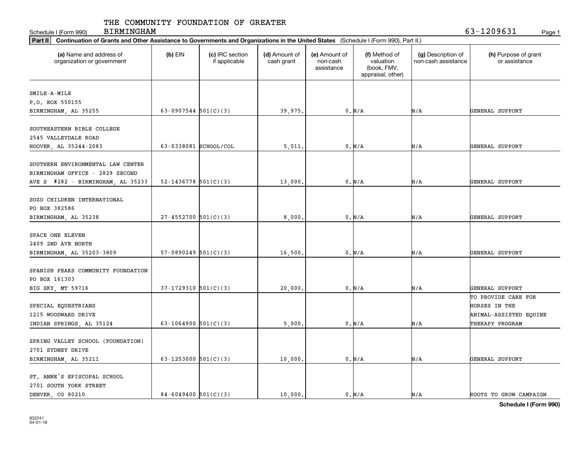Schedule I (Form 990) Page 1 BIRMINGHAM 63-1209631

| Part II   Continuation of Grants and Other Assistance to Governments and Organizations in the United States (Schedule I (Form 990), Part II.) |                            |                                  |                             |                                         |                                                                |                                           |                                       |
|-----------------------------------------------------------------------------------------------------------------------------------------------|----------------------------|----------------------------------|-----------------------------|-----------------------------------------|----------------------------------------------------------------|-------------------------------------------|---------------------------------------|
| (a) Name and address of<br>organization or government                                                                                         | $(b)$ EIN                  | (c) IRC section<br>if applicable | (d) Amount of<br>cash grant | (e) Amount of<br>non-cash<br>assistance | (f) Method of<br>valuation<br>(book, FMV,<br>appraisal, other) | (g) Description of<br>non-cash assistance | (h) Purpose of grant<br>or assistance |
|                                                                                                                                               |                            |                                  |                             |                                         |                                                                |                                           |                                       |
| SMILE-A-MILE                                                                                                                                  |                            |                                  |                             |                                         |                                                                |                                           |                                       |
| P.O. BOX 550155                                                                                                                               |                            |                                  |                             |                                         |                                                                |                                           |                                       |
| BIRMINGHAM, AL 35255                                                                                                                          | 63-0907544 $501(C)(3)$     |                                  | 39,975.                     |                                         | 0. N/A                                                         | N/A                                       | GENERAL SUPPORT                       |
|                                                                                                                                               |                            |                                  |                             |                                         |                                                                |                                           |                                       |
| SOUTHEASTERN BIBLE COLLEGE                                                                                                                    |                            |                                  |                             |                                         |                                                                |                                           |                                       |
| 2545 VALLEYDALE ROAD                                                                                                                          |                            |                                  |                             |                                         |                                                                |                                           |                                       |
| HOOVER, AL 35244-2083                                                                                                                         | 63-0338081 SCHOOL/COL      |                                  | 5,011                       |                                         | 0. N/A                                                         | N/A                                       | GENERAL SUPPORT                       |
|                                                                                                                                               |                            |                                  |                             |                                         |                                                                |                                           |                                       |
| SOUTHERN ENVIRONMENTAL LAW CENTER                                                                                                             |                            |                                  |                             |                                         |                                                                |                                           |                                       |
| BIRMINGHAM OFFICE - 2829 SECOND                                                                                                               |                            |                                  |                             |                                         |                                                                |                                           |                                       |
| AVE S #282 - BIRMINGHAM, AL 35233                                                                                                             | $52 - 1436778$ $501(C)(3)$ |                                  | 13,000                      |                                         | 0. N/A                                                         | N/A                                       | GENERAL SUPPORT                       |
|                                                                                                                                               |                            |                                  |                             |                                         |                                                                |                                           |                                       |
| SOZO CHILDREN INTERNATIONAL                                                                                                                   |                            |                                  |                             |                                         |                                                                |                                           |                                       |
| PO BOX 382586                                                                                                                                 |                            |                                  |                             |                                         |                                                                |                                           |                                       |
| BIRMINGHAM, AL 35238                                                                                                                          | $27 - 4552700$ 501(C)(3)   |                                  | 8,000                       |                                         | 0. N/A                                                         | N/A                                       | GENERAL SUPPORT                       |
|                                                                                                                                               |                            |                                  |                             |                                         |                                                                |                                           |                                       |
| SPACE ONE ELEVEN                                                                                                                              |                            |                                  |                             |                                         |                                                                |                                           |                                       |
| 2409 2ND AVE NORTH                                                                                                                            |                            |                                  |                             |                                         |                                                                |                                           |                                       |
| BIRMINGHAM, AL 35203-3809                                                                                                                     | $57-0890249$ $501(C)(3)$   |                                  | 16,500                      |                                         | 0. N/A                                                         | N/A                                       | GENERAL SUPPORT                       |
|                                                                                                                                               |                            |                                  |                             |                                         |                                                                |                                           |                                       |
| SPANISH PEAKS COMMUNITY FOUNDATION                                                                                                            |                            |                                  |                             |                                         |                                                                |                                           |                                       |
| PO BOX 161303                                                                                                                                 |                            |                                  |                             |                                         |                                                                |                                           |                                       |
| BIG SKY, MT 59716                                                                                                                             | $37-1729310$ 501(C)(3)     |                                  | 20,000                      |                                         | $0\,$ N/A                                                      | N/A                                       | GENERAL SUPPORT                       |
|                                                                                                                                               |                            |                                  |                             |                                         |                                                                |                                           | TO PROVIDE CARE FOR                   |
| SPECIAL EQUESTRIANS                                                                                                                           |                            |                                  |                             |                                         |                                                                |                                           | HORSES IN THE                         |
| 1215 WOODWARD DRIVE                                                                                                                           |                            |                                  |                             |                                         |                                                                |                                           | ANIMAL-ASSISTED EQUINE                |
| INDIAN SPRINGS, AL 35124                                                                                                                      | 63-1064900 $501(C)(3)$     |                                  | 5,000                       |                                         | 0. N/A                                                         | N/A                                       | THERAPY PROGRAM                       |
|                                                                                                                                               |                            |                                  |                             |                                         |                                                                |                                           |                                       |
| SPRING VALLEY SCHOOL (FOUNDATION)                                                                                                             |                            |                                  |                             |                                         |                                                                |                                           |                                       |
| 2701 SYDNEY DRIVE                                                                                                                             |                            |                                  |                             |                                         |                                                                |                                           |                                       |
| BIRMINGHAM, AL 35211                                                                                                                          | 63-1253000 $501(C)(3)$     |                                  | 10,000                      |                                         | 0. N/A                                                         | N/A                                       | GENERAL SUPPORT                       |
|                                                                                                                                               |                            |                                  |                             |                                         |                                                                |                                           |                                       |
| ST. ANNE'S EPISCOPAL SCHOOL                                                                                                                   |                            |                                  |                             |                                         |                                                                |                                           |                                       |
| 2701 SOUTH YORK STREET                                                                                                                        |                            |                                  |                             |                                         |                                                                |                                           |                                       |
| DENVER CO 80210                                                                                                                               | $84 - 6049400$ 501(C)(3)   |                                  | 10,000.                     |                                         | 0. N/A                                                         | N/A                                       | ROOTS TO GROW CAMPAIGN                |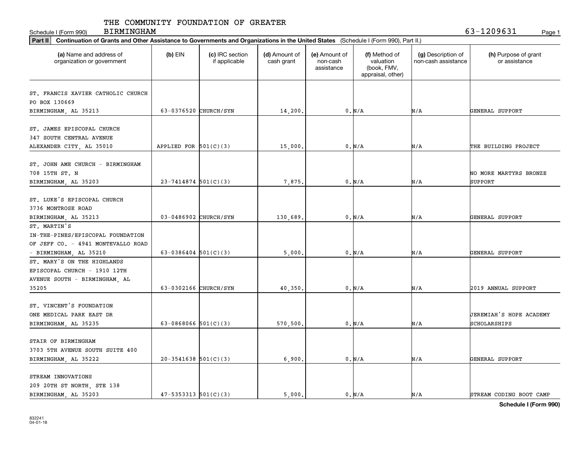Schedule I (Form 990) BIRMINGHAM 63-1209631 Page 1 BIRMINGHAM

| Continuation of Grants and Other Assistance to Governments and Organizations in the United States (Schedule I (Form 990), Part II.)<br>Part II |                            |                                  |                             |                                         |                                                                |                                           |                                         |  |  |
|------------------------------------------------------------------------------------------------------------------------------------------------|----------------------------|----------------------------------|-----------------------------|-----------------------------------------|----------------------------------------------------------------|-------------------------------------------|-----------------------------------------|--|--|
| (a) Name and address of<br>organization or government                                                                                          | $(b)$ EIN                  | (c) IRC section<br>if applicable | (d) Amount of<br>cash grant | (e) Amount of<br>non-cash<br>assistance | (f) Method of<br>valuation<br>(book, FMV,<br>appraisal, other) | (g) Description of<br>non-cash assistance | (h) Purpose of grant<br>or assistance   |  |  |
| ST. FRANCIS XAVIER CATHOLIC CHURCH<br>PO BOX 130669<br>BIRMINGHAM, AL 35213                                                                    | 63-0376520 CHURCH/SYN      |                                  | 14,200                      |                                         | 0. N/A                                                         | N/A                                       | GENERAL SUPPORT                         |  |  |
| ST. JAMES EPISCOPAL CHURCH<br>347 SOUTH CENTRAL AVENUE<br>ALEXANDER CITY, AL 35010                                                             | APPLIED FOR $501(C)(3)$    |                                  | 15,000.                     |                                         | 0. N/A                                                         | N/A                                       | THE BUILDING PROJECT                    |  |  |
| ST. JOHN AME CHURCH - BIRMINGHAM<br>708 15TH ST. N<br>BIRMINGHAM, AL 35203                                                                     | $23 - 7414874$ 501(C)(3)   |                                  | 7,875                       |                                         | 0. N/A                                                         | N/A                                       | NO MORE MARTYRS BRONZE<br>SUPPORT       |  |  |
| ST. LUKE'S EPISCOPAL CHURCH<br>3736 MONTROSE ROAD<br>BIRMINGHAM, AL 35213                                                                      | 03-0486902 CHURCH/SYN      |                                  | 130,689                     |                                         | 0. N/A                                                         | N/A                                       | GENERAL SUPPORT                         |  |  |
| ST. MARTIN'S<br>IN-THE-PINES/EPISCOPAL FOUNDATION<br>OF JEFF CO. - 4941 MONTEVALLO ROAD<br>- BIRMINGHAM, AL 35210                              | 63-0386404 $501(C)(3)$     |                                  | 5,000.                      |                                         | 0. N/A                                                         | N/A                                       | GENERAL SUPPORT                         |  |  |
| ST. MARY'S ON THE HIGHLANDS<br>EPISCOPAL CHURCH - 1910 12TH<br>AVENUE SOUTH - BIRMINGHAM, AL<br>35205                                          | 63-0302166 CHURCH/SYN      |                                  | 40,350                      |                                         | 0. N/A                                                         | N/A                                       | 2019 ANNUAL SUPPORT                     |  |  |
| ST. VINCENT'S FOUNDATION<br>ONE MEDICAL PARK EAST DR<br>BIRMINGHAM, AL 35235                                                                   | 63-0868066 $501(C)(3)$     |                                  | 570,500                     |                                         | 0. N/A                                                         | N/A                                       | JEREMIAH'S HOPE ACADEMY<br>SCHOLARSHIPS |  |  |
| STAIR OF BIRMINGHAM<br>3703 5TH AVENUE SOUTH SUITE 400<br>BIRMINGHAM, AL 35222                                                                 | $20-3541638$ $501(C)(3)$   |                                  | 6,900.                      |                                         | 0. N/A                                                         | N/A                                       | GENERAL SUPPORT                         |  |  |
| STREAM INNOVATIONS<br>209 20TH ST NORTH, STE 138<br>BIRMINGHAM, AL 35203                                                                       | $47 - 5353313$ $501(C)(3)$ |                                  | 5.000.                      |                                         | 0. N/A                                                         | N/A                                       | STREAM CODING BOOT CAMP                 |  |  |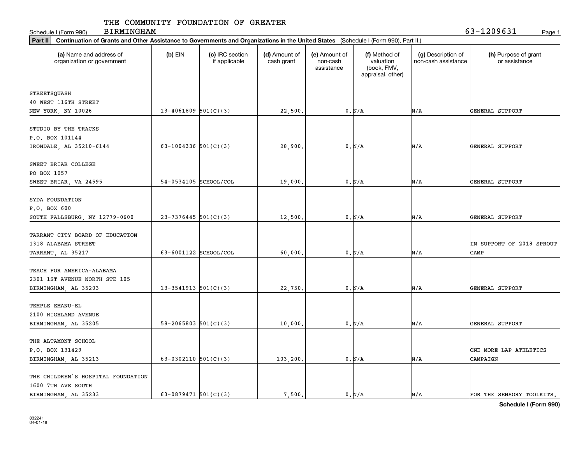Schedule I (Form 990) Page 1 BIRMINGHAM 63-1209631

|                                                       |                            |                                  | Part II   Continuation of Grants and Other Assistance to Governments and Organizations in the United States (Schedule I (Form 990), Part II.) |                                         |                                                                |                                           |                                       |  |  |  |  |  |
|-------------------------------------------------------|----------------------------|----------------------------------|-----------------------------------------------------------------------------------------------------------------------------------------------|-----------------------------------------|----------------------------------------------------------------|-------------------------------------------|---------------------------------------|--|--|--|--|--|
| (a) Name and address of<br>organization or government | $(b)$ EIN                  | (c) IRC section<br>if applicable | (d) Amount of<br>cash grant                                                                                                                   | (e) Amount of<br>non-cash<br>assistance | (f) Method of<br>valuation<br>(book, FMV,<br>appraisal, other) | (g) Description of<br>non-cash assistance | (h) Purpose of grant<br>or assistance |  |  |  |  |  |
|                                                       |                            |                                  |                                                                                                                                               |                                         |                                                                |                                           |                                       |  |  |  |  |  |
| STREETSQUASH                                          |                            |                                  |                                                                                                                                               |                                         |                                                                |                                           |                                       |  |  |  |  |  |
| 40 WEST 116TH STREET                                  |                            |                                  |                                                                                                                                               |                                         |                                                                |                                           |                                       |  |  |  |  |  |
| NEW YORK, NY 10026                                    | $13 - 4061809$ 501(C)(3)   |                                  | 22,500.                                                                                                                                       |                                         | 0. N/A                                                         | N/A                                       | GENERAL SUPPORT                       |  |  |  |  |  |
| STUDIO BY THE TRACKS                                  |                            |                                  |                                                                                                                                               |                                         |                                                                |                                           |                                       |  |  |  |  |  |
|                                                       |                            |                                  |                                                                                                                                               |                                         |                                                                |                                           |                                       |  |  |  |  |  |
| P.O. BOX 101144                                       |                            |                                  |                                                                                                                                               |                                         |                                                                |                                           |                                       |  |  |  |  |  |
| IRONDALE, AL 35210-6144                               | 63-1004336 $501(C)(3)$     |                                  | 28,900                                                                                                                                        |                                         | 0. N/A                                                         | N/A                                       | GENERAL SUPPORT                       |  |  |  |  |  |
| SWEET BRIAR COLLEGE                                   |                            |                                  |                                                                                                                                               |                                         |                                                                |                                           |                                       |  |  |  |  |  |
| PO BOX 1057                                           |                            |                                  |                                                                                                                                               |                                         |                                                                |                                           |                                       |  |  |  |  |  |
| SWEET BRIAR, VA 24595                                 | 54-0534105 SCHOOL/COL      |                                  | 19,000                                                                                                                                        |                                         | 0. N/A                                                         | N/A                                       | GENERAL SUPPORT                       |  |  |  |  |  |
|                                                       |                            |                                  |                                                                                                                                               |                                         |                                                                |                                           |                                       |  |  |  |  |  |
| SYDA FOUNDATION                                       |                            |                                  |                                                                                                                                               |                                         |                                                                |                                           |                                       |  |  |  |  |  |
| P.O. BOX 600                                          |                            |                                  |                                                                                                                                               |                                         |                                                                |                                           |                                       |  |  |  |  |  |
| SOUTH FALLSBURG, NY 12779-0600                        | $23-7376445$ 501(C)(3)     |                                  | 12,500                                                                                                                                        |                                         | 0. N/A                                                         | N/A                                       | GENERAL SUPPORT                       |  |  |  |  |  |
|                                                       |                            |                                  |                                                                                                                                               |                                         |                                                                |                                           |                                       |  |  |  |  |  |
| TARRANT CITY BOARD OF EDUCATION                       |                            |                                  |                                                                                                                                               |                                         |                                                                |                                           |                                       |  |  |  |  |  |
| 1318 ALABAMA STREET                                   |                            |                                  |                                                                                                                                               |                                         |                                                                |                                           | IN SUPPORT OF 2018 SPROUT             |  |  |  |  |  |
| TARRANT, AL 35217                                     | 63-6001122 SCHOOL/COL      |                                  | 60,000                                                                                                                                        |                                         | 0. N/A                                                         | N/A                                       | CAMP                                  |  |  |  |  |  |
|                                                       |                            |                                  |                                                                                                                                               |                                         |                                                                |                                           |                                       |  |  |  |  |  |
| TEACH FOR AMERICA-ALABAMA                             |                            |                                  |                                                                                                                                               |                                         |                                                                |                                           |                                       |  |  |  |  |  |
| 2301 1ST AVENUE NORTH STE 105                         |                            |                                  |                                                                                                                                               |                                         |                                                                |                                           |                                       |  |  |  |  |  |
| BIRMINGHAM, AL 35203                                  | $13 - 3541913$ $501(C)(3)$ |                                  | 22,750.                                                                                                                                       |                                         | 0. N/A                                                         | N/A                                       | GENERAL SUPPORT                       |  |  |  |  |  |
|                                                       |                            |                                  |                                                                                                                                               |                                         |                                                                |                                           |                                       |  |  |  |  |  |
| TEMPLE EMANU-EL                                       |                            |                                  |                                                                                                                                               |                                         |                                                                |                                           |                                       |  |  |  |  |  |
| 2100 HIGHLAND AVENUE                                  |                            |                                  |                                                                                                                                               |                                         |                                                                |                                           |                                       |  |  |  |  |  |
| BIRMINGHAM, AL 35205                                  | $58 - 2065803$ $501(C)(3)$ |                                  | 10,000                                                                                                                                        |                                         | 0. N/A                                                         | N/A                                       | GENERAL SUPPORT                       |  |  |  |  |  |
|                                                       |                            |                                  |                                                                                                                                               |                                         |                                                                |                                           |                                       |  |  |  |  |  |
| THE ALTAMONT SCHOOL                                   |                            |                                  |                                                                                                                                               |                                         |                                                                |                                           |                                       |  |  |  |  |  |
| P.O. BOX 131429                                       |                            |                                  |                                                                                                                                               |                                         |                                                                |                                           | ONE MORE LAP ATHLETICS                |  |  |  |  |  |
| BIRMINGHAM, AL 35213                                  | 63-0302110 $501(C)(3)$     |                                  | 103,200.                                                                                                                                      |                                         | 0. N/A                                                         | N/A                                       | CAMPAIGN                              |  |  |  |  |  |
|                                                       |                            |                                  |                                                                                                                                               |                                         |                                                                |                                           |                                       |  |  |  |  |  |
| THE CHILDREN'S HOSPITAL FOUNDATION                    |                            |                                  |                                                                                                                                               |                                         |                                                                |                                           |                                       |  |  |  |  |  |
| 1600 7TH AVE SOUTH                                    |                            |                                  |                                                                                                                                               |                                         |                                                                |                                           |                                       |  |  |  |  |  |
| BIRMINGHAM, AL 35233                                  | 63-0879471 $501(C)(3)$     |                                  | 7,500.                                                                                                                                        |                                         | 0. N/A                                                         | N/A                                       | FOR THE SENSORY TOOLKITS.             |  |  |  |  |  |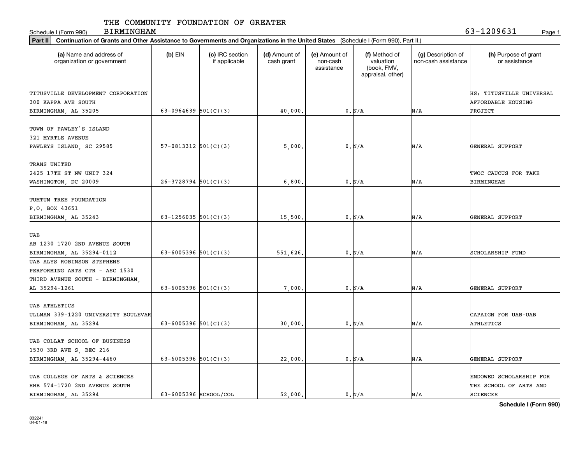Schedule I (Form 990) BIRMINGHAM 63-1209631 Page 1 BIRMINGHAM

| Part II<br>Continuation of Grants and Other Assistance to Governments and Organizations in the United States (Schedule I (Form 990), Part II.) |                          |                                  |                             |                                         |                                                                |                                           |                                                                  |  |  |
|------------------------------------------------------------------------------------------------------------------------------------------------|--------------------------|----------------------------------|-----------------------------|-----------------------------------------|----------------------------------------------------------------|-------------------------------------------|------------------------------------------------------------------|--|--|
| (a) Name and address of<br>organization or government                                                                                          | $(b)$ EIN                | (c) IRC section<br>if applicable | (d) Amount of<br>cash grant | (e) Amount of<br>non-cash<br>assistance | (f) Method of<br>valuation<br>(book, FMV,<br>appraisal, other) | (g) Description of<br>non-cash assistance | (h) Purpose of grant<br>or assistance                            |  |  |
| TITUSVILLE DEVELOPMENT CORPORATION<br>300 KAPPA AVE SOUTH<br>BIRMINGHAM, AL 35205                                                              | 63-0964639 $501(C)(3)$   |                                  | 40,000                      |                                         | 0. N/A                                                         | N/A                                       | HS: TITUSVILLE UNIVERSAL<br><b>AFFORDABLE HOUSING</b><br>PROJECT |  |  |
| TOWN OF PAWLEY'S ISLAND<br>321 MYRTLE AVENUE<br>PAWLEYS ISLAND, SC 29585                                                                       | $57-0813312$ $501(C)(3)$ |                                  | 5,000                       |                                         | 0. N/A                                                         | N/A                                       | GENERAL SUPPORT                                                  |  |  |
| TRANS UNITED<br>2425 17TH ST NW UNIT 324<br>WASHINGTON, DC 20009                                                                               | $26-3728794$ 501(C)(3)   |                                  | 6,800.                      |                                         | 0. N/A                                                         | N/A                                       | TWOC CAUCUS FOR TAKE<br>BIRMINGHAM                               |  |  |
| TUMTUM TREE FOUNDATION<br>P.O. BOX 43651<br>BIRMINGHAM, AL 35243                                                                               | 63-1256035 $501(C)(3)$   |                                  | 15,500                      |                                         | 0. N/A                                                         | N/A                                       | GENERAL SUPPORT                                                  |  |  |
| UAB<br>AB 1230 1720 2ND AVENUE SOUTH<br>BIRMINGHAM, AL 35294-0112                                                                              | 63-6005396 $501(C)(3)$   |                                  | 551,626                     |                                         | 0. N/A                                                         | N/A                                       | SCHOLARSHIP FUND                                                 |  |  |
| UAB ALYS ROBINSON STEPHENS<br>PERFORMING ARTS CTR - ASC 1530<br>THIRD AVENUE SOUTH - BIRMINGHAM,<br>AL 35294-1261                              | 63-6005396 $501(C)(3)$   |                                  | 7,000                       |                                         | 0. N/A                                                         | N/A                                       | GENERAL SUPPORT                                                  |  |  |
| <b>UAB ATHLETICS</b><br>ULLMAN 339-1220 UNIVERSITY BOULEVAR<br>BIRMINGHAM, AL 35294                                                            | 63-6005396 $501(C)(3)$   |                                  | 30,000                      |                                         | $0$ . $\text{N}/\text{A}$                                      | N/A                                       | CAPAIGN FOR UAB-UAB<br>ATHLETICS                                 |  |  |
| UAB COLLAT SCHOOL OF BUSINESS<br>1530 3RD AVE S, BEC 216<br>BIRMINGHAM, AL 35294-4460                                                          | 63-6005396 $501(C)(3)$   |                                  | 22,000                      |                                         | 0. N/A                                                         | N/A                                       | GENERAL SUPPORT                                                  |  |  |
| UAB COLLEGE OF ARTS & SCIENCES<br>HHB 574-1720 2ND AVENUE SOUTH<br>BIRMINGHAM AL 35294                                                         | 63-6005396 SCHOOL/COL    |                                  | 52,000.                     |                                         | 0. N/A                                                         | N/A                                       | ENDOWED SCHOLARSHIP FOR<br>THE SCHOOL OF ARTS AND<br>SCIENCES    |  |  |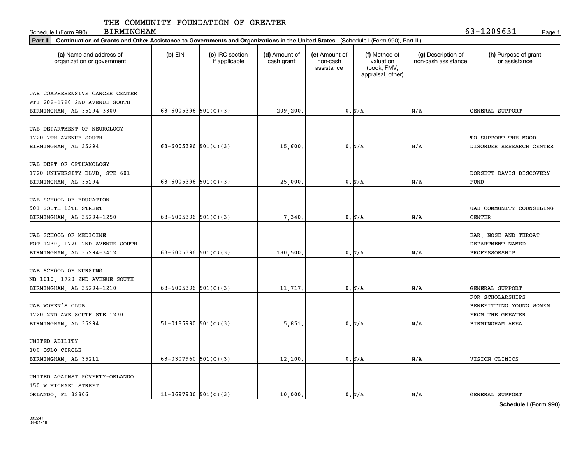Schedule I (Form 990) Page 1

BIRMINGHAM 63-1209631

| Part II   Continuation of Grants and Other Assistance to Governments and Organizations in the United States (Schedule I (Form 990), Part II.) |                          |                                  |                             |                                         |                                                                |                                           |                                       |
|-----------------------------------------------------------------------------------------------------------------------------------------------|--------------------------|----------------------------------|-----------------------------|-----------------------------------------|----------------------------------------------------------------|-------------------------------------------|---------------------------------------|
| (a) Name and address of<br>organization or government                                                                                         | $(b)$ EIN                | (c) IRC section<br>if applicable | (d) Amount of<br>cash grant | (e) Amount of<br>non-cash<br>assistance | (f) Method of<br>valuation<br>(book, FMV,<br>appraisal, other) | (g) Description of<br>non-cash assistance | (h) Purpose of grant<br>or assistance |
|                                                                                                                                               |                          |                                  |                             |                                         |                                                                |                                           |                                       |
| UAB COMPREHENSIVE CANCER CENTER                                                                                                               |                          |                                  |                             |                                         |                                                                |                                           |                                       |
| WTI 202-1720 2ND AVENUE SOUTH                                                                                                                 |                          |                                  |                             |                                         |                                                                |                                           |                                       |
| BIRMINGHAM, AL 35294-3300                                                                                                                     | 63-6005396 $501(C)(3)$   |                                  | 209,200.                    |                                         | 0. N/A                                                         | N/A                                       | GENERAL SUPPORT                       |
| UAB DEPARTMENT OF NEUROLOGY                                                                                                                   |                          |                                  |                             |                                         |                                                                |                                           |                                       |
| 1720 7TH AVENUE SOUTH                                                                                                                         |                          |                                  |                             |                                         |                                                                |                                           | TO SUPPORT THE MOOD                   |
|                                                                                                                                               | 63-6005396 $501(C)(3)$   |                                  |                             |                                         |                                                                |                                           |                                       |
| BIRMINGHAM, AL 35294                                                                                                                          |                          |                                  | 15,600                      |                                         | 0. N/A                                                         | N/A                                       | DISORDER RESEARCH CENTER              |
| UAB DEPT OF OPTHAMOLOGY                                                                                                                       |                          |                                  |                             |                                         |                                                                |                                           |                                       |
| 1720 UNIVERSITY BLVD, STE 601                                                                                                                 |                          |                                  |                             |                                         |                                                                |                                           | DORSETT DAVIS DISCOVERY               |
| BIRMINGHAM, AL 35294                                                                                                                          | 63-6005396 $501(C)(3)$   |                                  | 25,000                      |                                         | 0. N/A                                                         | N/A                                       | FUND                                  |
|                                                                                                                                               |                          |                                  |                             |                                         |                                                                |                                           |                                       |
| UAB SCHOOL OF EDUCATION                                                                                                                       |                          |                                  |                             |                                         |                                                                |                                           |                                       |
| 901 SOUTH 13TH STREET                                                                                                                         |                          |                                  |                             |                                         |                                                                |                                           | UAB COMMUNITY COUNSELING              |
| BIRMINGHAM, AL 35294-1250                                                                                                                     | 63-6005396 $501(C)(3)$   |                                  | 7,340                       |                                         | 0. N/A                                                         | N/A                                       | CENTER                                |
|                                                                                                                                               |                          |                                  |                             |                                         |                                                                |                                           |                                       |
| UAB SCHOOL OF MEDICINE                                                                                                                        |                          |                                  |                             |                                         |                                                                |                                           | EAR, NOSE AND THROAT                  |
| FOT 1230, 1720 2ND AVENUE SOUTH                                                                                                               |                          |                                  |                             |                                         |                                                                |                                           | DEPARTMENT NAMED                      |
| BIRMINGHAM, AL 35294-3412                                                                                                                     | 63-6005396 $501(C)(3)$   |                                  | 180,500                     |                                         | 0. N/A                                                         | N/A                                       | PROFESSORSHIP                         |
|                                                                                                                                               |                          |                                  |                             |                                         |                                                                |                                           |                                       |
| UAB SCHOOL OF NURSING                                                                                                                         |                          |                                  |                             |                                         |                                                                |                                           |                                       |
| NB 1010, 1720 2ND AVENUE SOUTH                                                                                                                |                          |                                  |                             |                                         |                                                                |                                           |                                       |
| BIRMINGHAM, AL 35294-1210                                                                                                                     | 63-6005396 $501(C)(3)$   |                                  | 11,717.                     |                                         | 0. N/A                                                         | N/A                                       | GENERAL SUPPORT                       |
|                                                                                                                                               |                          |                                  |                             |                                         |                                                                |                                           | FOR SCHOLARSHIPS                      |
| UAB WOMEN'S CLUB                                                                                                                              |                          |                                  |                             |                                         |                                                                |                                           | BENEFITTING YOUNG WOMEN               |
| 1720 2ND AVE SOUTH STE 1230                                                                                                                   |                          |                                  |                             |                                         |                                                                |                                           | FROM THE GREATER                      |
| BIRMINGHAM, AL 35294                                                                                                                          | $51-0185990$ $501(C)(3)$ |                                  | 5,851                       |                                         | 0. N/A                                                         | N/A                                       | BIRMINGHAM AREA                       |
|                                                                                                                                               |                          |                                  |                             |                                         |                                                                |                                           |                                       |
| UNITED ABILITY                                                                                                                                |                          |                                  |                             |                                         |                                                                |                                           |                                       |
| 100 OSLO CIRCLE                                                                                                                               |                          |                                  |                             |                                         |                                                                |                                           |                                       |
| BIRMINGHAM, AL 35211                                                                                                                          | 63-0307960 $501(C)(3)$   |                                  | 12,100                      |                                         | 0. N/A                                                         | N/A                                       | VISION CLINICS                        |
|                                                                                                                                               |                          |                                  |                             |                                         |                                                                |                                           |                                       |
| UNITED AGAINST POVERTY-ORLANDO                                                                                                                |                          |                                  |                             |                                         |                                                                |                                           |                                       |
| 150 W MICHAEL STREET                                                                                                                          |                          |                                  |                             |                                         |                                                                |                                           |                                       |
| ORLANDO FL 32806                                                                                                                              | $11-3697936$ 501(C)(3)   |                                  | 10,000.                     |                                         | 0. N/A                                                         | N/A                                       | GENERAL SUPPORT                       |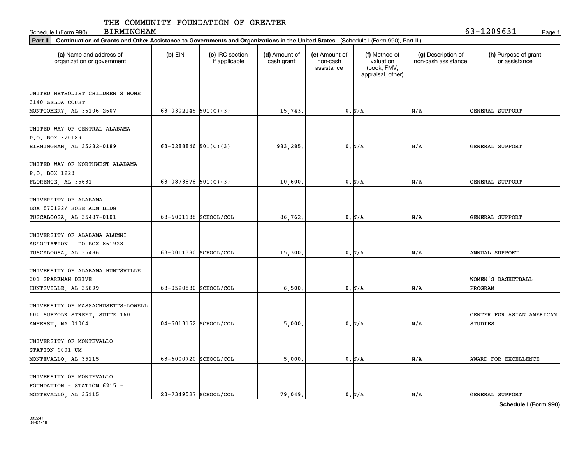Schedule I (Form 990) Page 1

BIRMINGHAM 63-1209631

| Part II   Continuation of Grants and Other Assistance to Governments and Organizations in the United States (Schedule I (Form 990), Part II.) |                        |                                  |                             |                                                                                                           |          |                                           |                                       |
|-----------------------------------------------------------------------------------------------------------------------------------------------|------------------------|----------------------------------|-----------------------------|-----------------------------------------------------------------------------------------------------------|----------|-------------------------------------------|---------------------------------------|
| (a) Name and address of<br>organization or government                                                                                         | $(b)$ EIN              | (c) IRC section<br>if applicable | (d) Amount of<br>cash grant | (e) Amount of<br>(f) Method of<br>valuation<br>non-cash<br>(book, FMV,<br>assistance<br>appraisal, other) |          | (g) Description of<br>non-cash assistance | (h) Purpose of grant<br>or assistance |
|                                                                                                                                               |                        |                                  |                             |                                                                                                           |          |                                           |                                       |
| UNITED METHODIST CHILDREN'S HOME                                                                                                              |                        |                                  |                             |                                                                                                           |          |                                           |                                       |
| 3140 ZELDA COURT                                                                                                                              | 63-0302145 $501(C)(3)$ |                                  |                             |                                                                                                           |          |                                           |                                       |
| MONTGOMERY, AL 36106-2607                                                                                                                     |                        |                                  | 15,743.                     |                                                                                                           | 0. N/A   | N/A                                       | GENERAL SUPPORT                       |
| UNITED WAY OF CENTRAL ALABAMA                                                                                                                 |                        |                                  |                             |                                                                                                           |          |                                           |                                       |
| P.O. BOX 320189                                                                                                                               |                        |                                  |                             |                                                                                                           |          |                                           |                                       |
| BIRMINGHAM, AL 35232-0189                                                                                                                     | 63-0288846 $501(C)(3)$ |                                  | 983,285.                    |                                                                                                           | 0. N/A   | N/A                                       | GENERAL SUPPORT                       |
|                                                                                                                                               |                        |                                  |                             |                                                                                                           |          |                                           |                                       |
| UNITED WAY OF NORTHWEST ALABAMA                                                                                                               |                        |                                  |                             |                                                                                                           |          |                                           |                                       |
| P.O. BOX 1228                                                                                                                                 |                        |                                  |                             |                                                                                                           |          |                                           |                                       |
| FLORENCE, AL 35631                                                                                                                            | 63-0873878 $501(C)(3)$ |                                  | 10,600.                     |                                                                                                           | $0. N/A$ | N/A                                       | GENERAL SUPPORT                       |
|                                                                                                                                               |                        |                                  |                             |                                                                                                           |          |                                           |                                       |
| UNIVERSITY OF ALABAMA                                                                                                                         |                        |                                  |                             |                                                                                                           |          |                                           |                                       |
| BOX 870122/ ROSE ADM BLDG                                                                                                                     |                        |                                  |                             |                                                                                                           |          |                                           |                                       |
| TUSCALOOSA, AL 35487-0101                                                                                                                     | 63-6001138 SCHOOL/COL  |                                  | 86,762.                     |                                                                                                           | 0. N/A   | N/A                                       | GENERAL SUPPORT                       |
|                                                                                                                                               |                        |                                  |                             |                                                                                                           |          |                                           |                                       |
| UNIVERSITY OF ALABAMA ALUMNI                                                                                                                  |                        |                                  |                             |                                                                                                           |          |                                           |                                       |
| ASSOCIATION - PO BOX 861928 -                                                                                                                 |                        |                                  |                             |                                                                                                           |          |                                           |                                       |
| TUSCALOOSA, AL 35486                                                                                                                          | 63-0011380 SCHOOL/COL  |                                  | 15,300                      |                                                                                                           | 0. N/A   | N/A                                       | ANNUAL SUPPORT                        |
|                                                                                                                                               |                        |                                  |                             |                                                                                                           |          |                                           |                                       |
| UNIVERSITY OF ALABAMA HUNTSVILLE                                                                                                              |                        |                                  |                             |                                                                                                           |          |                                           |                                       |
| 301 SPARKMAN DRIVE                                                                                                                            |                        |                                  |                             |                                                                                                           |          |                                           | WOMEN'S BASKETBALL                    |
| HUNTSVILLE, AL 35899                                                                                                                          | 63-0520830 SCHOOL/COL  |                                  | 6,500                       |                                                                                                           | 0. N/A   | N/A                                       | PROGRAM                               |
|                                                                                                                                               |                        |                                  |                             |                                                                                                           |          |                                           |                                       |
| UNIVERSITY OF MASSACHUSETTS-LOWELL                                                                                                            |                        |                                  |                             |                                                                                                           |          |                                           |                                       |
| 600 SUFFOLK STREET, SUITE 160                                                                                                                 |                        |                                  |                             |                                                                                                           |          |                                           | CENTER FOR ASIAN AMERICAN             |
| AMHERST, MA 01004                                                                                                                             | 04-6013152 SCHOOL/COL  |                                  | 5,000                       |                                                                                                           | 0. N/A   | N/A                                       | STUDIES                               |
|                                                                                                                                               |                        |                                  |                             |                                                                                                           |          |                                           |                                       |
| UNIVERSITY OF MONTEVALLO                                                                                                                      |                        |                                  |                             |                                                                                                           |          |                                           |                                       |
| STATION 6001 UM                                                                                                                               |                        |                                  |                             |                                                                                                           |          |                                           |                                       |
| MONTEVALLO, AL 35115                                                                                                                          | 63-6000720 SCHOOL/COL  |                                  | 5,000                       |                                                                                                           | 0. N/A   | N/A                                       | AWARD FOR EXCELLENCE                  |
| UNIVERSITY OF MONTEVALLO                                                                                                                      |                        |                                  |                             |                                                                                                           |          |                                           |                                       |
| FOUNDATION - STATION 6215 -                                                                                                                   |                        |                                  |                             |                                                                                                           |          |                                           |                                       |
| MONTEVALLO AL 35115                                                                                                                           | 23-7349527 SCHOOL/COL  |                                  | 79.049.                     |                                                                                                           | 0. N/A   | N/A                                       | <b>GENERAL SUPPORT</b>                |
|                                                                                                                                               |                        |                                  |                             |                                                                                                           |          |                                           |                                       |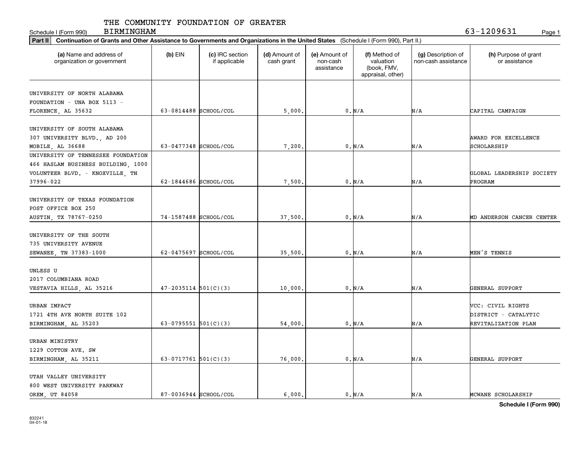Schedule I (Form 990) Page 1 BIRMINGHAM 63-1209631

| Part II   Continuation of Grants and Other Assistance to Governments and Organizations in the United States (Schedule I (Form 990), Part II.) |                                                                                                                                                                                           |  |                                           |                                       |     |                                  |
|-----------------------------------------------------------------------------------------------------------------------------------------------|-------------------------------------------------------------------------------------------------------------------------------------------------------------------------------------------|--|-------------------------------------------|---------------------------------------|-----|----------------------------------|
| (a) Name and address of<br>organization or government                                                                                         | (c) IRC section<br>$(b)$ EIN<br>(d) Amount of<br>(e) Amount of<br>(f) Method of<br>valuation<br>if applicable<br>cash grant<br>non-cash<br>(book, FMV,<br>assistance<br>appraisal, other) |  | (g) Description of<br>non-cash assistance | (h) Purpose of grant<br>or assistance |     |                                  |
|                                                                                                                                               |                                                                                                                                                                                           |  |                                           |                                       |     |                                  |
| UNIVERSITY OF NORTH ALABAMA                                                                                                                   |                                                                                                                                                                                           |  |                                           |                                       |     |                                  |
| FOUNDATION - UNA BOX 5113 -                                                                                                                   |                                                                                                                                                                                           |  |                                           |                                       |     |                                  |
| FLORENCE, AL 35632                                                                                                                            | 63-0814488 SCHOOL/COL                                                                                                                                                                     |  | 5,000                                     | 0. N/A                                | N/A | CAPITAL CAMPAIGN                 |
| UNIVERSITY OF SOUTH ALABAMA                                                                                                                   |                                                                                                                                                                                           |  |                                           |                                       |     |                                  |
| 307 UNIVERSITY BLVD., AD 200                                                                                                                  |                                                                                                                                                                                           |  |                                           |                                       |     | AWARD FOR EXCELLENCE             |
| MOBILE, AL 36688                                                                                                                              | 63-0477348 SCHOOL/COL                                                                                                                                                                     |  | 7,200                                     | 0. N/A                                | N/A | SCHOLARSHIP                      |
| UNIVERSITY OF TENNESSEE FOUNDATION                                                                                                            |                                                                                                                                                                                           |  |                                           |                                       |     |                                  |
| 466 HASLAM BUSINESS BUILDING, 1000                                                                                                            |                                                                                                                                                                                           |  |                                           |                                       |     |                                  |
| VOLUNTEER BLVD. - KNOXVILLE, TN                                                                                                               |                                                                                                                                                                                           |  |                                           |                                       |     | GLOBAL LEADERSHIP SOCIETY        |
| 37996-022                                                                                                                                     | 62-1844686 SCHOOL/COL                                                                                                                                                                     |  | 7,500                                     | 0. N/A                                | N/A | PROGRAM                          |
|                                                                                                                                               |                                                                                                                                                                                           |  |                                           |                                       |     |                                  |
| UNIVERSITY OF TEXAS FOUNDATION                                                                                                                |                                                                                                                                                                                           |  |                                           |                                       |     |                                  |
| POST OFFICE BOX 250                                                                                                                           |                                                                                                                                                                                           |  |                                           |                                       |     |                                  |
| AUSTIN, TX 78767-0250                                                                                                                         | 74-1587488 SCHOOL/COL                                                                                                                                                                     |  | 37,500                                    | 0. N/A                                | N/A | <b>MD ANDERSON CANCER CENTER</b> |
|                                                                                                                                               |                                                                                                                                                                                           |  |                                           |                                       |     |                                  |
| UNIVERSITY OF THE SOUTH                                                                                                                       |                                                                                                                                                                                           |  |                                           |                                       |     |                                  |
| 735 UNIVERSITY AVENUE                                                                                                                         |                                                                                                                                                                                           |  |                                           |                                       |     |                                  |
| SEWANEE, TN 37383-1000                                                                                                                        | 62-0475697 SCHOOL/COL                                                                                                                                                                     |  | 35,500                                    | 0. N/A                                | N/A | MEN'S TENNIS                     |
|                                                                                                                                               |                                                                                                                                                                                           |  |                                           |                                       |     |                                  |
| UNLESS U                                                                                                                                      |                                                                                                                                                                                           |  |                                           |                                       |     |                                  |
| 2017 COLUMBIANA ROAD                                                                                                                          |                                                                                                                                                                                           |  |                                           |                                       |     |                                  |
| VESTAVIA HILLS, AL 35216                                                                                                                      | $47 - 2035114$ $501(C)(3)$                                                                                                                                                                |  | 10,000                                    | 0. N/A                                | N/A | GENERAL SUPPORT                  |
|                                                                                                                                               |                                                                                                                                                                                           |  |                                           |                                       |     |                                  |
| <b>URBAN IMPACT</b>                                                                                                                           |                                                                                                                                                                                           |  |                                           |                                       |     | VCC: CIVIL RIGHTS                |
| 1721 4TH AVE NORTH SUITE 102                                                                                                                  |                                                                                                                                                                                           |  |                                           |                                       |     | DISTRICT - CATALYTIC             |
| BIRMINGHAM, AL 35203                                                                                                                          | 63-0795551 $501(C)(3)$                                                                                                                                                                    |  | 54,000                                    | 0. N/A                                | N/A | REVITALIZATION PLAN              |
|                                                                                                                                               |                                                                                                                                                                                           |  |                                           |                                       |     |                                  |
| URBAN MINISTRY                                                                                                                                |                                                                                                                                                                                           |  |                                           |                                       |     |                                  |
| 1229 COTTON AVE. SW                                                                                                                           |                                                                                                                                                                                           |  |                                           |                                       |     |                                  |
| BIRMINGHAM, AL 35211                                                                                                                          | 63-0717761 $501(C)(3)$                                                                                                                                                                    |  | 76,000                                    | 0. N/A                                | N/A | GENERAL SUPPORT                  |
| UTAH VALLEY UNIVERSITY                                                                                                                        |                                                                                                                                                                                           |  |                                           |                                       |     |                                  |
| 800 WEST UNIVERSITY PARKWAY                                                                                                                   |                                                                                                                                                                                           |  |                                           |                                       |     |                                  |
| OREM UT 84058                                                                                                                                 | 87-0036944 SCHOOL/COL                                                                                                                                                                     |  | 6.000.                                    | $0. N/A$                              | N/A | MCWANE SCHOLARSHIP               |
|                                                                                                                                               |                                                                                                                                                                                           |  |                                           |                                       |     |                                  |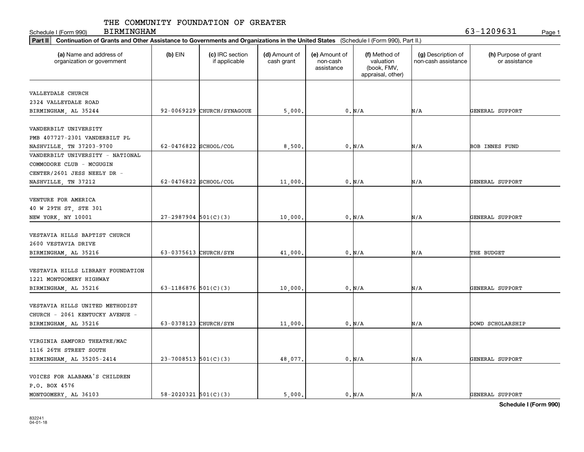Schedule I (Form 990) Page 1 BIRMINGHAM 63-1209631

| Part II   Continuation of Grants and Other Assistance to Governments and Organizations in the United States (Schedule I (Form 990), Part II.) |                            |                                  |                             |                                         |                                                                |                                           |                                       |
|-----------------------------------------------------------------------------------------------------------------------------------------------|----------------------------|----------------------------------|-----------------------------|-----------------------------------------|----------------------------------------------------------------|-------------------------------------------|---------------------------------------|
| (a) Name and address of<br>organization or government                                                                                         | $(b)$ EIN                  | (c) IRC section<br>if applicable | (d) Amount of<br>cash grant | (e) Amount of<br>non-cash<br>assistance | (f) Method of<br>valuation<br>(book, FMV,<br>appraisal, other) | (g) Description of<br>non-cash assistance | (h) Purpose of grant<br>or assistance |
|                                                                                                                                               |                            |                                  |                             |                                         |                                                                |                                           |                                       |
| VALLEYDALE CHURCH                                                                                                                             |                            |                                  |                             |                                         |                                                                |                                           |                                       |
| 2324 VALLEYDALE ROAD                                                                                                                          |                            |                                  |                             |                                         |                                                                |                                           |                                       |
| BIRMINGHAM, AL 35244                                                                                                                          |                            | 92-0069229 CHURCH/SYNAGOUE       | 5,000                       |                                         | 0. N/A                                                         | N/A                                       | GENERAL SUPPORT                       |
| VANDERBILT UNIVERSITY                                                                                                                         |                            |                                  |                             |                                         |                                                                |                                           |                                       |
| PMB 407727-2301 VANDERBILT PL                                                                                                                 |                            |                                  |                             |                                         |                                                                |                                           |                                       |
| NASHVILLE, TN 37203-9700                                                                                                                      | 62-0476822 SCHOOL/COL      |                                  | 8,500                       |                                         | 0. N/A                                                         | N/A                                       | BOB INNES FUND                        |
| VANDERBILT UNIVERSITY - NATIONAL                                                                                                              |                            |                                  |                             |                                         |                                                                |                                           |                                       |
| COMMODORE CLUB - MCGUGIN                                                                                                                      |                            |                                  |                             |                                         |                                                                |                                           |                                       |
| CENTER/2601 JESS NEELY DR -                                                                                                                   |                            |                                  |                             |                                         |                                                                |                                           |                                       |
| NASHVILLE, TN 37212                                                                                                                           | 62-0476822 SCHOOL/COL      |                                  | 11,000                      |                                         | 0. N/A                                                         | N/A                                       | GENERAL SUPPORT                       |
|                                                                                                                                               |                            |                                  |                             |                                         |                                                                |                                           |                                       |
| VENTURE FOR AMERICA                                                                                                                           |                            |                                  |                             |                                         |                                                                |                                           |                                       |
| 40 W 29TH ST, STE 301                                                                                                                         |                            |                                  |                             |                                         |                                                                |                                           |                                       |
| NEW YORK, NY 10001                                                                                                                            | $27 - 2987904$ 501(C)(3)   |                                  | 10,000                      |                                         | 0. N/A                                                         | N/A                                       | GENERAL SUPPORT                       |
|                                                                                                                                               |                            |                                  |                             |                                         |                                                                |                                           |                                       |
| VESTAVIA HILLS BAPTIST CHURCH                                                                                                                 |                            |                                  |                             |                                         |                                                                |                                           |                                       |
| 2600 VESTAVIA DRIVE                                                                                                                           |                            |                                  |                             |                                         |                                                                |                                           |                                       |
| BIRMINGHAM, AL 35216                                                                                                                          | 63-0375613 CHURCH/SYN      |                                  | 41,000                      |                                         | 0. N/A                                                         | N/A                                       | THE BUDGET                            |
|                                                                                                                                               |                            |                                  |                             |                                         |                                                                |                                           |                                       |
| VESTAVIA HILLS LIBRARY FOUNDATION                                                                                                             |                            |                                  |                             |                                         |                                                                |                                           |                                       |
| 1221 MONTGOMERY HIGHWAY                                                                                                                       |                            |                                  |                             |                                         |                                                                |                                           |                                       |
| BIRMINGHAM, AL 35216                                                                                                                          | 63-1186876 $501(C)(3)$     |                                  | 10,000                      |                                         | 0. N/A                                                         | N/A                                       | GENERAL SUPPORT                       |
|                                                                                                                                               |                            |                                  |                             |                                         |                                                                |                                           |                                       |
| VESTAVIA HILLS UNITED METHODIST                                                                                                               |                            |                                  |                             |                                         |                                                                |                                           |                                       |
| CHURCH - 2061 KENTUCKY AVENUE -                                                                                                               |                            |                                  |                             |                                         |                                                                |                                           |                                       |
| BIRMINGHAM, AL 35216                                                                                                                          | 63-0378123 CHURCH/SYN      |                                  | 11,000                      |                                         | 0. N/A                                                         | N/A                                       | DOWD SCHOLARSHIP                      |
|                                                                                                                                               |                            |                                  |                             |                                         |                                                                |                                           |                                       |
| VIRGINIA SAMFORD THEATRE/MAC                                                                                                                  |                            |                                  |                             |                                         |                                                                |                                           |                                       |
| 1116 26TH STREET SOUTH                                                                                                                        |                            |                                  |                             |                                         |                                                                |                                           |                                       |
| BIRMINGHAM, AL 35205-2414                                                                                                                     | $23-7008513$ 501(C)(3)     |                                  | 48,077                      |                                         | 0. N/A                                                         | N/A                                       | GENERAL SUPPORT                       |
|                                                                                                                                               |                            |                                  |                             |                                         |                                                                |                                           |                                       |
| VOICES FOR ALABAMA'S CHILDREN                                                                                                                 |                            |                                  |                             |                                         |                                                                |                                           |                                       |
| P.O. BOX 4576                                                                                                                                 |                            |                                  |                             |                                         |                                                                |                                           |                                       |
| MONTGOMERY AL 36103                                                                                                                           | $58 - 2020321$ $501(C)(3)$ |                                  | 5,000.                      |                                         | $0. N/A$                                                       | N/A                                       | GENERAL SUPPORT                       |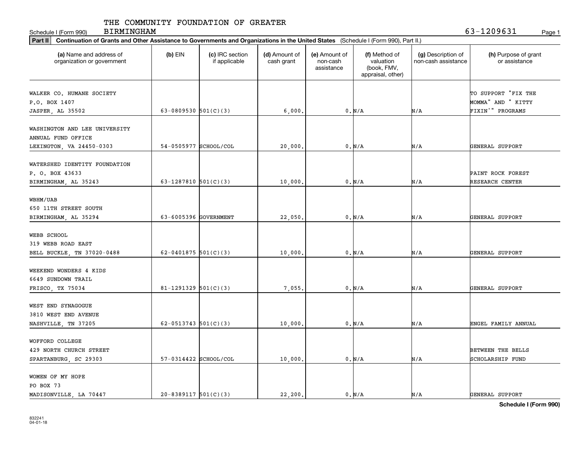Schedule I (Form 990) Page 1 BIRMINGHAM 63-1209631

| (a) Name and address of<br>organization or government | $(b)$ EIN<br>(c) IRC section<br>(d) Amount of<br>(e) Amount of<br>(f) Method of<br>non-cash<br>valuation<br>if applicable<br>cash grant<br>(book, FMV,<br>assistance<br>appraisal, other) |  | (g) Description of<br>non-cash assistance | (h) Purpose of grant<br>or assistance |     |                     |
|-------------------------------------------------------|-------------------------------------------------------------------------------------------------------------------------------------------------------------------------------------------|--|-------------------------------------------|---------------------------------------|-----|---------------------|
| WALKER CO. HUMANE SOCIETY                             |                                                                                                                                                                                           |  |                                           |                                       |     | TO SUPPORT "FIX THE |
| P.O. BOX 1407                                         |                                                                                                                                                                                           |  |                                           |                                       |     | MOMMA" AND " KITTY  |
| JASPER, AL 35502                                      | 63-0809530 $501(C)(3)$                                                                                                                                                                    |  | 6,000                                     | 0. N/A                                | N/A | FIXIN'" PROGRAMS    |
| WASHINGTON AND LEE UNIVERSITY                         |                                                                                                                                                                                           |  |                                           |                                       |     |                     |
| ANNUAL FUND OFFICE                                    |                                                                                                                                                                                           |  |                                           |                                       |     |                     |
| LEXINGTON, VA 24450-0303                              | 54-0505977 SCHOOL/COL                                                                                                                                                                     |  | 20,000                                    | 0. N/A                                | N/A | GENERAL SUPPORT     |
| WATERSHED IDENTITY FOUNDATION                         |                                                                                                                                                                                           |  |                                           |                                       |     |                     |
| P. O. BOX 43633                                       |                                                                                                                                                                                           |  |                                           |                                       |     | PAINT ROCK FOREST   |
| BIRMINGHAM, AL 35243                                  | 63-1287810 $501(C)(3)$                                                                                                                                                                    |  | 10,000                                    | 0. N/A                                | N/A | RESEARCH CENTER     |
| WBHM/UAB                                              |                                                                                                                                                                                           |  |                                           |                                       |     |                     |
| 650 11TH STREET SOUTH                                 |                                                                                                                                                                                           |  |                                           |                                       |     |                     |
| BIRMINGHAM, AL 35294                                  | 63-6005396 GOVERNMENT                                                                                                                                                                     |  | 22,050                                    | 0. N/A                                | N/A | GENERAL SUPPORT     |
|                                                       |                                                                                                                                                                                           |  |                                           |                                       |     |                     |
| WEBB SCHOOL                                           |                                                                                                                                                                                           |  |                                           |                                       |     |                     |
| 319 WEBB ROAD EAST                                    |                                                                                                                                                                                           |  |                                           |                                       |     |                     |
| BELL BUCKLE, TN 37020-0488                            | 62-0401875 $501(C)(3)$                                                                                                                                                                    |  | 10,000                                    | 0. N/A                                | N/A | GENERAL SUPPORT     |
| WEEKEND WONDERS 4 KIDS                                |                                                                                                                                                                                           |  |                                           |                                       |     |                     |
| 6649 SUNDOWN TRAIL                                    |                                                                                                                                                                                           |  |                                           |                                       |     |                     |
| FRISCO, TX 75034                                      | $81 - 1291329$ 501(C)(3)                                                                                                                                                                  |  | 7,055                                     | 0. N/A                                | N/A | GENERAL SUPPORT     |
| WEST END SYNAGOGUE                                    |                                                                                                                                                                                           |  |                                           |                                       |     |                     |
| 3810 WEST END AVENUE                                  |                                                                                                                                                                                           |  |                                           |                                       |     |                     |
| NASHVILLE, TN 37205                                   | 62-0513743 $501(C)(3)$                                                                                                                                                                    |  | 10,000                                    | 0. N/A                                | N/A | ENGEL FAMILY ANNUAL |
|                                                       |                                                                                                                                                                                           |  |                                           |                                       |     |                     |
| WOFFORD COLLEGE                                       |                                                                                                                                                                                           |  |                                           |                                       |     |                     |
| 429 NORTH CHURCH STREET                               |                                                                                                                                                                                           |  |                                           |                                       |     | BETWEEN THE BELLS   |
| SPARTANBURG, SC 29303                                 | 57-0314422 SCHOOL/COL                                                                                                                                                                     |  | 10,000                                    | 0. N/A                                | N/A | SCHOLARSHIP FUND    |
| WOMEN OF MY HOPE                                      |                                                                                                                                                                                           |  |                                           |                                       |     |                     |
| PO BOX 73                                             |                                                                                                                                                                                           |  |                                           |                                       |     |                     |
| MADISONVILLE, LA 70447                                | $20 - 8389117$ 501(C)(3)                                                                                                                                                                  |  | 22,200                                    | 0. N/A                                | N/A | GENERAL SUPPORT     |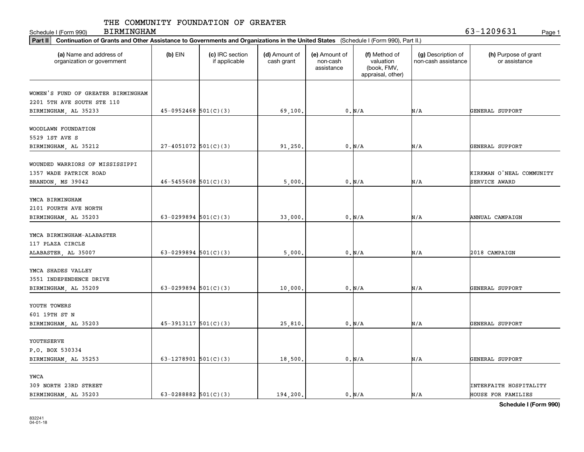Schedule I (Form 990) Page 1

BIRMINGHAM 63-1209631

| Part II   Continuation of Grants and Other Assistance to Governments and Organizations in the United States (Schedule I (Form 990), Part II.) |                            |                                  |                             |                                         |                                                                |                                           |                                       |
|-----------------------------------------------------------------------------------------------------------------------------------------------|----------------------------|----------------------------------|-----------------------------|-----------------------------------------|----------------------------------------------------------------|-------------------------------------------|---------------------------------------|
| (a) Name and address of<br>organization or government                                                                                         | $(b)$ EIN                  | (c) IRC section<br>if applicable | (d) Amount of<br>cash grant | (e) Amount of<br>non-cash<br>assistance | (f) Method of<br>valuation<br>(book, FMV,<br>appraisal, other) | (g) Description of<br>non-cash assistance | (h) Purpose of grant<br>or assistance |
|                                                                                                                                               |                            |                                  |                             |                                         |                                                                |                                           |                                       |
| WOMEN'S FUND OF GREATER BIRMINGHAM                                                                                                            |                            |                                  |                             |                                         |                                                                |                                           |                                       |
| 2201 5TH AVE SOUTH STE 110                                                                                                                    |                            |                                  |                             |                                         |                                                                |                                           |                                       |
| BIRMINGHAM, AL 35233                                                                                                                          | $45-0952468$ 501(C)(3)     |                                  | 69,100.                     |                                         | 0. N/A                                                         | N/A                                       | GENERAL SUPPORT                       |
| WOODLAWN FOUNDATION                                                                                                                           |                            |                                  |                             |                                         |                                                                |                                           |                                       |
| 5529 1ST AVE S                                                                                                                                |                            |                                  |                             |                                         |                                                                |                                           |                                       |
| BIRMINGHAM, AL 35212                                                                                                                          | $27-4051072$ 501(C)(3)     |                                  | 91,250                      |                                         | 0. N/A                                                         | N/A                                       | GENERAL SUPPORT                       |
|                                                                                                                                               |                            |                                  |                             |                                         |                                                                |                                           |                                       |
| WOUNDED WARRIORS OF MISSISSIPPI                                                                                                               |                            |                                  |                             |                                         |                                                                |                                           |                                       |
| 1357 WADE PATRICK ROAD                                                                                                                        |                            |                                  |                             |                                         |                                                                |                                           | KIRKMAN O'NEAL COMMUNITY              |
| BRANDON, MS 39042                                                                                                                             | $46 - 5455608$ $501(C)(3)$ |                                  | 5,000                       |                                         | $0. N/A$                                                       | N/A                                       | SERVICE AWARD                         |
|                                                                                                                                               |                            |                                  |                             |                                         |                                                                |                                           |                                       |
| YMCA BIRMINGHAM                                                                                                                               |                            |                                  |                             |                                         |                                                                |                                           |                                       |
| 2101 FOURTH AVE NORTH                                                                                                                         |                            |                                  |                             |                                         |                                                                |                                           |                                       |
| BIRMINGHAM, AL 35203                                                                                                                          | $63 - 0299894$ 501(C)(3)   |                                  | 33,000                      |                                         | 0. N/A                                                         | N/A                                       | ANNUAL CAMPAIGN                       |
|                                                                                                                                               |                            |                                  |                             |                                         |                                                                |                                           |                                       |
| YMCA BIRMINGHAM-ALABASTER                                                                                                                     |                            |                                  |                             |                                         |                                                                |                                           |                                       |
| 117 PLAZA CIRCLE                                                                                                                              |                            |                                  |                             |                                         |                                                                |                                           |                                       |
| ALABASTER, AL 35007                                                                                                                           | $63 - 0299894$ 501(C)(3)   |                                  | 5,000                       |                                         | 0. N/A                                                         | N/A                                       | 2018 CAMPAIGN                         |
|                                                                                                                                               |                            |                                  |                             |                                         |                                                                |                                           |                                       |
| YMCA SHADES VALLEY                                                                                                                            |                            |                                  |                             |                                         |                                                                |                                           |                                       |
| 3551 INDEPENDENCE DRIVE                                                                                                                       |                            |                                  |                             |                                         |                                                                |                                           |                                       |
| BIRMINGHAM, AL 35209                                                                                                                          | 63-0299894 $501(C)(3)$     |                                  | 10,000                      |                                         | 0. N/A                                                         | N/A                                       | GENERAL SUPPORT                       |
|                                                                                                                                               |                            |                                  |                             |                                         |                                                                |                                           |                                       |
| YOUTH TOWERS                                                                                                                                  |                            |                                  |                             |                                         |                                                                |                                           |                                       |
| 601 19TH ST N                                                                                                                                 |                            |                                  |                             |                                         |                                                                |                                           |                                       |
| BIRMINGHAM, AL 35203                                                                                                                          | $45-3913117$ $501(C)(3)$   |                                  | 25,810                      |                                         | 0. N/A                                                         | N/A                                       | GENERAL SUPPORT                       |
| YOUTHSERVE                                                                                                                                    |                            |                                  |                             |                                         |                                                                |                                           |                                       |
| P.O. BOX 530334                                                                                                                               |                            |                                  |                             |                                         |                                                                |                                           |                                       |
| BIRMINGHAM, AL 35253                                                                                                                          | 63-1278901 $501(C)(3)$     |                                  | 18,500.                     |                                         | 0. N/A                                                         | N/A                                       | GENERAL SUPPORT                       |
|                                                                                                                                               |                            |                                  |                             |                                         |                                                                |                                           |                                       |
| YWCA                                                                                                                                          |                            |                                  |                             |                                         |                                                                |                                           |                                       |
| 309 NORTH 23RD STREET                                                                                                                         |                            |                                  |                             |                                         |                                                                |                                           | INTERFAITH HOSPITALITY                |
| BIRMINGHAM, AL 35203                                                                                                                          | 63-0288882 $501(C)(3)$     |                                  | 194.200.                    |                                         | 0. N/A                                                         | N/A                                       | HOUSE FOR FAMILIES                    |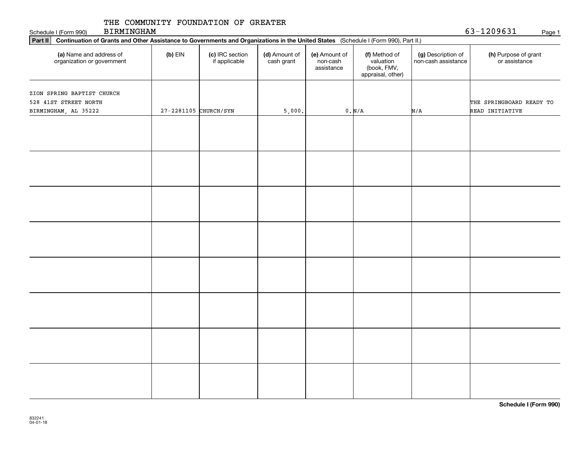BIRMINGHAM

63-1209631

| <b>BIRMINGHAM</b><br>Schedule I (Form 990)                                                                                                     |                       |                                  |                             |                                         |                                                                |                                           | 63-1209631<br>Page 1                        |
|------------------------------------------------------------------------------------------------------------------------------------------------|-----------------------|----------------------------------|-----------------------------|-----------------------------------------|----------------------------------------------------------------|-------------------------------------------|---------------------------------------------|
| Part II<br>Continuation of Grants and Other Assistance to Governments and Organizations in the United States (Schedule I (Form 990), Part II.) |                       |                                  |                             |                                         |                                                                |                                           |                                             |
| (a) Name and address of<br>organization or government                                                                                          | $(b)$ EIN             | (c) IRC section<br>if applicable | (d) Amount of<br>cash grant | (e) Amount of<br>non-cash<br>assistance | (f) Method of<br>valuation<br>(book, FMV,<br>appraisal, other) | (g) Description of<br>non-cash assistance | (h) Purpose of grant<br>or assistance       |
| ZION SPRING BAPTIST CHURCH<br>528 41ST STREET NORTH<br>BIRMINGHAM, AL 35222                                                                    | 27-2281105 CHURCH/SYN |                                  | 5,000.                      |                                         | 0. N/A                                                         | N/A                                       | THE SPRINGBOARD READY TO<br>READ INITIATIVE |
|                                                                                                                                                |                       |                                  |                             |                                         |                                                                |                                           |                                             |
|                                                                                                                                                |                       |                                  |                             |                                         |                                                                |                                           |                                             |
|                                                                                                                                                |                       |                                  |                             |                                         |                                                                |                                           |                                             |
|                                                                                                                                                |                       |                                  |                             |                                         |                                                                |                                           |                                             |
|                                                                                                                                                |                       |                                  |                             |                                         |                                                                |                                           |                                             |
|                                                                                                                                                |                       |                                  |                             |                                         |                                                                |                                           |                                             |
|                                                                                                                                                |                       |                                  |                             |                                         |                                                                |                                           |                                             |
|                                                                                                                                                |                       |                                  |                             |                                         |                                                                |                                           |                                             |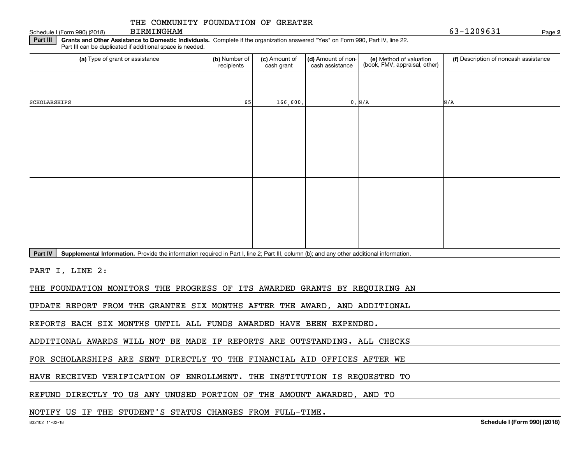Schedule I (Form 990) (2018) BIRMINGHAM

**2**63-1209631

**Part III** | Grants and Other Assistance to Domestic Individuals. Complete if the organization answered "Yes" on Form 990, Part IV, line 22. Part III can be duplicated if additional space is needed.

| (a) Type of grant or assistance                                                                                                                      | (b) Number of<br>recipients | (c) Amount of<br>cash grant | (d) Amount of non-<br>cash assistance | (e) Method of valuation<br>(book, FMV, appraisal, other) | (f) Description of noncash assistance |
|------------------------------------------------------------------------------------------------------------------------------------------------------|-----------------------------|-----------------------------|---------------------------------------|----------------------------------------------------------|---------------------------------------|
|                                                                                                                                                      |                             |                             |                                       |                                                          |                                       |
| SCHOLARSHIPS                                                                                                                                         | 65                          | 166,600.                    |                                       | 0. N/A                                                   | N/A                                   |
|                                                                                                                                                      |                             |                             |                                       |                                                          |                                       |
|                                                                                                                                                      |                             |                             |                                       |                                                          |                                       |
|                                                                                                                                                      |                             |                             |                                       |                                                          |                                       |
|                                                                                                                                                      |                             |                             |                                       |                                                          |                                       |
|                                                                                                                                                      |                             |                             |                                       |                                                          |                                       |
|                                                                                                                                                      |                             |                             |                                       |                                                          |                                       |
|                                                                                                                                                      |                             |                             |                                       |                                                          |                                       |
|                                                                                                                                                      |                             |                             |                                       |                                                          |                                       |
| Part IV<br>Supplemental Information. Provide the information required in Part I, line 2; Part III, column (b); and any other additional information. |                             |                             |                                       |                                                          |                                       |

PART I, LINE 2:

THE FOUNDATION MONITORS THE PROGRESS OF ITS AWARDED GRANTS BY REQUIRING AN

UPDATE REPORT FROM THE GRANTEE SIX MONTHS AFTER THE AWARD, AND ADDITIONAL

REPORTS EACH SIX MONTHS UNTIL ALL FUNDS AWARDED HAVE BEEN EXPENDED.

ADDITIONAL AWARDS WILL NOT BE MADE IF REPORTS ARE OUTSTANDING. ALL CHECKS

FOR SCHOLARSHIPS ARE SENT DIRECTLY TO THE FINANCIAL AID OFFICES AFTER WE

HAVE RECEIVED VERIFICATION OF ENROLLMENT. THE INSTITUTION IS REQUESTED TO

REFUND DIRECTLY TO US ANY UNUSED PORTION OF THE AMOUNT AWARDED, AND TO

NOTIFY US IF THE STUDENT'S STATUS CHANGES FROM FULL-TIME.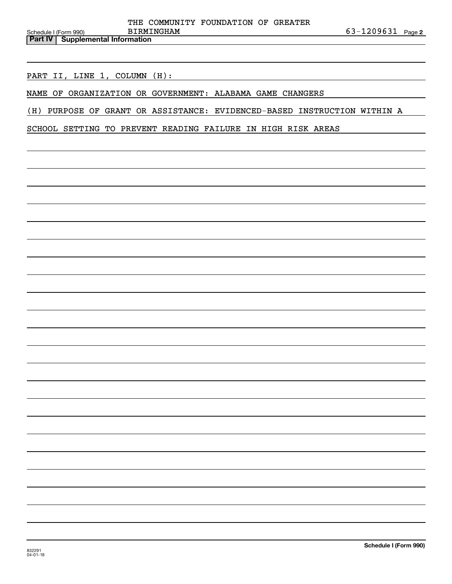PART II, LINE 1, COLUMN (H):

NAME OF ORGANIZATION OR GOVERNMENT: ALABAMA GAME CHANGERS

(H) PURPOSE OF GRANT OR ASSISTANCE: EVIDENCED-BASED INSTRUCTION WITHIN A

SCHOOL SETTING TO PREVENT READING FAILURE IN HIGH RISK AREAS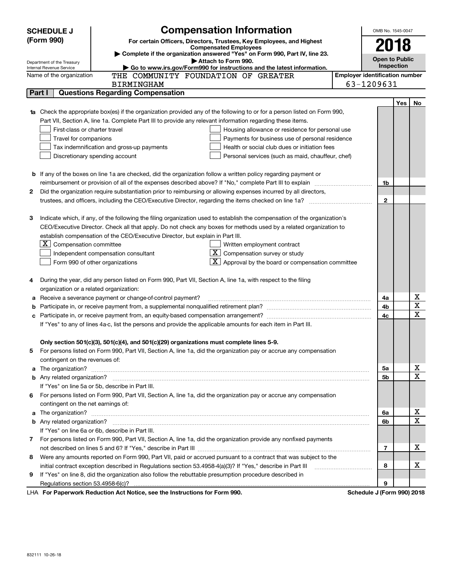|        | <b>SCHEDULE J</b>                       | <b>Compensation Information</b>                                                                                                                                                                                                                 |                            | OMB No. 1545-0047                   |     |             |  |  |  |  |  |
|--------|-----------------------------------------|-------------------------------------------------------------------------------------------------------------------------------------------------------------------------------------------------------------------------------------------------|----------------------------|-------------------------------------|-----|-------------|--|--|--|--|--|
|        | (Form 990)                              | For certain Officers, Directors, Trustees, Key Employees, and Highest                                                                                                                                                                           |                            | 2018                                |     |             |  |  |  |  |  |
|        |                                         | <b>Compensated Employees</b><br>Complete if the organization answered "Yes" on Form 990, Part IV, line 23.                                                                                                                                      |                            |                                     |     |             |  |  |  |  |  |
|        | Department of the Treasury              | Attach to Form 990.                                                                                                                                                                                                                             |                            | <b>Open to Public</b><br>Inspection |     |             |  |  |  |  |  |
|        | Internal Revenue Service                | ► Go to www.irs.gov/Form990 for instructions and the latest information.<br><b>Employer identification number</b><br>THE COMMUNITY FOUNDATION OF GREATER                                                                                        |                            |                                     |     |             |  |  |  |  |  |
|        | Name of the organization                | <b>BIRMINGHAM</b>                                                                                                                                                                                                                               | 63-1209631                 |                                     |     |             |  |  |  |  |  |
|        | Part I                                  | <b>Questions Regarding Compensation</b>                                                                                                                                                                                                         |                            |                                     |     |             |  |  |  |  |  |
|        |                                         |                                                                                                                                                                                                                                                 |                            |                                     |     |             |  |  |  |  |  |
|        |                                         |                                                                                                                                                                                                                                                 |                            |                                     | Yes | No          |  |  |  |  |  |
|        |                                         | <b>1a</b> Check the appropriate box(es) if the organization provided any of the following to or for a person listed on Form 990,                                                                                                                |                            |                                     |     |             |  |  |  |  |  |
|        | First-class or charter travel           | Part VII, Section A, line 1a. Complete Part III to provide any relevant information regarding these items.                                                                                                                                      |                            |                                     |     |             |  |  |  |  |  |
|        | Travel for companions                   | Housing allowance or residence for personal use                                                                                                                                                                                                 |                            |                                     |     |             |  |  |  |  |  |
|        |                                         | Payments for business use of personal residence<br>Health or social club dues or initiation fees                                                                                                                                                |                            |                                     |     |             |  |  |  |  |  |
|        |                                         | Tax indemnification and gross-up payments                                                                                                                                                                                                       |                            |                                     |     |             |  |  |  |  |  |
|        |                                         | Discretionary spending account<br>Personal services (such as maid, chauffeur, chef)                                                                                                                                                             |                            |                                     |     |             |  |  |  |  |  |
|        |                                         |                                                                                                                                                                                                                                                 |                            |                                     |     |             |  |  |  |  |  |
|        |                                         | <b>b</b> If any of the boxes on line 1a are checked, did the organization follow a written policy regarding payment or                                                                                                                          |                            |                                     |     |             |  |  |  |  |  |
|        |                                         |                                                                                                                                                                                                                                                 |                            | 1b                                  |     |             |  |  |  |  |  |
| 2      |                                         | Did the organization require substantiation prior to reimbursing or allowing expenses incurred by all directors,                                                                                                                                |                            | $\mathbf{2}$                        |     |             |  |  |  |  |  |
|        |                                         |                                                                                                                                                                                                                                                 |                            |                                     |     |             |  |  |  |  |  |
| З      |                                         |                                                                                                                                                                                                                                                 |                            |                                     |     |             |  |  |  |  |  |
|        |                                         | Indicate which, if any, of the following the filing organization used to establish the compensation of the organization's<br>CEO/Executive Director. Check all that apply. Do not check any boxes for methods used by a related organization to |                            |                                     |     |             |  |  |  |  |  |
|        |                                         |                                                                                                                                                                                                                                                 |                            |                                     |     |             |  |  |  |  |  |
|        |                                         | establish compensation of the CEO/Executive Director, but explain in Part III.                                                                                                                                                                  |                            |                                     |     |             |  |  |  |  |  |
|        | $X$ Compensation committee              | Written employment contract                                                                                                                                                                                                                     |                            |                                     |     |             |  |  |  |  |  |
|        |                                         | $X$ Compensation survey or study<br>Independent compensation consultant                                                                                                                                                                         |                            |                                     |     |             |  |  |  |  |  |
|        |                                         | $\mathbf{X}$ Approval by the board or compensation committee<br>Form 990 of other organizations                                                                                                                                                 |                            |                                     |     |             |  |  |  |  |  |
|        |                                         | During the year, did any person listed on Form 990, Part VII, Section A, line 1a, with respect to the filing                                                                                                                                    |                            |                                     |     |             |  |  |  |  |  |
| 4      |                                         |                                                                                                                                                                                                                                                 |                            |                                     |     |             |  |  |  |  |  |
|        | organization or a related organization: | Receive a severance payment or change-of-control payment?                                                                                                                                                                                       |                            | 4a                                  |     | X           |  |  |  |  |  |
| а      |                                         |                                                                                                                                                                                                                                                 |                            | 4b                                  |     | X           |  |  |  |  |  |
| b<br>c |                                         |                                                                                                                                                                                                                                                 |                            | 4c                                  |     | $\mathbf X$ |  |  |  |  |  |
|        |                                         | If "Yes" to any of lines 4a-c, list the persons and provide the applicable amounts for each item in Part III.                                                                                                                                   |                            |                                     |     |             |  |  |  |  |  |
|        |                                         |                                                                                                                                                                                                                                                 |                            |                                     |     |             |  |  |  |  |  |
|        |                                         | Only section 501(c)(3), 501(c)(4), and 501(c)(29) organizations must complete lines 5-9.                                                                                                                                                        |                            |                                     |     |             |  |  |  |  |  |
|        |                                         | For persons listed on Form 990, Part VII, Section A, line 1a, did the organization pay or accrue any compensation                                                                                                                               |                            |                                     |     |             |  |  |  |  |  |
|        | contingent on the revenues of:          |                                                                                                                                                                                                                                                 |                            |                                     |     |             |  |  |  |  |  |
|        |                                         | a The organization? <b>Constitution</b> and the organization?                                                                                                                                                                                   |                            | 5а                                  |     | х           |  |  |  |  |  |
|        |                                         |                                                                                                                                                                                                                                                 |                            | <b>5b</b>                           |     | $\mathbf X$ |  |  |  |  |  |
|        |                                         | If "Yes" on line 5a or 5b, describe in Part III.                                                                                                                                                                                                |                            |                                     |     |             |  |  |  |  |  |
|        |                                         | 6 For persons listed on Form 990, Part VII, Section A, line 1a, did the organization pay or accrue any compensation                                                                                                                             |                            |                                     |     |             |  |  |  |  |  |
|        | contingent on the net earnings of:      |                                                                                                                                                                                                                                                 |                            |                                     |     |             |  |  |  |  |  |
| a      |                                         |                                                                                                                                                                                                                                                 |                            | 6a                                  |     | X           |  |  |  |  |  |
|        |                                         |                                                                                                                                                                                                                                                 |                            | 6b                                  |     | $\mathbf X$ |  |  |  |  |  |
|        |                                         | If "Yes" on line 6a or 6b, describe in Part III.                                                                                                                                                                                                |                            |                                     |     |             |  |  |  |  |  |
|        |                                         | 7 For persons listed on Form 990, Part VII, Section A, line 1a, did the organization provide any nonfixed payments                                                                                                                              |                            |                                     |     |             |  |  |  |  |  |
|        |                                         |                                                                                                                                                                                                                                                 |                            | 7                                   |     | X           |  |  |  |  |  |
|        |                                         | Were any amounts reported on Form 990, Part VII, paid or accrued pursuant to a contract that was subject to the                                                                                                                                 |                            |                                     |     |             |  |  |  |  |  |
| 8      |                                         |                                                                                                                                                                                                                                                 |                            | 8                                   |     | х           |  |  |  |  |  |
|        |                                         | initial contract exception described in Regulations section 53.4958-4(a)(3)? If "Yes," describe in Part III                                                                                                                                     |                            |                                     |     |             |  |  |  |  |  |
| 9      |                                         | If "Yes" on line 8, did the organization also follow the rebuttable presumption procedure described in                                                                                                                                          |                            |                                     |     |             |  |  |  |  |  |
|        |                                         | LHA For Departments Reduction Act Notice, see the Instructions for Form 000                                                                                                                                                                     | Cohodulo I (Form 000) 0010 | 9                                   |     |             |  |  |  |  |  |

LHA For Paperwork Reduction Act Notice, see the Instructions for Form 990. Schedule J (Form 990) 2018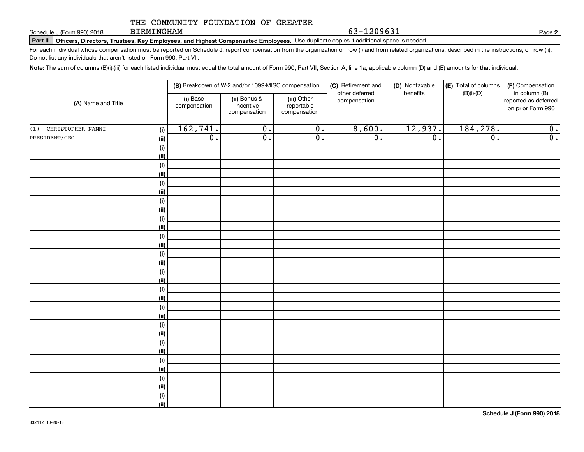BIRMINGHAM

63-1209631

**2**

**Part II Officers, Directors, Trustees, Key Employees, and Highest Compensated Employees.**  Schedule J (Form 990) 2018 Page Use duplicate copies if additional space is needed.

For each individual whose compensation must be reported on Schedule J, report compensation from the organization on row (i) and from related organizations, described in the instructions, on row (ii). Do not list any individuals that aren't listed on Form 990, Part VII.

**Note:**  The sum of columns (B)(i)-(iii) for each listed individual must equal the total amount of Form 990, Part VII, Section A, line 1a, applicable column (D) and (E) amounts for that individual.

|                          |                    |                          | (B) Breakdown of W-2 and/or 1099-MISC compensation |                                           |                                | (D) Nontaxable<br>benefits | (E) Total of columns | (F) Compensation<br>in column (B)         |
|--------------------------|--------------------|--------------------------|----------------------------------------------------|-------------------------------------------|--------------------------------|----------------------------|----------------------|-------------------------------------------|
| (A) Name and Title       |                    | (i) Base<br>compensation | (ii) Bonus &<br>incentive<br>compensation          | (iii) Other<br>reportable<br>compensation | other deferred<br>compensation |                            | $(B)(i)-(D)$         | reported as deferred<br>on prior Form 990 |
| CHRISTOPHER NANNI<br>(1) | (i)                | 162,741.                 | $\overline{0}$ .                                   | $\overline{\mathbf{0}}$ .                 | 8,600.                         | 12,937.                    | 184,278.             | 0.                                        |
| PRESIDENT/CEO            | <u>(ii)</u>        | $\overline{0}$ .         | $\overline{0}$ .                                   | $\overline{0}$ .                          | $\overline{0}$ .               | $\overline{0}$ .           | $\overline{0}$ .     | $\overline{0}$ .                          |
|                          | (i)                |                          |                                                    |                                           |                                |                            |                      |                                           |
|                          | <u>(ii)</u>        |                          |                                                    |                                           |                                |                            |                      |                                           |
|                          | (i)                |                          |                                                    |                                           |                                |                            |                      |                                           |
|                          | <u>(ii)</u>        |                          |                                                    |                                           |                                |                            |                      |                                           |
|                          | (i)                |                          |                                                    |                                           |                                |                            |                      |                                           |
|                          | <u>(ii)</u>        |                          |                                                    |                                           |                                |                            |                      |                                           |
|                          | $(\sf{i})$         |                          |                                                    |                                           |                                |                            |                      |                                           |
|                          | <u>(ii)</u>        |                          |                                                    |                                           |                                |                            |                      |                                           |
|                          | $(\sf{i})$         |                          |                                                    |                                           |                                |                            |                      |                                           |
|                          | <u>(ii)</u>        |                          |                                                    |                                           |                                |                            |                      |                                           |
|                          | $(\sf{i})$         |                          |                                                    |                                           |                                |                            |                      |                                           |
|                          | (ii)               |                          |                                                    |                                           |                                |                            |                      |                                           |
|                          | $(\sf{i})$<br>(ii) |                          |                                                    |                                           |                                |                            |                      |                                           |
|                          | (i)                |                          |                                                    |                                           |                                |                            |                      |                                           |
|                          | (ii)               |                          |                                                    |                                           |                                |                            |                      |                                           |
|                          | (i)                |                          |                                                    |                                           |                                |                            |                      |                                           |
|                          | (ii)               |                          |                                                    |                                           |                                |                            |                      |                                           |
|                          | (i)                |                          |                                                    |                                           |                                |                            |                      |                                           |
|                          | (ii)               |                          |                                                    |                                           |                                |                            |                      |                                           |
|                          | (i)                |                          |                                                    |                                           |                                |                            |                      |                                           |
|                          | (ii)               |                          |                                                    |                                           |                                |                            |                      |                                           |
|                          | (i)                |                          |                                                    |                                           |                                |                            |                      |                                           |
|                          | (ii)               |                          |                                                    |                                           |                                |                            |                      |                                           |
|                          | (i)                |                          |                                                    |                                           |                                |                            |                      |                                           |
|                          | (ii)               |                          |                                                    |                                           |                                |                            |                      |                                           |
|                          | (i)                |                          |                                                    |                                           |                                |                            |                      |                                           |
|                          | (ii)               |                          |                                                    |                                           |                                |                            |                      |                                           |
|                          | $(\sf{i})$         |                          |                                                    |                                           |                                |                            |                      |                                           |
|                          | (ii)               |                          |                                                    |                                           |                                |                            |                      |                                           |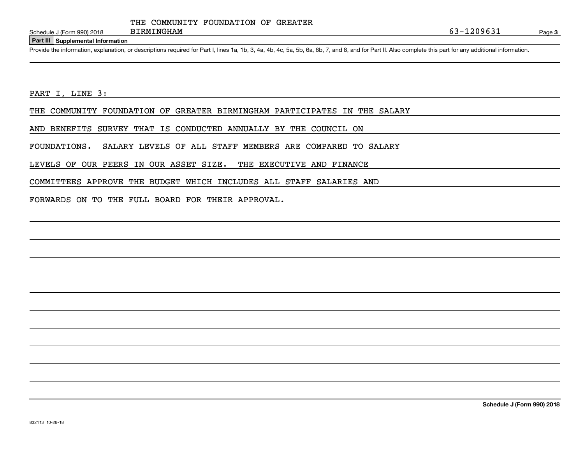**Part III Supplemental Information**

Schedule J (Form 990) 2018 BIRMINGHAM<br>
Part III Supplemental Information<br>
Provide the information, explanation, or descriptions required for Part I, lines 1a, 1b, 3, 4a, 4b, 4c, 5a, 5b, 6a, 6b, 7, and 8, and for Part II. A

PART I, LINE 3:

THE COMMUNITY FOUNDATION OF GREATER BIRMINGHAM PARTICIPATES IN THE SALARY

AND BENEFITS SURVEY THAT IS CONDUCTED ANNUALLY BY THE COUNCIL ON

FOUNDATIONS. SALARY LEVELS OF ALL STAFF MEMBERS ARE COMPARED TO SALARY

LEVELS OF OUR PEERS IN OUR ASSET SIZE. THE EXECUTIVE AND FINANCE

COMMITTEES APPROVE THE BUDGET WHICH INCLUDES ALL STAFF SALARIES AND

FORWARDS ON TO THE FULL BOARD FOR THEIR APPROVAL.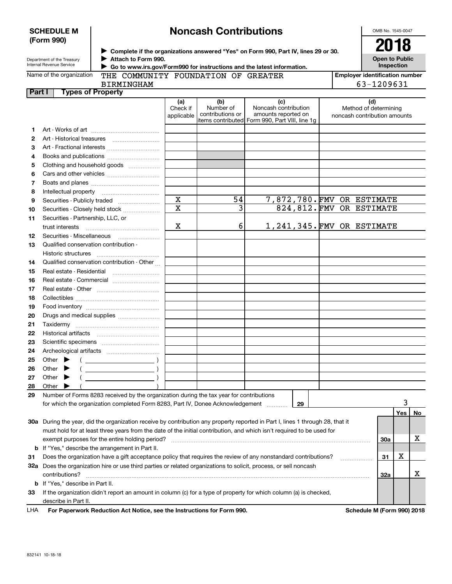| <b>SCHEDULE M</b> |  |
|-------------------|--|
| (Form 990)        |  |

# **Noncash Contributions**

OMB No. 1545-0047

| Department of the Treasury |
|----------------------------|
| Internal Revenue Service   |

**Complete if the organizations answered "Yes" on Form 990, Part IV, lines 29 or 30.** <sup>J</sup>**2018 Attach to Form 990.** J

**Open to Public Inspection**

| Name of the organization |  |
|--------------------------|--|
|--------------------------|--|

BIRMINGHAM

 **Go to www.irs.gov/Form990 for instructions and the latest information.** J THE COMMUNITY FOUNDATION OF GREATER

**Employer identification number** 63-1209631

| Part I |       | <b>Types of Property</b>                                                                                                       |                               |                                      |                                                                                                      |                                                              |            |     |    |
|--------|-------|--------------------------------------------------------------------------------------------------------------------------------|-------------------------------|--------------------------------------|------------------------------------------------------------------------------------------------------|--------------------------------------------------------------|------------|-----|----|
|        |       |                                                                                                                                | (a)<br>Check if<br>applicable | (b)<br>Number of<br>contributions or | (c)<br>Noncash contribution<br>amounts reported on<br>items contributed Form 990, Part VIII, line 1g | (d)<br>Method of determining<br>noncash contribution amounts |            |     |    |
| 1.     |       |                                                                                                                                |                               |                                      |                                                                                                      |                                                              |            |     |    |
| 2      |       | Art - Historical treasures                                                                                                     |                               |                                      |                                                                                                      |                                                              |            |     |    |
| З      |       | Art - Fractional interests                                                                                                     |                               |                                      |                                                                                                      |                                                              |            |     |    |
| 4      |       | Books and publications                                                                                                         |                               |                                      |                                                                                                      |                                                              |            |     |    |
| 5      |       | Clothing and household goods                                                                                                   |                               |                                      |                                                                                                      |                                                              |            |     |    |
| 6      |       |                                                                                                                                |                               |                                      |                                                                                                      |                                                              |            |     |    |
| 7      |       |                                                                                                                                |                               |                                      |                                                                                                      |                                                              |            |     |    |
| 8      |       | Intellectual property                                                                                                          |                               |                                      |                                                                                                      |                                                              |            |     |    |
| 9      |       | Securities - Publicly traded                                                                                                   | $\overline{\mathbf{x}}$       | 54                                   |                                                                                                      | 7,872,780.FMV OR ESTIMATE                                    |            |     |    |
| 10     |       | Securities - Closely held stock                                                                                                | $\overline{\mathbf{x}}$       | 3                                    |                                                                                                      | 824, 812. FMV OR ESTIMATE                                    |            |     |    |
| 11     |       | Securities - Partnership, LLC, or                                                                                              |                               |                                      |                                                                                                      |                                                              |            |     |    |
|        |       | trust interests                                                                                                                | х                             | 6                                    |                                                                                                      | 1,241,345. FMV OR ESTIMATE                                   |            |     |    |
|        |       |                                                                                                                                |                               |                                      |                                                                                                      |                                                              |            |     |    |
| 12     |       | Securities - Miscellaneous                                                                                                     |                               |                                      |                                                                                                      |                                                              |            |     |    |
| 13     |       | Qualified conservation contribution -                                                                                          |                               |                                      |                                                                                                      |                                                              |            |     |    |
|        |       | Historic structures                                                                                                            |                               |                                      |                                                                                                      |                                                              |            |     |    |
| 14     |       | Qualified conservation contribution - Other                                                                                    |                               |                                      |                                                                                                      |                                                              |            |     |    |
| 15     |       | Real estate - Residential                                                                                                      |                               |                                      |                                                                                                      |                                                              |            |     |    |
| 16     |       | Real estate - Commercial                                                                                                       |                               |                                      |                                                                                                      |                                                              |            |     |    |
| 17     |       |                                                                                                                                |                               |                                      |                                                                                                      |                                                              |            |     |    |
| 18     |       |                                                                                                                                |                               |                                      |                                                                                                      |                                                              |            |     |    |
| 19     |       |                                                                                                                                |                               |                                      |                                                                                                      |                                                              |            |     |    |
| 20     |       | Drugs and medical supplies                                                                                                     |                               |                                      |                                                                                                      |                                                              |            |     |    |
| 21     |       |                                                                                                                                |                               |                                      |                                                                                                      |                                                              |            |     |    |
| 22     |       |                                                                                                                                |                               |                                      |                                                                                                      |                                                              |            |     |    |
| 23     |       |                                                                                                                                |                               |                                      |                                                                                                      |                                                              |            |     |    |
| 24     |       |                                                                                                                                |                               |                                      |                                                                                                      |                                                              |            |     |    |
| 25     |       | Other $\blacktriangleright$                                                                                                    |                               |                                      |                                                                                                      |                                                              |            |     |    |
| 26     | Other |                                                                                                                                |                               |                                      |                                                                                                      |                                                              |            |     |    |
| 27     | Other | $\overline{\phantom{a}}$ )                                                                                                     |                               |                                      |                                                                                                      |                                                              |            |     |    |
| 28     | Other |                                                                                                                                |                               |                                      |                                                                                                      |                                                              |            |     |    |
| 29     |       | Number of Forms 8283 received by the organization during the tax year for contributions                                        |                               |                                      |                                                                                                      |                                                              |            |     |    |
|        |       | for which the organization completed Form 8283, Part IV, Donee Acknowledgement                                                 |                               |                                      | 29                                                                                                   |                                                              |            | 3   |    |
|        |       |                                                                                                                                |                               |                                      |                                                                                                      |                                                              |            | Yes | No |
|        |       | 30a During the year, did the organization receive by contribution any property reported in Part I, lines 1 through 28, that it |                               |                                      |                                                                                                      |                                                              |            |     |    |
|        |       | must hold for at least three years from the date of the initial contribution, and which isn't required to be used for          |                               |                                      |                                                                                                      |                                                              |            |     |    |
|        |       | exempt purposes for the entire holding period?                                                                                 |                               |                                      |                                                                                                      |                                                              | <b>30a</b> |     | х  |
|        |       | <b>b</b> If "Yes," describe the arrangement in Part II.                                                                        |                               |                                      |                                                                                                      |                                                              |            |     |    |
| 31     |       | Does the organization have a gift acceptance policy that requires the review of any nonstandard contributions?                 |                               |                                      |                                                                                                      |                                                              | 31         | x   |    |
|        |       | 32a Does the organization hire or use third parties or related organizations to solicit, process, or sell noncash              |                               |                                      |                                                                                                      |                                                              |            |     |    |
|        |       | contributions?                                                                                                                 |                               |                                      |                                                                                                      |                                                              | <b>32a</b> |     | х  |
|        |       | <b>b</b> If "Yes," describe in Part II.                                                                                        |                               |                                      |                                                                                                      |                                                              |            |     |    |
| 33     |       | If the organization didn't report an amount in column (c) for a type of property for which column (a) is checked,              |                               |                                      |                                                                                                      |                                                              |            |     |    |
|        |       | describe in Part II.                                                                                                           |                               |                                      |                                                                                                      |                                                              |            |     |    |
| LHA    |       | For Paperwork Reduction Act Notice, see the Instructions for Form 990.                                                         |                               |                                      |                                                                                                      | Schedule M (Form 990) 2018                                   |            |     |    |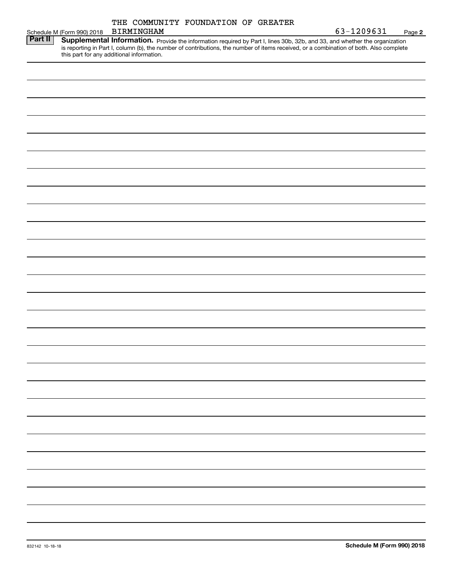|                |                            | THE COMMUNITY FOUNDATION OF GREATER       |  |                                                                                                                                                                                                                                                                      |        |
|----------------|----------------------------|-------------------------------------------|--|----------------------------------------------------------------------------------------------------------------------------------------------------------------------------------------------------------------------------------------------------------------------|--------|
|                | Schedule M (Form 990) 2018 | <b>BIRMINGHAM</b>                         |  | 63-1209631                                                                                                                                                                                                                                                           | Page 2 |
| <b>Part II</b> |                            | this part for any additional information. |  | Supplemental Information. Provide the information required by Part I, lines 30b, 32b, and 33, and whether the organization<br>is reporting in Part I, column (b), the number of contributions, the number of items received, or a combination of both. Also complete |        |
|                |                            |                                           |  |                                                                                                                                                                                                                                                                      |        |
|                |                            |                                           |  |                                                                                                                                                                                                                                                                      |        |
|                |                            |                                           |  |                                                                                                                                                                                                                                                                      |        |
|                |                            |                                           |  |                                                                                                                                                                                                                                                                      |        |
|                |                            |                                           |  |                                                                                                                                                                                                                                                                      |        |
|                |                            |                                           |  |                                                                                                                                                                                                                                                                      |        |
|                |                            |                                           |  |                                                                                                                                                                                                                                                                      |        |
|                |                            |                                           |  |                                                                                                                                                                                                                                                                      |        |
|                |                            |                                           |  |                                                                                                                                                                                                                                                                      |        |
|                |                            |                                           |  |                                                                                                                                                                                                                                                                      |        |
|                |                            |                                           |  |                                                                                                                                                                                                                                                                      |        |
|                |                            |                                           |  |                                                                                                                                                                                                                                                                      |        |
|                |                            |                                           |  |                                                                                                                                                                                                                                                                      |        |
|                |                            |                                           |  |                                                                                                                                                                                                                                                                      |        |
|                |                            |                                           |  |                                                                                                                                                                                                                                                                      |        |
|                |                            |                                           |  |                                                                                                                                                                                                                                                                      |        |
|                |                            |                                           |  |                                                                                                                                                                                                                                                                      |        |
|                |                            |                                           |  |                                                                                                                                                                                                                                                                      |        |
|                |                            |                                           |  |                                                                                                                                                                                                                                                                      |        |
|                |                            |                                           |  |                                                                                                                                                                                                                                                                      |        |
|                |                            |                                           |  |                                                                                                                                                                                                                                                                      |        |
|                |                            |                                           |  |                                                                                                                                                                                                                                                                      |        |
|                |                            |                                           |  |                                                                                                                                                                                                                                                                      |        |
|                |                            |                                           |  |                                                                                                                                                                                                                                                                      |        |
|                |                            |                                           |  |                                                                                                                                                                                                                                                                      |        |
|                |                            |                                           |  |                                                                                                                                                                                                                                                                      |        |
|                |                            |                                           |  |                                                                                                                                                                                                                                                                      |        |
|                |                            |                                           |  |                                                                                                                                                                                                                                                                      |        |
|                |                            |                                           |  |                                                                                                                                                                                                                                                                      |        |
|                |                            |                                           |  |                                                                                                                                                                                                                                                                      |        |
|                |                            |                                           |  |                                                                                                                                                                                                                                                                      |        |
|                |                            |                                           |  |                                                                                                                                                                                                                                                                      |        |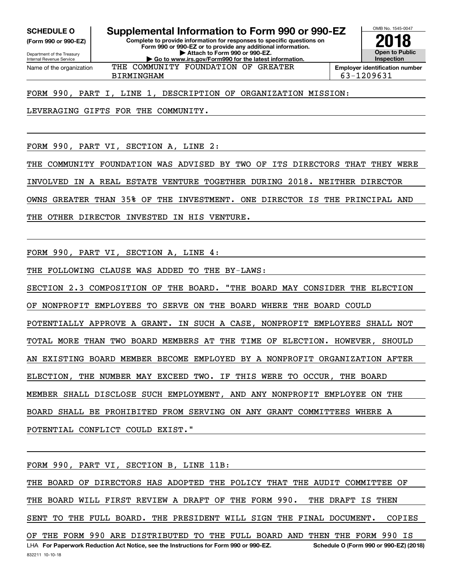**SCHEDULE O Supplemental Information to Form 990 or 990-EZ**

Internal Revenue Service

Department of the Treasury **(Form 990 or 990-EZ)** **Complete to provide information for responses to specific questions on Form 990 or 990-EZ or to provide any additional information. | Attach to Form 990 or 990-EZ. | Go to www.irs.gov/Form990 for the latest information.**



Name of the organization THE COMMUNITY FOUNDATION OF GREATER

BIRMINGHAM 63-1209631

FORM 990, PART I, LINE 1, DESCRIPTION OF ORGANIZATION MISSION:

LEVERAGING GIFTS FOR THE COMMUNITY.

FORM 990, PART VI, SECTION A, LINE 2:

THE COMMUNITY FOUNDATION WAS ADVISED BY TWO OF ITS DIRECTORS THAT THEY WERE

INVOLVED IN A REAL ESTATE VENTURE TOGETHER DURING 2018. NEITHER DIRECTOR

OWNS GREATER THAN 35% OF THE INVESTMENT. ONE DIRECTOR IS THE PRINCIPAL AND

THE OTHER DIRECTOR INVESTED IN HIS VENTURE.

FORM 990, PART VI, SECTION A, LINE 4:

THE FOLLOWING CLAUSE WAS ADDED TO THE BY-LAWS:

SECTION 2.3 COMPOSITION OF THE BOARD. "THE BOARD MAY CONSIDER THE ELECTION OF NONPROFIT EMPLOYEES TO SERVE ON THE BOARD WHERE THE BOARD COULD POTENTIALLY APPROVE A GRANT. IN SUCH A CASE, NONPROFIT EMPLOYEES SHALL NOT TOTAL MORE THAN TWO BOARD MEMBERS AT THE TIME OF ELECTION. HOWEVER, SHOULD AN EXISTING BOARD MEMBER BECOME EMPLOYED BY A NONPROFIT ORGANIZATION AFTER ELECTION, THE NUMBER MAY EXCEED TWO. IF THIS WERE TO OCCUR, THE BOARD MEMBER SHALL DISCLOSE SUCH EMPLOYMENT, AND ANY NONPROFIT EMPLOYEE ON THE BOARD SHALL BE PROHIBITED FROM SERVING ON ANY GRANT COMMITTEES WHERE A POTENTIAL CONFLICT COULD EXIST."

FORM 990, PART VI, SECTION B, LINE 11B:

832211 10-10-18 LHA For Paperwork Reduction Act Notice, see the Instructions for Form 990 or 990-EZ. Schedule O (Form 990 or 990-EZ) (2018) THE BOARD OF DIRECTORS HAS ADOPTED THE POLICY THAT THE AUDIT COMMITTEE OF THE BOARD WILL FIRST REVIEW A DRAFT OF THE FORM 990. THE DRAFT IS THEN SENT TO THE FULL BOARD. THE PRESIDENT WILL SIGN THE FINAL DOCUMENT. COPIES OF THE FORM 990 ARE DISTRIBUTED TO THE FULL BOARD AND THEN THE FORM 990 IS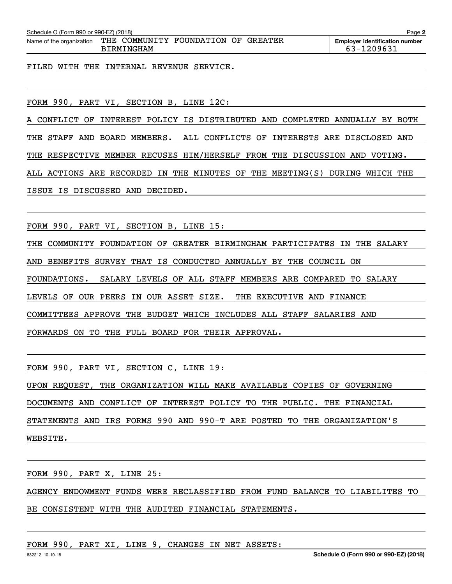| Schedule O (Form 990 or 990-EZ) (2018)<br>Page 2 |                                                   |  |  |                                                     |  |
|--------------------------------------------------|---------------------------------------------------|--|--|-----------------------------------------------------|--|
| Name of the organization                         | THE COMMUNITY FOUNDATION OF GREATER<br>BIRMINGHAM |  |  | <b>Employer identification number</b><br>63-1209631 |  |
|                                                  |                                                   |  |  |                                                     |  |

FILED WITH THE INTERNAL REVENUE SERVICE.

FORM 990, PART VI, SECTION B, LINE 12C:

A CONFLICT OF INTEREST POLICY IS DISTRIBUTED AND COMPLETED ANNUALLY BY BOTH THE STAFF AND BOARD MEMBERS. ALL CONFLICTS OF INTERESTS ARE DISCLOSED AND THE RESPECTIVE MEMBER RECUSES HIM/HERSELF FROM THE DISCUSSION AND VOTING. ALL ACTIONS ARE RECORDED IN THE MINUTES OF THE MEETING(S) DURING WHICH THE ISSUE IS DISCUSSED AND DECIDED.

FORM 990, PART VI, SECTION B, LINE 15:

THE COMMUNITY FOUNDATION OF GREATER BIRMINGHAM PARTICIPATES IN THE SALARY AND BENEFITS SURVEY THAT IS CONDUCTED ANNUALLY BY THE COUNCIL ON FOUNDATIONS. SALARY LEVELS OF ALL STAFF MEMBERS ARE COMPARED TO SALARY LEVELS OF OUR PEERS IN OUR ASSET SIZE. THE EXECUTIVE AND FINANCE COMMITTEES APPROVE THE BUDGET WHICH INCLUDES ALL STAFF SALARIES AND FORWARDS ON TO THE FULL BOARD FOR THEIR APPROVAL.

FORM 990, PART VI, SECTION C, LINE 19:

UPON REQUEST, THE ORGANIZATION WILL MAKE AVAILABLE COPIES OF GOVERNING DOCUMENTS AND CONFLICT OF INTEREST POLICY TO THE PUBLIC. THE FINANCIAL STATEMENTS AND IRS FORMS 990 AND 990-T ARE POSTED TO THE ORGANIZATION'S WEBSITE.

FORM 990, PART X, LINE 25: AGENCY ENDOWMENT FUNDS WERE RECLASSIFIED FROM FUND BALANCE TO LIABILITES TO BE CONSISTENT WITH THE AUDITED FINANCIAL STATEMENTS.

FORM 990, PART XI, LINE 9, CHANGES IN NET ASSETS: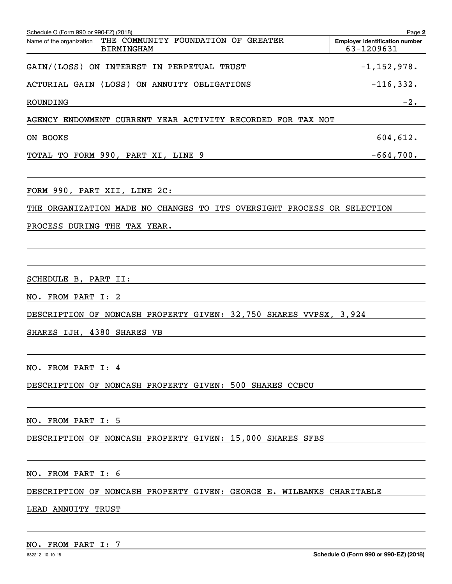| Schedule O (Form 990 or 990-EZ) (2018)<br>THE COMMUNITY FOUNDATION OF GREATER<br>Name of the organization<br><b>BIRMINGHAM</b> | Page 2<br><b>Employer identification number</b><br>63-1209631 |
|--------------------------------------------------------------------------------------------------------------------------------|---------------------------------------------------------------|
| GAIN/(LOSS) ON INTEREST IN PERPETUAL TRUST                                                                                     | $-1$ ,152,978.                                                |
| ACTURIAL GAIN (LOSS) ON ANNUITY OBLIGATIONS                                                                                    | $-116,332.$                                                   |
| ROUNDING                                                                                                                       | $-2.$                                                         |
| AGENCY ENDOWMENT CURRENT YEAR ACTIVITY RECORDED FOR TAX NOT                                                                    |                                                               |
| ON BOOKS                                                                                                                       | 604,612.                                                      |
| TOTAL TO FORM 990, PART XI, LINE 9<br><u> 1989 - Johann Barn, amerikansk politiker (</u>                                       | $-664,700$ .                                                  |
| FORM 990, PART XII, LINE 2C:                                                                                                   |                                                               |
| THE ORGANIZATION MADE NO CHANGES TO ITS OVERSIGHT PROCESS OR SELECTION                                                         |                                                               |
| PROCESS DURING THE TAX YEAR.                                                                                                   |                                                               |
|                                                                                                                                |                                                               |
| SCHEDULE B, PART II:                                                                                                           |                                                               |
| NO. FROM PART I: 2                                                                                                             |                                                               |
| DESCRIPTION OF NONCASH PROPERTY GIVEN: 32,750 SHARES VVPSX, 3,924                                                              |                                                               |
| SHARES IJH, 4380 SHARES VB                                                                                                     |                                                               |
|                                                                                                                                |                                                               |
| NO. FROM PART I: 4                                                                                                             |                                                               |
| DESCRIPTION OF NONCASH PROPERTY GIVEN: 500 SHARES CCBCU                                                                        |                                                               |
| NO. FROM PART I: 5                                                                                                             |                                                               |
| DESCRIPTION OF NONCASH PROPERTY GIVEN: 15,000 SHARES SFBS                                                                      |                                                               |
| NO. FROM PART I: 6                                                                                                             |                                                               |
| DESCRIPTION OF NONCASH PROPERTY GIVEN: GEORGE E. WILBANKS CHARITABLE                                                           |                                                               |
| LEAD ANNUITY TRUST                                                                                                             |                                                               |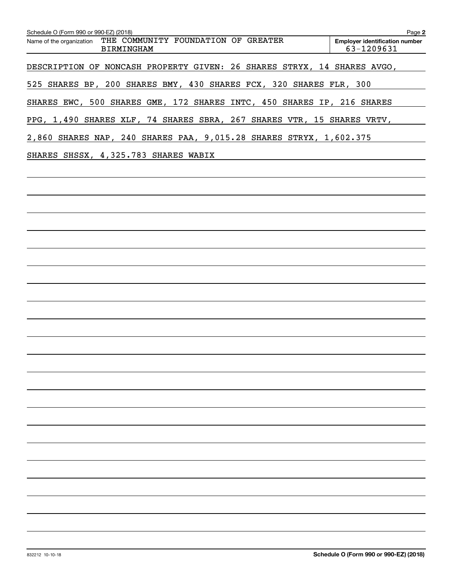| Schedule O (Form 990 or 990-EZ) (2018)<br>Name of the organization THE COMMUNITY FOUNDATION OF GREATER | Page 2<br><b>Employer identification number</b> |
|--------------------------------------------------------------------------------------------------------|-------------------------------------------------|
| <b>BIRMINGHAM</b>                                                                                      | 63-1209631                                      |
| DESCRIPTION OF NONCASH PROPERTY GIVEN: 26 SHARES STRYX, 14 SHARES AVGO,                                |                                                 |
| 525 SHARES BP, 200 SHARES BMY, 430 SHARES FCX, 320 SHARES FLR, 300                                     |                                                 |
| SHARES EWC, 500 SHARES GME, 172 SHARES INTC, 450 SHARES IP, 216 SHARES                                 |                                                 |
| PPG, 1,490 SHARES XLF, 74 SHARES SBRA, 267 SHARES VTR, 15 SHARES VRTV,                                 |                                                 |
| 2,860 SHARES NAP, 240 SHARES PAA, 9,015.28 SHARES STRYX, 1,602.375                                     |                                                 |
| SHARES SHSSX, 4,325.783 SHARES WABIX                                                                   |                                                 |
|                                                                                                        |                                                 |
|                                                                                                        |                                                 |
|                                                                                                        |                                                 |
|                                                                                                        |                                                 |
|                                                                                                        |                                                 |
|                                                                                                        |                                                 |
|                                                                                                        |                                                 |
|                                                                                                        |                                                 |
|                                                                                                        |                                                 |
|                                                                                                        |                                                 |
|                                                                                                        |                                                 |
|                                                                                                        |                                                 |
|                                                                                                        |                                                 |
|                                                                                                        |                                                 |
|                                                                                                        |                                                 |
|                                                                                                        |                                                 |
|                                                                                                        |                                                 |
|                                                                                                        |                                                 |
|                                                                                                        |                                                 |
|                                                                                                        |                                                 |
|                                                                                                        |                                                 |
|                                                                                                        |                                                 |
|                                                                                                        |                                                 |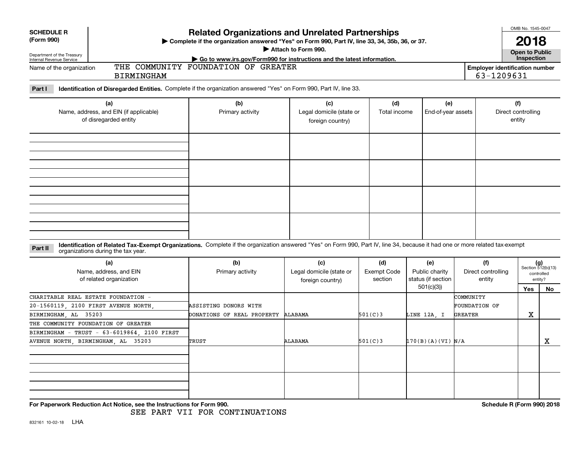| <b>SCHEDULE R</b><br>(Form 990)<br>Department of the Treasury<br>Internal Revenue Service                                                                                               | <b>Related Organizations and Unrelated Partnerships</b><br>> Complete if the organization answered "Yes" on Form 990, Part IV, line 33, 34, 35b, 36, or 37. |                                                     |                               | OMB No. 1545-0047<br>2018<br>Open to Public<br>Inspection |                                              |                                     |                                                      |
|-----------------------------------------------------------------------------------------------------------------------------------------------------------------------------------------|-------------------------------------------------------------------------------------------------------------------------------------------------------------|-----------------------------------------------------|-------------------------------|-----------------------------------------------------------|----------------------------------------------|-------------------------------------|------------------------------------------------------|
| Go to www.irs.gov/Form990 for instructions and the latest information.<br>THE COMMUNITY FOUNDATION OF GREATER<br>Name of the organization<br><b>BIRMINGHAM</b>                          |                                                                                                                                                             |                                                     |                               |                                                           |                                              |                                     | <b>Employer identification number</b>                |
| Identification of Disregarded Entities. Complete if the organization answered "Yes" on Form 990, Part IV, line 33.<br>Part I                                                            |                                                                                                                                                             |                                                     |                               |                                                           |                                              |                                     |                                                      |
| (a)<br>Name, address, and EIN (if applicable)<br>of disregarded entity                                                                                                                  | (b)<br>Primary activity                                                                                                                                     | (c)<br>Legal domicile (state or<br>foreign country) | (d)<br>Total income           | (e)<br>End-of-year assets                                 |                                              | (f)<br>Direct controlling<br>entity |                                                      |
|                                                                                                                                                                                         |                                                                                                                                                             |                                                     |                               |                                                           |                                              |                                     |                                                      |
|                                                                                                                                                                                         |                                                                                                                                                             |                                                     |                               |                                                           |                                              |                                     |                                                      |
| Identification of Related Tax-Exempt Organizations. Complete if the organization answered "Yes" on Form 990, Part IV, line 34, because it had one or more related tax-exempt<br>Part II |                                                                                                                                                             |                                                     |                               |                                                           |                                              |                                     |                                                      |
| organizations during the tax year.<br>(a)<br>Name, address, and EIN<br>of related organization                                                                                          | (b)<br>Primary activity                                                                                                                                     | (c)<br>Legal domicile (state or<br>foreign country) | (d)<br>Exempt Code<br>section | (e)<br>Public charity<br>status (if section               | (f)<br>Direct controlling<br>entity          |                                     | $(g)$<br>Section 512(b)(13)<br>controlled<br>entity? |
|                                                                                                                                                                                         |                                                                                                                                                             |                                                     |                               | 501(c)(3)                                                 |                                              | Yes                                 | No                                                   |
| CHARITABLE REAL ESTATE FOUNDATION -<br>20-1560119, 2100 FIRST AVENUE NORTH<br>BIRMINGHAM, AL 35203                                                                                      | ASSISTING DONORS WITH<br>DONATIONS OF REAL PROPERTY ALABAMA                                                                                                 |                                                     | 501(C)3                       | LINE 12A, I                                               | COMMUNITY<br>FOUNDATION OF<br><b>GREATER</b> | х                                   |                                                      |
| THE COMMUNITY FOUNDATION OF GREATER<br>BIRMINGHAM - TRUST - 63-6019864, 2100 FIRST<br>AVENUE NORTH, BIRMINGHAM, AL<br>35203                                                             | TRUST                                                                                                                                                       | ALABAMA                                             | 501(C)3                       | 170(B)(A)(VI) N/A                                         |                                              |                                     | X                                                    |
|                                                                                                                                                                                         |                                                                                                                                                             |                                                     |                               |                                                           |                                              |                                     |                                                      |
| For Paperwork Reduction Act Notice, see the Instructions for Form 990.                                                                                                                  | SEE PART VII FOR CONTINUATIONS                                                                                                                              |                                                     |                               |                                                           |                                              | Schedule R (Form 990) 2018          |                                                      |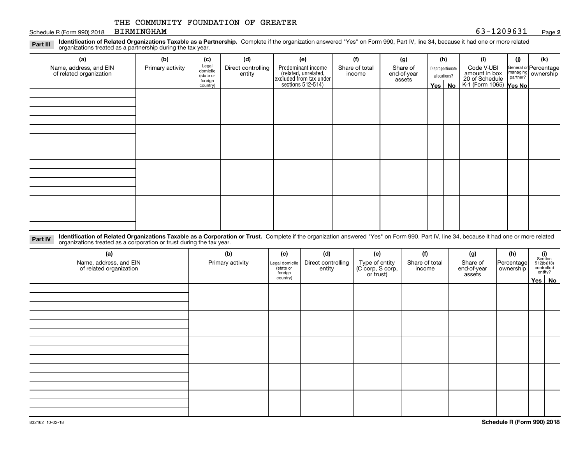#### Schedule R (Form 990) 2018 BIRMINGHAM 63 - 1209631 BIRMINGHAM

#### **2**

**Identification of Related Organizations Taxable as a Partnership.** Complete if the organization answered "Yes" on Form 990, Part IV, line 34, because it had one or more related **Part III** organizations treated as a partnership during the tax year.

| (a)                     | (b)              | (c)                  | (d)                | (e)                                                                 | (f)            | (g)                   |         | (h)              | (i)                                      | (j) | (k)                   |
|-------------------------|------------------|----------------------|--------------------|---------------------------------------------------------------------|----------------|-----------------------|---------|------------------|------------------------------------------|-----|-----------------------|
| Name, address, and EIN  | Primary activity | Legal<br>domicile    | Direct controlling | Predominant income                                                  | Share of total | Share of              |         | Disproportionate | Code V-UBI                               |     | General or Percentage |
| of related organization |                  | (state or<br>foreign | entity             | related, unrelated,<br>excluded from tax under<br>sections 512-514) | income         | end-of-year<br>assets |         | allocations?     | amount in box                            |     | managing ownership    |
|                         |                  | country)             |                    |                                                                     |                |                       | Yes $ $ | No               | 20 of Schedule<br>K-1 (Form 1065) Yes No |     |                       |
|                         |                  |                      |                    |                                                                     |                |                       |         |                  |                                          |     |                       |
|                         |                  |                      |                    |                                                                     |                |                       |         |                  |                                          |     |                       |
|                         |                  |                      |                    |                                                                     |                |                       |         |                  |                                          |     |                       |
|                         |                  |                      |                    |                                                                     |                |                       |         |                  |                                          |     |                       |
|                         |                  |                      |                    |                                                                     |                |                       |         |                  |                                          |     |                       |
|                         |                  |                      |                    |                                                                     |                |                       |         |                  |                                          |     |                       |
|                         |                  |                      |                    |                                                                     |                |                       |         |                  |                                          |     |                       |
|                         |                  |                      |                    |                                                                     |                |                       |         |                  |                                          |     |                       |
|                         |                  |                      |                    |                                                                     |                |                       |         |                  |                                          |     |                       |
|                         |                  |                      |                    |                                                                     |                |                       |         |                  |                                          |     |                       |
|                         |                  |                      |                    |                                                                     |                |                       |         |                  |                                          |     |                       |
|                         |                  |                      |                    |                                                                     |                |                       |         |                  |                                          |     |                       |
|                         |                  |                      |                    |                                                                     |                |                       |         |                  |                                          |     |                       |
|                         |                  |                      |                    |                                                                     |                |                       |         |                  |                                          |     |                       |
|                         |                  |                      |                    |                                                                     |                |                       |         |                  |                                          |     |                       |
|                         |                  |                      |                    |                                                                     |                |                       |         |                  |                                          |     |                       |
|                         |                  |                      |                    |                                                                     |                |                       |         |                  |                                          |     |                       |

**Identification of Related Organizations Taxable as a Corporation or Trust.** Complete if the organization answered "Yes" on Form 990, Part IV, line 34, because it had one or more related **Part IV** organizations treated as a corporation or trust during the tax year.

| (a)<br>Name, address, and EIN<br>of related organization | (b)<br>Primary activity | (c)<br>Legal domicile<br>state or<br>foreign | (d)<br>Direct controlling<br>entity | (e)<br>Type of entity<br>(C corp, S corp,<br>or trust) | (f)<br>Share of total<br>income | (g)<br>Share of<br>end-of-year<br>assets | (h)<br>Percentage<br>ownership | $\begin{array}{c} \textbf{(i)}\\ \text{Section}\\ 512 \text{(b)} \text{(13)}\\ \text{controlled}\\ \text{entity?} \end{array}$ |
|----------------------------------------------------------|-------------------------|----------------------------------------------|-------------------------------------|--------------------------------------------------------|---------------------------------|------------------------------------------|--------------------------------|--------------------------------------------------------------------------------------------------------------------------------|
|                                                          |                         | country)                                     |                                     |                                                        |                                 |                                          |                                | Yes   No                                                                                                                       |
|                                                          |                         |                                              |                                     |                                                        |                                 |                                          |                                |                                                                                                                                |
|                                                          |                         |                                              |                                     |                                                        |                                 |                                          |                                |                                                                                                                                |
|                                                          |                         |                                              |                                     |                                                        |                                 |                                          |                                |                                                                                                                                |
|                                                          |                         |                                              |                                     |                                                        |                                 |                                          |                                |                                                                                                                                |
|                                                          |                         |                                              |                                     |                                                        |                                 |                                          |                                |                                                                                                                                |
|                                                          |                         |                                              |                                     |                                                        |                                 |                                          |                                |                                                                                                                                |
|                                                          |                         |                                              |                                     |                                                        |                                 |                                          |                                |                                                                                                                                |
|                                                          |                         |                                              |                                     |                                                        |                                 |                                          |                                |                                                                                                                                |
|                                                          |                         |                                              |                                     |                                                        |                                 |                                          |                                |                                                                                                                                |
|                                                          |                         |                                              |                                     |                                                        |                                 |                                          |                                |                                                                                                                                |
|                                                          |                         |                                              |                                     |                                                        |                                 |                                          |                                |                                                                                                                                |
|                                                          |                         |                                              |                                     |                                                        |                                 |                                          |                                |                                                                                                                                |
|                                                          |                         |                                              |                                     |                                                        |                                 |                                          |                                |                                                                                                                                |
|                                                          |                         |                                              |                                     |                                                        |                                 |                                          |                                |                                                                                                                                |
|                                                          |                         |                                              |                                     |                                                        |                                 |                                          |                                |                                                                                                                                |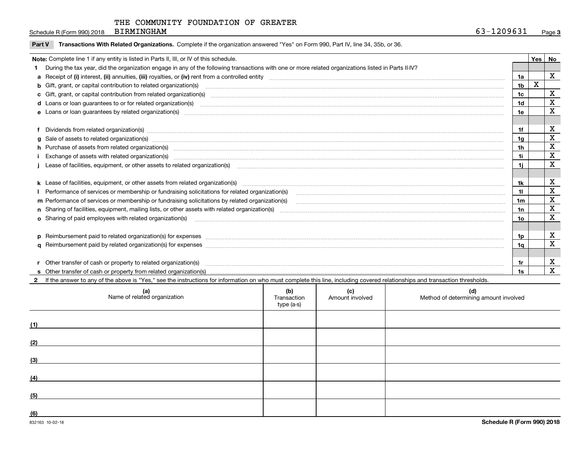Schedule R (Form 990) 2018 BIRMINGHAM 63-1209631 BIRMINGHAM

| Yes<br>Note: Complete line 1 if any entity is listed in Parts II, III, or IV of this schedule. |                                                                                                                                                                                                                                |                |   |             |  |  |
|------------------------------------------------------------------------------------------------|--------------------------------------------------------------------------------------------------------------------------------------------------------------------------------------------------------------------------------|----------------|---|-------------|--|--|
|                                                                                                | During the tax year, did the organization engage in any of the following transactions with one or more related organizations listed in Parts II-IV?                                                                            |                |   | No          |  |  |
|                                                                                                |                                                                                                                                                                                                                                |                |   | $\mathbf X$ |  |  |
|                                                                                                |                                                                                                                                                                                                                                | 1a             |   |             |  |  |
|                                                                                                | b Gift, grant, or capital contribution to related organization(s) mature and contained and contribution to related organization(s) matures are contained and contribution to related organization(s)                           | 1 <sub>b</sub> | x |             |  |  |
|                                                                                                |                                                                                                                                                                                                                                | 1 <sub>c</sub> |   | X           |  |  |
|                                                                                                | d Loans or loan guarantees to or for related organization(s) committion contracts are constructed as a control or contract or contract or contract or contract or contract or contract or contract or contract or contract or  | 1d             |   | X           |  |  |
|                                                                                                | e Loans or loan guarantees by related organization(s) enconversement contracts and contained and contained and contained and contained and contained and contained and contained and contained and contained and contained and | 1e             |   | X           |  |  |
|                                                                                                |                                                                                                                                                                                                                                |                |   |             |  |  |
|                                                                                                | f Dividends from related organization(s) www.assession.com/www.assession.com/www.assession.com/www.assession.com/www.assession.com/www.assession.com/www.assession.com/www.assession.com/www.assession.com/www.assession.com/w | 1f             |   | х           |  |  |
|                                                                                                |                                                                                                                                                                                                                                | 1a             |   | X           |  |  |
|                                                                                                | h Purchase of assets from related organization(s) manufactured and content and content and content and content and content and content and content and content and content and content and content and content and content and | 1 <sub>h</sub> |   | X           |  |  |
|                                                                                                |                                                                                                                                                                                                                                | 1i             |   | X           |  |  |
|                                                                                                |                                                                                                                                                                                                                                | 1i.            |   | X           |  |  |
|                                                                                                |                                                                                                                                                                                                                                |                |   |             |  |  |
|                                                                                                | k Lease of facilities, equipment, or other assets from related organization(s) manufaction content and content to the assets from related organization(s) manufaction content and content and content and content and content  | 1k             |   | X           |  |  |
|                                                                                                |                                                                                                                                                                                                                                | 11             |   | X           |  |  |
|                                                                                                | m Performance of services or membership or fundraising solicitations by related organization(s)                                                                                                                                | 1m             |   | X           |  |  |
|                                                                                                |                                                                                                                                                                                                                                | 1n             |   | $\mathbf X$ |  |  |
|                                                                                                |                                                                                                                                                                                                                                | 1o             |   | X           |  |  |
|                                                                                                |                                                                                                                                                                                                                                |                |   |             |  |  |
|                                                                                                |                                                                                                                                                                                                                                | 1p             |   | X           |  |  |
|                                                                                                |                                                                                                                                                                                                                                | 1a             |   | X           |  |  |
|                                                                                                |                                                                                                                                                                                                                                |                |   |             |  |  |
|                                                                                                | r Other transfer of cash or property to related organization(s)                                                                                                                                                                | 1r             |   | X           |  |  |
|                                                                                                |                                                                                                                                                                                                                                |                |   | X           |  |  |

**2**If the answer to any of the above is "Yes," see the instructions for information on who must complete this line, including covered relationships and transaction thresholds.

|     | (a)<br>Name of related organization | (b)<br>Transaction<br>type (a-s) | (c)<br>Amount involved | (d)<br>Method of determining amount involved |
|-----|-------------------------------------|----------------------------------|------------------------|----------------------------------------------|
| (1) |                                     |                                  |                        |                                              |
| (2) |                                     |                                  |                        |                                              |
| (3) |                                     |                                  |                        |                                              |
| (4) |                                     |                                  |                        |                                              |
| (5) |                                     |                                  |                        |                                              |
| (6) |                                     |                                  |                        |                                              |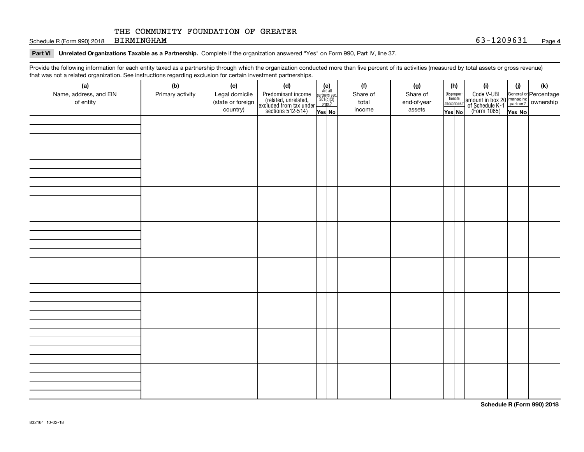Schedule R (Form 990) 2018 Page BIRMINGHAM 63-1209631

#### **Part VI Unrelated Organizations Taxable as a Partnership. Complete if the organization answered "Yes" on Form 990, Part IV, line 37.**

Provide the following information for each entity taxed as a partnership through which the organization conducted more than five percent of its activities (measured by total assets or gross revenue) that was not a related organization. See instructions regarding exclusion for certain investment partnerships.

| .<br>(a)               | (b)              | (c)               | .<br><br>(d)                                                                               |                                                          | (f)      | (g)         | (h)                   | (i)                                                                                          | (i) | (k) |
|------------------------|------------------|-------------------|--------------------------------------------------------------------------------------------|----------------------------------------------------------|----------|-------------|-----------------------|----------------------------------------------------------------------------------------------|-----|-----|
| Name, address, and EIN | Primary activity | Legal domicile    |                                                                                            | (e)<br>Are all<br>partners sec.<br>$501(c)(3)$<br>orgs.? | Share of | Share of    |                       |                                                                                              |     |     |
| of entity              |                  | (state or foreign |                                                                                            |                                                          | total    | end-of-year | Dispropor-<br>tionate |                                                                                              |     |     |
|                        |                  | country)          | Predominant income<br>(related, unrelated,<br>excluded from tax under<br>sections 512-514) |                                                          | income   | assets      | allocations?          | Code V-UBI<br>amount in box 20 managing<br>of Schedule K-1 partner?<br>(Form 1065)<br>ves No |     |     |
|                        |                  |                   |                                                                                            | Yes No                                                   |          |             | Yes│No                |                                                                                              |     |     |
|                        |                  |                   |                                                                                            |                                                          |          |             |                       |                                                                                              |     |     |
|                        |                  |                   |                                                                                            |                                                          |          |             |                       |                                                                                              |     |     |
|                        |                  |                   |                                                                                            |                                                          |          |             |                       |                                                                                              |     |     |
|                        |                  |                   |                                                                                            |                                                          |          |             |                       |                                                                                              |     |     |
|                        |                  |                   |                                                                                            |                                                          |          |             |                       |                                                                                              |     |     |
|                        |                  |                   |                                                                                            |                                                          |          |             |                       |                                                                                              |     |     |
|                        |                  |                   |                                                                                            |                                                          |          |             |                       |                                                                                              |     |     |
|                        |                  |                   |                                                                                            |                                                          |          |             |                       |                                                                                              |     |     |
|                        |                  |                   |                                                                                            |                                                          |          |             |                       |                                                                                              |     |     |
|                        |                  |                   |                                                                                            |                                                          |          |             |                       |                                                                                              |     |     |
|                        |                  |                   |                                                                                            |                                                          |          |             |                       |                                                                                              |     |     |
|                        |                  |                   |                                                                                            |                                                          |          |             |                       |                                                                                              |     |     |
|                        |                  |                   |                                                                                            |                                                          |          |             |                       |                                                                                              |     |     |
|                        |                  |                   |                                                                                            |                                                          |          |             |                       |                                                                                              |     |     |
|                        |                  |                   |                                                                                            |                                                          |          |             |                       |                                                                                              |     |     |
|                        |                  |                   |                                                                                            |                                                          |          |             |                       |                                                                                              |     |     |
|                        |                  |                   |                                                                                            |                                                          |          |             |                       |                                                                                              |     |     |
|                        |                  |                   |                                                                                            |                                                          |          |             |                       |                                                                                              |     |     |
|                        |                  |                   |                                                                                            |                                                          |          |             |                       |                                                                                              |     |     |
|                        |                  |                   |                                                                                            |                                                          |          |             |                       |                                                                                              |     |     |
|                        |                  |                   |                                                                                            |                                                          |          |             |                       |                                                                                              |     |     |
|                        |                  |                   |                                                                                            |                                                          |          |             |                       |                                                                                              |     |     |
|                        |                  |                   |                                                                                            |                                                          |          |             |                       |                                                                                              |     |     |
|                        |                  |                   |                                                                                            |                                                          |          |             |                       |                                                                                              |     |     |
|                        |                  |                   |                                                                                            |                                                          |          |             |                       |                                                                                              |     |     |
|                        |                  |                   |                                                                                            |                                                          |          |             |                       |                                                                                              |     |     |
|                        |                  |                   |                                                                                            |                                                          |          |             |                       |                                                                                              |     |     |
|                        |                  |                   |                                                                                            |                                                          |          |             |                       |                                                                                              |     |     |
|                        |                  |                   |                                                                                            |                                                          |          |             |                       |                                                                                              |     |     |
|                        |                  |                   |                                                                                            |                                                          |          |             |                       |                                                                                              |     |     |
|                        |                  |                   |                                                                                            |                                                          |          |             |                       |                                                                                              |     |     |
|                        |                  |                   |                                                                                            |                                                          |          |             |                       |                                                                                              |     |     |
|                        |                  |                   |                                                                                            |                                                          |          |             |                       |                                                                                              |     |     |
|                        |                  |                   |                                                                                            |                                                          |          |             |                       |                                                                                              |     |     |
|                        |                  |                   |                                                                                            |                                                          |          |             |                       |                                                                                              |     |     |